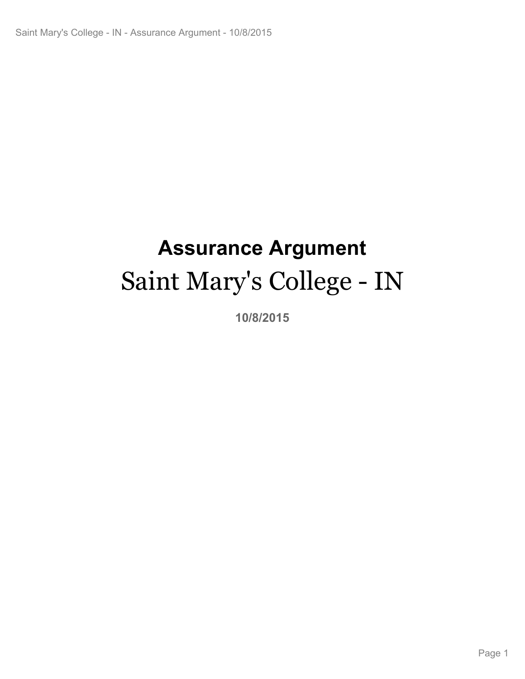# **Assurance Argument** Saint Mary's College - IN

**10/8/2015**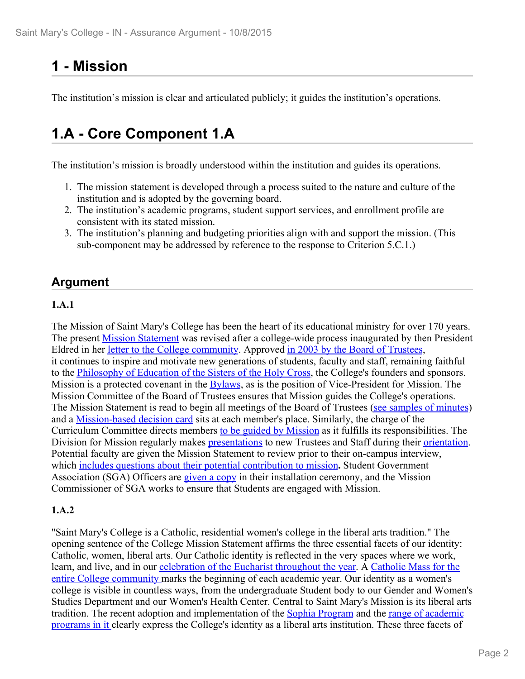## **1 - Mission**

The institution's mission is clear and articulated publicly; it guides the institution's operations.

### **1.A - Core Component 1.A**

The institution's mission is broadly understood within the institution and guides its operations.

- 1. The mission statement is developed through a process suited to the nature and culture of the institution and is adopted by the governing board.
- 2. The institution's academic programs, student support services, and enrollment profile are consistent with its stated mission.
- 3. The institution's planning and budgeting priorities align with and support the mission. (This sub-component may be addressed by reference to the response to Criterion 5.C.1.)

### **Argument**

#### **1.A.1**

The Mission of Saint Mary's College has been the heart of its educational ministry for over 170 years. The present **Mission Statement** was revised after a college-wide process inaugurated by then President Eldred in her letter to the College community. Approved in 2003 by the Board of Trustees, it continues to inspire and motivate new generations of students, faculty and staff, remaining faithful to the Philosophy of Education of the Sisters of the Holy Cross, the College's founders and sponsors. Mission is a protected covenant in the Bylaws, as is the position of Vice-President for Mission. The Mission Committee of the Board of Trustees ensures that Mission guides the College's operations. The Mission Statement is read to begin all meetings of the Board of Trustees (see samples of minutes) and a Mission-based decision card sits at each member's place. Similarly, the charge of the Curriculum Committee directs members to be guided by Mission as it fulfills its responsibilities. The Division for Mission regularly makes **presentations** to new Trustees and Staff during their **orientation**. Potential faculty are given the Mission Statement to review prior to their on-campus interview, which includes questions about their potential contribution to mission**.** Student Government Association (SGA) Officers are given a copy in their installation ceremony, and the Mission Commissioner of SGA works to ensure that Students are engaged with Mission.

#### **1.A.2**

"Saint Mary's College is a Catholic, residential women's college in the liberal arts tradition." The opening sentence of the College Mission Statement affirms the three essential facets of our identity: Catholic, women, liberal arts. Our Catholic identity is reflected in the very spaces where we work, learn, and live, and in our celebration of the Eucharist throughout the year. A Catholic Mass for the entire College community marks the beginning of each academic year. Our identity as a women's college is visible in countless ways, from the undergraduate Student body to our Gender and Women's Studies Department and our Women's Health Center. Central to Saint Mary's Mission is its liberal arts tradition. The recent adoption and implementation of the Sophia Program and the range of academic programs in it clearly express the College's identity as a liberal arts institution. These three facets of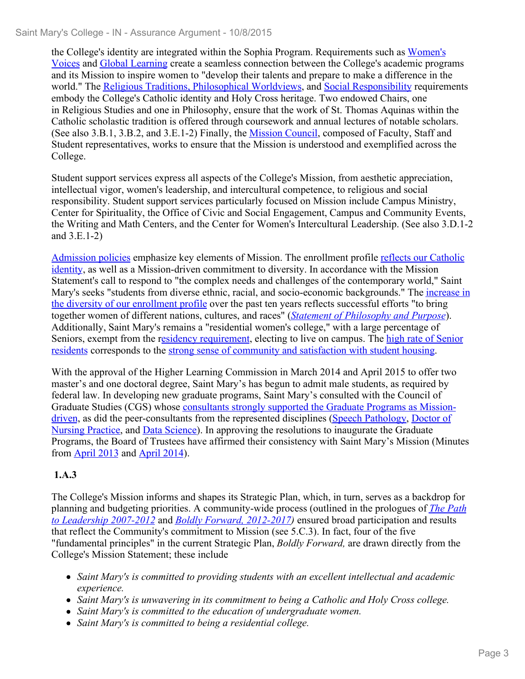the College's identity are integrated within the Sophia Program. Requirements such as Women's Voices and Global Learning create a seamless connection between the College's academic programs and its Mission to inspire women to "develop their talents and prepare to make a difference in the world." The Religious Traditions, Philosophical Worldviews, and Social Responsibility requirements embody the College's Catholic identity and Holy Cross heritage. Two endowed Chairs, one in Religious Studies and one in Philosophy, ensure that the work of St. Thomas Aquinas within the Catholic scholastic tradition is offered through coursework and annual lectures of notable scholars. (See also 3.B.1, 3.B.2, and 3.E.1-2) Finally, the Mission Council, composed of Faculty, Staff and Student representatives, works to ensure that the Mission is understood and exemplified across the College.

Student support services express all aspects of the College's Mission, from aesthetic appreciation, intellectual vigor, women's leadership, and intercultural competence, to religious and social responsibility. Student support services particularly focused on Mission include Campus Ministry, Center for Spirituality, the Office of Civic and Social Engagement, Campus and Community Events, the Writing and Math Centers, and the Center for Women's Intercultural Leadership. (See also 3.D.1-2 and 3.E.1-2)

Admission policies emphasize key elements of Mission. The enrollment profile reflects our Catholic identity, as well as a Mission-driven commitment to diversity. In accordance with the Mission Statement's call to respond to "the complex needs and challenges of the contemporary world," Saint Mary's seeks "students from diverse ethnic, racial, and socio-economic backgrounds." The *increase in* the diversity of our enrollment profile over the past ten years reflects successful efforts "to bring together women of different nations, cultures, and races" (*Statement of Philosophy and Purpose*). Additionally, Saint Mary's remains a "residential women's college," with a large percentage of Seniors, exempt from the residency requirement, electing to live on campus. The high rate of Senior residents corresponds to the strong sense of community and satisfaction with student housing.

With the approval of the Higher Learning Commission in March 2014 and April 2015 to offer two master's and one doctoral degree, Saint Mary's has begun to admit male students, as required by federal law. In developing new graduate programs, Saint Mary's consulted with the Council of Graduate Studies (CGS) whose consultants strongly supported the Graduate Programs as Missiondriven, as did the peer-consultants from the represented disciplines (Speech Pathology, Doctor of Nursing Practice, and Data Science). In approving the resolutions to inaugurate the Graduate Programs, the Board of Trustees have affirmed their consistency with Saint Mary's Mission (Minutes from April 2013 and April 2014).

#### **1.A.3**

The College's Mission informs and shapes its Strategic Plan, which, in turn, serves as a backdrop for planning and budgeting priorities. A community-wide process (outlined in the prologues of *The Path to Leadership 2007-2012* and *Boldly Forward, 2012-2017)* ensured broad participation and results that reflect the Community's commitment to Mission (see 5.C.3). In fact, four of the five "fundamental principles" in the current Strategic Plan, *Boldly Forward,* are drawn directly from the College's Mission Statement; these include

- *Saint Mary's is committed to providing students with an excellent intellectual and academic experience.*
- *Saint Mary's is unwavering in its commitment to being a Catholic and Holy Cross college.*
- *Saint Mary's is committed to the education of undergraduate women.*
- *Saint Mary's is committed to being a residential college.*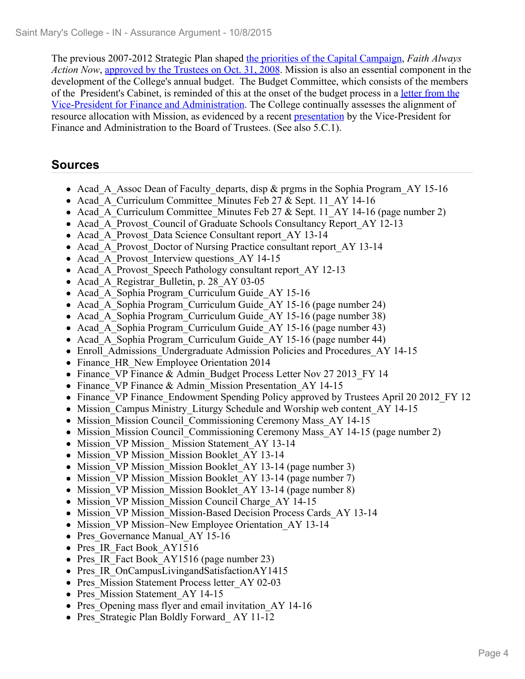The previous 2007-2012 Strategic Plan shaped the priorities of the Capital Campaign, *Faith Always Action Now*, approved by the Trustees on Oct. 31, 2008. Mission is also an essential component in the development of the College's annual budget. The Budget Committee, which consists of the members of the President's Cabinet, is reminded of this at the onset of the budget process in a letter from the Vice-President for Finance and Administration. The College continually assesses the alignment of resource allocation with Mission, as evidenced by a recent presentation by the Vice-President for Finance and Administration to the Board of Trustees. (See also 5.C.1).

- Acad A Assoc Dean of Faculty departs, disp & prgms in the Sophia Program AY 15-16
- Acad A Curriculum Committee Minutes Feb 27 & Sept. 11 AY 14-16
- Acad A Curriculum Committee Minutes Feb 27  $&$  Sept. 11 AY 14-16 (page number 2)
- Acad A Provost Council of Graduate Schools Consultancy Report AY 12-13
- Acad A Provost Data Science Consultant report AY 13-14
- Acad A Provost Doctor of Nursing Practice consultant report AY 13-14
- Acad A Provost Interview questions AY 14-15
- Acad A Provost Speech Pathology consultant report AY 12-13
- Acad A Registrar Bulletin, p. 28 AY 03-05
- Acad A Sophia Program Curriculum Guide AY 15-16
- Acad A Sophia Program Curriculum Guide AY 15-16 (page number 24)
- Acad A Sophia Program Curriculum Guide AY 15-16 (page number 38)
- Acad A Sophia Program Curriculum Guide AY 15-16 (page number 43)
- Acad A Sophia Program Curriculum Guide AY 15-16 (page number 44)
- Enroll Admissions Undergraduate Admission Policies and Procedures AY 14-15
- Finance HR New Employee Orientation 2014
- Finance VP Finance & Admin Budget Process Letter Nov 27 2013 FY 14
- Finance VP Finance & Admin Mission Presentation AY 14-15
- Finance VP Finance Endowment Spending Policy approved by Trustees April 20 2012 FY 12
- Mission Campus Ministry Liturgy Schedule and Worship web content AY 14-15
- Mission Mission Council Commissioning Ceremony Mass AY 14-15
- Mission Mission Council Commissioning Ceremony Mass AY 14-15 (page number 2)
- Mission VP Mission Mission Statement AY 13-14
- Mission VP Mission Mission Booklet AY 13-14
- Mission VP Mission Mission Booklet AY 13-14 (page number 3)
- Mission VP Mission Mission Booklet AY 13-14 (page number 7)
- Mission VP Mission Mission Booklet AY 13-14 (page number 8)
- Mission VP Mission Mission Council Charge AY 14-15
- Mission VP Mission Mission-Based Decision Process Cards AY 13-14
- Mission VP Mission–New Employee Orientation AY 13-14
- Pres Governance Manual AY 15-16
- Pres IR Fact Book AY1516
- Pres IR Fact Book AY1516 (page number 23)
- Pres IR OnCampusLivingandSatisfactionAY1415
- Pres Mission Statement Process letter AY 02-03
- Pres Mission Statement AY 14-15
- Pres Opening mass flyer and email invitation AY 14-16
- Pres Strategic Plan Boldly Forward AY 11-12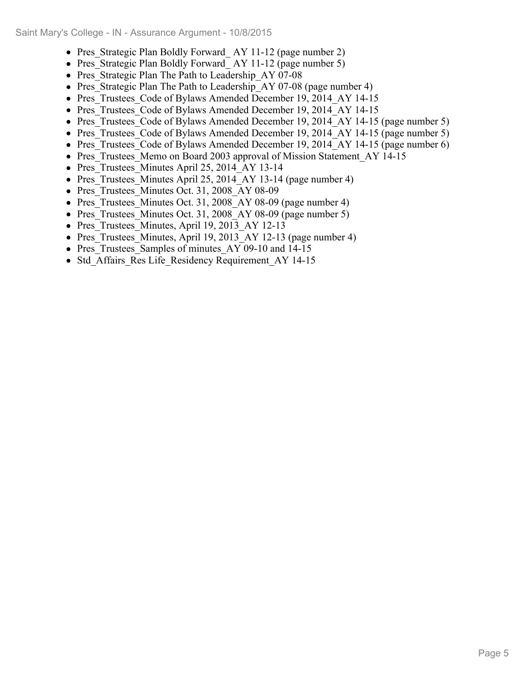- Pres Strategic Plan Boldly Forward AY 11-12 (page number 2)
- Pres Strategic Plan Boldly Forward AY 11-12 (page number 5)
- Pres Strategic Plan The Path to Leadership AY 07-08
- Pres Strategic Plan The Path to Leadership AY 07-08 (page number 4)
- Pres Trustees Code of Bylaws Amended December 19, 2014 AY 14-15
- Pres Trustees Code of Bylaws Amended December 19, 2014 AY 14-15
- Pres Trustees Code of Bylaws Amended December 19, 2014 AY 14-15 (page number 5)
- Pres Trustees Code of Bylaws Amended December 19, 2014 AY 14-15 (page number 5)
- Pres Trustees Code of Bylaws Amended December 19, 2014 AY 14-15 (page number 6)
- Pres Trustees Memo on Board 2003 approval of Mission Statement AY 14-15
- Pres Trustees Minutes April 25, 2014 AY 13-14
- Pres Trustees Minutes April 25, 2014 AY 13-14 (page number 4)
- Pres Trustees Minutes Oct. 31, 2008 AY 08-09
- Pres Trustees Minutes Oct. 31, 2008 AY 08-09 (page number 4)
- Pres Trustees Minutes Oct. 31, 2008 AY 08-09 (page number 5)
- Pres Trustees Minutes, April 19, 2013 AY 12-13
- Pres Trustees Minutes, April 19, 2013 AY 12-13 (page number 4)
- Pres Trustees Samples of minutes AY 09-10 and 14-15
- Std Affairs Res Life Residency Requirement AY 14-15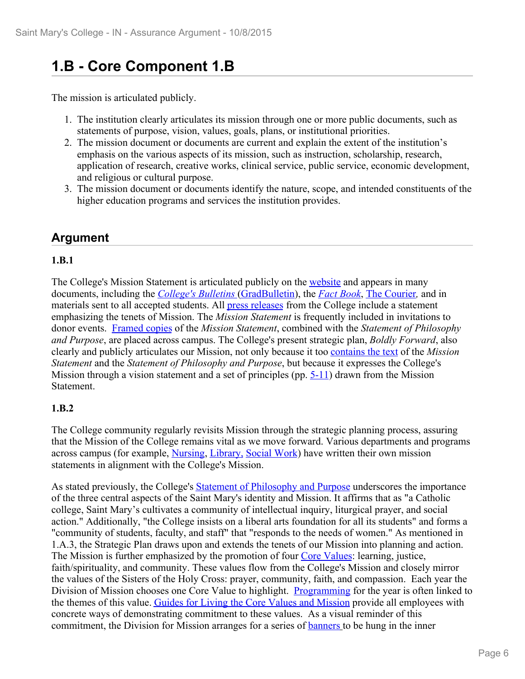### **1.B - Core Component 1.B**

The mission is articulated publicly.

- 1. The institution clearly articulates its mission through one or more public documents, such as statements of purpose, vision, values, goals, plans, or institutional priorities.
- 2. The mission document or documents are current and explain the extent of the institution's emphasis on the various aspects of its mission, such as instruction, scholarship, research, application of research, creative works, clinical service, public service, economic development, and religious or cultural purpose.
- 3. The mission document or documents identify the nature, scope, and intended constituents of the higher education programs and services the institution provides.

### **Argument**

#### **1.B.1**

The College's Mission Statement is articulated publicly on the website and appears in many documents, including the *College's Bulletins* (GradBulletin), the *Fact Book*, The Courier*,* and in materials sent to all accepted students. All press releases from the College include a statement emphasizing the tenets of Mission. The *Mission Statement* is frequently included in invitations to donor events. Framed copies of the *Mission Statement*, combined with the *Statement of Philosophy and Purpose*, are placed across campus. The College's present strategic plan, *Boldly Forward*, also clearly and publicly articulates our Mission, not only because it too contains the text of the *Mission Statement* and the *Statement of Philosophy and Purpose*, but because it expresses the College's Mission through a vision statement and a set of principles (pp. 5-11) drawn from the Mission Statement.

#### **1.B.2**

The College community regularly revisits Mission through the strategic planning process, assuring that the Mission of the College remains vital as we move forward. Various departments and programs across campus (for example, Nursing, Library, Social Work) have written their own mission statements in alignment with the College's Mission.

As stated previously, the College's Statement of Philosophy and Purpose underscores the importance of the three central aspects of the Saint Mary's identity and Mission. It affirms that as "a Catholic college, Saint Mary's cultivates a community of intellectual inquiry, liturgical prayer, and social action." Additionally, "the College insists on a liberal arts foundation for all its students" and forms a "community of students, faculty, and staff" that "responds to the needs of women." As mentioned in 1.A.3, the Strategic Plan draws upon and extends the tenets of our Mission into planning and action. The Mission is further emphasized by the promotion of four Core Values: learning, justice, faith/spirituality, and community. These values flow from the College's Mission and closely mirror the values of the Sisters of the Holy Cross: prayer, community, faith, and compassion. Each year the Division of Mission chooses one Core Value to highlight. Programming for the year is often linked to the themes of this value. Guides for Living the Core Values and Mission provide all employees with concrete ways of demonstrating commitment to these values. As a visual reminder of this commitment, the Division for Mission arranges for a series of **banners** to be hung in the inner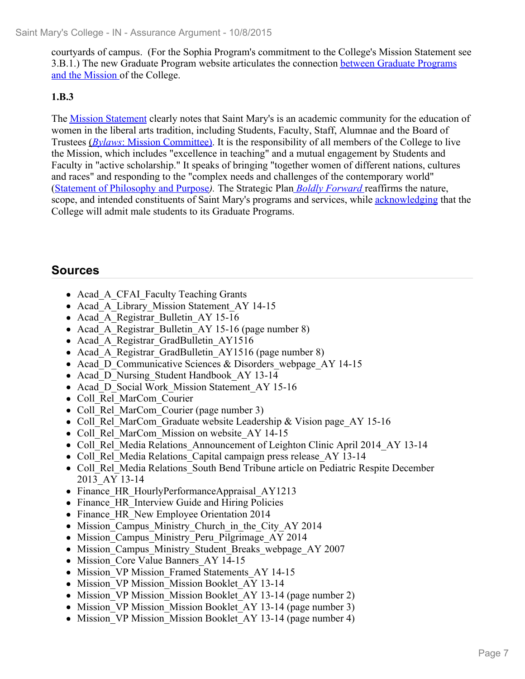courtyards of campus. (For the Sophia Program's commitment to the College's Mission Statement see 3.B.1.) The new Graduate Program website articulates the connection between Graduate Programs and the Mission of the College.

**1.B.3** The Mission Statement clearly notes that Saint Mary's is an academic community for the education of women in the liberal arts tradition, including Students, Faculty, Staff, Alumnae and the Board of Trustees (*Bylaws*: Mission Committee). It is the responsibility of all members of the College to live the Mission, which includes "excellence in teaching" and a mutual engagement by Students and Faculty in "active scholarship." It speaks of bringing "together women of different nations, cultures and races" and responding to the "complex needs and challenges of the contemporary world" (Statement of Philosophy and Purpose*).* The Strategic Plan *Boldly Forward* reaffirms the nature, scope, and intended constituents of Saint Mary's programs and services, while acknowledging that the College will admit male students to its Graduate Programs.

- Acad A CFAI Faculty Teaching Grants
- Acad A Library Mission Statement AY 14-15
- Acad A Registrar Bulletin AY 15-16
- Acad A Registrar Bulletin AY 15-16 (page number 8)
- Acad A Registrar GradBulletin AY1516
- Acad A Registrar GradBulletin AY1516 (page number 8)
- Acad D Communicative Sciences & Disorders webpage AY 14-15
- Acad D Nursing Student Handbook AY 13-14
- Acad D Social Work Mission Statement AY 15-16
- Coll Rel MarCom Courier
- Coll Rel MarCom Courier (page number 3)
- Coll Rel MarCom Graduate website Leadership & Vision page AY 15-16
- Coll Rel MarCom Mission on website AY 14-15
- Coll Rel Media Relations Announcement of Leighton Clinic April 2014 AY 13-14
- Coll Rel Media Relations Capital campaign press release AY 13-14
- Coll Rel Media Relations South Bend Tribune article on Pediatric Respite December 2013\_AY 13-14
- Finance HR HourlyPerformanceAppraisal AY1213
- Finance HR Interview Guide and Hiring Policies
- Finance HR New Employee Orientation 2014
- Mission Campus Ministry Church in the City AY 2014
- Mission Campus Ministry Peru Pilgrimage AY 2014
- Mission Campus Ministry Student Breaks webpage AY 2007
- Mission Core Value Banners AY 14-15
- Mission VP Mission Framed Statements AY 14-15
- Mission VP Mission Mission Booklet AY 13-14
- Mission VP Mission Mission Booklet AY 13-14 (page number 2)
- Mission VP Mission Mission Booklet AY 13-14 (page number 3)
- Mission VP Mission Mission Booklet AY 13-14 (page number 4)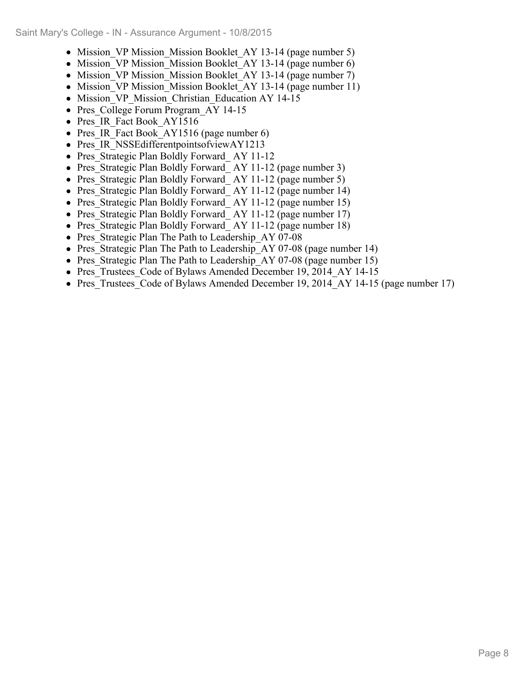- Mission VP Mission Mission Booklet AY 13-14 (page number 5)
- Mission VP Mission Mission Booklet AY 13-14 (page number 6)
- Mission VP Mission Mission Booklet AY 13-14 (page number 7)
- Mission VP Mission Mission Booklet AY 13-14 (page number 11)
- Mission VP Mission Christian Education AY 14-15
- Pres College Forum Program AY 14-15
- Pres IR Fact Book AY1516
- Pres IR Fact Book AY1516 (page number 6)
- Pres IR NSSE different points of viewAY1213
- Pres Strategic Plan Boldly Forward AY 11-12
- Pres Strategic Plan Boldly Forward AY 11-12 (page number 3)
- Pres Strategic Plan Boldly Forward AY 11-12 (page number 5)
- Pres Strategic Plan Boldly Forward AY 11-12 (page number 14)
- Pres Strategic Plan Boldly Forward AY 11-12 (page number 15)
- Pres Strategic Plan Boldly Forward AY 11-12 (page number 17)
- Pres Strategic Plan Boldly Forward AY 11-12 (page number 18)
- Pres Strategic Plan The Path to Leadership AY 07-08
- Pres Strategic Plan The Path to Leadership AY 07-08 (page number 14)
- Pres Strategic Plan The Path to Leadership AY 07-08 (page number 15)
- Pres Trustees Code of Bylaws Amended December 19, 2014 AY 14-15
- Pres Trustees Code of Bylaws Amended December 19, 2014 AY 14-15 (page number 17)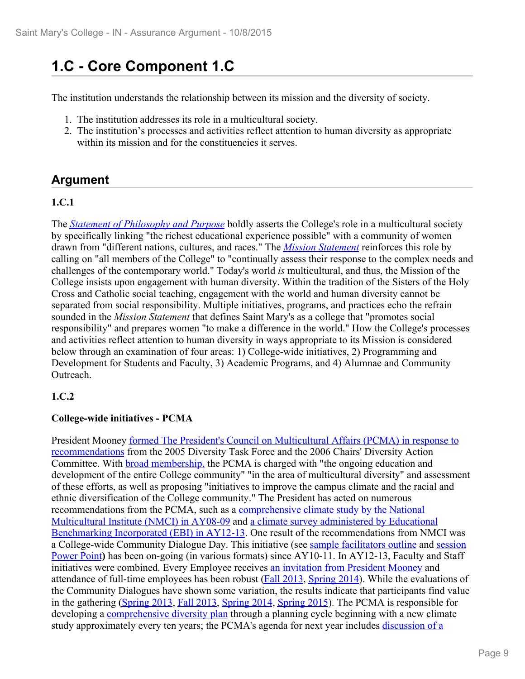## **1.C - Core Component 1.C**

The institution understands the relationship between its mission and the diversity of society.

- 1. The institution addresses its role in a multicultural society.
- 2. The institution's processes and activities reflect attention to human diversity as appropriate within its mission and for the constituencies it serves.

#### **Argument**

#### **1.C.1**

The *Statement of Philosophy and Purpose* boldly asserts the College's role in a multicultural society by specifically linking "the richest educational experience possible" with a community of women drawn from "different nations, cultures, and races." The *Mission Statement* reinforces this role by calling on "all members of the College" to "continually assess their response to the complex needs and challenges of the contemporary world." Today's world *is* multicultural, and thus, the Mission of the College insists upon engagement with human diversity. Within the tradition of the Sisters of the Holy Cross and Catholic social teaching, engagement with the world and human diversity cannot be separated from social responsibility. Multiple initiatives, programs, and practices echo the refrain sounded in the *Mission Statement* that defines Saint Mary's as a college that "promotes social responsibility" and prepares women "to make a difference in the world." How the College's processes and activities reflect attention to human diversity in ways appropriate to its Mission is considered below through an examination of four areas: 1) College-wide initiatives, 2) Programming and Development for Students and Faculty, 3) Academic Programs, and 4) Alumnae and Community **Outreach** 

#### **1.C.2**

#### **College-wide initiatives - PCMA**

President Mooney formed The President's Council on Multicultural Affairs (PCMA) in response to recommendations from the 2005 Diversity Task Force and the 2006 Chairs' Diversity Action Committee. With broad membership, the PCMA is charged with "the ongoing education and development of the entire College community" "in the area of multicultural diversity" and assessment of these efforts, as well as proposing "initiatives to improve the campus climate and the racial and ethnic diversification of the College community." The President has acted on numerous recommendations from the PCMA, such as a comprehensive climate study by the National Multicultural Institute (NMCI) in AY08-09 and a climate survey administered by Educational Benchmarking Incorporated (EBI) in AY12-13. One result of the recommendations from NMCI was a College-wide Community Dialogue Day. This initiative (see sample facilitators outline and session Power Point**)** has been on-going (in various formats) since AY10-11. In AY12-13, Faculty and Staff initiatives were combined. Every Employee receives an invitation from President Mooney and attendance of full-time employees has been robust (Fall 2013, Spring 2014). While the evaluations of the Community Dialogues have shown some variation, the results indicate that participants find value in the gathering (Spring 2013, Fall 2013, Spring 2014, Spring 2015). The PCMA is responsible for developing a comprehensive diversity plan through a planning cycle beginning with a new climate study approximately every ten years; the PCMA's agenda for next year includes discussion of a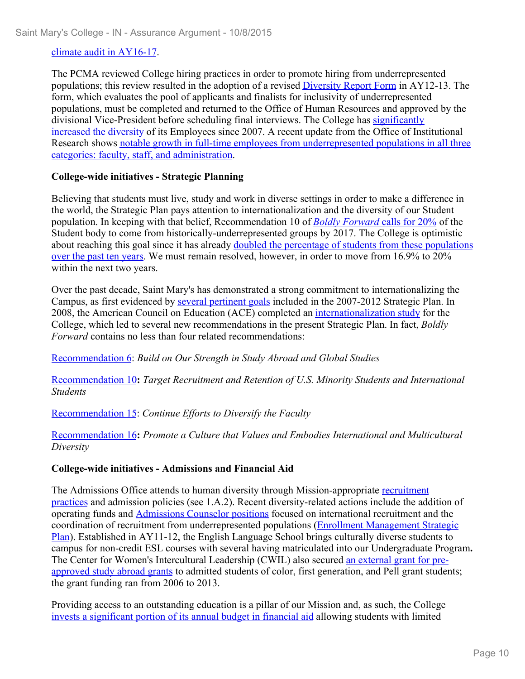#### climate audit in AY16-17.

The PCMA reviewed College hiring practices in order to promote hiring from underrepresented populations; this review resulted in the adoption of a revised Diversity Report Form in AY12-13. The form, which evaluates the pool of applicants and finalists for inclusivity of underrepresented populations, must be completed and returned to the Office of Human Resources and approved by the divisional Vice-President before scheduling final interviews. The College has significantly increased the diversity of its Employees since 2007. A recent update from the Office of Institutional Research shows notable growth in full-time employees from underrepresented populations in all three categories: faculty, staff, and administration.

#### **College-wide initiatives - Strategic Planning**

Believing that students must live, study and work in diverse settings in order to make a difference in the world, the Strategic Plan pays attention to internationalization and the diversity of our Student population. In keeping with that belief, Recommendation 10 of *Boldly Forward* calls for 20% of the Student body to come from historically-underrepresented groups by 2017. The College is optimistic about reaching this goal since it has already doubled the percentage of students from these populations over the past ten years. We must remain resolved, however, in order to move from 16.9% to 20% within the next two years.

Over the past decade, Saint Mary's has demonstrated a strong commitment to internationalizing the Campus, as first evidenced by several pertinent goals included in the 2007-2012 Strategic Plan. In 2008, the American Council on Education (ACE) completed an internationalization study for the College, which led to several new recommendations in the present Strategic Plan. In fact, *Boldly Forward* contains no less than four related recommendations:

Recommendation 6: *Build on Our Strength in Study Abroad and Global Studies* 

Recommendation 10**:** *Target Recruitment and Retention of U.S. Minority Students and International Students*

Recommendation 15: *Continue Efforts to Diversify the Faculty* 

Recommendation 16**:** *Promote a Culture that Values and Embodies International and Multicultural Diversity*

#### **College-wide initiatives - Admissions and Financial Aid**

The Admissions Office attends to human diversity through Mission-appropriate recruitment practices and admission policies (see 1.A.2). Recent diversity-related actions include the addition of operating funds and Admissions Counselor positions focused on international recruitment and the coordination of recruitment from underrepresented populations (Enrollment Management Strategic Plan). Established in AY11-12, the English Language School brings culturally diverse students to campus for non-credit ESL courses with several having matriculated into our Undergraduate Program**.** The Center for Women's Intercultural Leadership (CWIL) also secured an external grant for preapproved study abroad grants to admitted students of color, first generation, and Pell grant students; the grant funding ran from 2006 to 2013.

Providing access to an outstanding education is a pillar of our Mission and, as such, the College invests a significant portion of its annual budget in financial aid allowing students with limited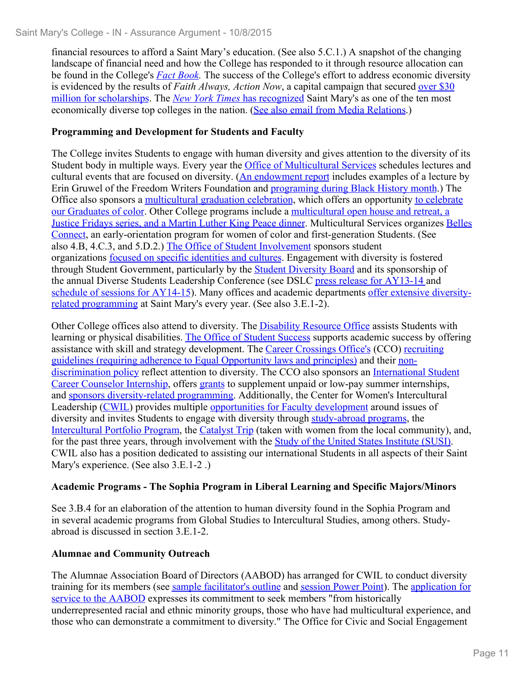financial resources to afford a Saint Mary's education. (See also 5.C.1.) A snapshot of the changing landscape of financial need and how the College has responded to it through resource allocation can be found in the College's *Fact Book.* The success of the College's effort to address economic diversity is evidenced by the results of *Faith Always, Action Now*, a capital campaign that secured over \$30 million for scholarships. The *New York Times* has recognized Saint Mary's as one of the ten most economically diverse top colleges in the nation. (See also email from Media Relations.)

#### **Programming and Development for Students and Faculty**

The College invites Students to engage with human diversity and gives attention to the diversity of its Student body in multiple ways. Every year the **Office of Multicultural Services** schedules lectures and cultural events that are focused on diversity. (An endowment report includes examples of a lecture by Erin Gruwel of the Freedom Writers Foundation and programing during Black History month.) The Office also sponsors a multicultural graduation celebration, which offers an opportunity to celebrate our Graduates of color. Other College programs include a multicultural open house and retreat, a Justice Fridays series, and a Martin Luther King Peace dinner. Multicultural Services organizes Belles Connect, an early-orientation program for women of color and first-generation Students. (See also 4.B, 4.C.3, and 5.D.2.) The Office of Student Involvement sponsors student organizations focused on specific identities and cultures. Engagement with diversity is fostered through Student Government, particularly by the Student Diversity Board and its sponsorship of the annual Diverse Students Leadership Conference (see DSLC press release for AY13-14 and schedule of sessions for AY14-15). Many offices and academic departments offer extensive diversityrelated programming at Saint Mary's every year. (See also 3.E.1-2).

Other College offices also attend to diversity. The Disability Resource Office assists Students with learning or physical disabilities. The Office of Student Success supports academic success by offering assistance with skill and strategy development. The Career Crossings Office's (CCO) recruiting guidelines (requiring adherence to Equal Opportunity laws and principles) and their nondiscrimination policy reflect attention to diversity. The CCO also sponsors an International Student Career Counselor Internship, offers grants to supplement unpaid or low-pay summer internships, and sponsors diversity-related programming. Additionally, the Center for Women's Intercultural Leadership (CWIL) provides multiple opportunities for Faculty development around issues of diversity and invites Students to engage with diversity through study-abroad programs, the Intercultural Portfolio Program, the Catalyst Trip (taken with women from the local community), and, for the past three years, through involvement with the Study of the United States Institute (SUSI). CWIL also has a position dedicated to assisting our international Students in all aspects of their Saint Mary's experience. (See also 3.E.1-2 .)

#### **Academic Programs - The Sophia Program in Liberal Learning and Specific Majors/Minors**

See 3.B.4 for an elaboration of the attention to human diversity found in the Sophia Program and in several academic programs from Global Studies to Intercultural Studies, among others. Studyabroad is discussed in section 3.E.1-2.

#### **Alumnae and Community Outreach**

The Alumnae Association Board of Directors (AABOD) has arranged for CWIL to conduct diversity training for its members (see sample facilitator's outline and session Power Point). The application for service to the AABOD expresses its commitment to seek members "from historically underrepresented racial and ethnic minority groups, those who have had multicultural experience, and those who can demonstrate a commitment to diversity." The Office for Civic and Social Engagement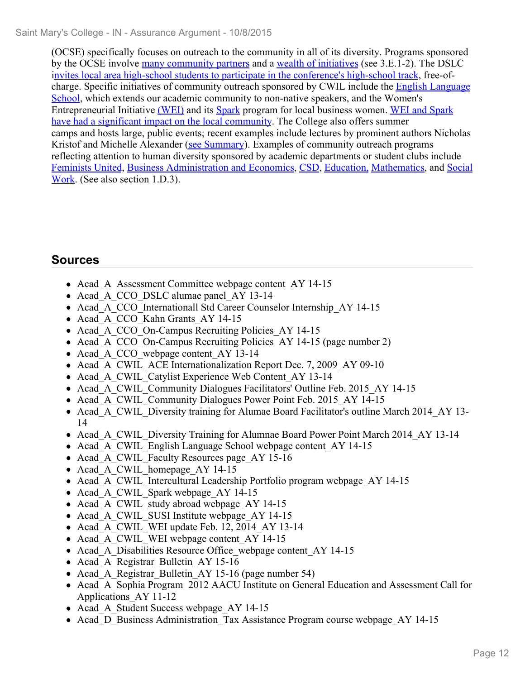(OCSE) specifically focuses on outreach to the community in all of its diversity. Programs sponsored by the OCSE involve many community partners and a wealth of initiatives (see 3.E.1-2). The DSLC invites local area high-school students to participate in the conference's high-school track, free-ofcharge. Specific initiatives of community outreach sponsored by CWIL include the English Language School, which extends our academic community to non-native speakers, and the Women's Entrepreneurial Initiative (WEI) and its Spark program for local business women. WEI and Spark have had a significant impact on the local community. The College also offers summer camps and hosts large, public events; recent examples include lectures by prominent authors Nicholas Kristof and Michelle Alexander (see Summary). Examples of community outreach programs reflecting attention to human diversity sponsored by academic departments or student clubs include Feminists United, Business Administration and Economics, CSD, Education, Mathematics, and Social Work. (See also section 1.D.3).

- Acad A Assessment Committee webpage content AY 14-15
- Acad A CCO DSLC alumae panel AY 13-14
- Acad A CCO Internationall Std Career Counselor Internship AY 14-15
- Acad A CCO Kahn Grants AY 14-15
- Acad A CCO On-Campus Recruiting Policies AY 14-15
- Acad A CCO On-Campus Recruiting Policies AY 14-15 (page number 2)
- Acad A CCO webpage content AY 13-14
- Acad A CWIL ACE Internationalization Report Dec. 7, 2009 AY 09-10
- Acad A CWIL Catylist Experience Web Content AY 13-14
- Acad A CWIL Community Dialogues Facilitators' Outline Feb. 2015 AY 14-15
- Acad A CWIL Community Dialogues Power Point Feb. 2015 AY 14-15
- Acad A CWIL Diversity training for Alumae Board Facilitator's outline March 2014 AY 13-14
- Acad A CWIL Diversity Training for Alumnae Board Power Point March 2014 AY 13-14
- Acad A CWIL English Language School webpage content AY 14-15
- Acad A CWIL Faculty Resources page AY 15-16
- Acad A CWIL homepage AY 14-15
- Acad A CWIL Intercultural Leadership Portfolio program webpage AY 14-15
- Acad A CWIL Spark webpage AY 14-15
- Acad A CWIL study abroad webpage AY 14-15
- Acad A CWIL SUSI Institute webpage AY 14-15
- Acad A CWIL WEI update Feb. 12, 2014 AY 13-14
- Acad A CWIL WEI webpage content AY 14-15
- Acad A Disabilities Resource Office webpage content AY 14-15
- Acad A Registrar Bulletin AY 15-16
- Acad A Registrar Bulletin AY 15-16 (page number 54)
- Acad A Sophia Program 2012 AACU Institute on General Education and Assessment Call for Applications\_AY 11-12
- Acad A Student Success webpage AY 14-15
- Acad D Business Administration Tax Assistance Program course webpage AY 14-15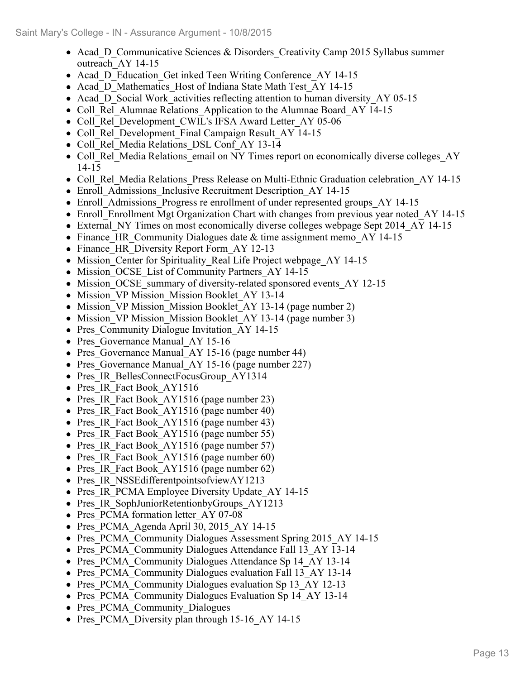- Acad D Communicative Sciences & Disorders Creativity Camp 2015 Syllabus summer outreach\_AY 14-15
- Acad D Education Get inked Teen Writing Conference AY 14-15
- Acad D Mathematics Host of Indiana State Math Test AY 14-15
- Acad\_D\_Social Work\_activities reflecting attention to human diversity AY 05-15
- Coll Rel Alumnae Relations Application to the Alumnae Board AY 14-15
- Coll Rel Development CWIL's IFSA Award Letter AY 05-06
- Coll Rel Development Final Campaign Result AY 14-15
- Coll Rel Media Relations DSL Conf AY 13-14
- Coll Rel Media Relations email on NY Times report on economically diverse colleges AY 14-15
- Coll Rel Media Relations Press Release on Multi-Ethnic Graduation celebration AY 14-15
- Enroll Admissions Inclusive Recruitment Description AY 14-15
- Enroll Admissions Progress re enrollment of under represented groups AY 14-15
- Enroll Enrollment Mgt Organization Chart with changes from previous year noted AY 14-15
- External NY Times on most economically diverse colleges webpage Sept 2014 AY 14-15
- Finance HR Community Dialogues date  $&$  time assignment memo AY 14-15
- Finance HR Diversity Report Form AY 12-13
- Mission Center for Spirituality Real Life Project webpage AY 14-15
- Mission OCSE List of Community Partners AY 14-15
- Mission OCSE summary of diversity-related sponsored events AY 12-15
- Mission VP Mission Mission Booklet AY 13-14
- Mission VP Mission Mission Booklet AY 13-14 (page number 2)
- Mission VP Mission Mission Booklet AY 13-14 (page number 3)
- Pres Community Dialogue Invitation AY 14-15
- Pres Governance Manual AY 15-16
- Pres Governance Manual AY 15-16 (page number 44)
- Pres Governance Manual AY 15-16 (page number 227)
- Pres IR BellesConnectFocusGroup AY1314
- Pres IR Fact Book AY1516
- Pres IR Fact Book AY1516 (page number 23)
- Pres IR Fact Book AY1516 (page number 40)
- Pres IR Fact Book AY1516 (page number 43)
- Pres IR Fact Book AY1516 (page number 55)
- Pres IR Fact Book AY1516 (page number 57)
- Pres IR Fact Book AY1516 (page number 60)
- Pres IR Fact Book AY1516 (page number 62)
- Pres IR NSSEdifferentpointsofviewAY1213
- Pres IR PCMA Employee Diversity Update AY 14-15
- Pres IR SophJuniorRetentionbyGroups AY1213
- Pres PCMA formation letter AY 07-08
- Pres PCMA Agenda April 30, 2015 AY 14-15
- Pres PCMA Community Dialogues Assessment Spring 2015 AY 14-15
- Pres PCMA Community Dialogues Attendance Fall 13 AY 13-14
- Pres PCMA Community Dialogues Attendance Sp 14 AY 13-14
- Pres PCMA Community Dialogues evaluation Fall 13 AY 13-14
- Pres PCMA Community Dialogues evaluation Sp 13 AY 12-13
- Pres PCMA Community Dialogues Evaluation Sp 14 AY 13-14
- Pres PCMA Community Dialogues
- Pres PCMA Diversity plan through 15-16 AY 14-15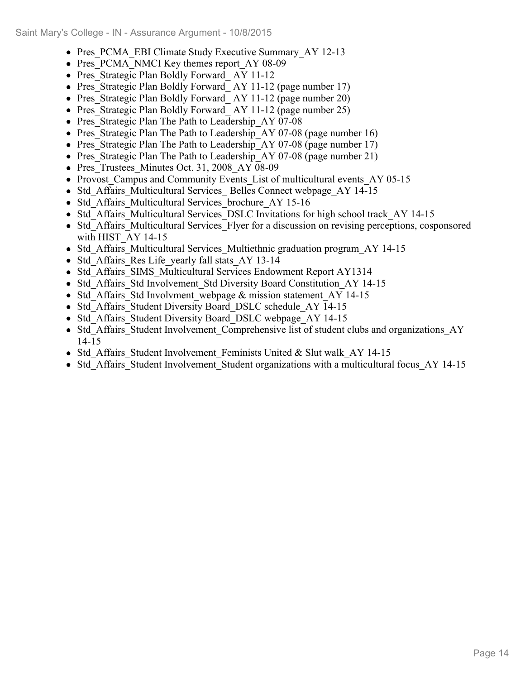- Pres PCMA EBI Climate Study Executive Summary AY 12-13
- Pres PCMA\_NMCI Key themes report AY 08-09
- Pres Strategic Plan Boldly Forward AY 11-12
- Pres Strategic Plan Boldly Forward AY 11-12 (page number 17)
- Pres Strategic Plan Boldly Forward AY 11-12 (page number 20)
- Pres Strategic Plan Boldly Forward AY 11-12 (page number 25)
- Pres Strategic Plan The Path to Leadership AY 07-08
- Pres Strategic Plan The Path to Leadership AY 07-08 (page number 16)
- Pres Strategic Plan The Path to Leadership AY 07-08 (page number 17)
- Pres Strategic Plan The Path to Leadership AY 07-08 (page number 21)
- Pres Trustees Minutes Oct. 31, 2008 AY 08-09
- Provost Campus and Community Events List of multicultural events AY 05-15
- Std Affairs Multicultural Services Belles Connect webpage AY 14-15
- Std Affairs Multicultural Services brochure AY 15-16
- Std Affairs Multicultural Services DSLC Invitations for high school track AY 14-15
- Std Affairs Multicultural Services Flyer for a discussion on revising perceptions, cosponsored with HIST AY 14-15
- Std Affairs Multicultural Services Multiethnic graduation program AY 14-15
- Std Affairs Res Life yearly fall stats AY 13-14
- Std\_Affairs\_SIMS\_Multicultural Services Endowment Report AY1314
- Std Affairs Std Involvement Std Diversity Board Constitution AY 14-15
- Std Affairs Std Involvment webpage & mission statement AY 14-15
- Std Affairs Student Diversity Board DSLC schedule AY 14-15
- Std Affairs Student Diversity Board DSLC webpage AY 14-15
- Std Affairs Student Involvement Comprehensive list of student clubs and organizations AY 14-15
- Std Affairs Student Involvement Feminists United & Slut walk AY 14-15
- Std Affairs Student Involvement Student organizations with a multicultural focus AY 14-15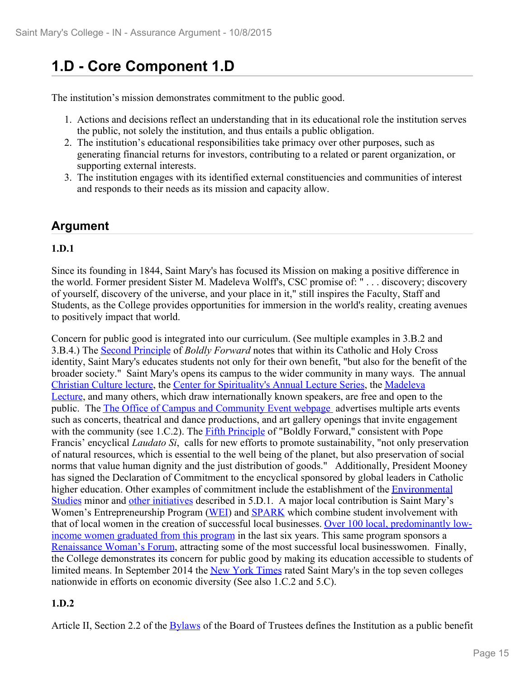## **1.D - Core Component 1.D**

The institution's mission demonstrates commitment to the public good.

- 1. Actions and decisions reflect an understanding that in its educational role the institution serves the public, not solely the institution, and thus entails a public obligation.
- 2. The institution's educational responsibilities take primacy over other purposes, such as generating financial returns for investors, contributing to a related or parent organization, or supporting external interests.
- 3. The institution engages with its identified external constituencies and communities of interest and responds to their needs as its mission and capacity allow.

### **Argument**

#### **1.D.1**

Since its founding in 1844, Saint Mary's has focused its Mission on making a positive difference in the world. Former president Sister M. Madeleva Wolff's, CSC promise of: " . . . discovery; discovery of yourself, discovery of the universe, and your place in it," still inspires the Faculty, Staff and Students, as the College provides opportunities for immersion in the world's reality, creating avenues to positively impact that world.

Concern for public good is integrated into our curriculum. (See multiple examples in 3.B.2 and 3.B.4.) The Second Principle of *Boldly Forward* notes that within its Catholic and Holy Cross identity, Saint Mary's educates students not only for their own benefit, "but also for the benefit of the broader society." Saint Mary's opens its campus to the wider community in many ways. The annual Christian Culture lecture, the Center for Spirituality's Annual Lecture Series, the Madeleva Lecture, and many others, which draw internationally known speakers, are free and open to the public. The The Office of Campus and Community Event webpage advertises multiple arts events such as concerts, theatrical and dance productions, and art gallery openings that invite engagement with the community (see 1.C.2). The Fifth Principle of "Boldly Forward," consistent with Pope Francis' encyclical *Laudato Si*, calls for new efforts to promote sustainability, "not only preservation of natural resources, which is essential to the well being of the planet, but also preservation of social norms that value human dignity and the just distribution of goods." Additionally, President Mooney has signed the Declaration of Commitment to the encyclical sponsored by global leaders in Catholic higher education. Other examples of commitment include the establishment of the **Environmental** Studies minor and other initiatives described in 5.D.1. A major local contribution is Saint Mary's Women's Entrepreneurship Program (WEI) and **SPARK** which combine student involvement with that of local women in the creation of successful local businesses. Over 100 local, predominantly lowincome women graduated from this program in the last six years. This same program sponsors a Renaissance Woman's Forum, attracting some of the most successful local businesswomen. Finally, the College demonstrates its concern for public good by making its education accessible to students of limited means. In September 2014 the New York Times rated Saint Mary's in the top seven colleges nationwide in efforts on economic diversity (See also 1.C.2 and 5.C).

#### **1.D.2**

Article II, Section 2.2 of the **Bylaws** of the Board of Trustees defines the Institution as a public benefit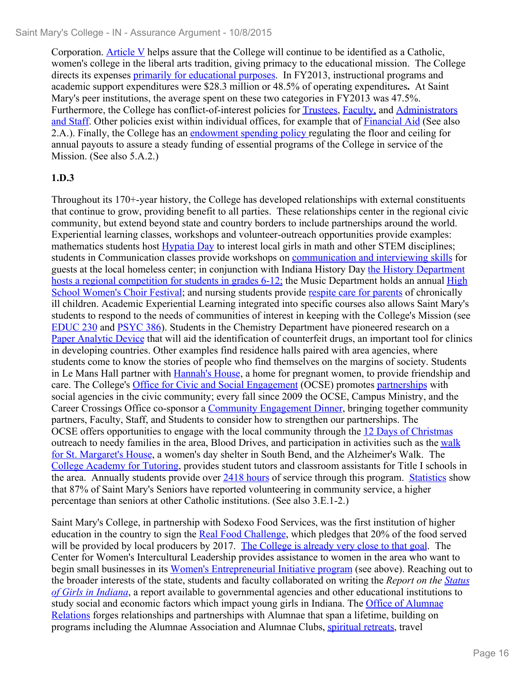Corporation. Article V helps assure that the College will continue to be identified as a Catholic, women's college in the liberal arts tradition, giving primacy to the educational mission. The College directs its expenses *primarily for educational purposes*. In FY2013, instructional programs and academic support expenditures were \$28.3 million or 48.5% of operating expenditures**.** At Saint Mary's peer institutions, the average spent on these two categories in FY2013 was 47.5%. Furthermore, the College has conflict-of-interest policies for Trustees, Faculty, and Administrators and Staff. Other policies exist within individual offices, for example that of Financial Aid (See also 2.A.). Finally, the College has an endowment spending policy regulating the floor and ceiling for annual payouts to assure a steady funding of essential programs of the College in service of the Mission. (See also 5.A.2.)

#### **1.D.3**

Throughout its 170+-year history, the College has developed relationships with external constituents that continue to grow, providing benefit to all parties. These relationships center in the regional civic community, but extend beyond state and country borders to include partnerships around the world. Experiential learning classes, workshops and volunteer-outreach opportunities provide examples: mathematics students host Hypatia Day to interest local girls in math and other STEM disciplines; students in Communication classes provide workshops on communication and interviewing skills for guests at the local homeless center; in conjunction with Indiana History Day the History Department hosts a regional competition for students in grades 6-12; the Music Department holds an annual High School Women's Choir Festival; and nursing students provide respite care for parents of chronically ill children. Academic Experiential Learning integrated into specific courses also allows Saint Mary's students to respond to the needs of communities of interest in keeping with the College's Mission (see EDUC 230 and PSYC 386). Students in the Chemistry Department have pioneered research on a Paper Analytic Device that will aid the identification of counterfeit drugs, an important tool for clinics in developing countries. Other examples find residence halls paired with area agencies, where students come to know the stories of people who find themselves on the margins of society. Students in Le Mans Hall partner with Hannah's House, a home for pregnant women, to provide friendship and care. The College's Office for Civic and Social Engagement (OCSE) promotes partnerships with social agencies in the civic community; every fall since 2009 the OCSE, Campus Ministry, and the Career Crossings Office co-sponsor a Community Engagement Dinner, bringing together community partners, Faculty, Staff, and Students to consider how to strengthen our partnerships. The OCSE offers opportunities to engage with the local community through the 12 Days of Christmas outreach to needy families in the area, Blood Drives, and participation in activities such as the walk for St. Margaret's House, a women's day shelter in South Bend, and the Alzheimer's Walk. The College Academy for Tutoring, provides student tutors and classroom assistants for Title I schools in the area. Annually students provide over 2418 hours of service through this program. Statistics show that 87% of Saint Mary's Seniors have reported volunteering in community service, a higher percentage than seniors at other Catholic institutions. (See also 3.E.1-2.)

Saint Mary's College, in partnership with Sodexo Food Services, was the first institution of higher education in the country to sign the Real Food Challenge, which pledges that 20% of the food served will be provided by local producers by 2017. The College is already very close to that goal. The Center for Women's Intercultural Leadership provides assistance to women in the area who want to begin small businesses in its Women's Entrepreneurial Initiative program (see above). Reaching out to the broader interests of the state, students and faculty collaborated on writing the *Report on the Status of Girls in Indiana*, a report available to governmental agencies and other educational institutions to study social and economic factors which impact young girls in Indiana. The Office of Alumnae Relations forges relationships and partnerships with Alumnae that span a lifetime, building on programs including the Alumnae Association and Alumnae Clubs, spiritual retreats, travel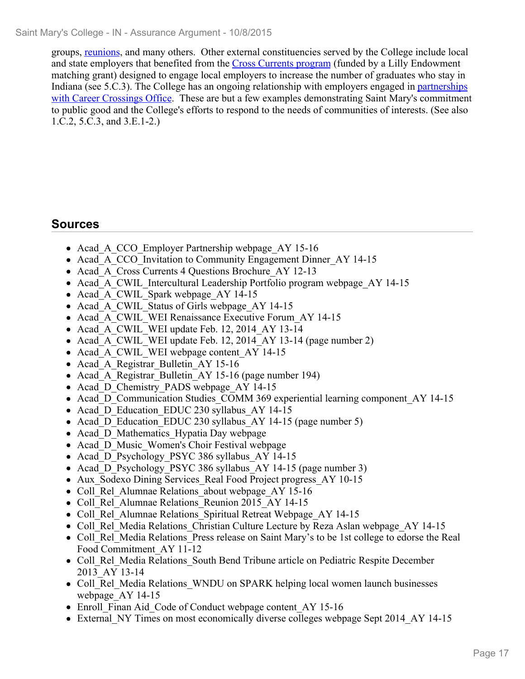groups, reunions, and many others. Other external constituencies served by the College include local and state employers that benefited from the Cross Currents program (funded by a Lilly Endowment matching grant) designed to engage local employers to increase the number of graduates who stay in Indiana (see 5.C.3). The College has an ongoing relationship with employers engaged in partnerships with Career Crossings Office. These are but a few examples demonstrating Saint Mary's commitment to public good and the College's efforts to respond to the needs of communities of interests. (See also 1.C.2, 5.C.3, and 3.E.1-2.)

- Acad A CCO Employer Partnership webpage AY 15-16
- Acad A CCO Invitation to Community Engagement Dinner AY 14-15
- Acad A Cross Currents 4 Questions Brochure AY 12-13
- Acad A CWIL Intercultural Leadership Portfolio program webpage AY 14-15
- Acad A CWIL Spark webpage AY 14-15
- Acad A CWIL Status of Girls webpage AY 14-15
- Acad A CWIL WEI Renaissance Executive Forum AY 14-15
- Acad A CWIL WEI update Feb. 12, 2014 AY 13-14
- Acad A CWIL WEI update Feb. 12, 2014 AY 13-14 (page number 2)
- Acad A CWIL WEI webpage content AY 14-15
- Acad A Registrar Bulletin AY 15-16
- Acad A Registrar Bulletin AY 15-16 (page number 194)
- Acad D Chemistry PADS webpage AY 14-15
- Acad D Communication Studies COMM 369 experiential learning component AY 14-15
- Acad D Education EDUC 230 syllabus AY 14-15
- Acad D Education EDUC 230 syllabus AY 14-15 (page number 5)
- Acad D Mathematics Hypatia Day webpage
- Acad D Music Women's Choir Festival webpage
- Acad D Psychology PSYC 386 syllabus AY 14-15
- Acad D Psychology PSYC 386 syllabus AY 14-15 (page number 3)
- Aux Sodexo Dining Services Real Food Project progress AY 10-15
- Coll Rel Alumnae Relations about webpage AY 15-16
- Coll Rel Alumnae Relations Reunion 2015 AY 14-15
- Coll Rel Alumnae Relations Spiritual Retreat Webpage AY 14-15
- Coll Rel Media Relations Christian Culture Lecture by Reza Aslan webpage AY 14-15
- Coll Rel Media Relations Press release on Saint Mary's to be 1st college to edorse the Real Food Commitment\_AY 11-12
- Coll Rel Media Relations South Bend Tribune article on Pediatric Respite December 2013\_AY 13-14
- Coll Rel Media Relations WNDU on SPARK helping local women launch businesses webpage\_AY 14-15
- Enroll Finan Aid Code of Conduct webpage content AY 15-16
- External NY Times on most economically diverse colleges webpage Sept 2014 AY 14-15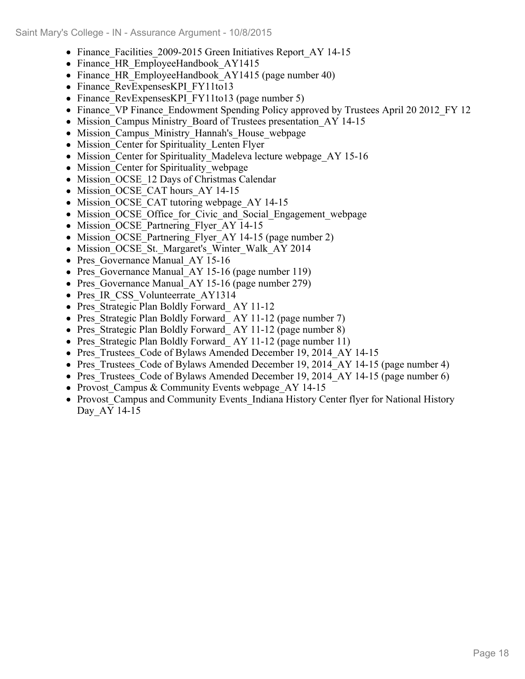- Finance Facilities 2009-2015 Green Initiatives Report AY 14-15
- Finance HR EmployeeHandbook AY1415
- Finance HR EmployeeHandbook AY1415 (page number 40)
- Finance RevExpensesKPI FY11to13
- Finance RevExpensesKPI FY11to13 (page number 5)
- Finance VP Finance Endowment Spending Policy approved by Trustees April 20 2012 FY 12
- Mission Campus Ministry Board of Trustees presentation AY 14-15
- Mission Campus Ministry Hannah's House webpage
- Mission Center for Spirituality Lenten Flyer
- Mission Center for Spirituality Madeleva lecture webpage AY 15-16
- Mission Center for Spirituality webpage
- Mission OCSE 12 Days of Christmas Calendar
- Mission OCSE CAT hours AY 14-15
- Mission OCSE CAT tutoring webpage AY 14-15
- Mission OCSE Office for Civic and Social Engagement webpage
- Mission OCSE Partnering Flyer AY 14-15
- Mission OCSE Partnering Flyer AY 14-15 (page number 2)
- Mission OCSE St. Margaret's Winter Walk AY 2014
- Pres Governance Manual AY 15-16
- Pres Governance Manual AY 15-16 (page number 119)
- Pres Governance Manual AY 15-16 (page number 279)
- Pres IR CSS Volunteerrate AY1314
- Pres Strategic Plan Boldly Forward AY 11-12
- Pres Strategic Plan Boldly Forward AY 11-12 (page number 7)
- Pres Strategic Plan Boldly Forward AY 11-12 (page number 8)
- Pres Strategic Plan Boldly Forward AY 11-12 (page number 11)
- Pres Trustees Code of Bylaws Amended December 19, 2014 AY 14-15
- Pres Trustees Code of Bylaws Amended December 19, 2014 AY 14-15 (page number 4)
- Pres Trustees Code of Bylaws Amended December 19, 2014 AY 14-15 (page number 6)
- Provost Campus & Community Events webpage AY 14-15
- Provost Campus and Community Events Indiana History Center flyer for National History Day\_AY 14-15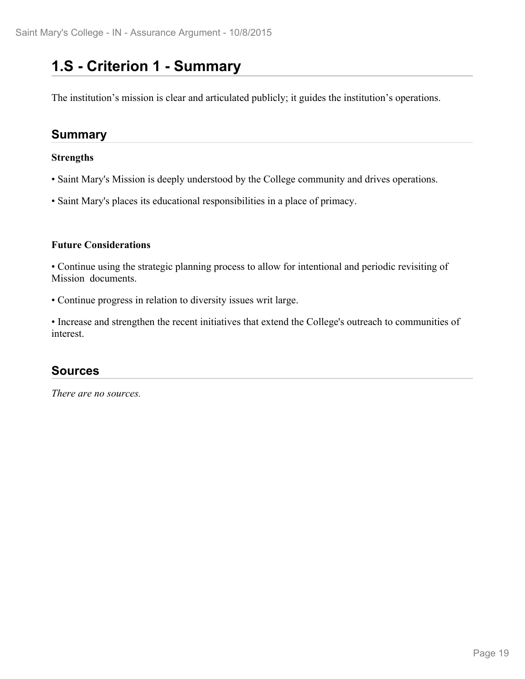### **1.S - Criterion 1 - Summary**

The institution's mission is clear and articulated publicly; it guides the institution's operations.

#### **Summary**

#### **Strengths**

- Saint Mary's Mission is deeply understood by the College community and drives operations.
- Saint Mary's places its educational responsibilities in a place of primacy.

#### **Future Considerations**

• Continue using the strategic planning process to allow for intentional and periodic revisiting of Mission documents.

• Continue progress in relation to diversity issues writ large.

• Increase and strengthen the recent initiatives that extend the College's outreach to communities of interest.

#### **Sources**

*There are no sources.*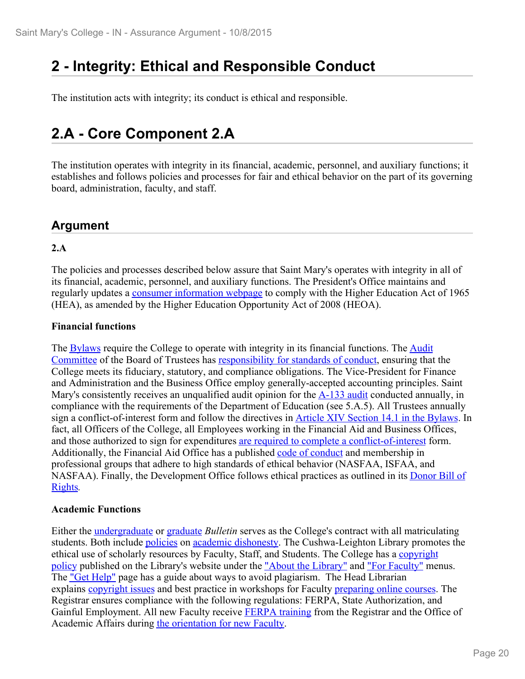### **2 - Integrity: Ethical and Responsible Conduct**

The institution acts with integrity; its conduct is ethical and responsible.

### **2.A - Core Component 2.A**

The institution operates with integrity in its financial, academic, personnel, and auxiliary functions; it establishes and follows policies and processes for fair and ethical behavior on the part of its governing board, administration, faculty, and staff.

#### **Argument**

#### **2.A**

The policies and processes described below assure that Saint Mary's operates with integrity in all of its financial, academic, personnel, and auxiliary functions. The President's Office maintains and regularly updates a consumer information webpage to comply with the Higher Education Act of 1965 (HEA), as amended by the Higher Education Opportunity Act of 2008 (HEOA).

#### **Financial functions**

The **Bylaws** require the College to operate with integrity in its financial functions. The **Audit** Committee of the Board of Trustees has responsibility for standards of conduct, ensuring that the College meets its fiduciary, statutory, and compliance obligations. The Vice-President for Finance and Administration and the Business Office employ generally-accepted accounting principles. Saint Mary's consistently receives an unqualified audit opinion for the  $A-133$  audit conducted annually, in compliance with the requirements of the Department of Education (see 5.A.5). All Trustees annually sign a conflict-of-interest form and follow the directives in Article XIV Section 14.1 in the Bylaws. In fact, all Officers of the College, all Employees working in the Financial Aid and Business Offices, and those authorized to sign for expenditures are required to complete a conflict-of-interest form. Additionally, the Financial Aid Office has a published code of conduct and membership in professional groups that adhere to high standards of ethical behavior (NASFAA, ISFAA, and NASFAA). Finally, the Development Office follows ethical practices as outlined in its Donor Bill of Rights*.*

#### **Academic Functions**

Either the undergraduate or graduate *Bulletin* serves as the College's contract with all matriculating students. Both include policies on academic dishonesty. The Cushwa-Leighton Library promotes the ethical use of scholarly resources by Faculty, Staff, and Students. The College has a copyright policy published on the Library's website under the "About the Library" and "For Faculty" menus. The "Get Help" page has a guide about ways to avoid plagiarism. The Head Librarian explains copyright issues and best practice in workshops for Faculty preparing online courses. The Registrar ensures compliance with the following regulations: FERPA, State Authorization, and Gainful Employment. All new Faculty receive **FERPA** training from the Registrar and the Office of Academic Affairs during the orientation for new Faculty.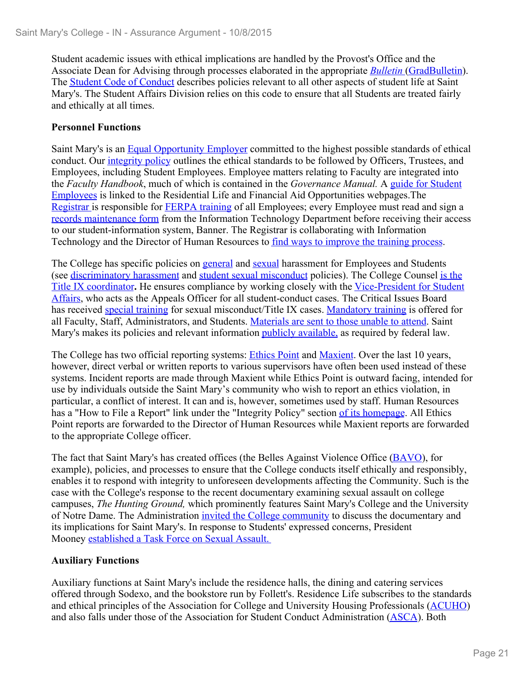Student academic issues with ethical implications are handled by the Provost's Office and the Associate Dean for Advising through processes elaborated in the appropriate *Bulletin* (GradBulletin). The Student Code of Conduct describes policies relevant to all other aspects of student life at Saint Mary's. The Student Affairs Division relies on this code to ensure that all Students are treated fairly and ethically at all times.

#### **Personnel Functions**

Saint Mary's is an Equal Opportunity Employer committed to the highest possible standards of ethical conduct. Our integrity policy outlines the ethical standards to be followed by Officers, Trustees, and Employees, including Student Employees. Employee matters relating to Faculty are integrated into the *Faculty Handbook*, much of which is contained in the *Governance Manual.* A guide for Student Employees is linked to the Residential Life and Financial Aid Opportunities webpages.The Registrar is responsible for **FERPA** training of all Employees; every Employee must read and sign a records maintenance form from the Information Technology Department before receiving their access to our student-information system, Banner. The Registrar is collaborating with Information Technology and the Director of Human Resources to find ways to improve the training process.<br>The College has specific policies on general and sexual harassment for Employees and Students

(see discriminatory harassment and student sexual misconduct policies). The College Counsel is the Title IX coordinator**.** He ensures compliance by working closely with the Vice-President for Student Affairs, who acts as the Appeals Officer for all student-conduct cases. The Critical Issues Board has received special training for sexual misconduct/Title IX cases. Mandatory training is offered for all Faculty, Staff, Administrators, and Students. Materials are sent to those unable to attend. Saint Mary's makes its policies and relevant information publicly available, as required by federal law.

The College has two official reporting systems: Ethics Point and Maxient. Over the last 10 years, however, direct verbal or written reports to various supervisors have often been used instead of these systems. Incident reports are made through Maxient while Ethics Point is outward facing, intended for use by individuals outside the Saint Mary's community who wish to report an ethics violation, in particular, a conflict of interest. It can and is, however, sometimes used by staff. Human Resources has a "How to File a Report" link under the "Integrity Policy" section of its homepage. All Ethics Point reports are forwarded to the Director of Human Resources while Maxient reports are forwarded to the appropriate College officer.

The fact that Saint Mary's has created offices (the Belles Against Violence Office (BAVO), for example), policies, and processes to ensure that the College conducts itself ethically and responsibly, enables it to respond with integrity to unforeseen developments affecting the Community. Such is the case with the College's response to the recent documentary examining sexual assault on college campuses, *The Hunting Ground,* which prominently features Saint Mary's College and the University of Notre Dame. The Administration invited the College community to discuss the documentary and its implications for Saint Mary's. In response to Students' expressed concerns, President Mooney established a Task Force on Sexual Assault.

#### **Auxiliary Functions**

Auxiliary functions at Saint Mary's include the residence halls, the dining and catering services offered through Sodexo, and the bookstore run by Follett's. Residence Life subscribes to the standards and ethical principles of the Association for College and University Housing Professionals (ACUHO) and also falls under those of the Association for Student Conduct Administration (ASCA). Both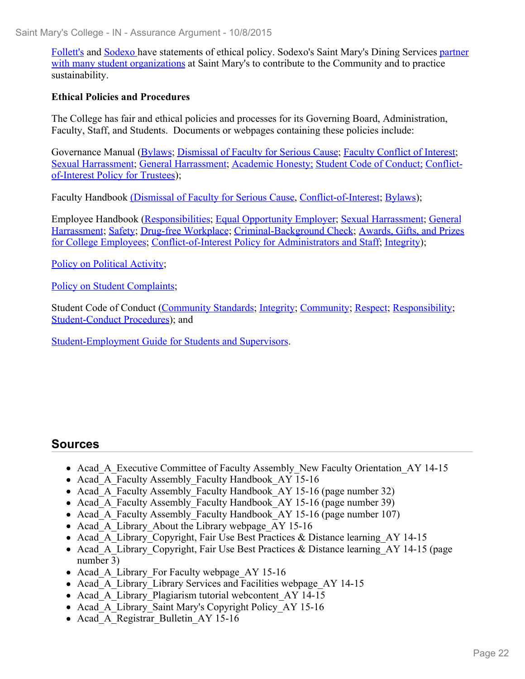Follett's and Sodexo have statements of ethical policy. Sodexo's Saint Mary's Dining Services partner with many student organizations at Saint Mary's to contribute to the Community and to practice sustainability.

#### **Ethical Policies and Procedures**

The College has fair and ethical policies and processes for its Governing Board, Administration, Faculty, Staff, and Students. Documents or webpages containing these policies include:

Governance Manual (Bylaws; Dismissal of Faculty for Serious Cause; Faculty Conflict of Interest; Sexual Harrassment; General Harrassment; Academic Honesty; Student Code of Conduct; Conflictof-Interest Policy for Trustees);

Faculty Handbook (Dismissal of Faculty for Serious Cause, Conflict-of-Interest; Bylaws);

Employee Handbook (Responsibilities; Equal Opportunity Employer; Sexual Harrassment; General Harrassment; Safety; Drug-free Workplace; Criminal-Background Check; Awards, Gifts, and Prizes for College Employees; Conflict-of-Interest Policy for Administrators and Staff; Integrity);

Policy on Political Activity;

Policy on Student Complaints;

Student Code of Conduct (Community Standards; Integrity; Community; Respect; Responsibility; Student-Conduct Procedures); and

Student-Employment Guide for Students and Supervisors.

- Acad A Executive Committee of Faculty Assembly New Faculty Orientation AY 14-15
- Acad A Faculty Assembly Faculty Handbook AY 15-16
- Acad A Faculty Assembly Faculty Handbook AY 15-16 (page number 32)
- Acad A Faculty Assembly Faculty Handbook AY 15-16 (page number 39)
- Acad A Faculty Assembly Faculty Handbook AY 15-16 (page number 107)
- Acad A Library About the Library webpage AY 15-16
- Acad A Library Copyright, Fair Use Best Practices & Distance learning AY 14-15
- Acad A Library Copyright, Fair Use Best Practices & Distance learning  $AY$  14-15 (page number 3)
- Acad A Library For Faculty webpage AY 15-16
- Acad A Library Library Services and Facilities webpage AY 14-15
- Acad A Library Plagiarism tutorial webcontent AY 14-15
- Acad A Library Saint Mary's Copyright Policy AY 15-16
- Acad A Registrar Bulletin AY 15-16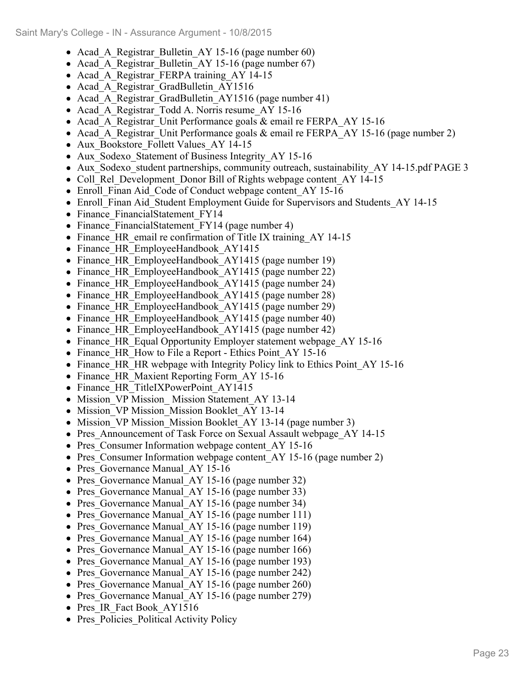- Acad A Registrar Bulletin AY 15-16 (page number 60)
- Acad A Registrar Bulletin AY 15-16 (page number 67)
- Acad A Registrar FERPA training AY 14-15
- Acad A Registrar GradBulletin AY1516
- Acad A Registrar GradBulletin AY1516 (page number 41)
- Acad A Registrar Todd A. Norris resume AY 15-16
- Acad A Registrar Unit Performance goals & email re FERPA AY 15-16
- Acad A Registrar Unit Performance goals  $\&$  email re FERPA AY 15-16 (page number 2)
- Aux Bookstore Follett Values AY 14-15
- Aux Sodexo Statement of Business Integrity AY 15-16
- Aux Sodexo student partnerships, community outreach, sustainability AY 14-15.pdf PAGE 3
- Coll Rel Development Donor Bill of Rights webpage content AY 14-15
- Enroll Finan Aid Code of Conduct webpage content AY 15-16
- Enroll Finan Aid Student Employment Guide for Supervisors and Students AY 14-15
- Finance FinancialStatement FY14
- Finance FinancialStatement FY14 (page number 4)
- Finance HR email re confirmation of Title IX training AY 14-15
- Finance HR EmployeeHandbook AY1415
- Finance HR EmployeeHandbook AY1415 (page number 19)
- Finance HR EmployeeHandbook AY1415 (page number 22)
- Finance HR EmployeeHandbook AY1415 (page number 24)
- Finance HR EmployeeHandbook AY1415 (page number 28)
- Finance HR EmployeeHandbook AY1415 (page number 29)
- Finance HR EmployeeHandbook AY1415 (page number 40)
- Finance HR EmployeeHandbook AY1415 (page number 42)
- Finance HR Equal Opportunity Employer statement webpage AY 15-16
- Finance HR How to File a Report Ethics Point AY 15-16
- Finance HR HR webpage with Integrity Policy link to Ethics Point AY 15-16
- Finance HR Maxient Reporting Form AY 15-16
- Finance HR TitleIXPowerPoint AY1415
- Mission VP Mission Mission Statement AY 13-14
- Mission VP Mission Mission Booklet AY 13-14
- Mission VP Mission Mission Booklet AY 13-14 (page number 3)
- Pres\_Announcement of Task Force on Sexual Assault webpage AY 14-15
- Pres Consumer Information webpage content AY 15-16
- Pres Consumer Information webpage content AY 15-16 (page number 2)
- Pres Governance Manual AY 15-16
- Pres Governance Manual AY 15-16 (page number 32)
- Pres Governance Manual AY 15-16 (page number 33)
- Pres Governance Manual AY 15-16 (page number 34)
- Pres Governance Manual AY 15-16 (page number 111)
- Pres Governance Manual AY 15-16 (page number 119)
- Pres Governance Manual AY 15-16 (page number 164)
- Pres Governance Manual AY 15-16 (page number 166)
- Pres Governance Manual AY 15-16 (page number 193)
- Pres Governance Manual AY 15-16 (page number 242)
- Pres Governance Manual AY 15-16 (page number 260)
- Pres Governance Manual AY 15-16 (page number 279)
- Pres IR Fact Book AY1516
- Pres Policies Political Activity Policy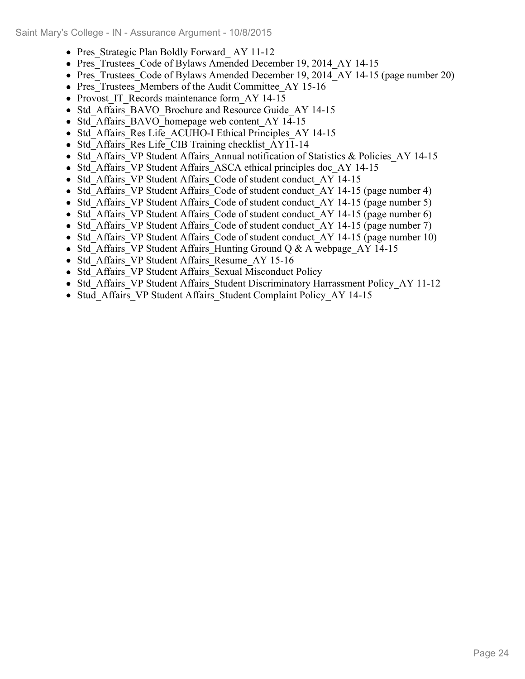- Pres Strategic Plan Boldly Forward AY 11-12
- Pres Trustees Code of Bylaws Amended December 19, 2014 AY 14-15
- Pres Trustees Code of Bylaws Amended December 19, 2014 AY 14-15 (page number 20)
- Pres Trustees Members of the Audit Committee AY 15-16
- Provost IT Records maintenance form AY 14-15
- Std Affairs BAVO Brochure and Resource Guide AY 14-15
- Std Affairs BAVO homepage web content AY 14-15
- Std Affairs Res Life ACUHO-I Ethical Principles AY 14-15
- Std Affairs Res Life CIB Training checklist AY11-14
- Std Affairs VP Student Affairs Annual notification of Statistics & Policies AY 14-15
- Std Affairs VP Student Affairs ASCA ethical principles doc AY 14-15
- Std Affairs VP Student Affairs Code of student conduct AY 14-15
- Std Affairs VP Student Affairs Code of student conduct AY 14-15 (page number 4)
- Std Affairs VP Student Affairs Code of student conduct AY 14-15 (page number 5)
- Std Affairs VP Student Affairs Code of student conduct AY 14-15 (page number 6)
- Std Affairs VP Student Affairs Code of student conduct AY 14-15 (page number 7)
- Std Affairs VP Student Affairs Code of student conduct AY 14-15 (page number 10)
- Std Affairs VP Student Affairs Hunting Ground Q & A webpage AY 14-15
- Std Affairs VP Student Affairs Resume AY 15-16
- Std Affairs VP Student Affairs Sexual Misconduct Policy
- Std Affairs VP Student Affairs Student Discriminatory Harrassment Policy AY 11-12
- Stud Affairs VP Student Affairs Student Complaint Policy AY 14-15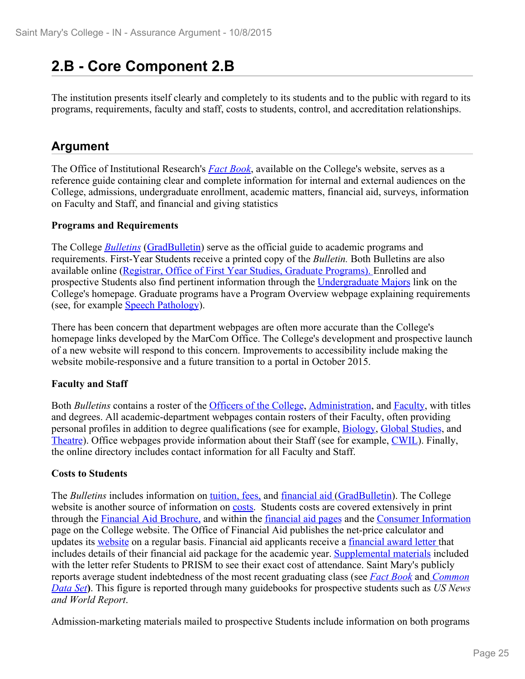### **2.B - Core Component 2.B**

The institution presents itself clearly and completely to its students and to the public with regard to its programs, requirements, faculty and staff, costs to students, control, and accreditation relationships.

#### **Argument**

The Office of Institutional Research's *Fact Book*, available on the College's website, serves as a reference guide containing clear and complete information for internal and external audiences on the College, admissions, undergraduate enrollment, academic matters, financial aid, surveys, information on Faculty and Staff, and financial and giving statistics

#### **Programs and Requirements**

The College *Bulletins* (GradBulletin) serve as the official guide to academic programs and requirements. First-Year Students receive a printed copy of the *Bulletin.* Both Bulletins are also available online (Registrar, Office of First Year Studies, Graduate Programs). Enrolled and prospective Students also find pertinent information through the Undergraduate Majors link on the College's homepage. Graduate programs have a Program Overview webpage explaining requirements (see, for example Speech Pathology).

There has been concern that department webpages are often more accurate than the College's homepage links developed by the MarCom Office. The College's development and prospective launch of a new website will respond to this concern. Improvements to accessibility include making the website mobile-responsive and a future transition to a portal in October 2015.

#### **Faculty and Staff**

Both *Bulletins* contains a roster of the Officers of the College, Administration, and **Faculty**, with titles and degrees. All academic-department webpages contain rosters of their Faculty, often providing personal profiles in addition to degree qualifications (see for example, Biology, Global Studies, and Theatre). Office webpages provide information about their Staff (see for example, CWIL). Finally, the online directory includes contact information for all Faculty and Staff.

#### **Costs to Students**

The *Bulletins* includes information on tuition, fees, and financial aid (GradBulletin). The College website is another source of information on costs. Students costs are covered extensively in print through the Financial Aid Brochure, and within the financial aid pages and the Consumer Information page on the College website. The Office of Financial Aid publishes the net-price calculator and updates its website on a regular basis. Financial aid applicants receive a <u>financial award letter</u> that includes details of their financial aid package for the academic year. Supplemental materials included with the letter refer Students to PRISM to see their exact cost of attendance. Saint Mary's publicly reports average student indebtedness of the most recent graduating class (see *Fact Book* and *Common Data Set***)**. This figure is reported through many guidebooks for prospective students such as *US News and World Report*. Admission-marketing materials mailed to prospective Students include information on both programs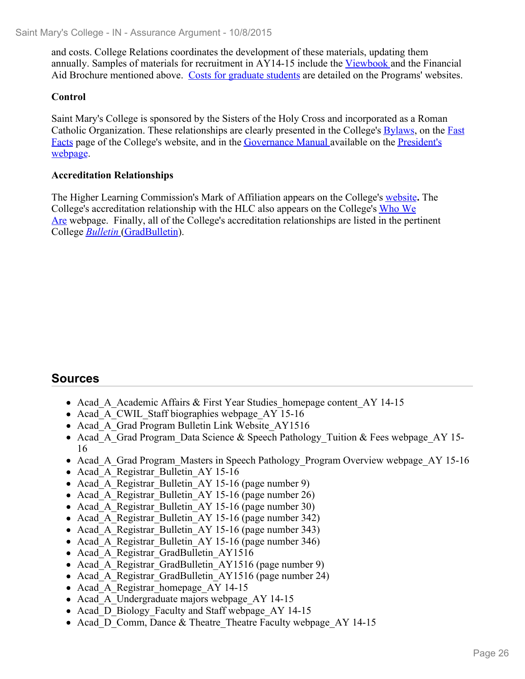and costs. College Relations coordinates the development of these materials, updating them annually. Samples of materials for recruitment in AY14-15 include the Viewbook and the Financial Aid Brochure mentioned above. Costs for graduate students are detailed on the Programs' websites.

#### **Control**

Saint Mary's College is sponsored by the Sisters of the Holy Cross and incorporated as a Roman Catholic Organization. These relationships are clearly presented in the College's Bylaws, on the Fast Facts page of the College's website, and in the Governance Manual available on the President's webpage.

#### **Accreditation Relationships**

The Higher Learning Commission's Mark of Affiliation appears on the College's website**.** The College's accreditation relationship with the HLC also appears on the College's Who We Are webpage. Finally, all of the College's accreditation relationships are listed in the pertinent College *Bulletin* (GradBulletin).

- Acad A Academic Affairs & First Year Studies homepage content AY 14-15
- Acad A CWIL Staff biographies webpage AY 15-16
- Acad A Grad Program Bulletin Link Website AY1516
- Acad\_A\_Grad Program\_Data Science & Speech Pathology Tuition & Fees webpage AY 15-16
- Acad A Grad Program Masters in Speech Pathology Program Overview webpage AY 15-16
- Acad A Registrar Bulletin AY 15-16
- Acad A Registrar Bulletin AY 15-16 (page number 9)
- Acad A Registrar Bulletin AY 15-16 (page number 26)
- Acad A Registrar Bulletin AY 15-16 (page number 30)
- Acad A Registrar Bulletin AY 15-16 (page number 342)
- Acad A Registrar Bulletin AY 15-16 (page number 343)
- Acad A Registrar Bulletin AY 15-16 (page number 346)
- Acad A Registrar GradBulletin AY1516
- Acad A Registrar GradBulletin AY1516 (page number 9)
- Acad A Registrar GradBulletin AY1516 (page number 24)
- Acad A Registrar homepage AY 14-15
- Acad A Undergraduate majors webpage AY 14-15
- Acad D Biology Faculty and Staff webpage AY 14-15
- Acad D Comm, Dance & Theatre Theatre Faculty webpage AY 14-15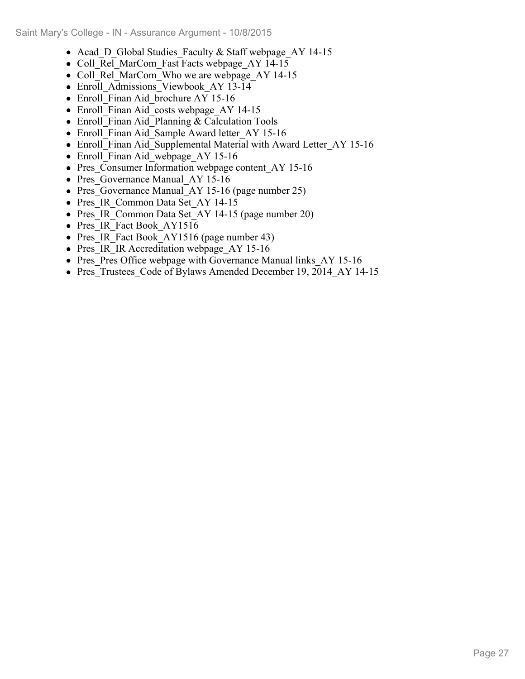- Acad D Global Studies Faculty & Staff webpage AY 14-15
- Coll Rel MarCom Fast Facts webpage AY 14-15
- Coll Rel MarCom Who we are webpage AY 14-15
- Enroll Admissions Viewbook AY 13-14
- Enroll Finan Aid brochure AY 15-16
- Enroll Finan Aid costs webpage AY 14-15
- Enroll Finan Aid Planning & Calculation Tools
- Enroll Finan Aid Sample Award letter AY 15-16
- Enroll\_Finan Aid\_Supplemental Material with Award Letter\_AY 15-16
- Enroll Finan Aid webpage AY 15-16
- Pres Consumer Information webpage content AY 15-16
- Pres Governance Manual AY 15-16
- Pres Governance Manual AY 15-16 (page number 25)
- Pres IR Common Data Set AY 14-15
- Pres IR Common Data Set AY 14-15 (page number 20)
- Pres IR Fact Book AY1516
- Pres IR Fact Book AY1516 (page number 43)
- Pres IR IR Accreditation webpage AY 15-16
- Pres Pres Office webpage with Governance Manual links AY 15-16
- Pres Trustees Code of Bylaws Amended December 19, 2014 AY 14-15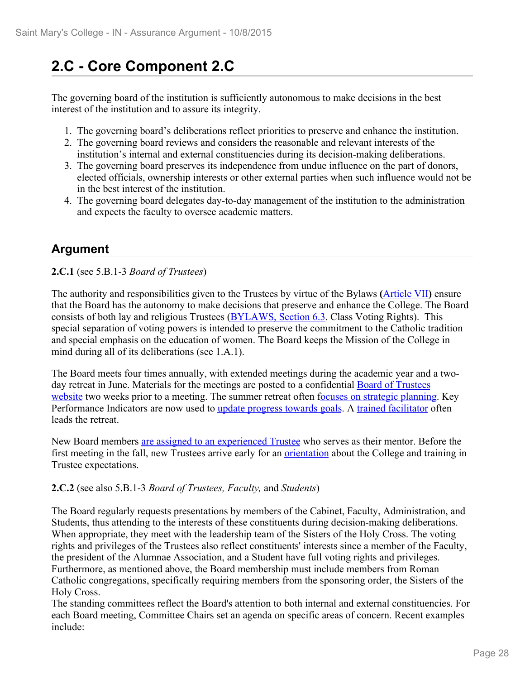### **2.C - Core Component 2.C**

The governing board of the institution is sufficiently autonomous to make decisions in the best interest of the institution and to assure its integrity.

- 1. The governing board's deliberations reflect priorities to preserve and enhance the institution.
- 2. The governing board reviews and considers the reasonable and relevant interests of the institution's internal and external constituencies during its decision-making deliberations.
- 3. The governing board preserves its independence from undue influence on the part of donors, elected officials, ownership interests or other external parties when such influence would not be in the best interest of the institution.
- 4. The governing board delegates day-to-day management of the institution to the administration and expects the faculty to oversee academic matters.

#### **Argument**

**2.C.1** (see 5.B.1-3 *Board of Trustees*)

The authority and responsibilities given to the Trustees by virtue of the Bylaws **(**Article VII**)** ensure that the Board has the autonomy to make decisions that preserve and enhance the College. The Board consists of both lay and religious Trustees (BYLAWS, Section 6.3. Class Voting Rights). This special separation of voting powers is intended to preserve the commitment to the Catholic tradition and special emphasis on the education of women. The Board keeps the Mission of the College in mind during all of its deliberations (see 1.A.1).

The Board meets four times annually, with extended meetings during the academic year and a twoday retreat in June. Materials for the meetings are posted to a confidential **Board of Trustees** website two weeks prior to a meeting. The summer retreat often focuses on strategic planning. Key Performance Indicators are now used to update progress towards goals. A trained facilitator often leads the retreat.

New Board members are assigned to an experienced Trustee who serves as their mentor. Before the first meeting in the fall, new Trustees arrive early for an orientation about the College and training in Trustee expectations.

#### **2.C.2** (see also 5.B.1-3 *Board of Trustees, Faculty,* and *Students*)

The Board regularly requests presentations by members of the Cabinet, Faculty, Administration, and Students, thus attending to the interests of these constituents during decision-making deliberations. When appropriate, they meet with the leadership team of the Sisters of the Holy Cross. The voting rights and privileges of the Trustees also reflect constituents' interests since a member of the Faculty, the president of the Alumnae Association, and a Student have full voting rights and privileges. Furthermore, as mentioned above, the Board membership must include members from Roman Catholic congregations, specifically requiring members from the sponsoring order, the Sisters of the Holy Cross.

The standing committees reflect the Board's attention to both internal and external constituencies. For each Board meeting, Committee Chairs set an agenda on specific areas of concern. Recent examples include: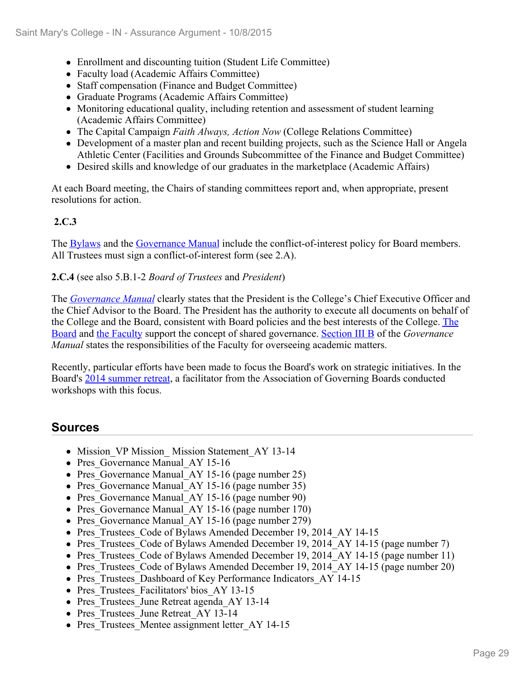- Enrollment and discounting tuition (Student Life Committee)
- Faculty load (Academic Affairs Committee)
- Staff compensation (Finance and Budget Committee)
- Graduate Programs (Academic Affairs Committee)
- Monitoring educational quality, including retention and assessment of student learning (Academic Affairs Committee)
- The Capital Campaign *Faith Always, Action Now* (College Relations Committee)
- Development of a master plan and recent building projects, such as the Science Hall or Angela Athletic Center (Facilities and Grounds Subcommittee of the Finance and Budget Committee)
- Desired skills and knowledge of our graduates in the marketplace (Academic Affairs)

At each Board meeting, the Chairs of standing committees report and, when appropriate, present resolutions for action.

#### **2.C.3**

The Bylaws and the Governance Manual include the conflict-of-interest policy for Board members. All Trustees must sign a conflict-of-interest form (see 2.A).

#### **2.C.4** (see also 5.B.1-2 *Board of Trustees* and *President*)

The *Governance Manual* clearly states that the President is the College's Chief Executive Officer and the Chief Advisor to the Board. The President has the authority to execute all documents on behalf of the College and the Board, consistent with Board policies and the best interests of the College. The Board and the Faculty support the concept of shared governance. Section III B of the *Governance Manual* states the responsibilities of the Faculty for overseeing academic matters.

Recently, particular efforts have been made to focus the Board's work on strategic initiatives. In the Board's 2014 summer retreat, a facilitator from the Association of Governing Boards conducted workshops with this focus.

- Mission VP Mission Mission Statement AY 13-14
- Pres Governance Manual AY 15-16
- Pres Governance Manual AY 15-16 (page number 25)
- Pres Governance Manual AY 15-16 (page number 35)
- Pres Governance Manual AY 15-16 (page number 90)
- Pres Governance Manual AY 15-16 (page number 170)
- Pres Governance Manual AY 15-16 (page number 279)
- Pres Trustees Code of Bylaws Amended December 19, 2014 AY 14-15
- Pres Trustees Code of Bylaws Amended December 19, 2014 AY 14-15 (page number 7)
- Pres Trustees Code of Bylaws Amended December 19, 2014 AY 14-15 (page number 11)
- Pres Trustees Code of Bylaws Amended December 19, 2014 AY 14-15 (page number 20)
- Pres Trustees Dashboard of Key Performance Indicators AY 14-15
- Pres Trustees Facilitators' bios AY 13-15
- Pres Trustees June Retreat agenda AY 13-14
- Pres Trustees June Retreat AY 13-14
- Pres Trustees Mentee assignment letter AY 14-15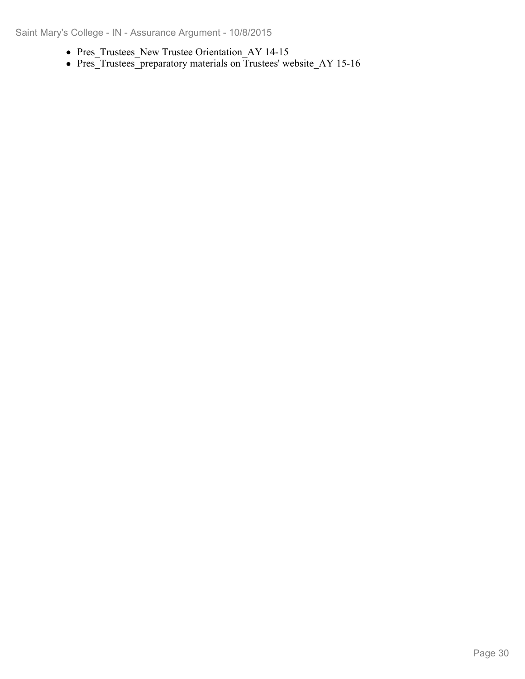- Pres\_Trustees\_New Trustee Orientation\_AY 14-15
- Pres\_Trustees\_preparatory materials on Trustees' website\_AY 15-16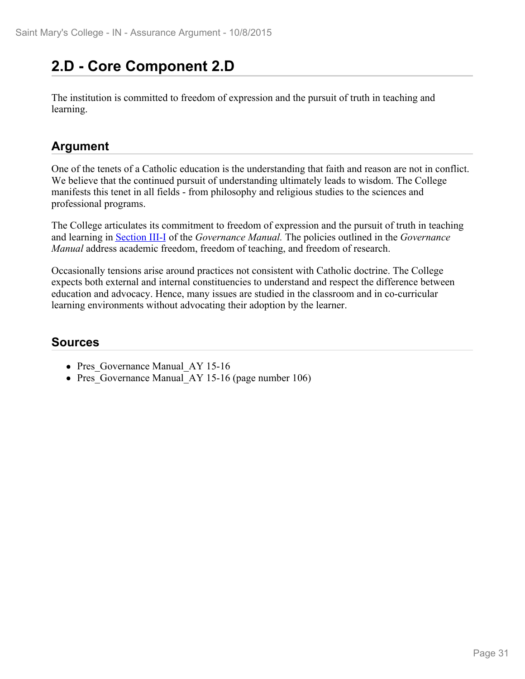### **2.D - Core Component 2.D**

The institution is committed to freedom of expression and the pursuit of truth in teaching and learning.

#### **Argument**

One of the tenets of a Catholic education is the understanding that faith and reason are not in conflict. We believe that the continued pursuit of understanding ultimately leads to wisdom. The College manifests this tenet in all fields - from philosophy and religious studies to the sciences and professional programs.

The College articulates its commitment to freedom of expression and the pursuit of truth in teaching and learning in Section III-I of the *Governance Manual.* The policies outlined in the *Governance Manual* address academic freedom, freedom of teaching, and freedom of research.

Occasionally tensions arise around practices not consistent with Catholic doctrine. The College expects both external and internal constituencies to understand and respect the difference between education and advocacy. Hence, many issues are studied in the classroom and in co-curricular learning environments without advocating their adoption by the learner.

- Pres Governance Manual AY 15-16
- Pres Governance Manual AY 15-16 (page number 106)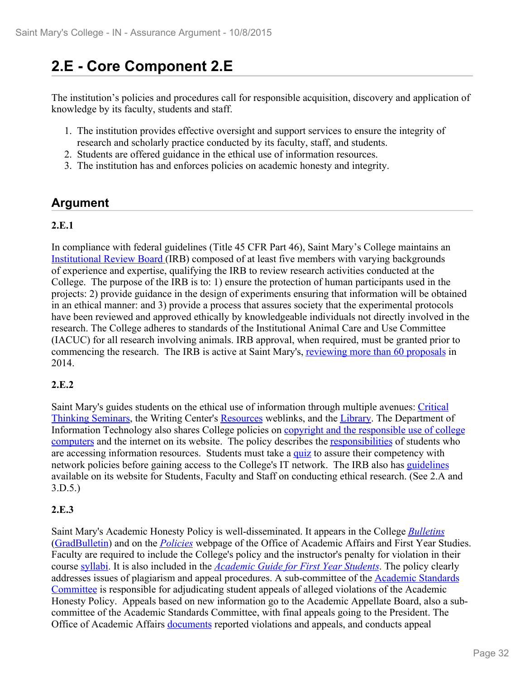### **2.E - Core Component 2.E**

The institution's policies and procedures call for responsible acquisition, discovery and application of knowledge by its faculty, students and staff.

- 1. The institution provides effective oversight and support services to ensure the integrity of research and scholarly practice conducted by its faculty, staff, and students.
- 2. Students are offered guidance in the ethical use of information resources.
- 3. The institution has and enforces policies on academic honesty and integrity.

#### **Argument**

#### **2.E.1**

In compliance with federal guidelines (Title 45 CFR Part 46), Saint Mary's College maintains an Institutional Review Board (IRB) composed of at least five members with varying backgrounds of experience and expertise, qualifying the IRB to review research activities conducted at the College. The purpose of the IRB is to: 1) ensure the protection of human participants used in the projects: 2) provide guidance in the design of experiments ensuring that information will be obtained in an ethical manner: and 3) provide a process that assures society that the experimental protocols have been reviewed and approved ethically by knowledgeable individuals not directly involved in the research. The College adheres to standards of the Institutional Animal Care and Use Committee (IACUC) for all research involving animals. IRB approval, when required, must be granted prior to commencing the research. The IRB is active at Saint Mary's, reviewing more than 60 proposals in 2014.

#### **2.E.2**

Saint Mary's guides students on the ethical use of information through multiple avenues: Critical Thinking Seminars, the Writing Center's Resources weblinks, and the Library. The Department of Information Technology also shares College policies on copyright and the responsible use of college computers and the internet on its website. The policy describes the responsibilities of students who are accessing information resources. Students must take a quiz to assure their competency with network policies before gaining access to the College's IT network. The IRB also has guidelines available on its website for Students, Faculty and Staff on conducting ethical research. (See 2.A and 3.D.5.)

#### **2.E.3**

Saint Mary's Academic Honesty Policy is well-disseminated. It appears in the College *Bulletins* (GradBulletin) and on the *Policies* webpage of the Office of Academic Affairs and First Year Studies. Faculty are required to include the College's policy and the instructor's penalty for violation in their course syllabi. It is also included in the *Academic Guide for First Year Students*. The policy clearly addresses issues of plagiarism and appeal procedures. A sub-committee of the Academic Standards Committee is responsible for adjudicating student appeals of alleged violations of the Academic Honesty Policy. Appeals based on new information go to the Academic Appellate Board, also a subcommittee of the Academic Standards Committee, with final appeals going to the President. The Office of Academic Affairs documents reported violations and appeals, and conducts appeal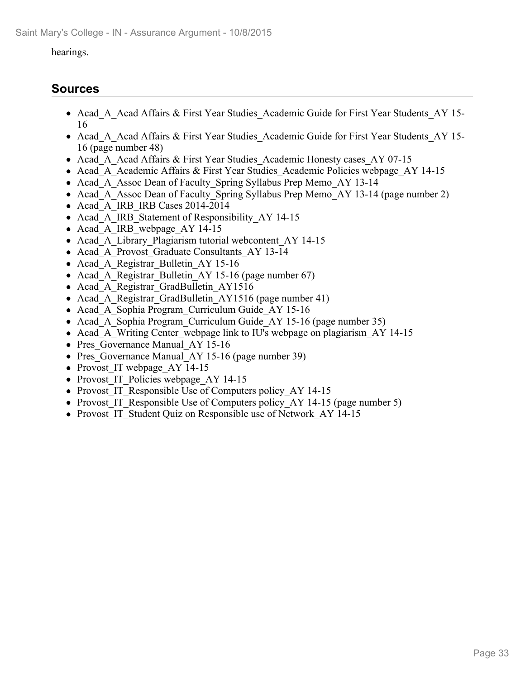#### hearings.

- Acad A Acad Affairs & First Year Studies Academic Guide for First Year Students AY 15-16
- Acad A Acad Affairs & First Year Studies Academic Guide for First Year Students AY 15-16 (page number 48)
- Acad A Acad Affairs & First Year Studies Academic Honesty cases AY 07-15
- Acad A Academic Affairs & First Year Studies Academic Policies webpage AY 14-15
- Acad A Assoc Dean of Faculty Spring Syllabus Prep Memo AY 13-14
- Acad A Assoc Dean of Faculty Spring Syllabus Prep Memo AY 13-14 (page number 2)
- Acad A IRB IRB Cases 2014-2014
- Acad A IRB Statement of Responsibility AY 14-15
- Acad A IRB webpage AY 14-15
- Acad A Library Plagiarism tutorial webcontent AY 14-15
- Acad A Provost Graduate Consultants AY 13-14
- Acad A Registrar Bulletin AY 15-16
- Acad A Registrar Bulletin AY 15-16 (page number 67)
- Acad A Registrar GradBulletin AY1516
- Acad A Registrar GradBulletin AY1516 (page number 41)
- Acad A Sophia Program Curriculum Guide AY 15-16
- Acad A Sophia Program Curriculum Guide AY 15-16 (page number 35)
- Acad\_A\_Writing Center\_webpage link to IU's webpage on plagiarism AY 14-15
- Pres Governance Manual AY 15-16
- Pres Governance Manual AY 15-16 (page number 39)
- Provost IT webpage AY 14-15
- Provost IT Policies webpage AY 14-15
- Provost IT Responsible Use of Computers policy AY 14-15
- Provost IT Responsible Use of Computers policy AY 14-15 (page number 5)
- Provost IT Student Quiz on Responsible use of Network\_AY 14-15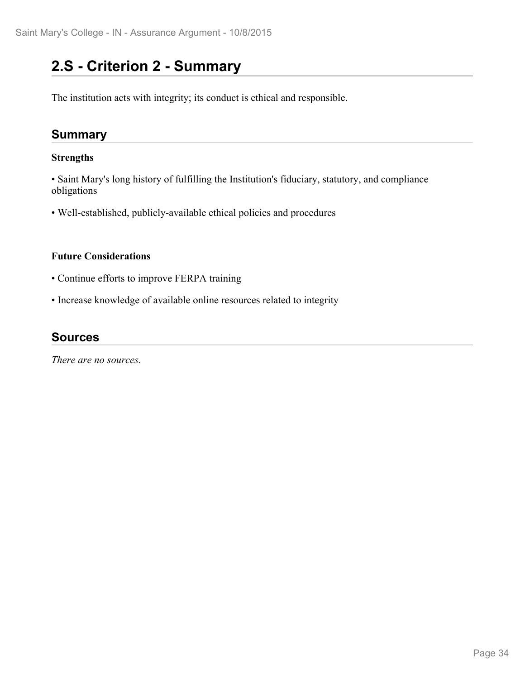### **2.S - Criterion 2 - Summary**

The institution acts with integrity; its conduct is ethical and responsible.

#### **Summary**

#### **Strengths**

• Saint Mary's long history of fulfilling the Institution's fiduciary, statutory, and compliance obligations

• Well-established, publicly-available ethical policies and procedures

#### **Future Considerations**

- Continue efforts to improve FERPA training
- Increase knowledge of available online resources related to integrity

#### **Sources**

*There are no sources.*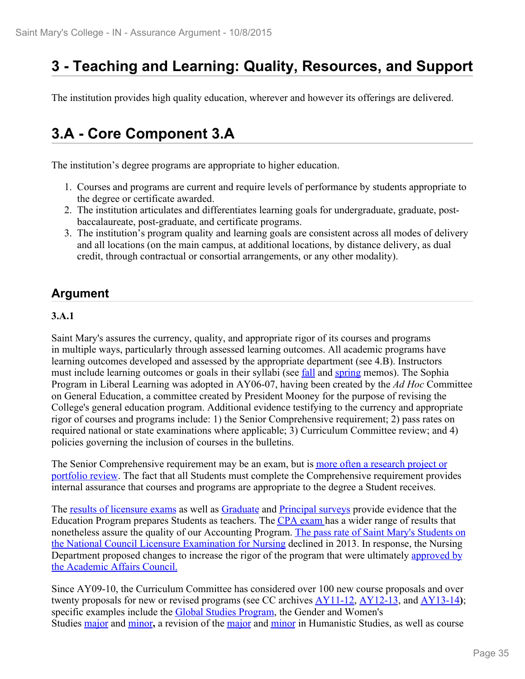## **3 - Teaching and Learning: Quality, Resources, and Support**

The institution provides high quality education, wherever and however its offerings are delivered.

### **3.A - Core Component 3.A**

The institution's degree programs are appropriate to higher education.

- 1. Courses and programs are current and require levels of performance by students appropriate to the degree or certificate awarded.
- 2. The institution articulates and differentiates learning goals for undergraduate, graduate, postbaccalaureate, post-graduate, and certificate programs.
- 3. The institution's program quality and learning goals are consistent across all modes of delivery and all locations (on the main campus, at additional locations, by distance delivery, as dual credit, through contractual or consortial arrangements, or any other modality).

#### **Argument**

#### **3.A.1**

Saint Mary's assures the currency, quality, and appropriate rigor of its courses and programs in multiple ways, particularly through assessed learning outcomes. All academic programs have learning outcomes developed and assessed by the appropriate department (see 4.B). Instructors must include learning outcomes or goals in their syllabi (see fall and spring memos). The Sophia Program in Liberal Learning was adopted in AY06-07, having been created by the *Ad Hoc* Committee on General Education, a committee created by President Mooney for the purpose of revising the College's general education program. Additional evidence testifying to the currency and appropriate rigor of courses and programs include: 1) the Senior Comprehensive requirement; 2) pass rates on required national or state examinations where applicable; 3) Curriculum Committee review; and 4) policies governing the inclusion of courses in the bulletins.

The Senior Comprehensive requirement may be an exam, but is more often a research project or portfolio review. The fact that all Students must complete the Comprehensive requirement provides internal assurance that courses and programs are appropriate to the degree a Student receives.

The results of licensure exams as well as Graduate and Principal surveys provide evidence that the Education Program prepares Students as teachers. The CPA exam has a wider range of results that nonetheless assure the quality of our Accounting Program. The pass rate of Saint Mary's Students on the National Council Licensure Examination for Nursing declined in 2013. In response, the Nursing Department proposed changes to increase the rigor of the program that were ultimately approved by the Academic Affairs Council.

Since AY09-10, the Curriculum Committee has considered over 100 new course proposals and over twenty proposals for new or revised programs (see CC archives AY11-12, AY12-13, and AY13-14**)**; specific examples include the **Global Studies Program**, the Gender and Women's Studies major and minor**,** a revision of the major and minor in Humanistic Studies, as well as course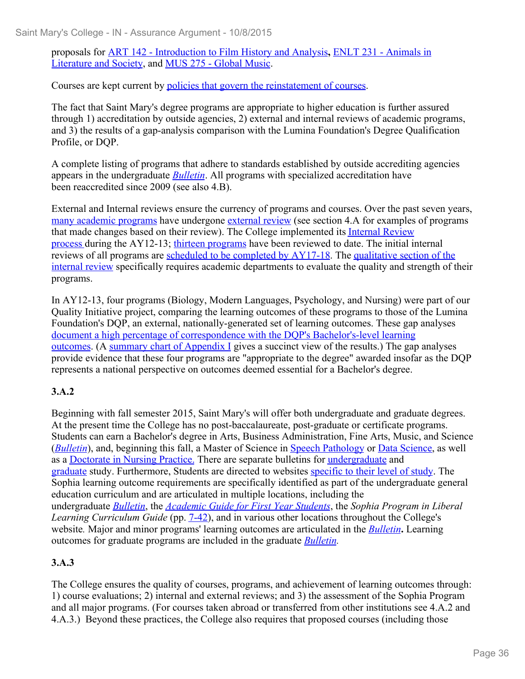proposals for ART 142 - Introduction to Film History and Analysis**,** ENLT 231 - Animals in Literature and Society, and MUS 275 - Global Music.

Courses are kept current by policies that govern the reinstatement of courses.<br>The fact that Saint Mary's degree programs are appropriate to higher education is further assured through 1) accreditation by outside agencies, 2) external and internal reviews of academic programs, and 3) the results of a gap-analysis comparison with the Lumina Foundation's Degree Qualification Profile, or DQP.

A complete listing of programs that adhere to standards established by outside accrediting agencies appears in the undergraduate *Bulletin*. All programs with specialized accreditation have been reaccredited since 2009 (see also 4.B).

External and Internal reviews ensure the currency of programs and courses. Over the past seven years, many academic programs have undergone external review (see section 4.A for examples of programs that made changes based on their review). The College implemented its Internal Review process during the AY12-13; thirteen programs have been reviewed to date. The initial internal reviews of all programs are scheduled to be completed by AY17-18. The qualitative section of the internal review specifically requires academic departments to evaluate the quality and strength of their programs.

In AY12-13, four programs (Biology, Modern Languages, Psychology, and Nursing) were part of our Quality Initiative project, comparing the learning outcomes of these programs to those of the Lumina Foundation's DQP, an external, nationally-generated set of learning outcomes. These gap analyses document a high percentage of correspondence with the DQP's Bachelor's-level learning outcomes. (A summary chart of Appendix I gives a succinct view of the results.) The gap analyses provide evidence that these four programs are "appropriate to the degree" awarded insofar as the DQP represents a national perspective on outcomes deemed essential for a Bachelor's degree.

#### **3.A.2**

Beginning with fall semester 2015, Saint Mary's will offer both undergraduate and graduate degrees. At the present time the College has no post-baccalaureate, post-graduate or certificate programs. Students can earn a Bachelor's degree in Arts, Business Administration, Fine Arts, Music, and Science (*Bulletin*), and, beginning this fall, a Master of Science in Speech Pathology or Data Science, as well as a Doctorate in Nursing Practice. There are separate bulletins for undergraduate and graduate study. Furthermore, Students are directed to websites specific to their level of study. The Sophia learning outcome requirements are specifically identified as part of the undergraduate general education curriculum and are articulated in multiple locations, including the undergraduate *Bulletin*, the *Academic Guide for First Year Students*, the *Sophia Program in Liberal Learning Curriculum Guide* (pp. 7-42), and in various other locations throughout the College's website*.* Major and minor programs' learning outcomes are articulated in the *Bulletin***.** Learning outcomes for graduate programs are included in the graduate *Bulletin.*

#### **3.A.3**

The College ensures the quality of courses, programs, and achievement of learning outcomes through: 1) course evaluations; 2) internal and external reviews; and 3) the assessment of the Sophia Program and all major programs. (For courses taken abroad or transferred from other institutions see 4.A.2 and 4.A.3.) Beyond these practices, the College also requires that proposed courses (including those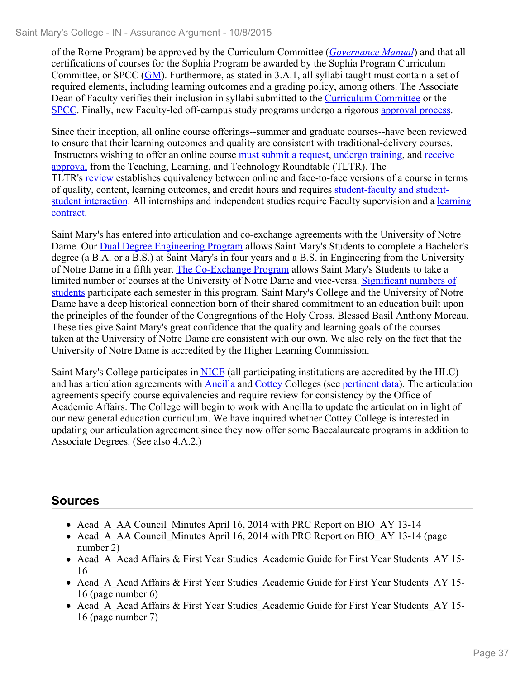of the Rome Program) be approved by the Curriculum Committee (*Governance Manual*) and that all certifications of courses for the Sophia Program be awarded by the Sophia Program Curriculum Committee, or SPCC (GM). Furthermore, as stated in 3.A.1, all syllabi taught must contain a set of required elements, including learning outcomes and a grading policy, among others. The Associate Dean of Faculty verifies their inclusion in syllabi submitted to the Curriculum Committee or the SPCC. Finally, new Faculty-led off-campus study programs undergo a rigorous approval process. Since their inception, all online course offerings--summer and graduate courses--have been reviewed

to ensure that their learning outcomes and quality are consistent with traditional-delivery courses. Instructors wishing to offer an online course must submit a request, undergo training, and receive approval from the Teaching, Learning, and Technology Roundtable (TLTR). The TLTR's review establishes equivalency between online and face-to-face versions of a course in terms of quality, content, learning outcomes, and credit hours and requires student-faculty and studentstudent interaction. All internships and independent studies require Faculty supervision and a learning contract.

Saint Mary's has entered into articulation and co-exchange agreements with the University of Notre Dame. Our Dual Degree Engineering Program allows Saint Mary's Students to complete a Bachelor's degree (a B.A. or a B.S.) at Saint Mary's in four years and a B.S. in Engineering from the University of Notre Dame in a fifth year. The Co-Exchange Program allows Saint Mary's Students to take a limited number of courses at the University of Notre Dame and vice-versa. Significant numbers of students participate each semester in this program. Saint Mary's College and the University of Notre Dame have a deep historical connection born of their shared commitment to an education built upon the principles of the founder of the Congregations of the Holy Cross, Blessed Basil Anthony Moreau. These ties give Saint Mary's great confidence that the quality and learning goals of the courses taken at the University of Notre Dame are consistent with our own. We also rely on the fact that the University of Notre Dame is accredited by the Higher Learning Commission.

Saint Mary's College participates in NICE (all participating institutions are accredited by the HLC) and has articulation agreements with Ancilla and Cottey Colleges (see pertinent data). The articulation agreements specify course equivalencies and require review for consistency by the Office of Academic Affairs. The College will begin to work with Ancilla to update the articulation in light of our new general education curriculum. We have inquired whether Cottey College is interested in updating our articulation agreement since they now offer some Baccalaureate programs in addition to Associate Degrees. (See also 4.A.2.)

# **Sources**

- Acad A AA Council Minutes April 16, 2014 with PRC Report on BIO AY 13-14
- Acad A AA Council Minutes April 16, 2014 with PRC Report on BIO AY 13-14 (page number 2)
- Acad A Acad Affairs & First Year Studies Academic Guide for First Year Students AY 15-16
- Acad A Acad Affairs & First Year Studies Academic Guide for First Year Students AY 15-16 (page number 6)
- Acad A Acad Affairs & First Year Studies Academic Guide for First Year Students AY 15-16 (page number 7)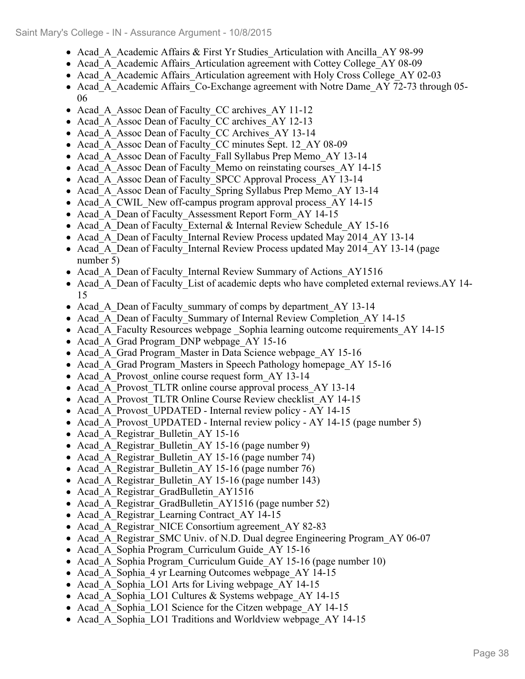- Acad A Academic Affairs & First Yr Studies Articulation with Ancilla AY 98-99
- Acad A Academic Affairs Articulation agreement with Cottey College AY 08-09
- Acad A Academic Affairs Articulation agreement with Holy Cross College AY 02-03
- Acad A Academic Affairs Co-Exchange agreement with Notre Dame AY 72-73 through 05-06
- Acad A Assoc Dean of Faculty CC archives AY 11-12
- Acad A Assoc Dean of Faculty CC archives AY 12-13
- Acad A Assoc Dean of Faculty CC Archives AY 13-14
- Acad A Assoc Dean of Faculty CC minutes Sept. 12 AY 08-09
- Acad A Assoc Dean of Faculty Fall Syllabus Prep Memo AY 13-14
- Acad A Assoc Dean of Faculty Memo on reinstating courses\_AY 14-15
- Acad A Assoc Dean of Faculty SPCC Approval Process AY 13-14
- Acad A Assoc Dean of Faculty Spring Syllabus Prep Memo AY 13-14
- Acad A CWIL New off-campus program approval process AY 14-15
- Acad A Dean of Faculty Assessment Report Form AY 14-15
- Acad A Dean of Faculty External & Internal Review Schedule AY 15-16
- Acad A Dean of Faculty Internal Review Process updated May 2014 AY 13-14
- Acad A Dean of Faculty Internal Review Process updated May 2014 AY 13-14 (page number 5)
- Acad A Dean of Faculty Internal Review Summary of Actions AY1516
- Acad A Dean of Faculty List of academic depts who have completed external reviews.AY 14-15
- Acad A Dean of Faculty summary of comps by department AY 13-14
- Acad A Dean of Faculty Summary of Internal Review Completion AY 14-15
- Acad A Faculty Resources webpage Sophia learning outcome requirements AY 14-15
- Acad A Grad Program DNP webpage AY 15-16
- Acad A Grad Program Master in Data Science webpage AY 15-16
- Acad A Grad Program Masters in Speech Pathology homepage AY 15-16
- Acad A Provost online course request form AY 13-14
- Acad A Provost TLTR online course approval process AY 13-14
- Acad A Provost TLTR Online Course Review checklist AY 14-15
- Acad A Provost UPDATED Internal review policy AY 14-15
- Acad A Provost UPDATED Internal review policy AY 14-15 (page number 5)
- Acad A Registrar Bulletin AY 15-16
- Acad A Registrar Bulletin AY 15-16 (page number 9)
- Acad A Registrar Bulletin AY 15-16 (page number 74)
- Acad A Registrar Bulletin AY 15-16 (page number 76)
- Acad A Registrar Bulletin AY 15-16 (page number 143)
- Acad A Registrar GradBulletin AY1516
- Acad A Registrar GradBulletin AY1516 (page number 52)
- Acad A Registrar Learning Contract AY 14-15
- Acad A Registrar NICE Consortium agreement AY 82-83
- Acad A Registrar SMC Univ. of N.D. Dual degree Engineering Program AY 06-07
- Acad A Sophia Program Curriculum Guide AY 15-16
- Acad A Sophia Program Curriculum Guide AY 15-16 (page number 10)
- Acad A Sophia 4 yr Learning Outcomes webpage AY 14-15
- Acad A Sophia LO1 Arts for Living webpage AY 14-15
- Acad A Sophia LO1 Cultures & Systems webpage AY 14-15
- Acad A Sophia LO1 Science for the Citzen webpage AY 14-15
- Acad A Sophia LO1 Traditions and Worldview webpage AY 14-15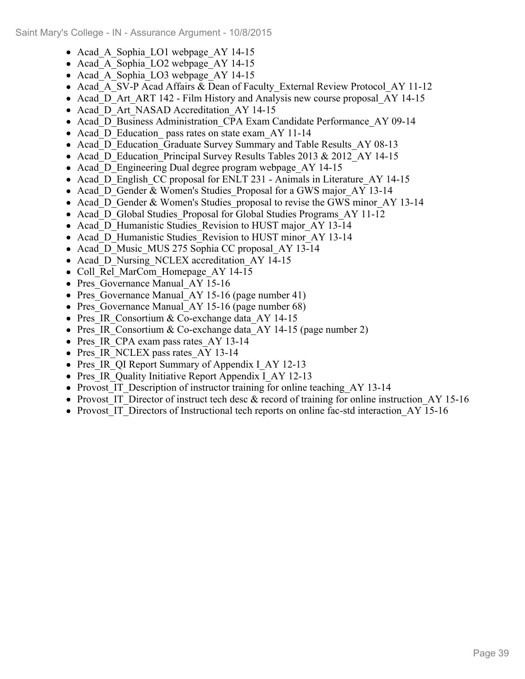- Acad A Sophia LO1 webpage AY 14-15
- Acad A Sophia LO2 webpage AY 14-15
- Acad A Sophia LO3 webpage AY 14-15
- Acad A SV-P Acad Affairs & Dean of Faculty External Review Protocol AY 11-12
- Acad D Art ART 142 Film History and Analysis new course proposal AY 14-15
- Acad D Art NASAD Accreditation AY 14-15
- Acad D Business Administration CPA Exam Candidate Performance AY 09-14
- Acad D Education pass rates on state exam AY 11-14
- Acad D Education Graduate Survey Summary and Table Results AY 08-13
- Acad D Education Principal Survey Results Tables 2013 & 2012 AY 14-15
- Acad D Engineering Dual degree program webpage AY 14-15
- Acad D English CC proposal for ENLT 231 Animals in Literature AY 14-15
- Acad D Gender & Women's Studies Proposal for a GWS major AY 13-14
- Acad D Gender & Women's Studies proposal to revise the GWS minor AY 13-14
- Acad D Global Studies Proposal for Global Studies Programs AY 11-12
- Acad D Humanistic Studies Revision to HUST major AY 13-14
- Acad D Humanistic Studies Revision to HUST minor AY 13-14
- Acad D Music MUS 275 Sophia CC proposal AY 13-14
- Acad D Nursing NCLEX accreditation AY 14-15
- Coll Rel MarCom Homepage AY 14-15
- Pres Governance Manual AY 15-16
- Pres Governance Manual AY 15-16 (page number 41)
- Pres Governance Manual AY 15-16 (page number 68)
- Pres IR Consortium & Co-exchange data AY 14-15
- Pres IR Consortium & Co-exchange data AY 14-15 (page number 2)
- Pres IR CPA exam pass rates AY 13-14
- Pres IR NCLEX pass rates AY 13-14
- Pres IR QI Report Summary of Appendix I AY 12-13
- Pres IR Quality Initiative Report Appendix I AY 12-13
- Provost IT Description of instructor training for online teaching AY 13-14
- Provost IT Director of instruct tech desc & record of training for online instruction  $AY$  15-16
- Provost IT Directors of Instructional tech reports on online fac-std interaction AY 15-16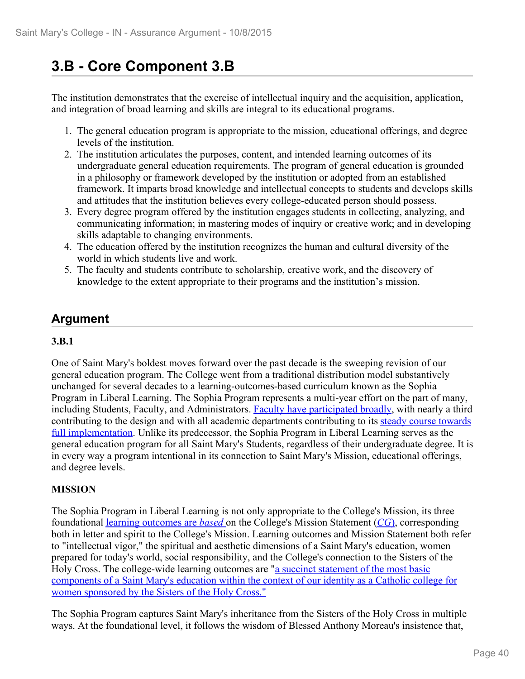# **3.B - Core Component 3.B**

The institution demonstrates that the exercise of intellectual inquiry and the acquisition, application, and integration of broad learning and skills are integral to its educational programs.

- 1. The general education program is appropriate to the mission, educational offerings, and degree levels of the institution.
- 2. The institution articulates the purposes, content, and intended learning outcomes of its undergraduate general education requirements. The program of general education is grounded in a philosophy or framework developed by the institution or adopted from an established framework. It imparts broad knowledge and intellectual concepts to students and develops skills and attitudes that the institution believes every college-educated person should possess.
- 3. Every degree program offered by the institution engages students in collecting, analyzing, and communicating information; in mastering modes of inquiry or creative work; and in developing skills adaptable to changing environments.
- 4. The education offered by the institution recognizes the human and cultural diversity of the world in which students live and work.
- 5. The faculty and students contribute to scholarship, creative work, and the discovery of knowledge to the extent appropriate to their programs and the institution's mission.

# **Argument**

## **3.B.1**

One of Saint Mary's boldest moves forward over the past decade is the sweeping revision of our general education program. The College went from a traditional distribution model substantively unchanged for several decades to a learning-outcomes-based curriculum known as the Sophia Program in Liberal Learning. The Sophia Program represents a multi-year effort on the part of many, including Students, Faculty, and Administrators. Faculty have participated broadly, with nearly a third contributing to the design and with all academic departments contributing to its steady course towards full implementation. Unlike its predecessor, the Sophia Program in Liberal Learning serves as the general education program for all Saint Mary's Students, regardless of their undergraduate degree. It is in every way a program intentional in its connection to Saint Mary's Mission, educational offerings, and degree levels.

## **MISSION**

The Sophia Program in Liberal Learning is not only appropriate to the College's Mission, its three foundational learning outcomes are *based* on the College's Mission Statement (*CG*), corresponding both in letter and spirit to the College's Mission. Learning outcomes and Mission Statement both refer to "intellectual vigor," the spiritual and aesthetic dimensions of a Saint Mary's education, women prepared for today's world, social responsibility, and the College's connection to the Sisters of the Holy Cross. The college-wide learning outcomes are "a succinct statement of the most basic components of a Saint Mary's education within the context of our identity as a Catholic college for women sponsored by the Sisters of the Holy Cross."

The Sophia Program captures Saint Mary's inheritance from the Sisters of the Holy Cross in multiple ways. At the foundational level, it follows the wisdom of Blessed Anthony Moreau's insistence that,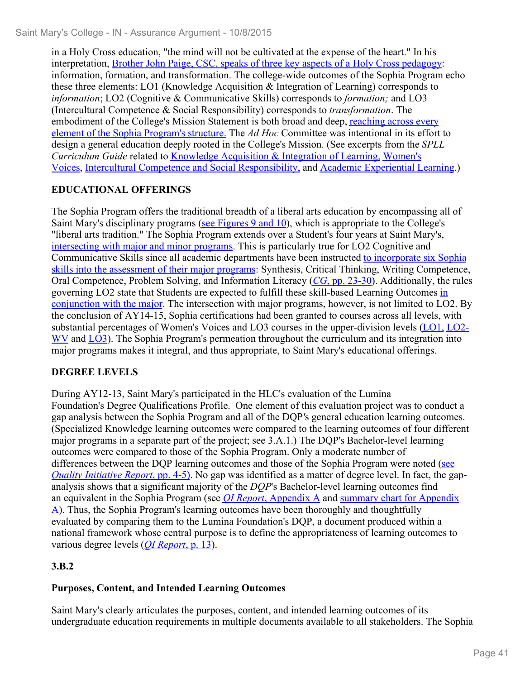in a Holy Cross education, "the mind will not be cultivated at the expense of the heart." In his interpretation, Brother John Paige, CSC, speaks of three key aspects of a Holy Cross pedagogy: information, formation, and transformation. The college-wide outcomes of the Sophia Program echo these three elements: LO1 (Knowledge Acquisition & Integration of Learning) corresponds to *information*; LO2 (Cognitive & Communicative Skills) corresponds to *formation;* and LO3 (Intercultural Competence & Social Responsibility) corresponds to *transformation*. The embodiment of the College's Mission Statement is both broad and deep, reaching across every element of the Sophia Program's structure. The *Ad Hoc* Committee was intentional in its effort to design a general education deeply rooted in the College's Mission. (See excerpts from the *SPLL Curriculum Guide* related to Knowledge Acquisition & Integration of Learning, Women's Voices, Intercultural Competence and Social Responsibility, and Academic Experiential Learning.)

# **EDUCATIONAL OFFERINGS**

The Sophia Program offers the traditional breadth of a liberal arts education by encompassing all of Saint Mary's disciplinary programs (see Figures 9 and 10), which is appropriate to the College's "liberal arts tradition." The Sophia Program extends over a Student's four years at Saint Mary's, intersecting with major and minor programs. This is particularly true for LO2 Cognitive and Communicative Skills since all academic departments have been instructed to incorporate six Sophia skills into the assessment of their major programs: Synthesis, Critical Thinking, Writing Competence, Oral Competence, Problem Solving, and Information Literacy (*CG*, pp. 23-30). Additionally, the rules governing LO2 state that Students are expected to fulfill these skill-based Learning Outcomes in conjunction with the major. The intersection with major programs, however, is not limited to LO2. By the conclusion of AY14-15, Sophia certifications had been granted to courses across all levels, with substantial percentages of Women's Voices and LO3 courses in the upper-division levels (LO1, LO2- WV and LO3). The Sophia Program's permeation throughout the curriculum and its integration into major programs makes it integral, and thus appropriate, to Saint Mary's educational offerings.

# **DEGREE LEVELS**

During AY12-13, Saint Mary's participated in the HLC's evaluation of the Lumina Foundation's Degree Qualifications Profile. One element of this evaluation project was to conduct a gap analysis between the Sophia Program and all of the DQP*'*s general education learning outcomes. (Specialized Knowledge learning outcomes were compared to the learning outcomes of four different major programs in a separate part of the project; see 3.A.1.) The DQP's Bachelor-level learning outcomes were compared to those of the Sophia Program. Only a moderate number of differences between the DQP learning outcomes and those of the Sophia Program were noted (see *Quality Initiative Report*, pp. 4-5). No gap was identified as a matter of degree level. In fact, the gapanalysis shows that a significant majority of the *DQP*'s Bachelor-level learning outcomes find an equivalent in the Sophia Program (see *QI Report*, Appendix A and summary chart for Appendix A). Thus, the Sophia Program's learning outcomes have been thoroughly and thoughtfully evaluated by comparing them to the Lumina Foundation's DQP, a document produced within a national framework whose central purpose is to define the appropriateness of learning outcomes to various degree levels (*QI Report*, p. 13).

# **3.B.2**

# **Purposes, Content, and Intended Learning Outcomes**

Saint Mary's clearly articulates the purposes, content, and intended learning outcomes of its undergraduate education requirements in multiple documents available to all stakeholders. The Sophia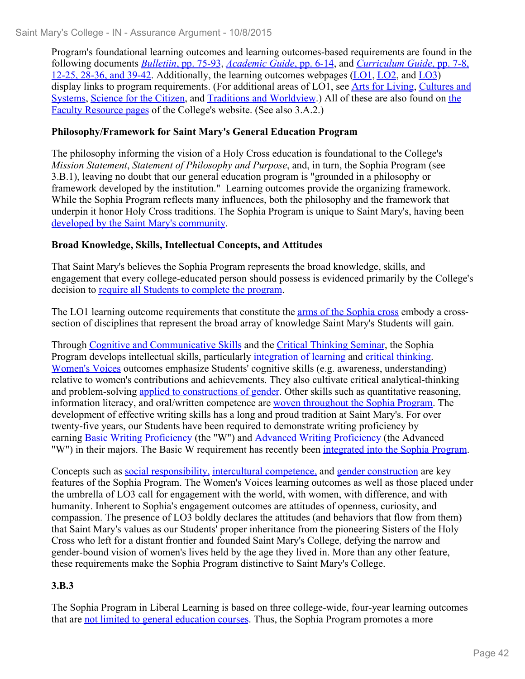Program's foundational learning outcomes and learning outcomes-based requirements are found in the following documents *Bulletiin*, pp. 75-93, *Academic Guide*, pp. 6-14, and *Curriculum Guide*, pp. 7-8, 12-25, 28-36, and 39-42. Additionally, the learning outcomes webpages (LO1, LO2, and LO3) display links to program requirements. (For additional areas of LO1, see Arts for Living, Cultures and Systems, Science for the Citizen, and Traditions and Worldview.) All of these are also found on the Faculty Resource pages of the College's website. (See also 3.A.2.)

### **Philosophy/Framework for Saint Mary's General Education Program**

The philosophy informing the vision of a Holy Cross education is foundational to the College's *Mission Statement*, *Statement of Philosophy and Purpose*, and, in turn, the Sophia Program (see 3.B.1), leaving no doubt that our general education program is "grounded in a philosophy or framework developed by the institution." Learning outcomes provide the organizing framework. While the Sophia Program reflects many influences, both the philosophy and the framework that underpin it honor Holy Cross traditions. The Sophia Program is unique to Saint Mary's, having been developed by the Saint Mary's community.

### **Broad Knowledge, Skills, Intellectual Concepts, and Attitudes**

That Saint Mary's believes the Sophia Program represents the broad knowledge, skills, and engagement that every college-educated person should possess is evidenced primarily by the College's decision to require all Students to complete the program.

The LO1 learning outcome requirements that constitute the arms of the Sophia cross embody a crosssection of disciplines that represent the broad array of knowledge Saint Mary's Students will gain.

Through Cognitive and Communicative Skills and the Critical Thinking Seminar, the Sophia Program develops intellectual skills, particularly integration of learning and critical thinking. Women's Voices outcomes emphasize Students' cognitive skills (e.g. awareness, understanding) relative to women's contributions and achievements. They also cultivate critical analytical-thinking and problem-solving applied to constructions of gender. Other skills such as quantitative reasoning, information literacy, and oral/written competence are woven throughout the Sophia Program. The development of effective writing skills has a long and proud tradition at Saint Mary's. For over twenty-five years, our Students have been required to demonstrate writing proficiency by earning Basic Writing Proficiency (the "W") and Advanced Writing Proficiency (the Advanced "W") in their majors. The Basic W requirement has recently been integrated into the Sophia Program.

Concepts such as social responsibility, intercultural competence, and gender construction are key features of the Sophia Program. The Women's Voices learning outcomes as well as those placed under the umbrella of LO3 call for engagement with the world, with women, with difference, and with humanity. Inherent to Sophia's engagement outcomes are attitudes of openness, curiosity, and compassion. The presence of LO3 boldly declares the attitudes (and behaviors that flow from them) that Saint Mary's values as our Students' proper inheritance from the pioneering Sisters of the Holy Cross who left for a distant frontier and founded Saint Mary's College, defying the narrow and gender-bound vision of women's lives held by the age they lived in. More than any other feature, these requirements make the Sophia Program distinctive to Saint Mary's College.

## **3.B.3**

The Sophia Program in Liberal Learning is based on three college-wide, four-year learning outcomes that are not limited to general education courses. Thus, the Sophia Program promotes a more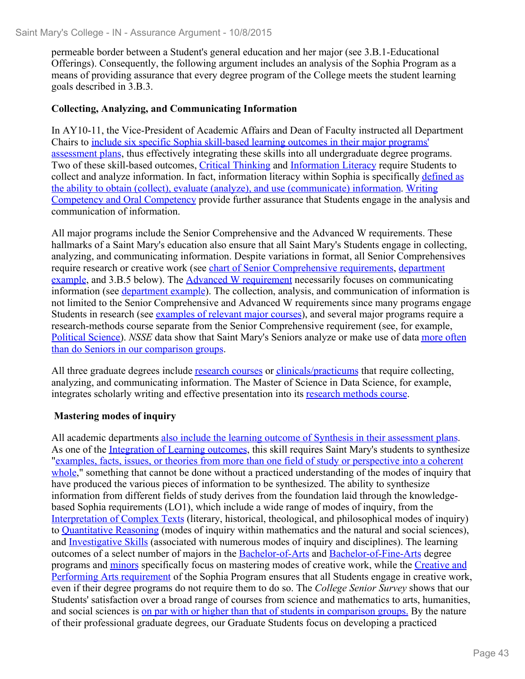permeable border between a Student's general education and her major (see 3.B.1-Educational Offerings). Consequently, the following argument includes an analysis of the Sophia Program as a means of providing assurance that every degree program of the College meets the student learning goals described in 3.B.3.

#### **Collecting, Analyzing, and Communicating Information**

In AY10-11, the Vice-President of Academic Affairs and Dean of Faculty instructed all Department Chairs to include six specific Sophia skill-based learning outcomes in their major programs' assessment plans, thus effectively integrating these skills into all undergraduate degree programs. Two of these skill-based outcomes, Critical Thinking and Information Literacy require Students to collect and analyze information. In fact, information literacy within Sophia is specifically defined as the ability to obtain (collect), evaluate (analyze), and use (communicate) information. Writing Competency and Oral Competency provide further assurance that Students engage in the analysis and communication of information.

All major programs include the Senior Comprehensive and the Advanced W requirements. These hallmarks of a Saint Mary's education also ensure that all Saint Mary's Students engage in collecting, analyzing, and communicating information. Despite variations in format, all Senior Comprehensives require research or creative work (see chart of Senior Comprehensive requirements, department example, and 3.B.5 below). The Advanced W requirement necessarily focuses on communicating information (see department example). The collection, analysis, and communication of information is not limited to the Senior Comprehensive and Advanced W requirements since many programs engage Students in research (see examples of relevant major courses), and several major programs require a research-methods course separate from the Senior Comprehensive requirement (see, for example, Political Science). *NSSE* data show that Saint Mary's Seniors analyze or make use of data more often than do Seniors in our comparison groups.

All three graduate degrees include research courses or clinicals/practicums that require collecting, analyzing, and communicating information. The Master of Science in Data Science, for example, integrates scholarly writing and effective presentation into its research methods course.

#### **Mastering modes of inquiry**

All academic departments also include the learning outcome of Synthesis in their assessment plans. As one of the Integration of Learning outcomes, this skill requires Saint Mary's students to synthesize "examples, facts, issues, or theories from more than one field of study or perspective into a coherent whole," something that cannot be done without a practiced understanding of the modes of inquiry that have produced the various pieces of information to be synthesized. The ability to synthesize information from different fields of study derives from the foundation laid through the knowledgebased Sophia requirements (LO1), which include a wide range of modes of inquiry, from the Interpretation of Complex Texts (literary, historical, theological, and philosophical modes of inquiry) to Quantitative Reasoning (modes of inquiry within mathematics and the natural and social sciences), and Investigative Skills (associated with numerous modes of inquiry and disciplines). The learning outcomes of a select number of majors in the Bachelor-of-Arts and Bachelor-of-Fine-Arts degree programs and minors specifically focus on mastering modes of creative work, while the Creative and Performing Arts requirement of the Sophia Program ensures that all Students engage in creative work, even if their degree programs do not require them to do so. The *College Senior Survey* shows that our Students' satisfaction over a broad range of courses from science and mathematics to arts, humanities, and social sciences is on par with or higher than that of students in comparison groups. By the nature of their professional graduate degrees, our Graduate Students focus on developing a practiced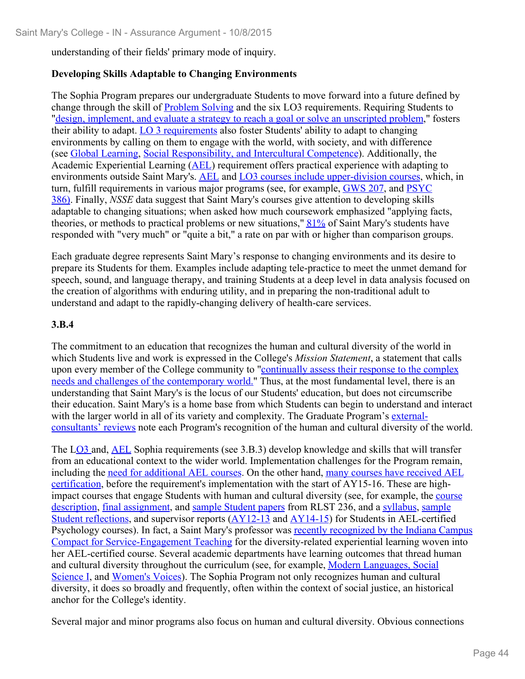understanding of their fields' primary mode of inquiry.

### **Developing Skills Adaptable to Changing Environments**

The Sophia Program prepares our undergraduate Students to move forward into a future defined by change through the skill of Problem Solving and the six LO3 requirements. Requiring Students to "design, implement, and evaluate a strategy to reach a goal or solve an unscripted problem," fosters their ability to adapt. LO 3 requirements also foster Students' ability to adapt to changing environments by calling on them to engage with the world, with society, and with difference (see Global Learning, Social Responsibility, and Intercultural Competence). Additionally, the Academic Experiential Learning (AEL) requirement offers practical experience with adapting to environments outside Saint Mary's. AEL and LO3 courses include upper-division courses, which, in turn, fulfill requirements in various major programs (see, for example, GWS 207, and PSYC 386). Finally, *NSSE* data suggest that Saint Mary's courses give attention to developing skills adaptable to changing situations; when asked how much coursework emphasized "applying facts, theories, or methods to practical problems or new situations," 81% of Saint Mary's students have responded with "very much" or "quite a bit," a rate on par with or higher than comparison groups.

Each graduate degree represents Saint Mary's response to changing environments and its desire to prepare its Students for them. Examples include adapting tele-practice to meet the unmet demand for speech, sound, and language therapy, and training Students at a deep level in data analysis focused on the creation of algorithms with enduring utility, and in preparing the non-traditional adult to understand and adapt to the rapidly-changing delivery of health-care services.

### **3.B.4**

The commitment to an education that recognizes the human and cultural diversity of the world in which Students live and work is expressed in the College's *Mission Statement*, a statement that calls upon every member of the College community to "continually assess their response to the complex needs and challenges of the contemporary world." Thus, at the most fundamental level, there is an understanding that Saint Mary's is the locus of our Students' education, but does not circumscribe their education. Saint Mary's is a home base from which Students can begin to understand and interact with the larger world in all of its variety and complexity. The Graduate Program's externalconsultants' reviews note each Program's recognition of the human and cultural diversity of the world.

The LO3 and, AEL Sophia requirements (see 3.B.3) develop knowledge and skills that will transfer from an educational context to the wider world. Implementation challenges for the Program remain, including the need for additional AEL courses. On the other hand, many courses have received AEL certification, before the requirement's implementation with the start of AY15-16. These are highimpact courses that engage Students with human and cultural diversity (see, for example, the course description, final assignment, and sample Student papers from RLST 236, and a syllabus, sample Student reflections, and supervisor reports (AY12-13 and AY14-15) for Students in AEL-certified Psychology courses). In fact, a Saint Mary's professor was recently recognized by the Indiana Campus Compact for Service-Engagement Teaching for the diversity-related experiential learning woven into her AEL-certified course. Several academic departments have learning outcomes that thread human and cultural diversity throughout the curriculum (see, for example, Modern Languages, Social Science I, and Women's Voices). The Sophia Program not only recognizes human and cultural diversity, it does so broadly and frequently, often within the context of social justice, an historical anchor for the College's identity.

Several major and minor programs also focus on human and cultural diversity. Obvious connections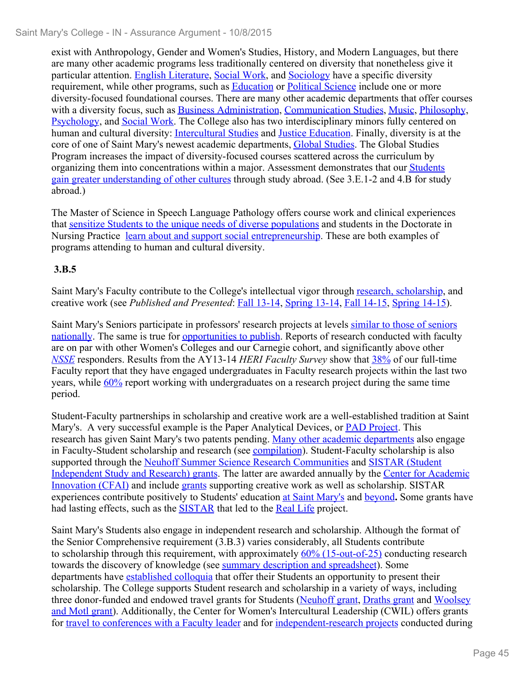exist with Anthropology, Gender and Women's Studies, History, and Modern Languages, but there are many other academic programs less traditionally centered on diversity that nonetheless give it particular attention. English Literature, Social Work, and Sociology have a specific diversity requirement, while other programs, such as Education or Political Science include one or more diversity-focused foundational courses. There are many other academic departments that offer courses with a diversity focus, such as Business Administration, Communication Studies, Music, Philosophy, Psychology, and Social Work. The College also has two interdisciplinary minors fully centered on human and cultural diversity: Intercultural Studies and Justice Education. Finally, diversity is at the core of one of Saint Mary's newest academic departments, Global Studies. The Global Studies Program increases the impact of diversity-focused courses scattered across the curriculum by organizing them into concentrations within a major. Assessment demonstrates that our Students gain greater understanding of other cultures through study abroad. (See 3.E.1-2 and 4.B for study abroad.)

The Master of Science in Speech Language Pathology offers course work and clinical experiences that sensitize Students to the unique needs of diverse populations and students in the Doctorate in Nursing Practice learn about and support social entrepreneurship. These are both examples of programs attending to human and cultural diversity.

# **3.B.5**

Saint Mary's Faculty contribute to the College's intellectual vigor through research, scholarship, and creative work (see *Published and Presented*: Fall 13-14, Spring 13-14, Fall 14-15, Spring 14-15).

Saint Mary's Seniors participate in professors' research projects at levels similar to those of seniors nationally. The same is true for opportunities to publish. Reports of research conducted with faculty are on par with other Women's Colleges and our Carnegie cohort, and significantly above other *NSSE* responders. Results from the AY13-14 *HERI Faculty Survey* show that 38% of our full-time Faculty report that they have engaged undergraduates in Faculty research projects within the last two years, while  $60\%$  report working with undergraduates on a research project during the same time period.

Student-Faculty partnerships in scholarship and creative work are a well-established tradition at Saint Mary's. A very successful example is the Paper Analytical Devices, or PAD Project. This research has given Saint Mary's two patents pending. Many other academic departments also engage in Faculty-Student scholarship and research (see **compilation**). Student-Faculty scholarship is also supported through the Neuhoff Summer Science Research Communities and SISTAR (Student Independent Study and Research) grants. The latter are awarded annually by the Center for Academic Innovation (CFAI) and include grants supporting creative work as well as scholarship. SISTAR experiences contribute positively to Students' education at Saint Mary's and beyond**.** Some grants have had lasting effects, such as the SISTAR that led to the Real Life project.

Saint Mary's Students also engage in independent research and scholarship. Although the format of the Senior Comprehensive requirement (3.B.3) varies considerably, all Students contribute to scholarship through this requirement, with approximately 60% (15-out-of-25) conducting research towards the discovery of knowledge (see summary description and spreadsheet). Some departments have established colloquia that offer their Students an opportunity to present their scholarship. The College supports Student research and scholarship in a variety of ways, including three donor-funded and endowed travel grants for Students (Neuhoff grant, Draths grant and Woolsey and Motl grant). Additionally, the Center for Women's Intercultural Leadership (CWIL) offers grants for travel to conferences with a Faculty leader and for independent-research projects conducted during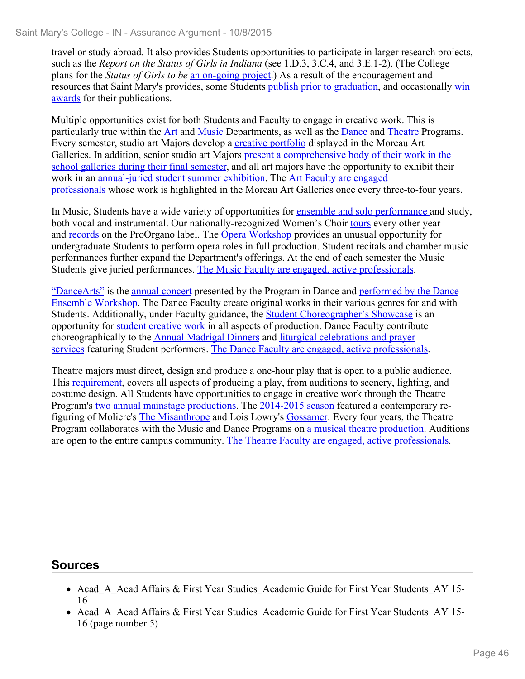travel or study abroad. It also provides Students opportunities to participate in larger research projects, such as the *Report on the Status of Girls in Indiana* (see 1.D.3, 3.C.4, and 3.E.1-2). (The College plans for the *Status of Girls to be* an on-going project.) As a result of the encouragement and resources that Saint Mary's provides, some Students publish prior to graduation, and occasionally win awards for their publications.

Multiple opportunities exist for both Students and Faculty to engage in creative work. This is particularly true within the **Art** and Music Departments, as well as the **Dance and Theatre Programs**. Every semester, studio art Majors develop a creative portfolio displayed in the Moreau Art Galleries. In addition, senior studio art Majors present a comprehensive body of their work in the school galleries during their final semester, and all art majors have the opportunity to exhibit their work in an annual-juried student summer exhibition. The Art Faculty are engaged professionals whose work is highlighted in the Moreau Art Galleries once every three-to-four years.

In Music, Students have a wide variety of opportunities for ensemble and solo performance and study, both vocal and instrumental. Our nationally-recognized Women's Choir tours every other year and records on the ProOrgano label. The Opera Workshop provides an unusual opportunity for undergraduate Students to perform opera roles in full production. Student recitals and chamber music performances further expand the Department's offerings. At the end of each semester the Music Students give juried performances. The Music Faculty are engaged, active professionals.

"DanceArts" is the annual concert presented by the Program in Dance and performed by the Dance Ensemble Workshop. The Dance Faculty create original works in their various genres for and with Students. Additionally, under Faculty guidance, the Student Choreographer's Showcase is an opportunity for student creative work in all aspects of production. Dance Faculty contribute choreographically to the Annual Madrigal Dinners and liturgical celebrations and prayer services featuring Student performers. The Dance Faculty are engaged, active professionals.

Theatre majors must direct, design and produce a one-hour play that is open to a public audience. This requirement, covers all aspects of producing a play, from auditions to scenery, lighting, and costume design. All Students have opportunities to engage in creative work through the Theatre Program's two annual mainstage productions. The 2014-2015 season featured a contemporary refiguring of Moliere's The Misanthrope and Lois Lowry's Gossamer. Every four years, the Theatre Program collaborates with the Music and Dance Programs on a musical theatre production. Auditions are open to the entire campus community. The Theatre Faculty are engaged, active professionals.

## **Sources**

- Acad A Acad Affairs & First Year Studies Academic Guide for First Year Students AY 15-16
- Acad A Acad Affairs & First Year Studies Academic Guide for First Year Students AY 15-16 (page number 5)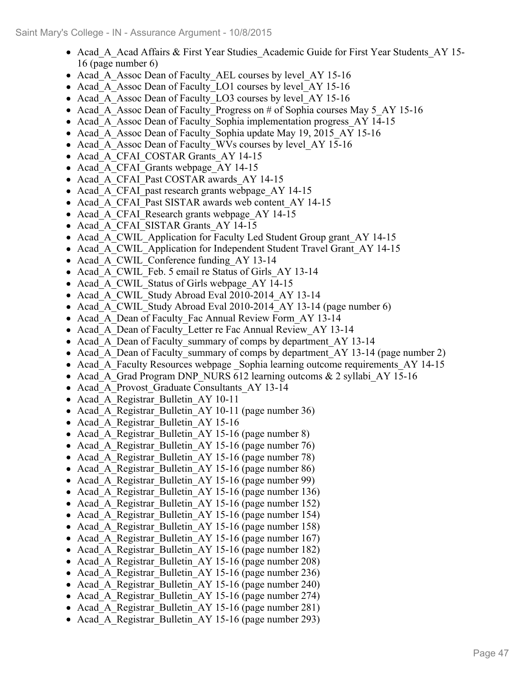- Acad A Acad Affairs & First Year Studies Academic Guide for First Year Students AY 15-16 (page number 6)
- Acad A Assoc Dean of Faculty AEL courses by level AY 15-16
- Acad A Assoc Dean of Faculty LO1 courses by level AY 15-16
- Acad A Assoc Dean of Faculty LO3 courses by level AY 15-16
- Acad A Assoc Dean of Faculty Progress on # of Sophia courses May 5 AY 15-16
- Acad A Assoc Dean of Faculty Sophia implementation progress AY 14-15
- Acad A Assoc Dean of Faculty Sophia update May 19, 2015 AY 15-16
- Acad\_A\_Assoc Dean of Faculty\_WVs courses by level\_AY 15-16
- Acad A CFAI COSTAR Grants AY 14-15
- Acad A CFAI Grants webpage AY 14-15
- Acad A CFAI Past COSTAR awards AY 14-15
- Acad A CFAI past research grants webpage AY 14-15
- Acad A CFAI Past SISTAR awards web content AY 14-15
- Acad A CFAI Research grants webpage AY 14-15
- Acad A CFAI SISTAR Grants AY 14-15
- Acad A CWIL Application for Faculty Led Student Group grant AY 14-15
- Acad A CWIL Application for Independent Student Travel Grant AY 14-15
- Acad A CWIL Conference funding AY 13-14
- Acad\_A\_CWIL\_Feb. 5 email re Status of Girls AY 13-14
- Acad A CWIL Status of Girls webpage AY 14-15
- Acad A CWIL Study Abroad Eval 2010-2014 AY 13-14
- Acad A CWIL Study Abroad Eval 2010-2014 AY 13-14 (page number 6)
- Acad A Dean of Faculty Fac Annual Review Form AY 13-14
- Acad A Dean of Faculty Letter re Fac Annual Review AY 13-14
- Acad A Dean of Faculty summary of comps by department AY 13-14
- Acad A Dean of Faculty summary of comps by department AY 13-14 (page number 2)
- Acad A Faculty Resources webpage Sophia learning outcome requirements AY 14-15
- Acad A Grad Program DNP\_NURS 612 learning outcoms  $\&$  2 syllabi AY 15-16
- Acad A Provost Graduate Consultants AY 13-14
- Acad A Registrar Bulletin AY 10-11
- Acad A Registrar Bulletin AY 10-11 (page number 36)
- Acad A Registrar Bulletin AY 15-16
- Acad A Registrar Bulletin AY 15-16 (page number 8)
- Acad A Registrar Bulletin AY 15-16 (page number 76)
- Acad A Registrar Bulletin AY 15-16 (page number 78)
- Acad A Registrar Bulletin AY 15-16 (page number 86)
- Acad A Registrar Bulletin AY 15-16 (page number 99)
- Acad A Registrar Bulletin AY 15-16 (page number 136)
- Acad A Registrar Bulletin AY 15-16 (page number 152)
- Acad A Registrar Bulletin AY 15-16 (page number 154)
- Acad A Registrar Bulletin AY 15-16 (page number 158)
- Acad A Registrar Bulletin AY 15-16 (page number 167)
- Acad A Registrar Bulletin AY 15-16 (page number 182)
- Acad A Registrar Bulletin AY 15-16 (page number 208)
- Acad A Registrar Bulletin AY 15-16 (page number 236)
- Acad A Registrar Bulletin AY 15-16 (page number 240)
- Acad A Registrar Bulletin AY 15-16 (page number 274)
- Acad A Registrar Bulletin AY 15-16 (page number 281)
- Acad A Registrar Bulletin AY 15-16 (page number 293)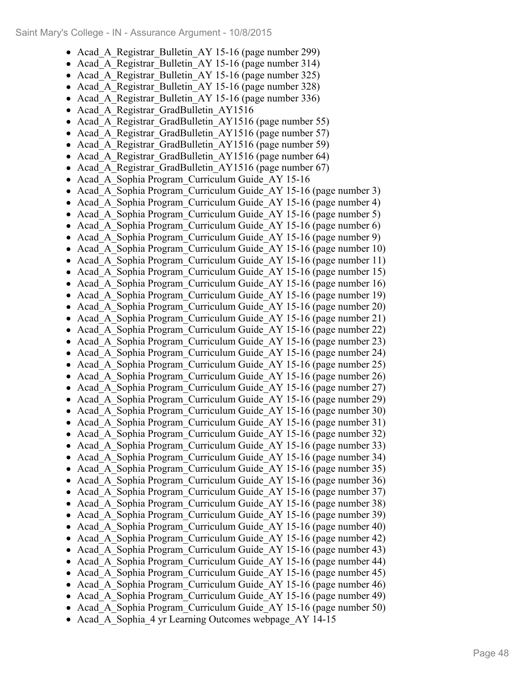- Acad A Registrar Bulletin AY 15-16 (page number 299)
- Acad\_A\_Registrar\_Bulletin\_AY 15-16 (page number 314)  $\bullet$
- Acad A Registrar Bulletin AY 15-16 (page number 325)  $\bullet$
- Acad\_A\_Registrar\_Bulletin\_AY 15-16 (page number 328)  $\bullet$
- Acad A Registrar Bulletin AY 15-16 (page number 336)  $\bullet$
- Acad A Registrar GradBulletin AY1516  $\bullet$
- $\bullet$ Acad A Registrar GradBulletin AY1516 (page number 55)
- Acad A Registrar GradBulletin AY1516 (page number 57)  $\bullet$
- Acad A Registrar GradBulletin AY1516 (page number 59)  $\bullet$
- Acad\_A\_Registrar\_GradBulletin\_AY1516 (page number 64)  $\bullet$
- $\bullet$ Acad A Registrar GradBulletin AY1516 (page number 67)
- $\bullet$ Acad\_A\_Sophia Program\_Curriculum Guide\_AY 15-16
- Acad\_A\_Sophia Program\_Curriculum Guide\_AY 15-16 (page number 3)  $\bullet$
- Acad A Sophia Program Curriculum Guide AY 15-16 (page number 4)  $\bullet$
- Acad\_A\_Sophia Program\_Curriculum Guide\_AY 15-16 (page number 5)  $\bullet$
- $\bullet$ Acad\_A\_Sophia Program\_Curriculum Guide\_AY 15-16 (page number 6)
- $\bullet$ Acad\_A\_Sophia Program\_Curriculum Guide\_AY 15-16 (page number 9)
- Acad\_A\_Sophia Program\_Curriculum Guide\_AY 15-16 (page number 10)  $\bullet$
- Acad\_A\_Sophia Program\_Curriculum Guide\_AY 15-16 (page number 11)  $\bullet$
- Acad\_A\_Sophia Program\_Curriculum Guide\_AY 15-16 (page number 15)  $\bullet$
- $\bullet$ Acad\_A\_Sophia Program\_Curriculum Guide\_AY 15-16 (page number 16)
- $\bullet$ Acad\_A\_Sophia Program\_Curriculum Guide\_AY 15-16 (page number 19)
- Acad\_A\_Sophia Program\_Curriculum Guide\_AY 15-16 (page number 20)  $\bullet$
- Acad\_A\_Sophia Program\_Curriculum Guide\_AY 15-16 (page number 21)  $\bullet$
- Acad\_A\_Sophia Program\_Curriculum Guide\_AY 15-16 (page number 22)  $\bullet$  $\bullet$ Acad\_A\_Sophia Program\_Curriculum Guide\_AY 15-16 (page number 23)
- $\bullet$ Acad\_A\_Sophia Program\_Curriculum Guide\_AY 15-16 (page number 24)
- Acad\_A\_Sophia Program\_Curriculum Guide\_AY 15-16 (page number 25)  $\bullet$
- $\bullet$ Acad\_A\_Sophia Program\_Curriculum Guide\_AY 15-16 (page number 26)
- Acad\_A\_Sophia Program\_Curriculum Guide\_AY 15-16 (page number 27)  $\bullet$
- Acad\_A\_Sophia Program\_Curriculum Guide\_AY 15-16 (page number 29)  $\bullet$
- $\bullet$ Acad\_A\_Sophia Program\_Curriculum Guide\_AY 15-16 (page number 30)
- Acad\_A\_Sophia Program\_Curriculum Guide\_AY 15-16 (page number 31)  $\bullet$
- Acad\_A\_Sophia Program\_Curriculum Guide\_AY 15-16 (page number 32)  $\bullet$
- Acad\_A\_Sophia Program\_Curriculum Guide\_AY 15-16 (page number 33)  $\bullet$
- $\bullet$ Acad\_A\_Sophia Program\_Curriculum Guide\_AY 15-16 (page number 34)
- Acad\_A\_Sophia Program\_Curriculum Guide\_AY 15-16 (page number 35)  $\bullet$
- Acad\_A\_Sophia Program\_Curriculum Guide\_AY 15-16 (page number 36)  $\bullet$
- Acad\_A\_Sophia Program\_Curriculum Guide\_AY 15-16 (page number 37)  $\bullet$
- Acad\_A\_Sophia Program\_Curriculum Guide\_AY 15-16 (page number 38)  $\bullet$
- Acad\_A\_Sophia Program\_Curriculum Guide\_AY 15-16 (page number 39)  $\bullet$
- Acad\_A\_Sophia Program\_Curriculum Guide\_AY 15-16 (page number 40)  $\bullet$ Acad\_A\_Sophia Program\_Curriculum Guide\_AY 15-16 (page number 42)  $\bullet$
- Acad\_A\_Sophia Program\_Curriculum Guide\_AY 15-16 (page number 43)  $\bullet$
- Acad\_A\_Sophia Program\_Curriculum Guide\_AY 15-16 (page number 44)  $\bullet$
- Acad\_A\_Sophia Program\_Curriculum Guide\_AY 15-16 (page number 45)  $\bullet$
- $\bullet$ Acad\_A\_Sophia Program\_Curriculum Guide\_AY 15-16 (page number 46)
- Acad\_A\_Sophia Program\_Curriculum Guide\_AY 15-16 (page number 49)  $\bullet$
- Acad\_A\_Sophia Program\_Curriculum Guide\_AY 15-16 (page number 50)
- Acad\_A\_Sophia\_4 yr Learning Outcomes webpage\_AY 14-15  $\bullet$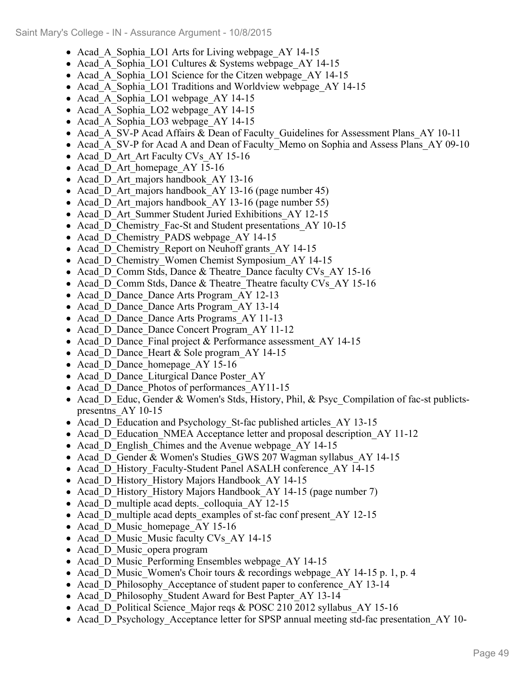- Acad A Sophia LO1 Arts for Living webpage AY 14-15
- Acad A Sophia LO1 Cultures & Systems webpage AY 14-15
- Acad A Sophia LO1 Science for the Citzen webpage AY 14-15
- Acad A Sophia LO1 Traditions and Worldview webpage AY 14-15
- Acad A Sophia LO1 webpage AY 14-15
- Acad A Sophia LO2 webpage AY 14-15
- Acad A Sophia LO3 webpage AY 14-15
- Acad A SV-P Acad Affairs & Dean of Faculty Guidelines for Assessment Plans AY 10-11
- Acad A SV-P for Acad A and Dean of Faculty Memo on Sophia and Assess Plans AY 09-10
- Acad D Art Art Faculty CVs AY 15-16
- Acad D Art homepage AY 15-16
- Acad D Art majors handbook AY 13-16
- Acad D Art majors handbook AY 13-16 (page number 45)
- Acad D Art majors handbook AY 13-16 (page number 55)
- Acad D Art Summer Student Juried Exhibitions AY 12-15
- Acad D Chemistry Fac-St and Student presentations AY 10-15
- Acad D Chemistry PADS webpage AY 14-15
- Acad D Chemistry Report on Neuhoff grants AY 14-15
- Acad D Chemistry Women Chemist Symposium AY 14-15
- Acad D Comm Stds, Dance & Theatre Dance faculty CVs AY 15-16
- Acad D Comm Stds, Dance & Theatre Theatre faculty CVs AY 15-16
- Acad D Dance Dance Arts Program AY 12-13
- Acad D Dance Dance Arts Program AY 13-14
- Acad D Dance Dance Arts Programs AY 11-13
- Acad D Dance Dance Concert Program AY 11-12
- Acad D Dance Final project & Performance assessment AY 14-15
- Acad D Dance Heart & Sole program AY 14-15
- Acad D Dance homepage AY 15-16
- Acad D Dance Liturgical Dance Poster AY
- Acad D Dance Photos of performances AY11-15
- Acad D Educ, Gender & Women's Stds, History, Phil, & Psyc Compilation of fac-st publictspresentns\_AY 10-15
- Acad D Education and Psychology St-fac published articles AY 13-15
- Acad D Education NMEA Acceptance letter and proposal description AY 11-12
- Acad D English Chimes and the Avenue webpage AY 14-15
- Acad D Gender & Women's Studies GWS 207 Wagman syllabus AY 14-15
- Acad D History Faculty-Student Panel ASALH conference AY 14-15
- Acad D History History Majors Handbook AY 14-15
- Acad D History History Majors Handbook AY 14-15 (page number 7)
- Acad D multiple acad depts. colloquia AY 12-15
- Acad D multiple acad depts examples of st-fac conf present AY 12-15
- Acad D Music homepage AY 15-16
- Acad D Music Music faculty CVs AY 14-15
- Acad D Music opera program
- Acad D Music Performing Ensembles webpage AY 14-15
- Acad D Music Women's Choir tours & recordings webpage AY 14-15 p. 1, p. 4
- Acad D Philosophy Acceptance of student paper to conference AY 13-14
- Acad D Philosophy Student Award for Best Papter AY 13-14
- Acad D Political Science Major reqs & POSC 210 2012 syllabus AY 15-16
- Acad\_D\_Psychology\_Acceptance letter for SPSP annual meeting std-fac presentation AY 10-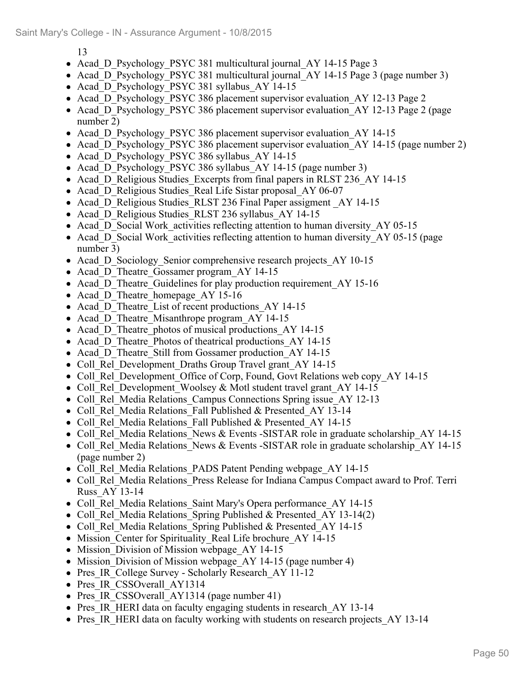13

- Acad D Psychology PSYC 381 multicultural journal AY 14-15 Page 3
- Acad D Psychology PSYC 381 multicultural journal AY 14-15 Page 3 (page number 3)
- Acad D Psychology PSYC 381 syllabus AY 14-15
- Acad D Psychology PSYC 386 placement supervisor evaluation AY 12-13 Page 2
- Acad D Psychology PSYC 386 placement supervisor evaluation AY 12-13 Page 2 (page number 2)
- Acad D Psychology PSYC 386 placement supervisor evaluation AY 14-15
- Acad D Psychology PSYC 386 placement supervisor evaluation AY 14-15 (page number 2)
- Acad D Psychology PSYC 386 syllabus AY 14-15
- Acad D Psychology PSYC 386 syllabus AY 14-15 (page number 3)
- Acad D Religious Studies Excerpts from final papers in RLST 236 AY 14-15
- Acad D Religious Studies Real Life Sistar proposal AY 06-07
- Acad D Religious Studies RLST 236 Final Paper assigment AY 14-15
- Acad D Religious Studies RLST 236 syllabus AY 14-15
- Acad D Social Work activities reflecting attention to human diversity AY 05-15
- Acad D Social Work activities reflecting attention to human diversity AY 05-15 (page number 3)
- Acad D Sociology Senior comprehensive research projects AY 10-15
- Acad D Theatre Gossamer program AY 14-15
- Acad D Theatre Guidelines for play production requirement AY 15-16
- Acad D Theatre homepage AY 15-16
- Acad D Theatre List of recent productions AY 14-15
- Acad D Theatre Misanthrope program AY 14-15
- Acad D Theatre photos of musical productions AY 14-15
- Acad D Theatre Photos of theatrical productions AY 14-15
- Acad D Theatre Still from Gossamer production AY 14-15
- Coll Rel Development Draths Group Travel grant AY 14-15
- Coll Rel Development Office of Corp, Found, Govt Relations web copy AY 14-15
- Coll Rel Development Woolsey & Motl student travel grant AY 14-15
- Coll Rel Media Relations Campus Connections Spring issue AY 12-13
- Coll\_Rel\_Media Relations\_Fall Published & Presented\_AY 13-14
- Coll\_Rel\_Media Relations\_Fall Published & Presented\_AY 14-15
- Coll Rel Media Relations News & Events -SISTAR role in graduate scholarship AY 14-15
- Coll Rel Media Relations News & Events -SISTAR role in graduate scholarship AY 14-15 (page number 2)
- Coll Rel Media Relations PADS Patent Pending webpage AY 14-15
- Coll Rel Media Relations Press Release for Indiana Campus Compact award to Prof. Terri Russ\_AY 13-14
- Coll Rel Media Relations Saint Mary's Opera performance AY 14-15
- Coll Rel Media Relations Spring Published & Presented AY 13-14(2)
- Coll Rel Media Relations Spring Published & Presented AY 14-15
- Mission Center for Spirituality Real Life brochure AY 14-15
- Mission Division of Mission webpage AY 14-15
- Mission Division of Mission webpage AY 14-15 (page number 4)
- Pres IR College Survey Scholarly Research AY 11-12
- Pres IR CSSOverall AY1314
- Pres IR CSSOverall AY1314 (page number 41)
- Pres IR HERI data on faculty engaging students in research AY 13-14
- Pres IR HERI data on faculty working with students on research projects AY 13-14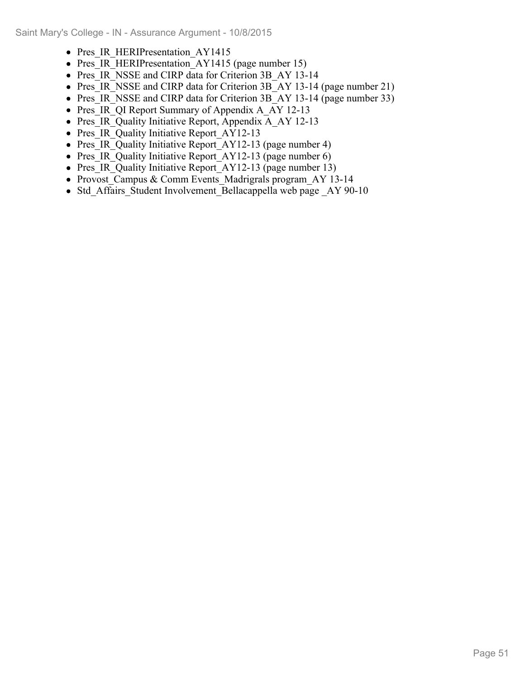- Pres IR HERIPresentation AY1415
- Pres IR HERIPresentation AY1415 (page number 15)
- Pres IR\_NSSE and CIRP data for Criterion 3B\_AY 13-14
- Pres IR NSSE and CIRP data for Criterion 3B AY 13-14 (page number 21)
- Pres IR NSSE and CIRP data for Criterion 3B AY 13-14 (page number 33)
- Pres IR QI Report Summary of Appendix A\_AY 12-13
- Pres IR Quality Initiative Report, Appendix A AY 12-13
- Pres\_IR\_Quality Initiative Report AY12-13
- Pres\_IR\_Quality Initiative Report\_AY12-13 (page number 4)
- Pres IR Quality Initiative Report AY12-13 (page number 6)
- Pres IR Quality Initiative Report AY12-13 (page number 13)
- Provost Campus & Comm Events Madrigrals program AY 13-14
- Std Affairs Student Involvement Bellacappella web page AY 90-10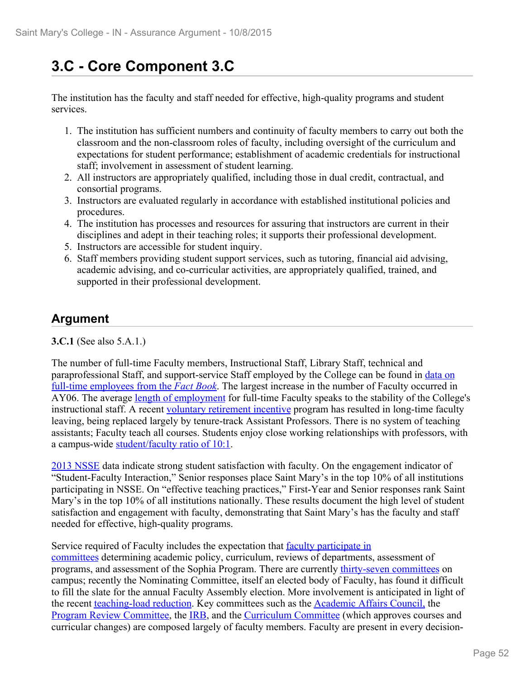# **3.C - Core Component 3.C**

The institution has the faculty and staff needed for effective, high-quality programs and student services.

- 1. The institution has sufficient numbers and continuity of faculty members to carry out both the classroom and the non-classroom roles of faculty, including oversight of the curriculum and expectations for student performance; establishment of academic credentials for instructional staff; involvement in assessment of student learning.
- 2. All instructors are appropriately qualified, including those in dual credit, contractual, and consortial programs.
- 3. Instructors are evaluated regularly in accordance with established institutional policies and procedures.
- 4. The institution has processes and resources for assuring that instructors are current in their disciplines and adept in their teaching roles; it supports their professional development.
- 5. Instructors are accessible for student inquiry.
- 6. Staff members providing student support services, such as tutoring, financial aid advising, academic advising, and co-curricular activities, are appropriately qualified, trained, and supported in their professional development.

# **Argument**

**3.C.1** (See also 5.A.1.)

The number of full-time Faculty members, Instructional Staff, Library Staff, technical and paraprofessional Staff, and support-service Staff employed by the College can be found in data on full-time employees from the *Fact Book*. The largest increase in the number of Faculty occurred in AY06. The average length of employment for full-time Faculty speaks to the stability of the College's instructional staff. A recent voluntary retirement incentive program has resulted in long-time faculty leaving, being replaced largely by tenure-track Assistant Professors. There is no system of teaching assistants; Faculty teach all courses. Students enjoy close working relationships with professors, with

a campus-wide <u>student/faculty ratio of 10:1</u>.<br>2013 NSSE data indicate strong student satisfaction with faculty. On the engagement indicator of "Student-Faculty Interaction," Senior responses place Saint Mary's in the top 10% of all institutions participating in NSSE. On "effective teaching practices," First-Year and Senior responses rank Saint Mary's in the top 10% of all institutions nationally. These results document the high level of student satisfaction and engagement with faculty, demonstrating that Saint Mary's has the faculty and staff needed for effective, high-quality programs.

Service required of Faculty includes the expectation that **faculty participate in** 

committees determining academic policy, curriculum, reviews of departments, assessment of programs, and assessment of the Sophia Program. There are currently thirty-seven committees on campus; recently the Nominating Committee, itself an elected body of Faculty, has found it difficult to fill the slate for the annual Faculty Assembly election. More involvement is anticipated in light of the recent teaching-load reduction. Key committees such as the Academic Affairs Council, the Program Review Committee, the IRB, and the Curriculum Committee (which approves courses and curricular changes) are composed largely of faculty members. Faculty are present in every decision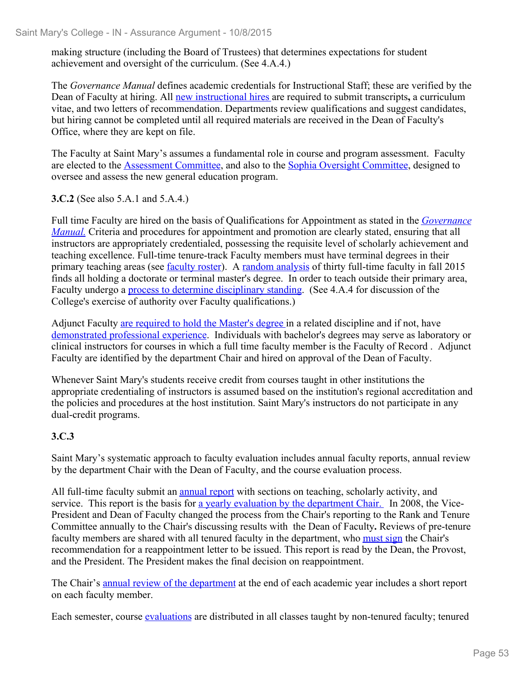making structure (including the Board of Trustees) that determines expectations for student achievement and oversight of the curriculum. (See 4.A.4.)

The *Governance Manual* defines academic credentials for Instructional Staff; these are verified by the Dean of Faculty at hiring. All new instructional hires are required to submit transcripts**,** a curriculum vitae, and two letters of recommendation. Departments review qualifications and suggest candidates, but hiring cannot be completed until all required materials are received in the Dean of Faculty's Office, where they are kept on file.

The Faculty at Saint Mary's assumes a fundamental role in course and program assessment. Faculty are elected to the Assessment Committee, and also to the Sophia Oversight Committee, designed to oversee and assess the new general education program.

**3.C.2** (See also 5.A.1 and 5.A.4.)

Full time Faculty are hired on the basis of Qualifications for Appointment as stated in the *Governance Manual.* Criteria and procedures for appointment and promotion are clearly stated, ensuring that all instructors are appropriately credentialed, possessing the requisite level of scholarly achievement and teaching excellence. Full-time tenure-track Faculty members must have terminal degrees in their primary teaching areas (see faculty roster). A random analysis of thirty full-time faculty in fall 2015 finds all holding a doctorate or terminal master's degree. In order to teach outside their primary area, Faculty undergo a process to determine disciplinary standing. (See 4.A.4 for discussion of the College's exercise of authority over Faculty qualifications.)

Adjunct Faculty are required to hold the Master's degree in a related discipline and if not, have demonstrated professional experience. Individuals with bachelor's degrees may serve as laboratory or clinical instructors for courses in which a full time faculty member is the Faculty of Record . Adjunct Faculty are identified by the department Chair and hired on approval of the Dean of Faculty.

Whenever Saint Mary's students receive credit from courses taught in other institutions the appropriate credentialing of instructors is assumed based on the institution's regional accreditation and the policies and procedures at the host institution. Saint Mary's instructors do not participate in any dual-credit programs.

## **3.C.3**

Saint Mary's systematic approach to faculty evaluation includes annual faculty reports, annual review by the department Chair with the Dean of Faculty, and the course evaluation process.

All full-time faculty submit an annual report with sections on teaching, scholarly activity, and service. This report is the basis for a yearly evaluation by the department Chair. In 2008, the Vice-President and Dean of Faculty changed the process from the Chair's reporting to the Rank and Tenure Committee annually to the Chair's discussing results with the Dean of Faculty**.** Reviews of pre-tenure faculty members are shared with all tenured faculty in the department, who must sign the Chair's recommendation for a reappointment letter to be issued. This report is read by the Dean, the Provost, and the President. The President makes the final decision on reappointment.

The Chair's annual review of the department at the end of each academic year includes a short report on each faculty member.

Each semester, course evaluations are distributed in all classes taught by non-tenured faculty; tenured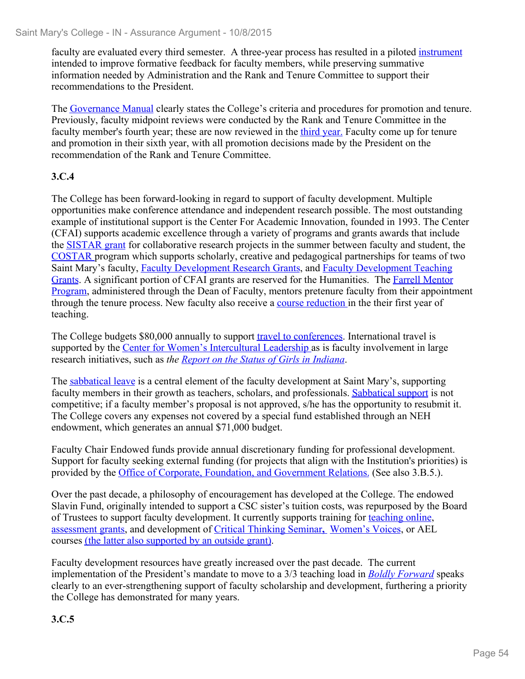faculty are evaluated every third semester. A three-year process has resulted in a piloted instrument intended to improve formative feedback for faculty members, while preserving summative information needed by Administration and the Rank and Tenure Committee to support their recommendations to the President.

The Governance Manual clearly states the College's criteria and procedures for promotion and tenure. Previously, faculty midpoint reviews were conducted by the Rank and Tenure Committee in the faculty member's fourth year; these are now reviewed in the third year. Faculty come up for tenure and promotion in their sixth year, with all promotion decisions made by the President on the recommendation of the Rank and Tenure Committee.

# **3.C.4**

The College has been forward-looking in regard to support of faculty development. Multiple opportunities make conference attendance and independent research possible. The most outstanding example of institutional support is the Center For Academic Innovation, founded in 1993. The Center (CFAI) supports academic excellence through a variety of programs and grants awards that include the SISTAR grant for collaborative research projects in the summer between faculty and student, the COSTAR program which supports scholarly, creative and pedagogical partnerships for teams of two Saint Mary's faculty, Faculty Development Research Grants, and Faculty Development Teaching Grants. A significant portion of CFAI grants are reserved for the Humanities. The Farrell Mentor Program, administered through the Dean of Faculty, mentors pretenure faculty from their appointment through the tenure process. New faculty also receive a course reduction in the their first year of teaching.

The College budgets \$80,000 annually to support travel to conferences. International travel is supported by the Center for Women's Intercultural Leadership as is faculty involvement in large research initiatives, such as *the Report on the Status of Girls in Indiana*.

The sabbatical leave is a central element of the faculty development at Saint Mary's, supporting faculty members in their growth as teachers, scholars, and professionals. Sabbatical support is not competitive; if a faculty member's proposal is not approved, s/he has the opportunity to resubmit it. The College covers any expenses not covered by a special fund established through an NEH endowment, which generates an annual \$71,000 budget.

Faculty Chair Endowed funds provide annual discretionary funding for professional development. Support for faculty seeking external funding (for projects that align with the Institution's priorities) is provided by the Office of Corporate, Foundation, and Government Relations. (See also 3.B.5.).

Over the past decade, a philosophy of encouragement has developed at the College. The endowed Slavin Fund, originally intended to support a CSC sister's tuition costs, was repurposed by the Board of Trustees to support faculty development. It currently supports training for teaching online, assessment grants, and development of Critical Thinking Seminar**,** Women's Voices, or AEL courses (the latter also supported by an outside grant).

Faculty development resources have greatly increased over the past decade. The current implementation of the President's mandate to move to a 3/3 teaching load in *Boldly Forward* speaks clearly to an ever-strengthening support of faculty scholarship and development, furthering a priority the College has demonstrated for many years.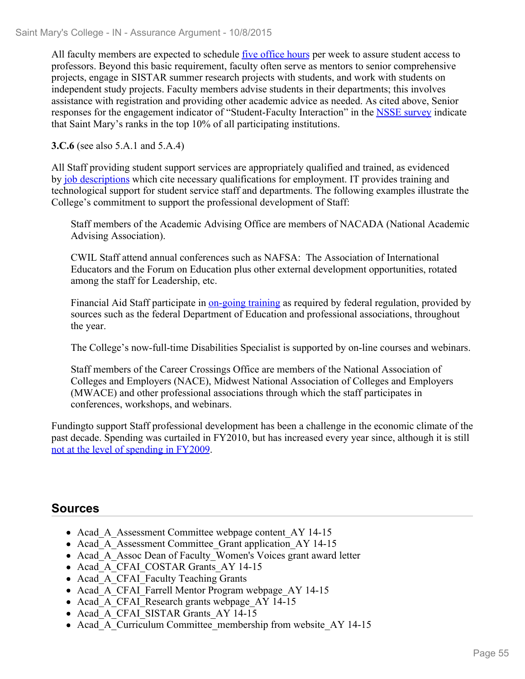All faculty members are expected to schedule <u>five office hours</u> per week to assure student access to professors. Beyond this basic requirement, faculty often serve as mentors to senior comprehensive projects, engage in SISTAR summer research projects with students, and work with students on independent study projects. Faculty members advise students in their departments; this involves assistance with registration and providing other academic advice as needed. As cited above, Senior responses for the engagement indicator of "Student-Faculty Interaction" in the NSSE survey indicate that Saint Mary's ranks in the top 10% of all participating institutions.

**3.C.6** (see also 5.A.1 and 5.A.4)

All Staff providing student support services are appropriately qualified and trained, as evidenced by job descriptions which cite necessary qualifications for employment. IT provides training and technological support for student service staff and departments. The following examples illustrate the College's commitment to support the professional development of Staff:

Staff members of the Academic Advising Office are members of NACADA (National Academic Advising Association).

CWIL Staff attend annual conferences such as NAFSA: The Association of International Educators and the Forum on Education plus other external development opportunities, rotated among the staff for Leadership, etc.

Financial Aid Staff participate in on-going training as required by federal regulation, provided by sources such as the federal Department of Education and professional associations, throughout the year.

The College's now-full-time Disabilities Specialist is supported by on-line courses and webinars.

Staff members of the Career Crossings Office are members of the National Association of Colleges and Employers (NACE), Midwest National Association of Colleges and Employers (MWACE) and other professional associations through which the staff participates in conferences, workshops, and webinars.

Fundingto support Staff professional development has been a challenge in the economic climate of the past decade. Spending was curtailed in FY2010, but has increased every year since, although it is still not at the level of spending in FY2009.

# **Sources**

- Acad A Assessment Committee webpage content AY 14-15
- Acad A Assessment Committee Grant application AY 14-15
- Acad A Assoc Dean of Faculty Women's Voices grant award letter
- Acad A CFAI COSTAR Grants AY 14-15
- Acad A CFAI Faculty Teaching Grants
- Acad A CFAI Farrell Mentor Program webpage AY 14-15
- Acad A CFAI Research grants webpage AY 14-15
- Acad A CFAI SISTAR Grants AY 14-15
- Acad A Curriculum Committee membership from website AY 14-15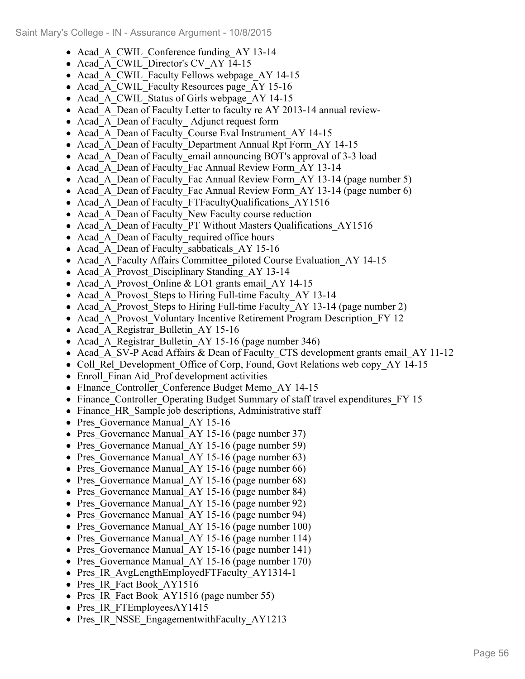- Acad A CWIL Conference funding AY 13-14
- Acad A CWIL Director's CV AY 14-15
- Acad A CWIL Faculty Fellows webpage AY 14-15
- Acad A CWIL Faculty Resources page AY 15-16
- Acad A CWIL Status of Girls webpage AY 14-15
- Acad A Dean of Faculty Letter to faculty re AY 2013-14 annual review-
- Acad\_A\_Dean of Faculty\_Adjunct request form
- Acad A Dean of Faculty Course Eval Instrument AY 14-15
- Acad A Dean of Faculty Department Annual Rpt Form AY 14-15
- Acad A Dean of Faculty email announcing BOT's approval of 3-3 load
- Acad A Dean of Faculty Fac Annual Review Form AY 13-14
- Acad A Dean of Faculty Fac Annual Review Form AY 13-14 (page number 5)
- Acad A Dean of Faculty Fac Annual Review Form AY 13-14 (page number 6)
- Acad A Dean of Faculty FTFacultyQualifications AY1516
- Acad A Dean of Faculty New Faculty course reduction
- Acad A Dean of Faculty PT Without Masters Qualifications AY1516
- Acad A Dean of Faculty required office hours
- Acad\_A\_Dean of Faculty\_sabbaticals\_AY 15-16
- Acad A Faculty Affairs Committee piloted Course Evaluation AY 14-15
- Acad A Provost Disciplinary Standing AY 13-14
- Acad A Provost Online & LO1 grants email AY 14-15
- Acad A Provost Steps to Hiring Full-time Faculty AY 13-14
- Acad A Provost Steps to Hiring Full-time Faculty AY 13-14 (page number 2)
- Acad A Provost Voluntary Incentive Retirement Program Description FY 12
- Acad A Registrar Bulletin AY 15-16
- Acad A Registrar Bulletin AY 15-16 (page number 346)
- Acad A SV-P Acad Affairs & Dean of Faculty CTS development grants email AY 11-12
- Coll Rel Development Office of Corp, Found, Govt Relations web copy AY 14-15
- Enroll Finan Aid Prof development activities
- FInance Controller Conference Budget Memo AY 14-15
- Finance Controller Operating Budget Summary of staff travel expenditures FY 15
- Finance HR Sample job descriptions, Administrative staff
- Pres Governance Manual AY 15-16
- Pres Governance Manual AY 15-16 (page number 37)
- Pres Governance Manual AY 15-16 (page number 59)
- Pres Governance Manual AY 15-16 (page number 63)
- Pres Governance Manual AY 15-16 (page number 66)
- Pres Governance Manual AY 15-16 (page number 68)
- Pres Governance Manual AY 15-16 (page number 84)
- Pres Governance Manual AY 15-16 (page number 92)
- Pres Governance Manual AY 15-16 (page number 94)
- Pres Governance Manual AY 15-16 (page number 100)
- Pres Governance Manual AY 15-16 (page number 114)
- Pres Governance Manual AY 15-16 (page number 141)
- Pres Governance Manual AY 15-16 (page number 170)
- Pres IR AvgLengthEmployedFTFaculty AY1314-1
- Pres IR Fact Book AY1516
- Pres IR Fact Book AY1516 (page number 55)
- Pres IR FTEmployeesAY1415
- Pres IR NSSE EngagementwithFaculty AY1213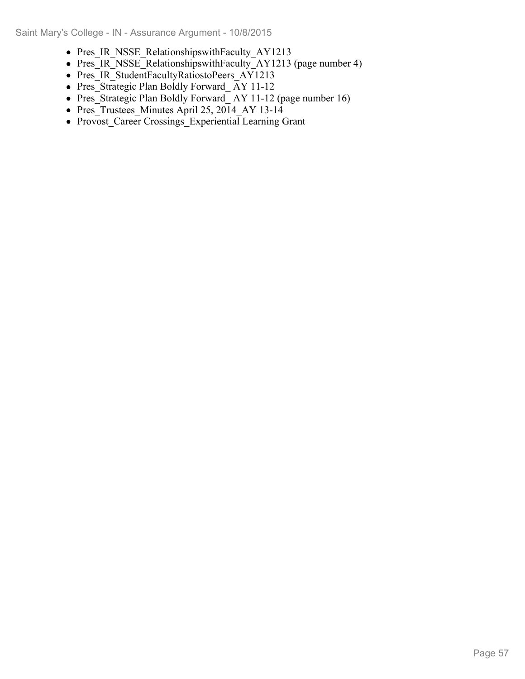- Pres IR NSSE RelationshipswithFaculty AY1213
- Pres\_IR\_NSSE\_RelationshipswithFaculty\_AY1213 (page number 4)
- Pres\_IR\_StudentFacultyRatiostoPeers\_AY1213
- Pres $\overline{\text{Str} \cdot \text{H}}$  Press Strategic Plan Boldly Forward  $\overline{\text{AY}}$  11-12
- Pres\_Strategic Plan Boldly Forward\_AY 11-12 (page number 16)
- Pres Trustees Minutes April 25, 2014 AY 13-14
- Provost\_Career Crossings\_Experiential Learning Grant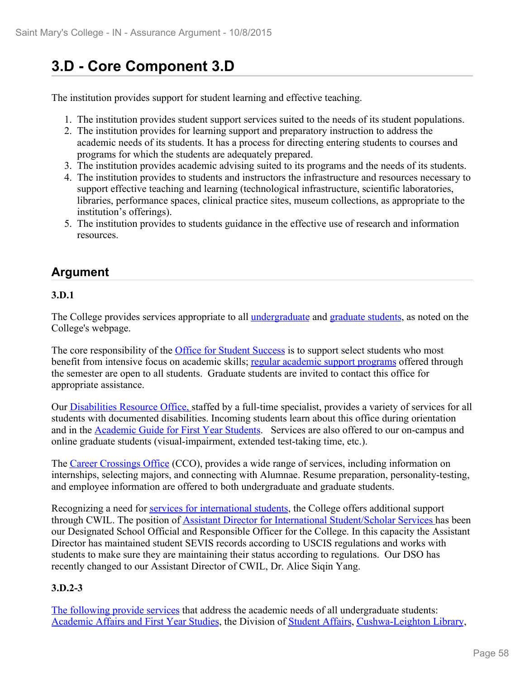# **3.D - Core Component 3.D**

The institution provides support for student learning and effective teaching.

- 1. The institution provides student support services suited to the needs of its student populations.
- 2. The institution provides for learning support and preparatory instruction to address the academic needs of its students. It has a process for directing entering students to courses and programs for which the students are adequately prepared.
- 3. The institution provides academic advising suited to its programs and the needs of its students.
- 4. The institution provides to students and instructors the infrastructure and resources necessary to support effective teaching and learning (technological infrastructure, scientific laboratories, libraries, performance spaces, clinical practice sites, museum collections, as appropriate to the institution's offerings).
- 5. The institution provides to students guidance in the effective use of research and information resources.

# **Argument**

### **3.D.1**

The College provides services appropriate to all undergraduate and graduate students, as noted on the College's webpage.

The core responsibility of the Office for Student Success is to support select students who most benefit from intensive focus on academic skills; regular academic support programs offered through the semester are open to all students. Graduate students are invited to contact this office for appropriate assistance.

Our Disabilities Resource Office, staffed by a full-time specialist, provides a variety of services for all students with documented disabilities. Incoming students learn about this office during orientation and in the Academic Guide for First Year Students. Services are also offered to our on-campus and online graduate students (visual-impairment, extended test-taking time, etc.).

The Career Crossings Office (CCO), provides a wide range of services, including information on internships, selecting majors, and connecting with Alumnae. Resume preparation, personality-testing, and employee information are offered to both undergraduate and graduate students.

Recognizing a need for services for international students, the College offers additional support through CWIL. The position of Assistant Director for International Student/Scholar Services has been our Designated School Official and Responsible Officer for the College. In this capacity the Assistant Director has maintained student SEVIS records according to USCIS regulations and works with students to make sure they are maintaining their status according to regulations. Our DSO has recently changed to our Assistant Director of CWIL, Dr. Alice Siqin Yang.

## **3.D.2-3**

The following provide services that address the academic needs of all undergraduate students: Academic Affairs and First Year Studies, the Division of Student Affairs, Cushwa-Leighton Library,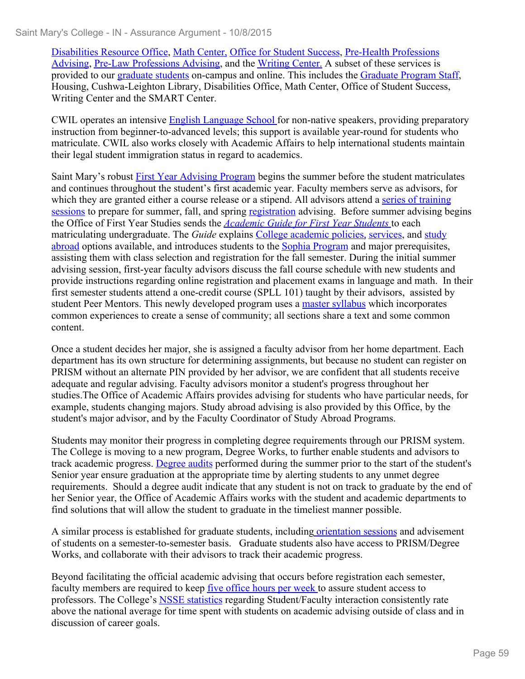Disabilities Resource Office, Math Center, Office for Student Success, Pre-Health Professions Advising, Pre-Law Professions Advising, and the Writing Center. A subset of these services is provided to our graduate students on-campus and online. This includes the Graduate Program Staff, Housing, Cushwa-Leighton Library, Disabilities Office, Math Center, Office of Student Success, Writing Center and the SMART Center.

CWIL operates an intensive English Language School for non-native speakers, providing preparatory instruction from beginner-to-advanced levels; this support is available year-round for students who matriculate. CWIL also works closely with Academic Affairs to help international students maintain their legal student immigration status in regard to academics.

Saint Mary's robust First Year Advising Program begins the summer before the student matriculates and continues throughout the student's first academic year. Faculty members serve as advisors, for which they are granted either a course release or a stipend. All advisors attend a series of training sessions to prepare for summer, fall, and spring registration advising. Before summer advising begins the Office of First Year Studies sends the *Academic Guide for First Year Students* to each matriculating undergraduate. The *Guide* explains College academic policies, services, and study abroad options available, and introduces students to the Sophia Program and major prerequisites, assisting them with class selection and registration for the fall semester. During the initial summer advising session, first-year faculty advisors discuss the fall course schedule with new students and provide instructions regarding online registration and placement exams in language and math. In their first semester students attend a one-credit course (SPLL 101) taught by their advisors, assisted by student Peer Mentors. This newly developed program uses a master syllabus which incorporates common experiences to create a sense of community; all sections share a text and some common content.

Once a student decides her major, she is assigned a faculty advisor from her home department. Each department has its own structure for determining assignments, but because no student can register on PRISM without an alternate PIN provided by her advisor, we are confident that all students receive adequate and regular advising. Faculty advisors monitor a student's progress throughout her studies.The Office of Academic Affairs provides advising for students who have particular needs, for example, students changing majors. Study abroad advising is also provided by this Office, by the student's major advisor, and by the Faculty Coordinator of Study Abroad Programs.

Students may monitor their progress in completing degree requirements through our PRISM system. The College is moving to a new program, Degree Works, to further enable students and advisors to track academic progress. Degree audits performed during the summer prior to the start of the student's Senior year ensure graduation at the appropriate time by alerting students to any unmet degree requirements. Should a degree audit indicate that any student is not on track to graduate by the end of her Senior year, the Office of Academic Affairs works with the student and academic departments to find solutions that will allow the student to graduate in the timeliest manner possible.

A similar process is established for graduate students, including orientation sessions and advisement of students on a semester-to-semester basis. Graduate students also have access to PRISM/Degree Works, and collaborate with their advisors to track their academic progress.

Beyond facilitating the official academic advising that occurs before registration each semester, faculty members are required to keep five office hours per week to assure student access to professors. The College's NSSE statistics regarding Student/Faculty interaction consistently rate above the national average for time spent with students on academic advising outside of class and in discussion of career goals.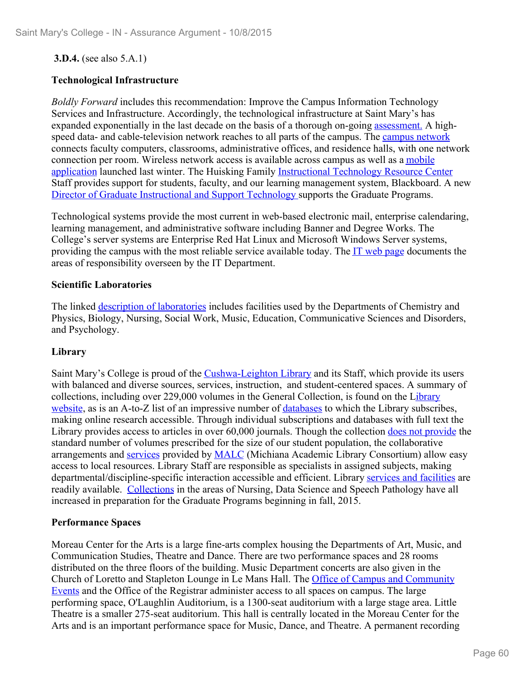### **3.D.4.** (see also 5.A.1)

### **Technological Infrastructure**

*Boldly Forward* includes this recommendation: Improve the Campus Information Technology Services and Infrastructure. Accordingly, the technological infrastructure at Saint Mary's has expanded exponentially in the last decade on the basis of a thorough on-going assessment. A highspeed data- and cable-television network reaches to all parts of the campus. The campus network connects faculty computers, classrooms, administrative offices, and residence halls, with one network connection per room. Wireless network access is available across campus as well as a mobile application launched last winter. The Huisking Family Instructional Technology Resource Center Staff provides support for students, faculty, and our learning management system, Blackboard. A new Director of Graduate Instructional and Support Technology supports the Graduate Programs.

Technological systems provide the most current in web-based electronic mail, enterprise calendaring, learning management, and administrative software including Banner and Degree Works. The College's server systems are Enterprise Red Hat Linux and Microsoft Windows Server systems, providing the campus with the most reliable service available today. The IT web page documents the areas of responsibility overseen by the IT Department.

### **Scientific Laboratories**

The linked description of laboratories includes facilities used by the Departments of Chemistry and Physics, Biology, Nursing, Social Work, Music, Education, Communicative Sciences and Disorders, and Psychology.

### **Library**

Saint Mary's College is proud of the Cushwa-Leighton Library and its Staff, which provide its users with balanced and diverse sources, services, instruction, and student-centered spaces. A summary of collections, including over 229,000 volumes in the General Collection, is found on the Library website, as is an A-to-Z list of an impressive number of databases to which the Library subscribes, making online research accessible. Through individual subscriptions and databases with full text the Library provides access to articles in over 60,000 journals. Though the collection does not provide the standard number of volumes prescribed for the size of our student population, the collaborative arrangements and services provided by MALC (Michiana Academic Library Consortium) allow easy access to local resources. Library Staff are responsible as specialists in assigned subjects, making departmental/discipline-specific interaction accessible and efficient. Library services and facilities are readily available. Collections in the areas of Nursing, Data Science and Speech Pathology have all increased in preparation for the Graduate Programs beginning in fall, 2015.

### **Performance Spaces**

Moreau Center for the Arts is a large fine-arts complex housing the Departments of Art, Music, and Communication Studies, Theatre and Dance. There are two performance spaces and 28 rooms distributed on the three floors of the building. Music Department concerts are also given in the Church of Loretto and Stapleton Lounge in Le Mans Hall. The Office of Campus and Community Events and the Office of the Registrar administer access to all spaces on campus. The large performing space, O'Laughlin Auditorium, is a 1300-seat auditorium with a large stage area. Little Theatre is a smaller 275-seat auditorium. This hall is centrally located in the Moreau Center for the Arts and is an important performance space for Music, Dance, and Theatre. A permanent recording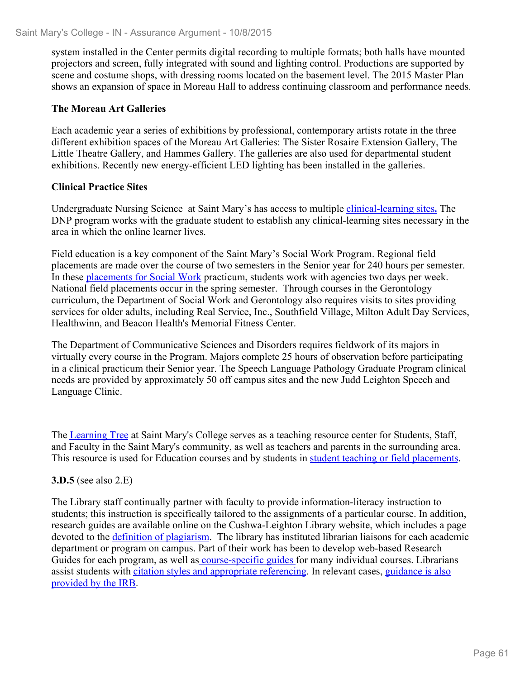system installed in the Center permits digital recording to multiple formats; both halls have mounted projectors and screen, fully integrated with sound and lighting control. Productions are supported by scene and costume shops, with dressing rooms located on the basement level. The 2015 Master Plan shows an expansion of space in Moreau Hall to address continuing classroom and performance needs.

### **The Moreau Art Galleries**

Each academic year a series of exhibitions by professional, contemporary artists rotate in the three different exhibition spaces of the Moreau Art Galleries: The Sister Rosaire Extension Gallery, The Little Theatre Gallery, and Hammes Gallery. The galleries are also used for departmental student exhibitions. Recently new energy-efficient LED lighting has been installed in the galleries.

### **Clinical Practice Sites**

Undergraduate Nursing Science at Saint Mary's has access to multiple clinical-learning sites**.** The DNP program works with the graduate student to establish any clinical-learning sites necessary in the area in which the online learner lives.

Field education is a key component of the Saint Mary's Social Work Program. Regional field placements are made over the course of two semesters in the Senior year for 240 hours per semester. In these placements for Social Work practicum, students work with agencies two days per week. National field placements occur in the spring semester. Through courses in the Gerontology curriculum, the Department of Social Work and Gerontology also requires visits to sites providing services for older adults, including Real Service, Inc., Southfield Village, Milton Adult Day Services, Healthwinn, and Beacon Health's Memorial Fitness Center.

The Department of Communicative Sciences and Disorders requires fieldwork of its majors in virtually every course in the Program. Majors complete 25 hours of observation before participating in a clinical practicum their Senior year. The Speech Language Pathology Graduate Program clinical needs are provided by approximately 50 off campus sites and the new Judd Leighton Speech and Language Clinic.

The Learning Tree at Saint Mary's College serves as a teaching resource center for Students, Staff, and Faculty in the Saint Mary's community, as well as teachers and parents in the surrounding area. This resource is used for Education courses and by students in student teaching or field placements.

#### **3.D.5** (see also 2.E)

The Library staff continually partner with faculty to provide information-literacy instruction to students; this instruction is specifically tailored to the assignments of a particular course. In addition, research guides are available online on the Cushwa-Leighton Library website, which includes a page devoted to the <u>definition of plagiarism</u>. The library has instituted librarian liaisons for each academic department or program on campus. Part of their work has been to develop web-based Research Guides for each program, as well as course-specific guides for many individual courses. Librarians assist students with citation styles and appropriate referencing. In relevant cases, guidance is also provided by the IRB.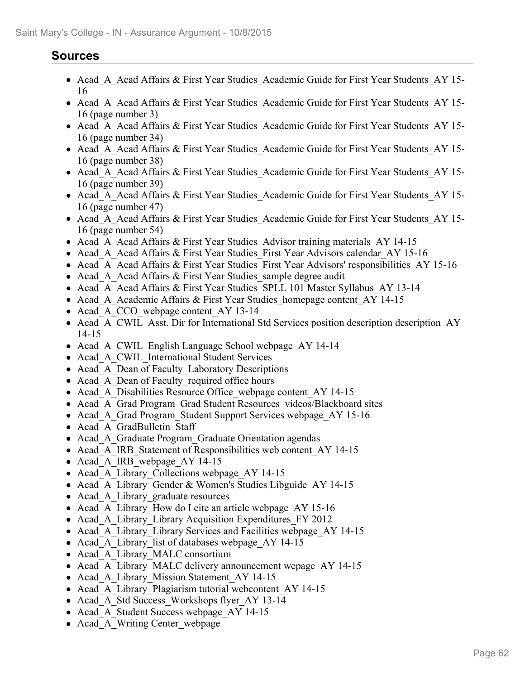# **Sources**

- Acad A Acad Affairs & First Year Studies Academic Guide for First Year Students AY 15-16
- Acad A Acad Affairs & First Year Studies Academic Guide for First Year Students AY 15-16 (page number 3)
- Acad A Acad Affairs & First Year Studies Academic Guide for First Year Students AY 15-16 (page number 34)
- Acad A Acad Affairs & First Year Studies Academic Guide for First Year Students AY 15-16 (page number 38)
- Acad A Acad Affairs & First Year Studies Academic Guide for First Year Students AY 15-16 (page number 39)
- Acad A Acad Affairs & First Year Studies Academic Guide for First Year Students AY 15-16 (page number 47)
- Acad A Acad Affairs & First Year Studies Academic Guide for First Year Students AY 15-16 (page number 54)
- Acad A Acad Affairs & First Year Studies Advisor training materials AY 14-15
- Acad A Acad Affairs & First Year Studies First Year Advisors calendar AY 15-16
- Acad A Acad Affairs & First Year Studies First Year Advisors' responsibilities AY 15-16
- Acad A Acad Affairs & First Year Studies sample degree audit
- Acad A Acad Affairs & First Year Studies SPLL 101 Master Syllabus AY 13-14
- Acad A Academic Affairs & First Year Studies homepage content AY 14-15
- Acad A CCO webpage content AY 13-14
- Acad A CWIL Asst. Dir for International Std Services position description description AY 14-15
- Acad A CWIL English Language School webpage AY 14-14
- Acad A CWIL International Student Services
- Acad A Dean of Faculty Laboratory Descriptions
- Acad A Dean of Faculty required office hours
- Acad A Disabilities Resource Office webpage content AY 14-15
- Acad A Grad Program Grad Student Resources videos/Blackboard sites
- Acad A Grad Program Student Support Services webpage AY 15-16
- Acad A GradBulletin Staff
- Acad A Graduate Program Graduate Orientation agendas
- Acad A IRB Statement of Responsibilities web content AY 14-15
- Acad A IRB webpage AY 14-15
- Acad A Library Collections webpage AY 14-15
- Acad A Library Gender & Women's Studies Libguide AY 14-15
- Acad A Library graduate resources
- Acad A Library How do I cite an article webpage AY 15-16
- Acad A Library Library Acquisition Expenditures FY 2012
- Acad A Library Library Services and Facilities webpage AY 14-15
- Acad A Library list of databases webpage AY 14-15
- Acad A Library MALC consortium
- Acad A Library MALC delivery announcement wepage AY 14-15
- Acad A Library Mission Statement AY 14-15
- Acad A Library Plagiarism tutorial webcontent AY 14-15
- Acad A Std Success Workshops flyer AY 13-14
- Acad A Student Success webpage AY 14-15
- Acad A Writing Center webpage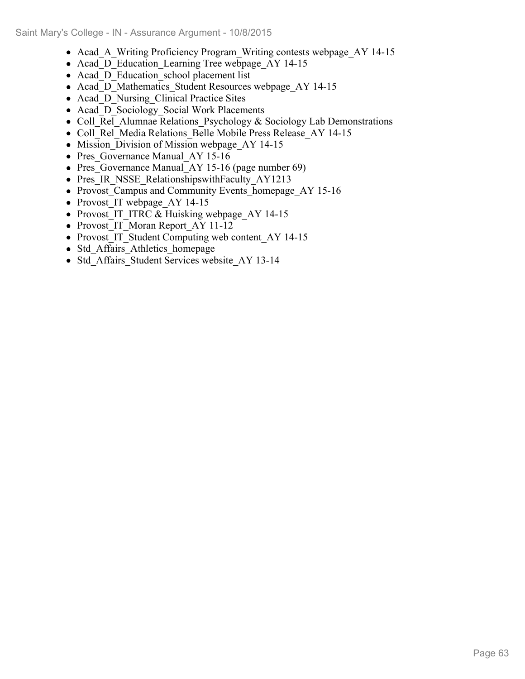- Acad A Writing Proficiency Program Writing contests webpage AY 14-15
- Acad D Education Learning Tree webpage AY 14-15
- Acad D Education school placement list
- Acad D Mathematics Student Resources webpage AY 14-15
- Acad D Nursing Clinical Practice Sites
- Acad D Sociology Social Work Placements
- Coll Rel Alumnae Relations Psychology & Sociology Lab Demonstrations
- Coll Rel Media Relations Belle Mobile Press Release AY 14-15
- Mission Division of Mission webpage AY 14-15
- Pres Governance Manual AY 15-16
- Pres Governance Manual AY 15-16 (page number 69)
- Pres IR NSSE RelationshipswithFaculty AY1213
- Provost Campus and Community Events homepage AY 15-16
- Provost IT webpage AY 14-15
- Provost IT ITRC & Huisking webpage AY 14-15
- Provost\_IT\_Moran Report\_AY 11-12
- Provost IT Student Computing web content AY 14-15
- Std Affairs Athletics homepage
- Std\_Affairs\_Student Services website AY 13-14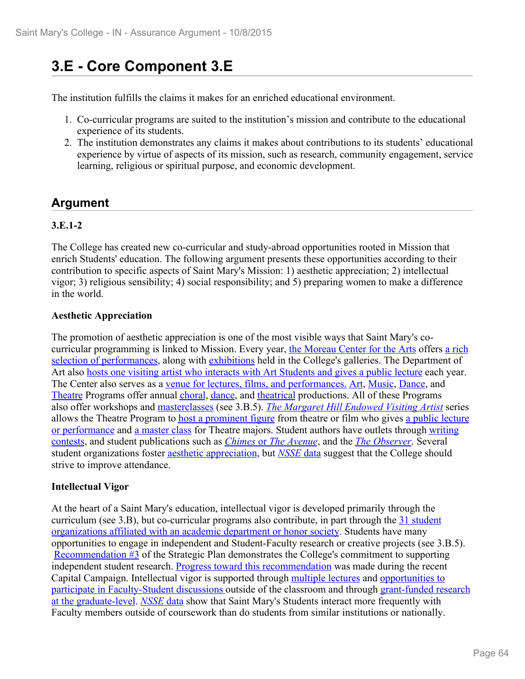# **3.E - Core Component 3.E**

The institution fulfills the claims it makes for an enriched educational environment.

- 1. Co-curricular programs are suited to the institution's mission and contribute to the educational experience of its students.
- 2. The institution demonstrates any claims it makes about contributions to its students' educational experience by virtue of aspects of its mission, such as research, community engagement, service learning, religious or spiritual purpose, and economic development.

# **Argument**

## **3.E.1-2**

The College has created new co-curricular and study-abroad opportunities rooted in Mission that enrich Students' education. The following argument presents these opportunities according to their contribution to specific aspects of Saint Mary's Mission: 1) aesthetic appreciation; 2) intellectual vigor; 3) religious sensibility; 4) social responsibility; and 5) preparing women to make a difference in the world.

## **Aesthetic Appreciation**

The promotion of aesthetic appreciation is one of the most visible ways that Saint Mary's cocurricular programming is linked to Mission. Every year, the Moreau Center for the Arts offers a rich selection of performances, along with exhibitions held in the College's galleries. The Department of Art also hosts one visiting artist who interacts with Art Students and gives a public lecture each year. The Center also serves as a venue for lectures, films, and performances. Art, Music, Dance, and Theatre Programs offer annual choral, dance, and theatrical productions. All of these Programs also offer workshops and masterclasses (see 3.B.5). *The Margaret Hill Endowed Visiting Artist* series allows the Theatre Program to host a prominent figure from theatre or film who gives a public lecture or performance and a master class for Theatre majors. Student authors have outlets through writing contests, and student publications such as *Chimes* or *The Avenue*, and the *The Observer*. Several student organizations foster aesthetic appreciation, but *NSSE* data suggest that the College should strive to improve attendance.

## **Intellectual Vigor**

At the heart of a Saint Mary's education, intellectual vigor is developed primarily through the curriculum (see 3.B), but co-curricular programs also contribute, in part through the 31 student organizations affiliated with an academic department or honor society. Students have many opportunities to engage in independent and Student-Faculty research or creative projects (see 3.B.5). Recommendation  $\#$ 3 of the Strategic Plan demonstrates the College's commitment to supporting independent student research. Progress toward this recommendation was made during the recent Capital Campaign. Intellectual vigor is supported through multiple lectures and opportunities to participate in Faculty-Student discussions outside of the classroom and through grant-funded research at the graduate-level. *NSSE* data show that Saint Mary's Students interact more frequently with Faculty members outside of coursework than do students from similar institutions or nationally.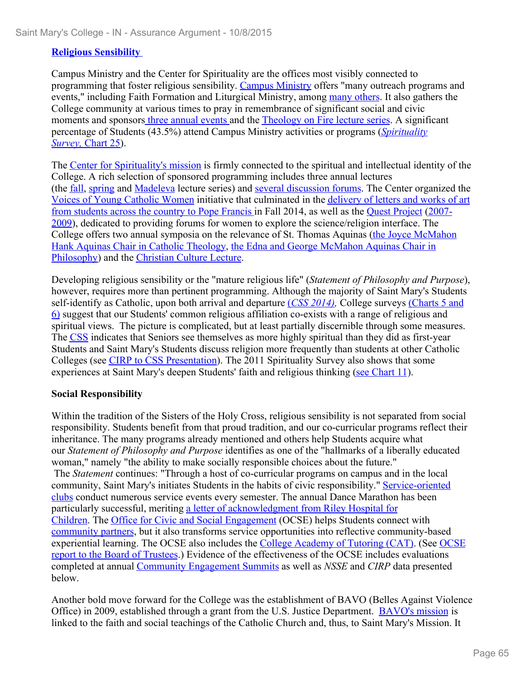### **Religious Sensibility**

Campus Ministry and the Center for Spirituality are the offices most visibly connected to programming that foster religious sensibility. Campus Ministry offers "many outreach programs and events," including Faith Formation and Liturgical Ministry, among many others. It also gathers the College community at various times to pray in remembrance of significant social and civic moments and sponsors three annual events and the Theology on Fire lecture series. A significant percentage of Students (43.5%) attend Campus Ministry activities or programs (*Spirituality Survey,* Chart 25).

The Center for Spirituality's mission is firmly connected to the spiritual and intellectual identity of the College. A rich selection of sponsored programming includes three annual lectures (the fall, spring and Madeleva lecture series) and several discussion forums. The Center organized the Voices of Young Catholic Women initiative that culminated in the delivery of letters and works of art from students across the country to Pope Francis in Fall 2014, as well as the Quest Project (2007- 2009), dedicated to providing forums for women to explore the science/religion interface. The College offers two annual symposia on the relevance of St. Thomas Aquinas (the Joyce McMahon Hank Aquinas Chair in Catholic Theology, the Edna and George McMahon Aquinas Chair in Philosophy) and the Christian Culture Lecture.

Developing religious sensibility or the "mature religious life" (*Statement of Philosophy and Purpose*), however, requires more than pertinent programming. Although the majority of Saint Mary's Students self-identify as Catholic, upon both arrival and departure (*CSS 2014),* College surveys (Charts 5 and 6) suggest that our Students' common religious affiliation co-exists with a range of religious and spiritual views. The picture is complicated, but at least partially discernible through some measures. The CSS indicates that Seniors see themselves as more highly spiritual than they did as first-year Students and Saint Mary's Students discuss religion more frequently than students at other Catholic Colleges (see CIRP to CSS Presentation). The 2011 Spirituality Survey also shows that some experiences at Saint Mary's deepen Students' faith and religious thinking (see Chart 11).

### **Social Responsibility**

Within the tradition of the Sisters of the Holy Cross, religious sensibility is not separated from social responsibility. Students benefit from that proud tradition, and our co-curricular programs reflect their inheritance. The many programs already mentioned and others help Students acquire what our *Statement of Philosophy and Purpose* identifies as one of the "hallmarks of a liberally educated woman," namely "the ability to make socially responsible choices about the future."

 The *Statement* continues: "Through a host of co-curricular programs on campus and in the local community, Saint Mary's initiates Students in the habits of civic responsibility." Service-oriented clubs conduct numerous service events every semester. The annual Dance Marathon has been particularly successful, meriting a letter of acknowledgment from Riley Hospital for Children. The Office for Civic and Social Engagement (OCSE) helps Students connect with community partners, but it also transforms service opportunities into reflective community-based experiential learning. The OCSE also includes the College Academy of Tutoring (CAT). (See OCSE report to the Board of Trustees.) Evidence of the effectiveness of the OCSE includes evaluations completed at annual Community Engagement Summits as well as *NSSE* and *CIRP* data presented below.

Another bold move forward for the College was the establishment of BAVO (Belles Against Violence Office) in 2009, established through a grant from the U.S. Justice Department. BAVO's mission is linked to the faith and social teachings of the Catholic Church and, thus, to Saint Mary's Mission. It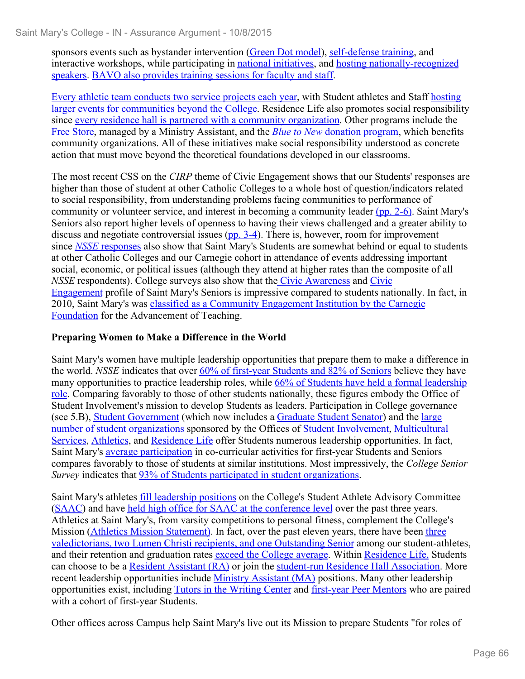sponsors events such as bystander intervention (Green Dot model), self-defense training, and interactive workshops, while participating in national initiatives, and hosting nationally-recognized speakers. BAVO also provides training sessions for faculty and staff.

Every athletic team conducts two service projects each year, with Student athletes and Staff hosting larger events for communities beyond the College. Residence Life also promotes social responsibility since every residence hall is partnered with a community organization. Other programs include the Free Store, managed by a Ministry Assistant, and the *Blue to New* donation program, which benefits community organizations. All of these initiatives make social responsibility understood as concrete action that must move beyond the theoretical foundations developed in our classrooms.

The most recent CSS on the *CIRP* theme of Civic Engagement shows that our Students' responses are higher than those of student at other Catholic Colleges to a whole host of question/indicators related to social responsibility, from understanding problems facing communities to performance of community or volunteer service, and interest in becoming a community leader (pp. 2-6). Saint Mary's Seniors also report higher levels of openness to having their views challenged and a greater ability to discuss and negotiate controversial issues (pp. 3-4). There is, however, room for improvement since *NSSE* responses also show that Saint Mary's Students are somewhat behind or equal to students at other Catholic Colleges and our Carnegie cohort in attendance of events addressing important social, economic, or political issues (although they attend at higher rates than the composite of all *NSSE* respondents). College surveys also show that the Civic Awareness and Civic Engagement profile of Saint Mary's Seniors is impressive compared to students nationally. In fact, in 2010, Saint Mary's was classified as a Community Engagement Institution by the Carnegie Foundation for the Advancement of Teaching.

### **Preparing Women to Make a Difference in the World**

Saint Mary's women have multiple leadership opportunities that prepare them to make a difference in the world. *NSSE* indicates that over 60% of first-year Students and 82% of Seniors believe they have many opportunities to practice leadership roles, while 66% of Students have held a formal leadership role. Comparing favorably to those of other students nationally, these figures embody the Office of Student Involvement's mission to develop Students as leaders. Participation in College governance (see 5.B), Student Government (which now includes a Graduate Student Senator) and the large number of student organizations sponsored by the Offices of Student Involvement, Multicultural Services, Athletics, and Residence Life offer Students numerous leadership opportunities. In fact, Saint Mary's average participation in co-curricular activities for first-year Students and Seniors compares favorably to those of students at similar institutions. Most impressively, the *College Senior Survey* indicates that 93% of Students participated in student organizations. Saint Mary's athletes fill leadership positions on the College's Student Athlete Advisory Committee

(SAAC) and have held high office for SAAC at the conference level over the past three years. Athletics at Saint Mary's, from varsity competitions to personal fitness, complement the College's Mission (Athletics Mission Statement). In fact, over the past eleven years, there have been three valedictorians, two Lumen Christi recipients, and one Outstanding Senior among our student-athletes, and their retention and graduation rates exceed the College average. Within Residence Life, Students can choose to be a Resident Assistant (RA) or join the student-run Residence Hall Association. More recent leadership opportunities include Ministry Assistant (MA) positions. Many other leadership opportunities exist, including Tutors in the Writing Center and first-year Peer Mentors who are paired with a cohort of first-year Students.

Other offices across Campus help Saint Mary's live out its Mission to prepare Students "for roles of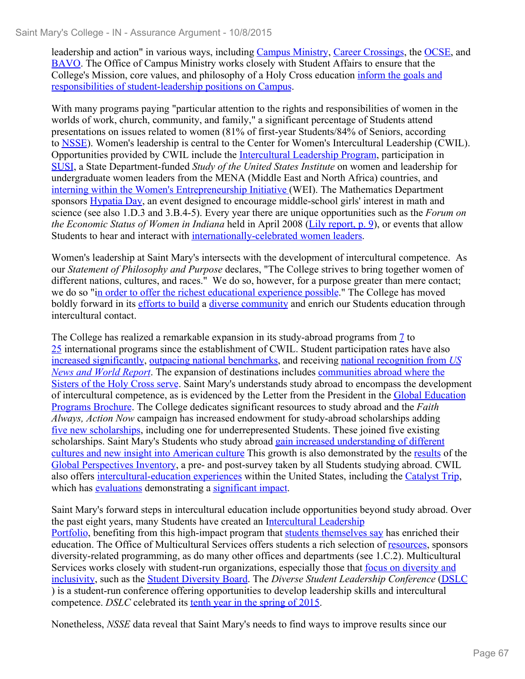leadership and action" in various ways, including Campus Ministry, Career Crossings, the OCSE, and BAVO. The Office of Campus Ministry works closely with Student Affairs to ensure that the College's Mission, core values, and philosophy of a Holy Cross education inform the goals and

responsibilities of student-leadership positions on Campus. With many programs paying "particular attention to the rights and responsibilities of women in the worlds of work, church, community, and family," a significant percentage of Students attend presentations on issues related to women (81% of first-year Students/84% of Seniors, according to NSSE). Women's leadership is central to the Center for Women's Intercultural Leadership (CWIL). Opportunities provided by CWIL include the Intercultural Leadership Program, participation in SUSI, a State Department-funded *Study of the United States Institute* on women and leadership for undergraduate women leaders from the MENA (Middle East and North Africa) countries, and interning within the Women's Entrepreneurship Initiative (WEI). The Mathematics Department sponsors Hypatia Day, an event designed to encourage middle-school girls' interest in math and science (see also 1.D.3 and 3.B.4-5). Every year there are unique opportunities such as the *Forum on the Economic Status of Women in Indiana* held in April 2008 (Lily report, p. 9), or events that allow Students to hear and interact with <u>internationally-celebrated women leaders</u>.<br>Women's leadership at Saint Mary's intersects with the development of intercultural competence. As

our *Statement of Philosophy and Purpose* declares, "The College strives to bring together women of different nations, cultures, and races." We do so, however, for a purpose greater than mere contact; we do so "in order to offer the richest educational experience possible." The College has moved boldly forward in its efforts to build a diverse community and enrich our Students education through intercultural contact.

The College has realized a remarkable expansion in its study-abroad programs from 7 to 25 international programs since the establishment of CWIL. Student participation rates have also increased significantly, outpacing national benchmarks, and receiving national recognition from *US News and World Report*. The expansion of destinations includes communities abroad where the Sisters of the Holy Cross serve. Saint Mary's understands study abroad to encompass the development of intercultural competence, as is evidenced by the Letter from the President in the Global Education Programs Brochure. The College dedicates significant resources to study abroad and the *Faith Always, Action Now* campaign has increased endowment for study-abroad scholarships adding five new scholarships, including one for underrepresented Students. These joined five existing scholarships. Saint Mary's Students who study abroad gain increased understanding of different cultures and new insight into American culture This growth is also demonstrated by the results of the Global Perspectives Inventory, a pre- and post-survey taken by all Students studying abroad. CWIL also offers intercultural-education experiences within the United States, including the Catalyst Trip, which has evaluations demonstrating a significant impact.

Saint Mary's forward steps in intercultural education include opportunities beyond study abroad. Over the past eight years, many Students have created an Intercultural Leadership Portfolio, benefiting from this high-impact program that students themselves say has enriched their education. The Office of Multicultural Services offers students a rich selection of resources, sponsors diversity-related programming, as do many other offices and departments (see 1.C.2). Multicultural Services works closely with student-run organizations, especially those that focus on diversity and inclusivity, such as the Student Diversity Board. The *Diverse Student Leadership Conference* (DSLC ) is a student-run conference offering opportunities to develop leadership skills and intercultural competence. *DSLC* celebrated its tenth year in the spring of 2015.

Nonetheless, *NSSE* data reveal that Saint Mary's needs to find ways to improve results since our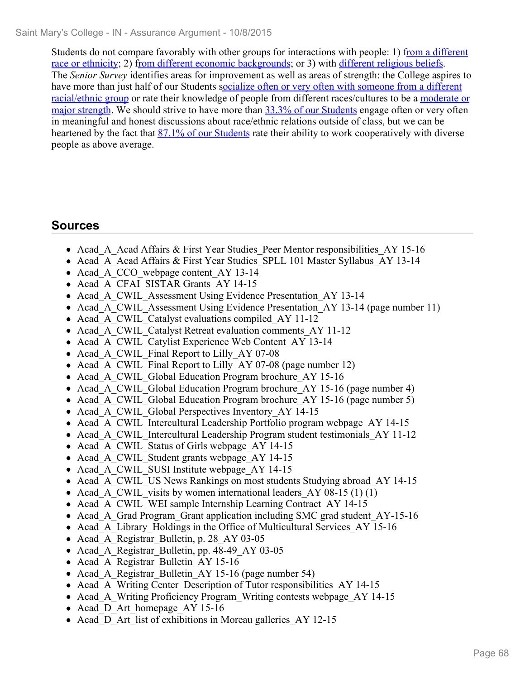Students do not compare favorably with other groups for interactions with people: 1) from a different race or ethnicity; 2) from different economic backgrounds; or 3) with different religious beliefs. The *Senior Survey* identifies areas for improvement as well as areas of strength: the College aspires to have more than just half of our Students socialize often or very often with someone from a different racial/ethnic group or rate their knowledge of people from different races/cultures to be a moderate or major strength. We should strive to have more than 33.3% of our Students engage often or very often in meaningful and honest discussions about race/ethnic relations outside of class, but we can be heartened by the fact that 87.1% of our Students rate their ability to work cooperatively with diverse people as above average.

# **Sources**

- Acad A Acad Affairs & First Year Studies Peer Mentor responsibilities AY 15-16
- Acad A Acad Affairs & First Year Studies SPLL 101 Master Syllabus AY 13-14
- Acad A CCO webpage content AY 13-14
- Acad A CFAI SISTAR Grants AY 14-15
- Acad A CWIL Assessment Using Evidence Presentation AY 13-14
- Acad A CWIL Assessment Using Evidence Presentation AY 13-14 (page number 11)
- Acad A CWIL Catalyst evaluations compiled AY 11-12
- Acad A CWIL Catalyst Retreat evaluation comments AY 11-12
- Acad A CWIL Catylist Experience Web Content AY 13-14
- Acad A CWIL Final Report to Lilly AY 07-08
- Acad A CWIL Final Report to Lilly AY 07-08 (page number 12)
- Acad A CWIL Global Education Program brochure AY 15-16
- Acad A CWIL Global Education Program brochure AY 15-16 (page number 4)
- Acad A CWIL Global Education Program brochure  $AY$  15-16 (page number 5)
- Acad A CWIL Global Perspectives Inventory AY 14-15
- Acad A CWIL Intercultural Leadership Portfolio program webpage AY 14-15
- Acad A CWIL Intercultural Leadership Program student testimonials AY 11-12
- Acad A CWIL Status of Girls webpage AY 14-15
- Acad A CWIL Student grants webpage AY 14-15
- Acad A CWIL SUSI Institute webpage AY 14-15
- Acad A CWIL US News Rankings on most students Studying abroad AY 14-15
- Acad A CWIL visits by women international leaders AY 08-15 (1) (1)
- Acad A CWIL WEI sample Internship Learning Contract AY 14-15
- Acad A Grad Program Grant application including SMC grad student AY-15-16
- Acad A Library Holdings in the Office of Multicultural Services AY 15-16
- Acad A Registrar Bulletin, p. 28 AY 03-05
- Acad A Registrar Bulletin, pp. 48-49 AY 03-05
- Acad A Registrar Bulletin AY 15-16
- Acad A Registrar Bulletin AY 15-16 (page number 54)
- Acad A Writing Center Description of Tutor responsibilities AY 14-15
- Acad A Writing Proficiency Program Writing contests webpage AY 14-15
- Acad D Art homepage AY 15-16
- Acad D Art list of exhibitions in Moreau galleries AY 12-15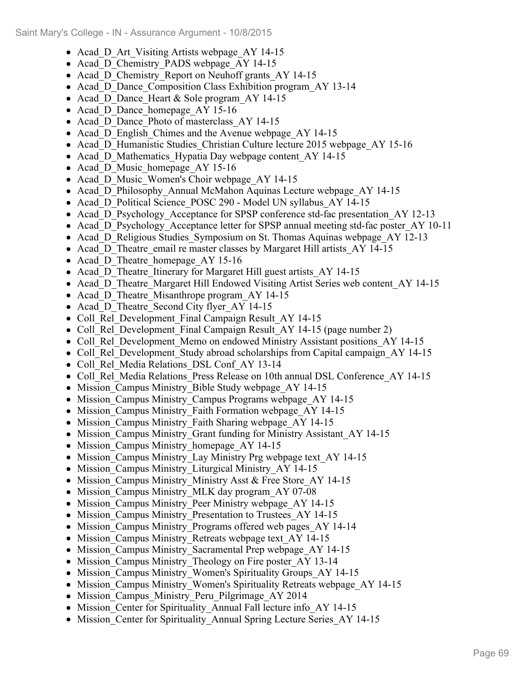- Acad D Art Visiting Artists webpage AY 14-15
- Acad\_D\_Chemistry\_PADS webpage\_AY 14-15
- Acad D Chemistry Report on Neuhoff grants AY 14-15
- Acad D Dance Composition Class Exhibition program AY 13-14
- Acad D Dance Heart & Sole program AY 14-15
- Acad D Dance homepage AY 15-16
- Acad D Dance Photo of masterclass\_AY 14-15
- Acad D English Chimes and the Avenue webpage AY 14-15
- Acad D Humanistic Studies Christian Culture lecture 2015 webpage AY 15-16
- Acad D Mathematics Hypatia Day webpage content AY 14-15
- Acad D Music homepage AY 15-16
- Acad D Music Women's Choir webpage AY 14-15
- Acad D Philosophy Annual McMahon Aquinas Lecture webpage AY 14-15
- Acad D Political Science POSC 290 Model UN syllabus AY 14-15
- Acad D Psychology Acceptance for SPSP conference std-fac presentation AY 12-13
- Acad D Psychology Acceptance letter for SPSP annual meeting std-fac poster AY 10-11
- Acad D Religious Studies Symposium on St. Thomas Aquinas webpage AY 12-13
- Acad D Theatre email re master classes by Margaret Hill artists AY 14-15
- Acad D Theatre homepage AY 15-16
- Acad D Theatre Itinerary for Margaret Hill guest artists AY 14-15
- Acad D Theatre Margaret Hill Endowed Visiting Artist Series web content AY 14-15
- Acad D Theatre Misanthrope program AY 14-15
- Acad D Theatre Second City flyer AY 14-15
- Coll Rel Development Final Campaign Result AY 14-15
- Coll Rel Development Final Campaign Result AY 14-15 (page number 2)
- Coll Rel Development Memo on endowed Ministry Assistant positions AY 14-15
- Coll Rel Development Study abroad scholarships from Capital campaign AY 14-15
- Coll Rel Media Relations DSL Conf AY 13-14
- Coll Rel Media Relations Press Release on 10th annual DSL Conference AY 14-15
- Mission Campus Ministry Bible Study webpage AY 14-15
- Mission Campus Ministry Campus Programs webpage AY 14-15
- Mission Campus Ministry Faith Formation webpage AY 14-15
- Mission Campus Ministry Faith Sharing webpage AY 14-15
- Mission Campus Ministry Grant funding for Ministry Assistant AY 14-15
- Mission Campus Ministry homepage AY 14-15
- Mission Campus Ministry Lay Ministry Prg webpage text AY 14-15
- Mission\_Campus Ministry Liturgical Ministry AY 14-15
- Mission\_Campus Ministry\_Ministry Asst & Free Store\_AY 14-15
- Mission Campus Ministry MLK day program AY 07-08
- Mission Campus Ministry Peer Ministry webpage AY 14-15
- Mission Campus Ministry Presentation to Trustees AY 14-15
- Mission\_Campus Ministry Programs offered web pages AY 14-14
- Mission Campus Ministry Retreats webpage text AY 14-15
- Mission Campus Ministry Sacramental Prep webpage AY 14-15
- Mission Campus Ministry Theology on Fire poster AY 13-14
- Mission Campus Ministry Women's Spirituality Groups AY 14-15
- Mission Campus Ministry Women's Spirituality Retreats webpage AY 14-15
- Mission Campus Ministry Peru Pilgrimage AY 2014
- Mission Center for Spirituality Annual Fall lecture info AY 14-15
- Mission Center for Spirituality Annual Spring Lecture Series AY 14-15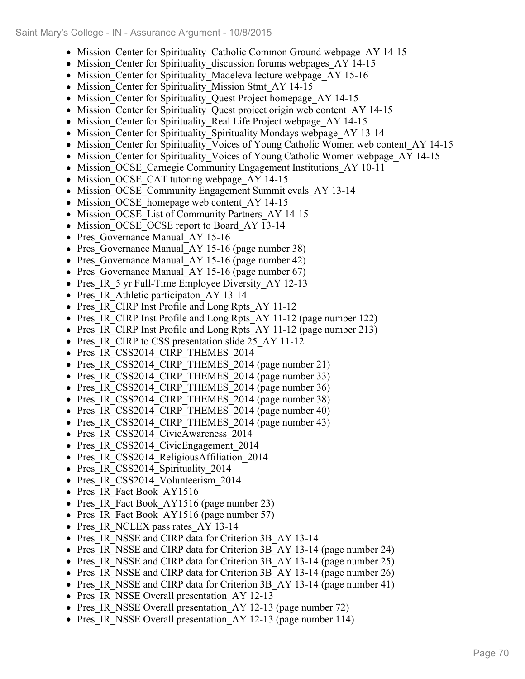- Mission Center for Spirituality Catholic Common Ground webpage AY 14-15
- Mission Center for Spirituality discussion forums webpages AY 14-15
- Mission Center for Spirituality Madeleva lecture webpage AY 15-16
- Mission Center for Spirituality Mission Stmt AY 14-15
- Mission Center for Spirituality Quest Project homepage AY 14-15
- Mission Center for Spirituality Quest project origin web content AY 14-15
- Mission Center for Spirituality Real Life Project webpage AY 14-15
- Mission Center for Spirituality Spirituality Mondays webpage AY 13-14
- Mission\_Center for Spirituality\_Voices of Young Catholic Women web content\_AY 14-15
- Mission Center for Spirituality Voices of Young Catholic Women webpage AY 14-15
- Mission OCSE Carnegie Community Engagement Institutions AY 10-11
- Mission OCSE CAT tutoring webpage AY 14-15
- Mission OCSE Community Engagement Summit evals AY 13-14
- Mission OCSE homepage web content AY 14-15
- Mission OCSE List of Community Partners AY 14-15
- Mission OCSE OCSE report to Board AY 13-14
- Pres Governance Manual AY 15-16
- Pres Governance Manual AY 15-16 (page number 38)
- Pres Governance Manual AY 15-16 (page number 42)
- Pres Governance Manual AY 15-16 (page number 67)
- Pres IR 5 yr Full-Time Employee Diversity AY 12-13
- Pres IR Athletic participaton AY 13-14
- Pres IR CIRP Inst Profile and Long Rpts AY 11-12
- Pres IR CIRP Inst Profile and Long Rpts AY 11-12 (page number 122)
- Pres IR CIRP Inst Profile and Long Rpts AY 11-12 (page number 213)
- Pres IR CIRP to CSS presentation slide 25 AY 11-12
- Pres\_IR\_CSS2014\_CIRP\_THEMES\_2014
- Pres IR CSS2014 CIRP THEMES 2014 (page number 21)
- Pres IR CSS2014 CIRP THEMES 2014 (page number 33)
- Pres IR CSS2014 CIRP THEMES 2014 (page number 36)
- Pres IR CSS2014 CIRP THEMES 2014 (page number 38)
- Pres IR CSS2014 CIRP THEMES 2014 (page number 40)
- Pres IR CSS2014 CIRP THEMES 2014 (page number 43)
- Pres IR CSS2014 CivicAwareness 2014
- Pres IR CSS2014 CivicEngagement 2014
- Pres IR CSS2014 ReligiousAffiliation 2014
- Pres IR CSS2014 Spirituality 2014
- Pres IR CSS2014 Volunteerism 2014
- Pres IR Fact Book AY1516
- Pres IR Fact Book AY1516 (page number 23)
- Pres IR Fact Book AY1516 (page number 57)
- Pres IR NCLEX pass rates AY 13-14
- Pres IR\_NSSE and CIRP data for Criterion 3B\_AY 13-14
- Pres IR NSSE and CIRP data for Criterion 3B AY 13-14 (page number 24)
- Pres IR NSSE and CIRP data for Criterion 3B AY 13-14 (page number 25)
- Pres IR NSSE and CIRP data for Criterion 3B AY 13-14 (page number 26)
- Pres IR NSSE and CIRP data for Criterion 3B AY 13-14 (page number 41)
- Pres IR NSSE Overall presentation AY 12-13
- Pres IR NSSE Overall presentation AY 12-13 (page number 72)
- Pres IR NSSE Overall presentation AY 12-13 (page number 114)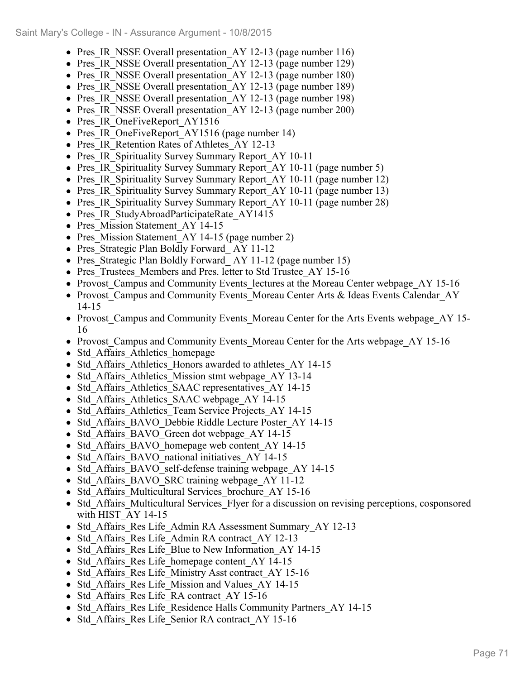- Pres IR NSSE Overall presentation AY 12-13 (page number 116)
- Pres IR NSSE Overall presentation AY 12-13 (page number 129)
- Pres IR NSSE Overall presentation AY 12-13 (page number 180)
- Pres IR NSSE Overall presentation AY 12-13 (page number 189)
- Pres IR NSSE Overall presentation AY 12-13 (page number 198)
- Pres IR NSSE Overall presentation AY 12-13 (page number 200)
- Pres IR OneFiveReport AY1516
- Pres IR OneFiveReport AY1516 (page number 14)
- Pres IR Retention Rates of Athletes AY 12-13
- Pres IR Spirituality Survey Summary Report AY 10-11
- Pres IR Spirituality Survey Summary Report AY 10-11 (page number 5)
- Pres IR Spirituality Survey Summary Report AY 10-11 (page number 12)
- Pres IR Spirituality Survey Summary Report AY 10-11 (page number 13)
- Pres IR Spirituality Survey Summary Report AY 10-11 (page number 28)
- Pres IR StudyAbroadParticipateRate AY1415
- Pres Mission Statement AY 14-15
- Pres Mission Statement AY 14-15 (page number 2)
- Pres Strategic Plan Boldly Forward AY 11-12
- Pres Strategic Plan Boldly Forward AY 11-12 (page number 15)
- Pres Trustees Members and Pres. letter to Std Trustee AY 15-16
- Provost Campus and Community Events lectures at the Moreau Center webpage AY 15-16
- Provost Campus and Community Events Moreau Center Arts & Ideas Events Calendar AY 14-15
- Provost Campus and Community Events Moreau Center for the Arts Events webpage AY 15-16
- Provost Campus and Community Events Moreau Center for the Arts webpage AY 15-16
- Std Affairs Athletics homepage
- Std Affairs Athletics Honors awarded to athletes AY 14-15
- Std Affairs Athletics Mission stmt webpage AY 13-14
- Std Affairs Athletics SAAC representatives AY 14-15
- Std Affairs Athletics SAAC webpage AY 14-15
- Std Affairs Athletics Team Service Projects AY 14-15
- Std Affairs BAVO Debbie Riddle Lecture Poster AY 14-15
- Std Affairs BAVO Green dot webpage AY 14-15
- Std Affairs BAVO homepage web content AY 14-15
- Std Affairs BAVO national initiatives AY 14-15
- Std Affairs BAVO self-defense training webpage AY 14-15
- Std Affairs BAVO SRC training webpage AY 11-12
- Std Affairs Multicultural Services brochure AY 15-16
- Std Affairs Multicultural Services Flyer for a discussion on revising perceptions, cosponsored with HIST\_AY 14-15
- Std Affairs Res Life Admin RA Assessment Summary AY 12-13
- Std Affairs Res Life Admin RA contract AY 12-13
- Std Affairs Res Life Blue to New Information AY 14-15
- Std Affairs Res Life homepage content AY 14-15
- Std Affairs Res Life Ministry Asst contract AY 15-16
- Std Affairs Res Life Mission and Values AY 14-15
- Std Affairs Res Life RA contract AY 15-16
- Std Affairs Res Life Residence Halls Community Partners AY 14-15
- Std Affairs Res Life Senior RA contract AY 15-16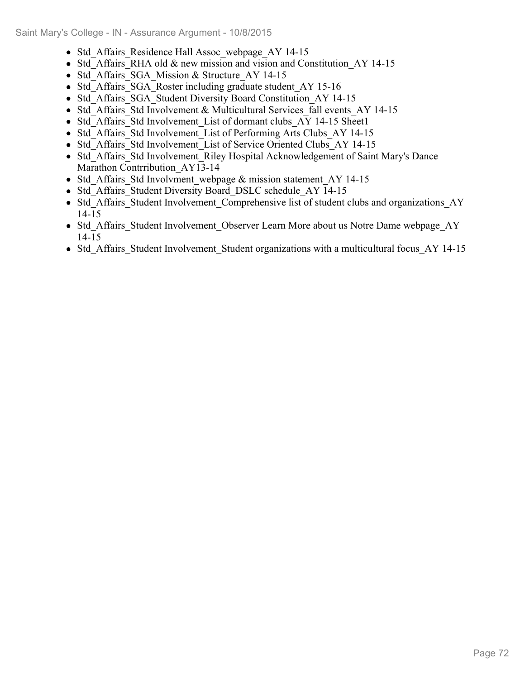- Std Affairs Residence Hall Assoc webpage AY 14-15
- Std Affairs RHA old & new mission and vision and Constitution AY 14-15
- Std Affairs SGA Mission & Structure AY 14-15
- Std Affairs SGA Roster including graduate student AY 15-16
- Std Affairs SGA Student Diversity Board Constitution AY 14-15
- Std Affairs Std Involvement & Multicultural Services fall events AY 14-15
- Std Affairs Std Involvement List of dormant clubs AY 14-15 Sheet1
- Std Affairs Std Involvement List of Performing Arts Clubs AY 14-15
- Std Affairs Std Involvement List of Service Oriented Clubs AY 14-15
- Std Affairs Std Involvement Riley Hospital Acknowledgement of Saint Mary's Dance Marathon Contrribution\_AY13-14
- Std Affairs Std Involvment webpage & mission statement AY 14-15
- Std Affairs Student Diversity Board DSLC schedule AY 14-15
- Std Affairs Student Involvement Comprehensive list of student clubs and organizations AY 14-15
- Std Affairs Student Involvement Observer Learn More about us Notre Dame webpage AY 14-15
- Std Affairs Student Involvement Student organizations with a multicultural focus AY 14-15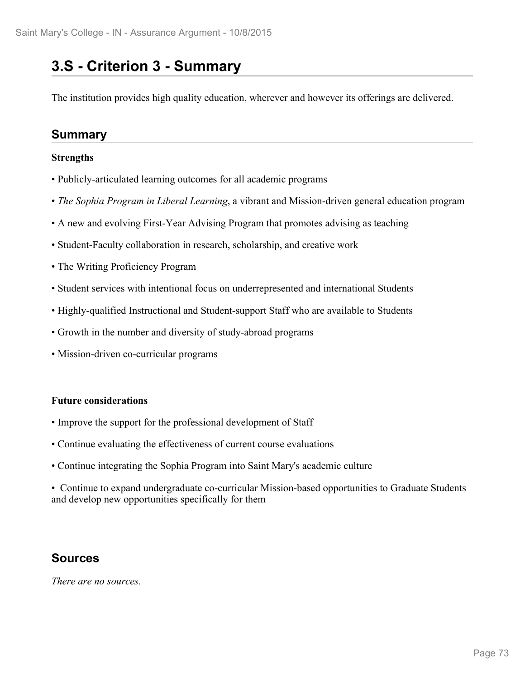## **3.S - Criterion 3 - Summary**

The institution provides high quality education, wherever and however its offerings are delivered.

## **Summary**

#### **Strengths**

- Publicly-articulated learning outcomes for all academic programs
- *The Sophia Program in Liberal Learning*, a vibrant and Mission-driven general education program
- A new and evolving First-Year Advising Program that promotes advising as teaching
- Student-Faculty collaboration in research, scholarship, and creative work
- The Writing Proficiency Program
- Student services with intentional focus on underrepresented and international Students
- Highly-qualified Instructional and Student-support Staff who are available to Students
- Growth in the number and diversity of study-abroad programs
- Mission-driven co-curricular programs

#### **Future considerations**

- Improve the support for the professional development of Staff
- Continue evaluating the effectiveness of current course evaluations
- Continue integrating the Sophia Program into Saint Mary's academic culture

• Continue to expand undergraduate co-curricular Mission-based opportunities to Graduate Students and develop new opportunities specifically for them

## **Sources**

*There are no sources.*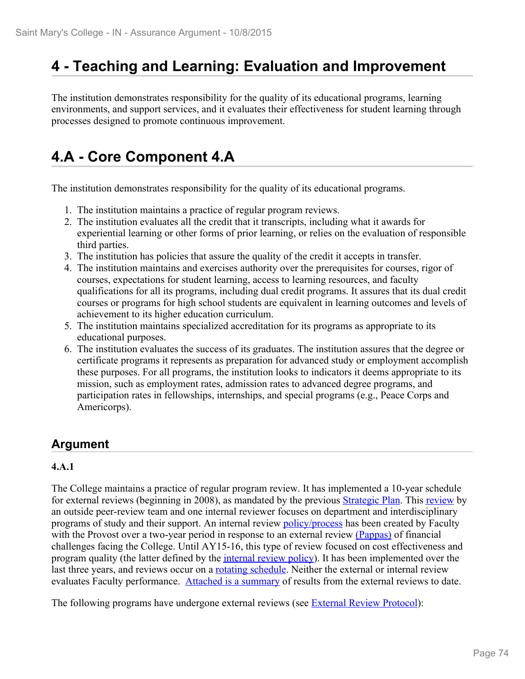## **4 - Teaching and Learning: Evaluation and Improvement**

The institution demonstrates responsibility for the quality of its educational programs, learning environments, and support services, and it evaluates their effectiveness for student learning through processes designed to promote continuous improvement.

# **4.A - Core Component 4.A**

The institution demonstrates responsibility for the quality of its educational programs.

- 1. The institution maintains a practice of regular program reviews.
- 2. The institution evaluates all the credit that it transcripts, including what it awards for experiential learning or other forms of prior learning, or relies on the evaluation of responsible third parties.
- 3. The institution has policies that assure the quality of the credit it accepts in transfer.
- 4. The institution maintains and exercises authority over the prerequisites for courses, rigor of courses, expectations for student learning, access to learning resources, and faculty qualifications for all its programs, including dual credit programs. It assures that its dual credit courses or programs for high school students are equivalent in learning outcomes and levels of achievement to its higher education curriculum.
- 5. The institution maintains specialized accreditation for its programs as appropriate to its educational purposes.
- 6. The institution evaluates the success of its graduates. The institution assures that the degree or certificate programs it represents as preparation for advanced study or employment accomplish these purposes. For all programs, the institution looks to indicators it deems appropriate to its mission, such as employment rates, admission rates to advanced degree programs, and participation rates in fellowships, internships, and special programs (e.g., Peace Corps and Americorps).

## **Argument**

#### **4.A.1**

The College maintains a practice of regular program review. It has implemented a 10-year schedule for external reviews (beginning in 2008), as mandated by the previous Strategic Plan. This review by an outside peer-review team and one internal reviewer focuses on department and interdisciplinary programs of study and their support. An internal review **policy/process** has been created by Faculty with the Provost over a two-year period in response to an external review (Pappas) of financial challenges facing the College. Until AY15-16, this type of review focused on cost effectiveness and program quality (the latter defined by the internal review policy). It has been implemented over the last three years, and reviews occur on a **rotating schedule**. Neither the external or internal review evaluates Faculty performance. Attached is a summary of results from the external reviews to date.

The following programs have undergone external reviews (see **External Review Protocol**):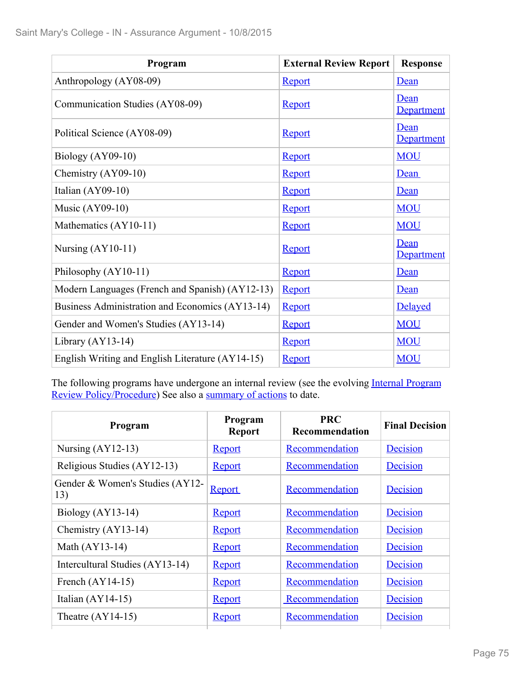| Program                                          | <b>External Review Report</b> | <b>Response</b>    |
|--------------------------------------------------|-------------------------------|--------------------|
| Anthropology (AY08-09)                           | <b>Report</b>                 | Dean               |
| Communication Studies (AY08-09)                  | <b>Report</b>                 | Dean<br>Department |
| Political Science (AY08-09)                      | <b>Report</b>                 | Dean<br>Department |
| Biology $(AY09-10)$                              | Report                        | <b>MOU</b>         |
| Chemistry $(AY09-10)$                            | <b>Report</b>                 | Dean               |
| Italian $(AY09-10)$                              | <b>Report</b>                 | Dean               |
| Music $(AY09-10)$                                | <b>Report</b>                 | <b>MOU</b>         |
| Mathematics (AY10-11)                            | <b>Report</b>                 | <b>MOU</b>         |
| Nursing $(AY10-11)$                              | Report                        | Dean<br>Department |
| Philosophy (AY10-11)                             | Report                        | Dean               |
| Modern Languages (French and Spanish) (AY12-13)  | <b>Report</b>                 | Dean               |
| Business Administration and Economics (AY13-14)  | Report                        | Delayed            |
| Gender and Women's Studies (AY13-14)             | <b>Report</b>                 | <b>MOU</b>         |
| Library $(AY13-14)$                              | Report                        | <b>MOU</b>         |
| English Writing and English Literature (AY14-15) | Report                        | <b>MOU</b>         |

The following programs have undergone an internal review (see the evolving Internal Program Review Policy/Procedure) See also a summary of actions to date.

| Program                                | Program<br><b>Report</b> | <b>PRC</b><br>Recommendation | <b>Final Decision</b> |
|----------------------------------------|--------------------------|------------------------------|-----------------------|
| Nursing $(AY12-13)$                    | Report                   | Recommendation               | Decision              |
| Religious Studies (AY12-13)            | Report                   | Recommendation               | Decision              |
| Gender & Women's Studies (AY12-<br>13) | Report                   | Recommendation               | Decision              |
| Biology (AY13-14)                      | Report                   | Recommendation               | Decision              |
| Chemistry (AY13-14)                    | Report                   | Recommendation               | Decision              |
| Math (AY13-14)                         | Report                   | Recommendation               | Decision              |
| Intercultural Studies (AY13-14)        | Report                   | Recommendation               | Decision              |
| French $(AY14-15)$                     | Report                   | Recommendation               | Decision              |
| Italian $(AY14-15)$                    | Report                   | Recommendation               | Decision              |
| Theatre $(AY14-15)$                    | Report                   | Recommendation               | Decision              |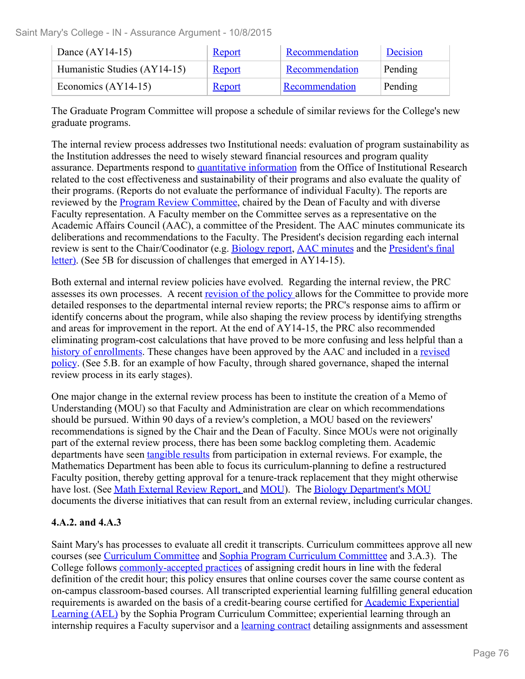| Dance $(AY14-15)$            | <b>Report</b> | Recommendation | Decision |
|------------------------------|---------------|----------------|----------|
| Humanistic Studies (AY14-15) | <b>Report</b> | Recommendation | Pending  |
| Economics $(AY14-15)$        | <u>Report</u> | Recommendation | Pending  |

The Graduate Program Committee will propose a schedule of similar reviews for the College's new graduate programs.

The internal review process addresses two Institutional needs: evaluation of program sustainability as the Institution addresses the need to wisely steward financial resources and program quality assurance. Departments respond to quantitative information from the Office of Institutional Research related to the cost effectiveness and sustainability of their programs and also evaluate the quality of their programs. (Reports do not evaluate the performance of individual Faculty). The reports are reviewed by the **Program Review Committee**, chaired by the Dean of Faculty and with diverse Faculty representation. A Faculty member on the Committee serves as a representative on the Academic Affairs Council (AAC), a committee of the President. The AAC minutes communicate its deliberations and recommendations to the Faculty. The President's decision regarding each internal review is sent to the Chair/Coodinator (e.g. Biology report, AAC minutes and the President's final letter). (See 5B for discussion of challenges that emerged in AY14-15).

Both external and internal review policies have evolved. Regarding the internal review, the PRC assesses its own processes. A recent revision of the policy allows for the Committee to provide more detailed responses to the departmental internal review reports; the PRC's response aims to affirm or identify concerns about the program, while also shaping the review process by identifying strengths and areas for improvement in the report. At the end of AY14-15, the PRC also recommended eliminating program-cost calculations that have proved to be more confusing and less helpful than a history of enrollments. These changes have been approved by the AAC and included in a revised policy. (See 5.B. for an example of how Faculty, through shared governance, shaped the internal review process in its early stages).

One major change in the external review process has been to institute the creation of a Memo of Understanding (MOU) so that Faculty and Administration are clear on which recommendations should be pursued. Within 90 days of a review's completion, a MOU based on the reviewers' recommendations is signed by the Chair and the Dean of Faculty. Since MOUs were not originally part of the external review process, there has been some backlog completing them. Academic departments have seen tangible results from participation in external reviews. For example, the Mathematics Department has been able to focus its curriculum-planning to define a restructured Faculty position, thereby getting approval for a tenure-track replacement that they might otherwise have lost. (See Math External Review Report, and MOU). The Biology Department's MOU documents the diverse initiatives that can result from an external review, including curricular changes.

#### **4.A.2. and 4.A.3**

Saint Mary's has processes to evaluate all credit it transcripts. Curriculum committees approve all new courses (see Curriculum Committee and Sophia Program Curriculum Committtee and 3.A.3). The College follows commonly-accepted practices of assigning credit hours in line with the federal definition of the credit hour; this policy ensures that online courses cover the same course content as on-campus classroom-based courses. All transcripted experiential learning fulfilling general education requirements is awarded on the basis of a credit-bearing course certified for **Academic Experiential** Learning (AEL) by the Sophia Program Curriculum Committee; experiential learning through an internship requires a Faculty supervisor and a **learning contract** detailing assignments and assessment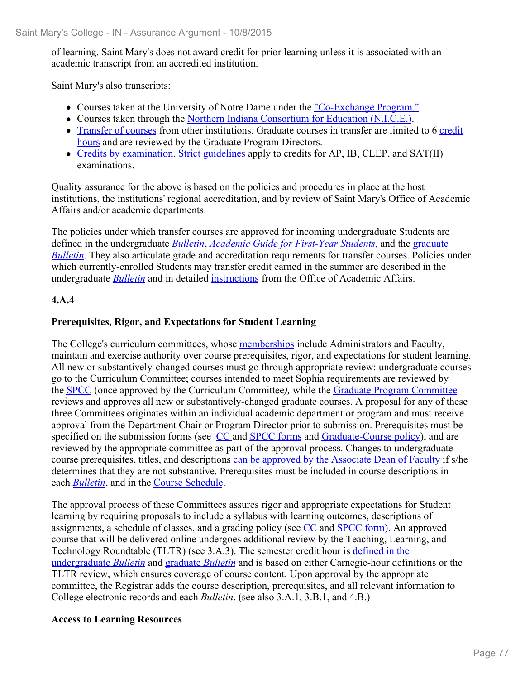of learning. Saint Mary's does not award credit for prior learning unless it is associated with an academic transcript from an accredited institution.

Saint Mary's also transcripts:

- Courses taken at the University of Notre Dame under the "Co-Exchange Program."
- Courses taken through the Northern Indiana Consortium for Education (N.I.C.E.).
- Transfer of courses from other institutions. Graduate courses in transfer are limited to 6 credit hours and are reviewed by the Graduate Program Directors.
- Credits by examination. Strict guidelines apply to credits for AP, IB, CLEP, and SAT(II) examinations.

Quality assurance for the above is based on the policies and procedures in place at the host institutions, the institutions' regional accreditation, and by review of Saint Mary's Office of Academic Affairs and/or academic departments.

The policies under which transfer courses are approved for incoming undergraduate Students are defined in the undergraduate *Bulletin*, *Academic Guide for First-Year Students,* and the graduate *Bulletin*. They also articulate grade and accreditation requirements for transfer courses. Policies under which currently-enrolled Students may transfer credit earned in the summer are described in the undergraduate *Bulletin* and in detailed instructions from the Office of Academic Affairs.

#### **4.A.4**

#### **Prerequisites, Rigor, and Expectations for Student Learning**

The College's curriculum committees, whose memberships include Administrators and Faculty, maintain and exercise authority over course prerequisites, rigor, and expectations for student learning. All new or substantively-changed courses must go through appropriate review: undergraduate courses go to the Curriculum Committee; courses intended to meet Sophia requirements are reviewed by the SPCC (once approved by the Curriculum Committee*),* while the Graduate Program Committee reviews and approves all new or substantively-changed graduate courses. A proposal for any of these three Committees originates within an individual academic department or program and must receive approval from the Department Chair or Program Director prior to submission. Prerequisites must be specified on the submission forms (see CC and SPCC forms and Graduate-Course policy), and are reviewed by the appropriate committee as part of the approval process. Changes to undergraduate course prerequisites, titles, and descriptions can be approved by the Associate Dean of Faculty if s/he determines that they are not substantive. Prerequisites must be included in course descriptions in each *Bulletin*, and in the Course Schedule.

The approval process of these Committees assures rigor and appropriate expectations for Student learning by requiring proposals to include a syllabus with learning outcomes, descriptions of assignments, a schedule of classes, and a grading policy (see CC and SPCC form). An approved course that will be delivered online undergoes additional review by the Teaching, Learning, and Technology Roundtable (TLTR) (see 3.A.3). The semester credit hour is defined in the undergraduate *Bulletin* and graduate *Bulletin* and is based on either Carnegie-hour definitions or the TLTR review, which ensures coverage of course content. Upon approval by the appropriate committee, the Registrar adds the course description, prerequisites, and all relevant information to College electronic records and each *Bulletin*. (see also 3.A.1, 3.B.1, and 4.B.)

#### **Access to Learning Resources**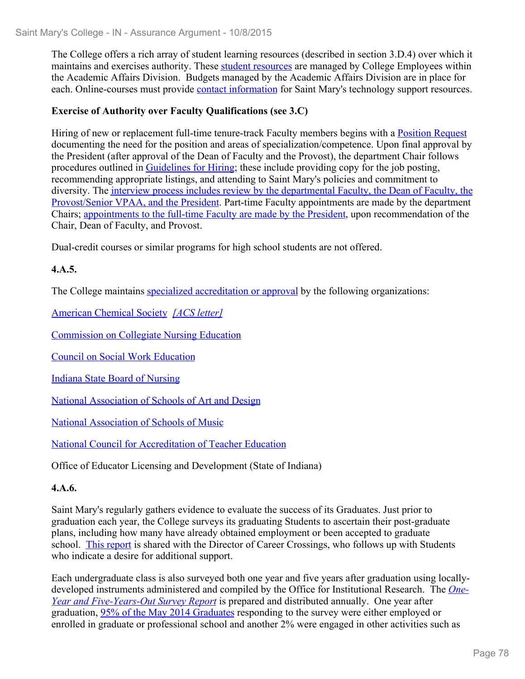The College offers a rich array of student learning resources (described in section 3.D.4) over which it maintains and exercises authority. These student resources are managed by College Employees within the Academic Affairs Division. Budgets managed by the Academic Affairs Division are in place for each. Online-courses must provide *contact information* for Saint Mary's technology support resources.

#### **Exercise of Authority over Faculty Qualifications (see 3.C)**

Hiring of new or replacement full-time tenure-track Faculty members begins with a Position Request documenting the need for the position and areas of specialization/competence. Upon final approval by the President (after approval of the Dean of Faculty and the Provost), the department Chair follows procedures outlined in Guidelines for Hiring; these include providing copy for the job posting, recommending appropriate listings, and attending to Saint Mary's policies and commitment to diversity. The interview process includes review by the departmental Faculty, the Dean of Faculty, the Provost/Senior VPAA, and the President. Part-time Faculty appointments are made by the department Chairs; appointments to the full-time Faculty are made by the President, upon recommendation of the Chair, Dean of Faculty, and Provost.

Dual-credit courses or similar programs for high school students are not offered.

#### **4.A.5.**

The College maintains specialized accreditation or approval by the following organizations:

American Chemical Society *[ACS letter]*

Commission on Collegiate Nursing Education

Council on Social Work Education

Indiana State Board of Nursing

National Association of Schools of Art and Design

National Association of Schools of Music

National Council for Accreditation of Teacher Education

Office of Educator Licensing and Development (State of Indiana)

#### **4.A.6.**

Saint Mary's regularly gathers evidence to evaluate the success of its Graduates. Just prior to graduation each year, the College surveys its graduating Students to ascertain their post-graduate plans, including how many have already obtained employment or been accepted to graduate school. This report is shared with the Director of Career Crossings, who follows up with Students who indicate a desire for additional support.

Each undergraduate class is also surveyed both one year and five years after graduation using locallydeveloped instruments administered and compiled by the Office for Institutional Research. The *One-Year and Five-Years-Out Survey Report* is prepared and distributed annually. One year after graduation, 95% of the May 2014 Graduates responding to the survey were either employed or enrolled in graduate or professional school and another 2% were engaged in other activities such as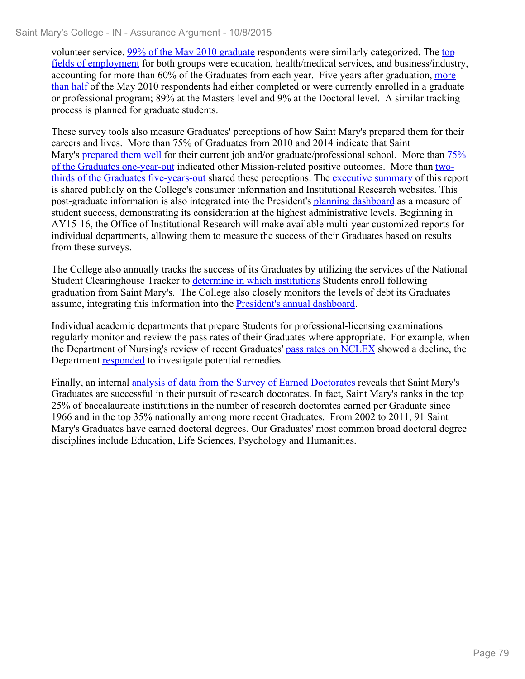volunteer service. 99% of the May 2010 graduate respondents were similarly categorized. The top fields of employment for both groups were education, health/medical services, and business/industry, accounting for more than 60% of the Graduates from each year. Five years after graduation, more than half of the May 2010 respondents had either completed or were currently enrolled in a graduate or professional program; 89% at the Masters level and 9% at the Doctoral level. A similar tracking process is planned for graduate students.

These survey tools also measure Graduates' perceptions of how Saint Mary's prepared them for their careers and lives. More than 75% of Graduates from 2010 and 2014 indicate that Saint Mary's prepared them well for their current job and/or graduate/professional school. More than  $75\%$ of the Graduates one-year-out indicated other Mission-related positive outcomes. More than twothirds of the Graduates five-years-out shared these perceptions. The executive summary of this report is shared publicly on the College's consumer information and Institutional Research websites. This post-graduate information is also integrated into the President's planning dashboard as a measure of student success, demonstrating its consideration at the highest administrative levels. Beginning in AY15-16, the Office of Institutional Research will make available multi-year customized reports for individual departments, allowing them to measure the success of their Graduates based on results from these surveys.

The College also annually tracks the success of its Graduates by utilizing the services of the National Student Clearinghouse Tracker to determine in which institutions Students enroll following graduation from Saint Mary's. The College also closely monitors the levels of debt its Graduates assume, integrating this information into the President's annual dashboard.

Individual academic departments that prepare Students for professional-licensing examinations regularly monitor and review the pass rates of their Graduates where appropriate. For example, when the Department of Nursing's review of recent Graduates' pass rates on NCLEX showed a decline, the Department responded to investigate potential remedies.

Finally, an internal analysis of data from the Survey of Earned Doctorates reveals that Saint Mary's Graduates are successful in their pursuit of research doctorates. In fact, Saint Mary's ranks in the top 25% of baccalaureate institutions in the number of research doctorates earned per Graduate since 1966 and in the top 35% nationally among more recent Graduates. From 2002 to 2011, 91 Saint Mary's Graduates have earned doctoral degrees. Our Graduates' most common broad doctoral degree disciplines include Education, Life Sciences, Psychology and Humanities.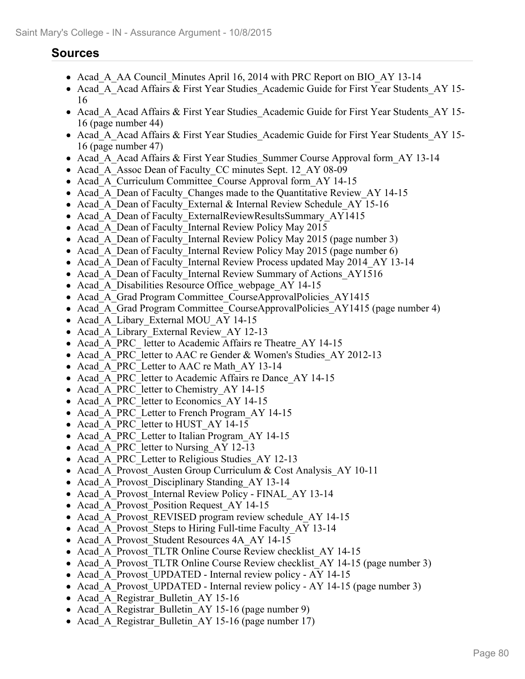## **Sources**

- Acad A AA Council Minutes April 16, 2014 with PRC Report on BIO AY 13-14
- Acad A Acad Affairs & First Year Studies Academic Guide for First Year Students AY 15-16
- Acad A Acad Affairs & First Year Studies Academic Guide for First Year Students AY 15-16 (page number 44)
- Acad A Acad Affairs & First Year Studies Academic Guide for First Year Students AY 15-16 (page number 47)
- Acad A Acad Affairs & First Year Studies Summer Course Approval form AY 13-14
- Acad A Assoc Dean of Faculty CC minutes Sept. 12 AY 08-09
- Acad A Curriculum Committee Course Approval form AY 14-15
- Acad A Dean of Faculty Changes made to the Quantitative Review AY 14-15
- Acad A Dean of Faculty External & Internal Review Schedule AY 15-16
- Acad A Dean of Faculty ExternalReviewResultsSummary AY1415
- Acad A Dean of Faculty Internal Review Policy May 2015
- Acad A Dean of Faculty Internal Review Policy May 2015 (page number 3)
- Acad A Dean of Faculty Internal Review Policy May 2015 (page number 6)
- Acad A Dean of Faculty Internal Review Process updated May 2014 AY 13-14
- Acad A Dean of Faculty Internal Review Summary of Actions AY1516
- Acad A Disabilities Resource Office webpage AY 14-15
- Acad A Grad Program Committee CourseApprovalPolicies AY1415
- Acad A Grad Program Committee CourseApprovalPolicies AY1415 (page number 4)
- Acad A Libary External MOU AY 14-15
- Acad A Library External Review AY 12-13
- Acad\_A\_PRC\_ letter to Academic Affairs re Theatre\_AY 14-15
- Acad A PRC letter to AAC re Gender & Women's Studies AY 2012-13
- Acad A PRC Letter to AAC re Math AY 13-14
- Acad A PRC letter to Academic Affairs re Dance AY 14-15
- Acad A PRC letter to Chemistry AY 14-15
- Acad A PRC letter to Economics AY 14-15
- Acad A PRC Letter to French Program AY 14-15
- Acad A PRC letter to HUST AY 14-15
- Acad A PRC Letter to Italian Program AY 14-15
- Acad\_A\_PRC\_letter to Nursing AY 12-13
- Acad A PRC Letter to Religious Studies AY 12-13
- Acad A Provost Austen Group Curriculum & Cost Analysis AY 10-11
- Acad A Provost Disciplinary Standing AY 13-14
- Acad A Provost Internal Review Policy FINAL AY 13-14
- Acad A Provost Position Request AY 14-15
- Acad A Provost REVISED program review schedule AY 14-15
- Acad A Provost Steps to Hiring Full-time Faculty AY 13-14
- Acad A Provost Student Resources 4A AY 14-15
- Acad A Provost TLTR Online Course Review checklist AY 14-15
- Acad A Provost TLTR Online Course Review checklist AY 14-15 (page number 3)
- Acad\_A\_Provost\_UPDATED Internal review policy AY 14-15
- Acad A Provost UPDATED Internal review policy AY 14-15 (page number 3)
- Acad A Registrar Bulletin AY 15-16
- Acad A Registrar Bulletin AY 15-16 (page number 9)
- Acad A Registrar Bulletin AY 15-16 (page number 17)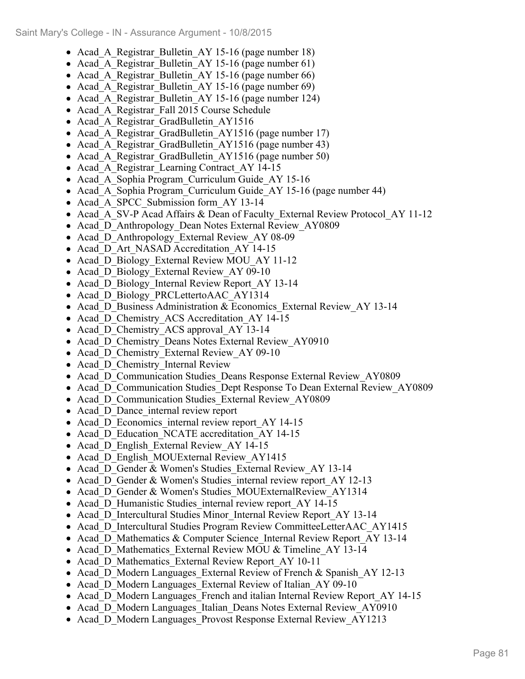- Acad A Registrar Bulletin AY 15-16 (page number 18)
- Acad A Registrar Bulletin AY 15-16 (page number 61)
- Acad A Registrar Bulletin AY 15-16 (page number 66)
- Acad A Registrar Bulletin AY 15-16 (page number 69)
- Acad A Registrar Bulletin AY 15-16 (page number 124)
- Acad A Registrar Fall 2015 Course Schedule
- Acad A Registrar GradBulletin AY1516
- Acad A Registrar GradBulletin AY1516 (page number 17)
- Acad A Registrar GradBulletin AY1516 (page number 43)
- Acad A Registrar GradBulletin AY1516 (page number 50)
- Acad A Registrar Learning Contract\_AY 14-15
- Acad A Sophia Program Curriculum Guide AY 15-16
- Acad A Sophia Program Curriculum Guide AY 15-16 (page number 44)
- Acad A SPCC Submission form AY 13-14
- Acad A SV-P Acad Affairs & Dean of Faculty External Review Protocol AY 11-12
- Acad D Anthropology Dean Notes External Review AY0809
- Acad D Anthropology External Review AY 08-09
- Acad D Art NASAD Accreditation AY 14-15
- Acad D Biology\_External Review MOU\_AY 11-12
- Acad D Biology External Review AY 09-10
- Acad D Biology Internal Review Report AY 13-14
- Acad D Biology PRCLettertoAAC AY1314
- Acad D Business Administration & Economics External Review AY 13-14
- Acad D Chemistry ACS Accreditation AY 14-15
- Acad D Chemistry ACS approval AY 13-14
- Acad D Chemistry Deans Notes External Review AY0910
- Acad D Chemistry External Review AY 09-10
- Acad D Chemistry Internal Review
- Acad D Communication Studies Deans Response External Review AY0809
- Acad D Communication Studies Dept Response To Dean External Review AY0809
- Acad D Communication Studies External Review AY0809
- Acad D Dance internal review report
- Acad D Economics internal review report AY 14-15
- Acad D Education NCATE accreditation AY 14-15
- Acad D English External Review AY 14-15
- Acad D English MOUExternal Review AY1415
- Acad D Gender & Women's Studies External Review AY 13-14
- Acad D Gender & Women's Studies internal review report AY 12-13
- Acad D Gender & Women's Studies MOUExternalReview AY1314
- Acad D Humanistic Studies internal review report AY 14-15
- Acad D Intercultural Studies Minor Internal Review Report AY 13-14
- Acad D Intercultural Studies Program Review CommitteeLetterAAC AY1415
- Acad D Mathematics & Computer Science Internal Review Report AY 13-14
- Acad D Mathematics External Review MOU & Timeline AY 13-14
- Acad D Mathematics External Review Report AY 10-11
- Acad D Modern Languages External Review of French & Spanish  $AY$  12-13
- Acad D Modern Languages External Review of Italian AY 09-10
- Acad D Modern Languages French and italian Internal Review Report AY 14-15
- Acad D Modern Languages Italian Deans Notes External Review AY0910
- Acad D Modern Languages Provost Response External Review AY1213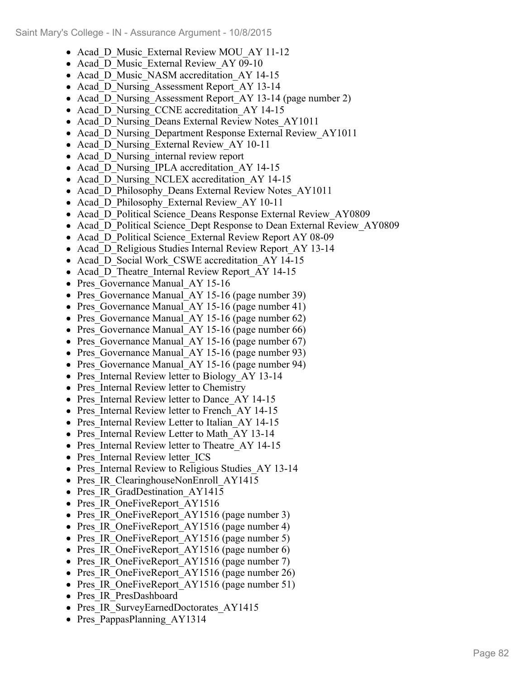- Acad D Music External Review MOU AY 11-12
- Acad D Music External Review AY 09-10
- Acad D Music NASM accreditation AY 14-15
- Acad D Nursing Assessment Report AY 13-14
- Acad D Nursing Assessment Report AY 13-14 (page number 2)
- Acad D Nursing CCNE accreditation AY 14-15
- Acad D Nursing Deans External Review Notes AY1011
- Acad D Nursing Department Response External Review AY1011
- Acad D Nursing External Review AY 10-11
- Acad D Nursing internal review report
- Acad D Nursing IPLA accreditation AY 14-15
- Acad D Nursing NCLEX accreditation AY 14-15
- Acad D Philosophy Deans External Review Notes AY1011
- Acad D Philosophy External Review AY 10-11
- Acad D Political Science Deans Response External Review AY0809
- Acad D Political Science Dept Response to Dean External Review AY0809
- Acad D Political Science External Review Report AY 08-09
- Acad D Religious Studies Internal Review Report AY 13-14
- Acad D Social Work CSWE accreditation AY 14-15
- Acad D Theatre Internal Review Report AY 14-15
- Pres Governance Manual AY 15-16
- Pres Governance Manual AY 15-16 (page number 39)
- Pres Governance Manual AY 15-16 (page number 41)
- Pres Governance Manual AY 15-16 (page number 62)
- Pres Governance Manual AY 15-16 (page number 66)
- Pres Governance Manual AY 15-16 (page number 67)
- Pres Governance Manual AY 15-16 (page number 93)
- Pres Governance Manual AY 15-16 (page number 94)
- Pres Internal Review letter to Biology AY 13-14
- Pres Internal Review letter to Chemistry
- Pres Internal Review letter to Dance AY 14-15
- Pres Internal Review letter to French AY 14-15
- Pres Internal Review Letter to Italian AY 14-15
- Pres Internal Review Letter to Math AY 13-14
- Pres Internal Review letter to Theatre AY 14-15
- Pres Internal Review letter ICS
- Pres Internal Review to Religious Studies AY 13-14
- Pres IR ClearinghouseNonEnroll AY1415
- Pres IR GradDestination AY1415
- Pres IR OneFiveReport AY1516
- Pres IR OneFiveReport AY1516 (page number 3)
- Pres IR OneFiveReport AY1516 (page number 4)
- Pres IR OneFiveReport AY1516 (page number 5)
- Pres IR OneFiveReport AY1516 (page number 6)
- Pres IR OneFiveReport AY1516 (page number 7)
- Pres IR OneFiveReport AY1516 (page number 26)
- Pres IR OneFiveReport AY1516 (page number 51)
- Pres IR PresDashboard
- Pres IR SurveyEarnedDoctorates AY1415
- Pres PappasPlanning AY1314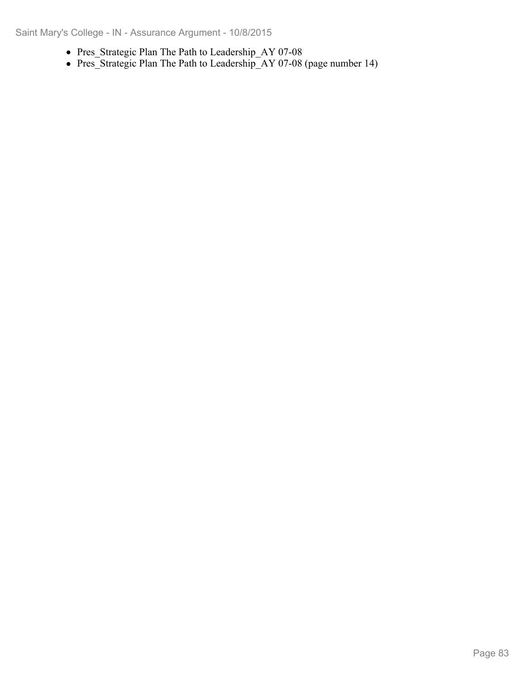- Pres\_Strategic Plan The Path to Leadership\_AY 07-08
- Pres\_Strategic Plan The Path to Leadership\_AY 07-08 (page number 14)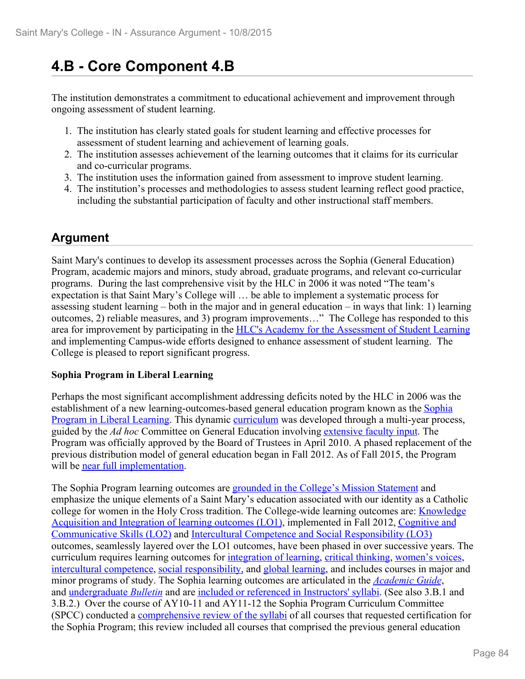# **4.B - Core Component 4.B**

The institution demonstrates a commitment to educational achievement and improvement through ongoing assessment of student learning.

- 1. The institution has clearly stated goals for student learning and effective processes for assessment of student learning and achievement of learning goals.
- 2. The institution assesses achievement of the learning outcomes that it claims for its curricular and co-curricular programs.
- 3. The institution uses the information gained from assessment to improve student learning.
- 4. The institution's processes and methodologies to assess student learning reflect good practice, including the substantial participation of faculty and other instructional staff members.

## **Argument**

Saint Mary's continues to develop its assessment processes across the Sophia (General Education) Program, academic majors and minors, study abroad, graduate programs, and relevant co-curricular programs. During the last comprehensive visit by the HLC in 2006 it was noted "The team's expectation is that Saint Mary's College will … be able to implement a systematic process for assessing student learning – both in the major and in general education – in ways that link: 1) learning outcomes, 2) reliable measures, and 3) program improvements…" The College has responded to this area for improvement by participating in the HLC's Academy for the Assessment of Student Learning and implementing Campus-wide efforts designed to enhance assessment of student learning. The College is pleased to report significant progress.

#### **Sophia Program in Liberal Learning**

Perhaps the most significant accomplishment addressing deficits noted by the HLC in 2006 was the establishment of a new learning-outcomes-based general education program known as the Sophia Program in Liberal Learning. This dynamic curriculum was developed through a multi-year process, guided by the *Ad hoc* Committee on General Education involving extensive faculty input. The Program was officially approved by the Board of Trustees in April 2010. A phased replacement of the previous distribution model of general education began in Fall 2012. As of Fall 2015, the Program will be near full implementation.

The Sophia Program learning outcomes are grounded in the College's Mission Statement and emphasize the unique elements of a Saint Mary's education associated with our identity as a Catholic college for women in the Holy Cross tradition. The College-wide learning outcomes are: Knowledge Acquisition and Integration of learning outcomes (LO1), implemented in Fall 2012, Cognitive and Communicative Skills (LO2) and Intercultural Competence and Social Responsibility (LO3) outcomes, seamlessly layered over the LO1 outcomes, have been phased in over successive years. The curriculum requires learning outcomes for integration of learning, critical thinking, women's voices, intercultural competence, social responsibility, and global learning, and includes courses in major and minor programs of study. The Sophia learning outcomes are articulated in the *Academic Guide*, and undergraduate *Bulletin* and are included or referenced in Instructors' syllabi. (See also 3.B.1 and 3.B.2.) Over the course of AY10-11 and AY11-12 the Sophia Program Curriculum Committee (SPCC) conducted a comprehensive review of the syllabi of all courses that requested certification for the Sophia Program; this review included all courses that comprised the previous general education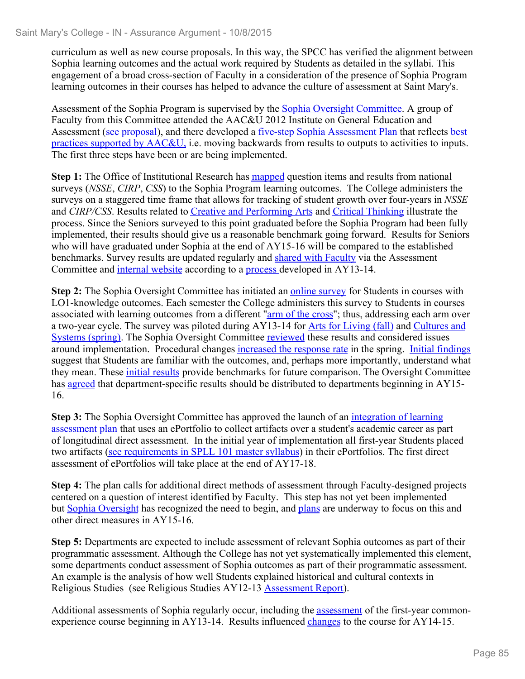curriculum as well as new course proposals. In this way, the SPCC has verified the alignment between Sophia learning outcomes and the actual work required by Students as detailed in the syllabi. This engagement of a broad cross-section of Faculty in a consideration of the presence of Sophia Program learning outcomes in their courses has helped to advance the culture of assessment at Saint Mary's.

Assessment of the Sophia Program is supervised by the Sophia Oversight Committee. A group of Faculty from this Committee attended the AAC&U 2012 Institute on General Education and Assessment (see proposal), and there developed a <u>five-step Sophia Assessment Plan</u> that reflects best practices supported by AAC&U, i.e. moving backwards from results to outputs to activities to inputs. The first three steps have been or are being implemented.

**Step 1:** The Office of Institutional Research has mapped question items and results from national surveys (*NSSE*, *CIRP*, *CSS*) to the Sophia Program learning outcomes. The College administers the surveys on a staggered time frame that allows for tracking of student growth over four-years in *NSSE* and *CIRP/CSS*. Results related to Creative and Performing Arts and Critical Thinking illustrate the process. Since the Seniors surveyed to this point graduated before the Sophia Program had been fully implemented, their results should give us a reasonable benchmark going forward. Results for Seniors who will have graduated under Sophia at the end of AY15-16 will be compared to the established benchmarks. Survey results are updated regularly and shared with Faculty via the Assessment Committee and internal website according to a process developed in AY13-14.

**Step 2:** The Sophia Oversight Committee has initiated an online survey for Students in courses with LO1-knowledge outcomes. Each semester the College administers this survey to Students in courses associated with learning outcomes from a different "arm of the cross"; thus, addressing each arm over a two-year cycle. The survey was piloted during AY13-14 for Arts for Living (fall) and Cultures and Systems (spring). The Sophia Oversight Committee reviewed these results and considered issues around implementation. Procedural changes increased the response rate in the spring. Initial findings suggest that Students are familiar with the outcomes, and, perhaps more importantly, understand what they mean. These *initial results* provide benchmarks for future comparison. The Oversight Committee has agreed that department-specific results should be distributed to departments beginning in AY15- 16.

**Step 3:** The Sophia Oversight Committee has approved the launch of an integration of learning assessment plan that uses an ePortfolio to collect artifacts over a student's academic career as part of longitudinal direct assessment.In the initial year of implementation all first-year Students placed two artifacts (see requirements in SPLL 101 master syllabus) in their ePortfolios. The first direct assessment of ePortfolios will take place at the end of AY17-18.

**Step 4:** The plan calls for additional direct methods of assessment through Faculty-designed projects centered on a question of interest identified by Faculty. This step has not yet been implemented but Sophia Oversight has recognized the need to begin, and plans are underway to focus on this and other direct measures in AY15-16.

**Step 5:** Departments are expected to include assessment of relevant Sophia outcomes as part of their programmatic assessment. Although the College has not yet systematically implemented this element, some departments conduct assessment of Sophia outcomes as part of their programmatic assessment. An example is the analysis of how well Students explained historical and cultural contexts in Religious Studies (see Religious Studies AY12-13 Assessment Report).

Additional assessments of Sophia regularly occur, including the assessment of the first-year commonexperience course beginning in AY13-14. Results influenced changes to the course for AY14-15.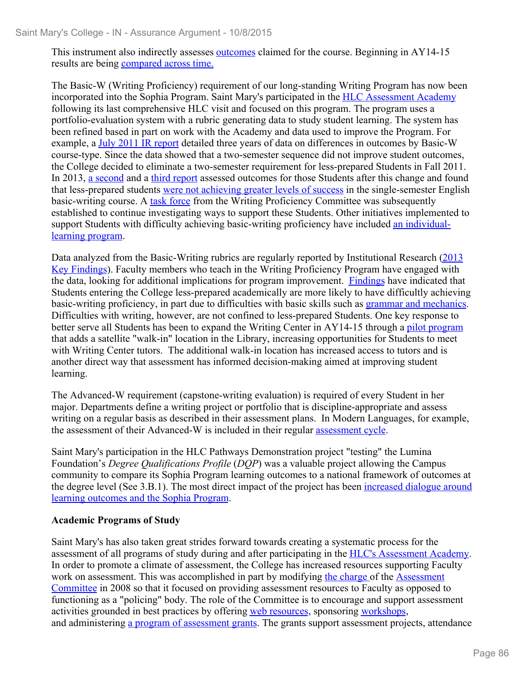This instrument also indirectly assesses **outcomes** claimed for the course. Beginning in AY14-15 results are being compared across time.

The Basic-W (Writing Proficiency) requirement of our long-standing Writing Program has now been incorporated into the Sophia Program. Saint Mary's participated in the HLC Assessment Academy following its last comprehensive HLC visit and focused on this program. The program uses a portfolio-evaluation system with a rubric generating data to study student learning. The system has been refined based in part on work with the Academy and data used to improve the Program. For example, a July 2011 IR report detailed three years of data on differences in outcomes by Basic-W course-type. Since the data showed that a two-semester sequence did not improve student outcomes, the College decided to eliminate a two-semester requirement for less-prepared Students in Fall 2011. In 2013, a second and a third report assessed outcomes for those Students after this change and found that less-prepared students were not achieving greater levels of success in the single-semester English basic-writing course. A task force from the Writing Proficiency Committee was subsequently established to continue investigating ways to support these Students. Other initiatives implemented to support Students with difficulty achieving basic-writing proficiency have included an individuallearning program.

Data analyzed from the Basic-Writing rubrics are regularly reported by Institutional Research (2013 Key Findings). Faculty members who teach in the Writing Proficiency Program have engaged with the data, looking for additional implications for program improvement. Findings have indicated that Students entering the College less-prepared academically are more likely to have difficultly achieving basic-writing proficiency, in part due to difficulties with basic skills such as grammar and mechanics. Difficulties with writing, however, are not confined to less-prepared Students. One key response to better serve all Students has been to expand the Writing Center in AY14-15 through a pilot program that adds a satellite "walk-in" location in the Library, increasing opportunities for Students to meet with Writing Center tutors. The additional walk-in location has increased access to tutors and is another direct way that assessment has informed decision-making aimed at improving student learning.

The Advanced-W requirement (capstone-writing evaluation) is required of every Student in her major. Departments define a writing project or portfolio that is discipline-appropriate and assess writing on a regular basis as described in their assessment plans. In Modern Languages, for example, the assessment of their Advanced-W is included in their regular assessment cycle.

Saint Mary's participation in the HLC Pathways Demonstration project "testing" the Lumina Foundation's *Degree Qualifications Profile* (*DQP*) was a valuable project allowing the Campus community to compare its Sophia Program learning outcomes to a national framework of outcomes at the degree level (See 3.B.1). The most direct impact of the project has been increased dialogue around learning outcomes and the Sophia Program.

#### **Academic Programs of Study**

Saint Mary's has also taken great strides forward towards creating a systematic process for the assessment of all programs of study during and after participating in the HLC's Assessment Academy. In order to promote a climate of assessment, the College has increased resources supporting Faculty work on assessment. This was accomplished in part by modifying the charge of the Assessment Committee in 2008 so that it focused on providing assessment resources to Faculty as opposed to functioning as a "policing" body. The role of the Committee is to encourage and support assessment activities grounded in best practices by offering web resources, sponsoring workshops, and administering a program of assessment grants. The grants support assessment projects, attendance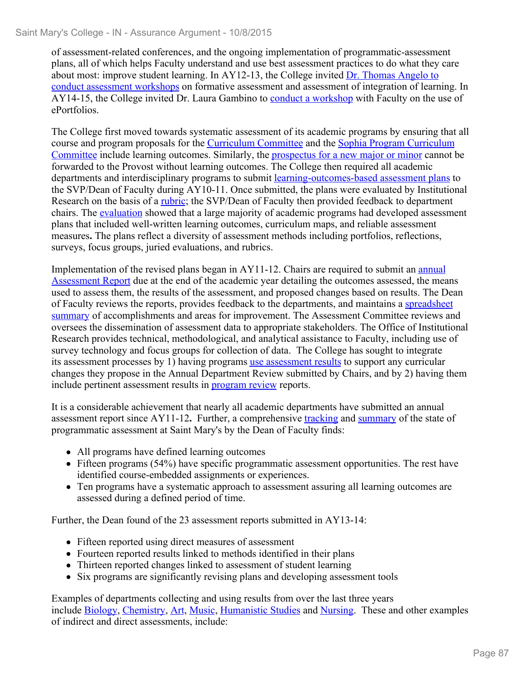of assessment-related conferences, and the ongoing implementation of programmatic-assessment plans, all of which helps Faculty understand and use best assessment practices to do what they care about most: improve student learning. In AY12-13, the College invited Dr. Thomas Angelo to conduct assessment workshops on formative assessment and assessment of integration of learning. In AY14-15, the College invited Dr. Laura Gambino to conduct a workshop with Faculty on the use of ePortfolios.

The College first moved towards systematic assessment of its academic programs by ensuring that all course and program proposals for the Curriculum Committee and the Sophia Program Curriculum Committee include learning outcomes. Similarly, the prospectus for a new major or minor cannot be forwarded to the Provost without learning outcomes. The College then required all academic departments and interdisciplinary programs to submit learning-outcomes-based assessment plans to the SVP/Dean of Faculty during AY10-11. Once submitted, the plans were evaluated by Institutional Research on the basis of a rubric; the SVP/Dean of Faculty then provided feedback to department chairs. The evaluation showed that a large majority of academic programs had developed assessment plans that included well-written learning outcomes, curriculum maps, and reliable assessment measures**.** The plans reflect a diversity of assessment methods including portfolios, reflections, surveys, focus groups, juried evaluations, and rubrics.

Implementation of the revised plans began in AY11-12. Chairs are required to submit an annual Assessment Report due at the end of the academic year detailing the outcomes assessed, the means used to assess them, the results of the assessment, and proposed changes based on results. The Dean of Faculty reviews the reports, provides feedback to the departments, and maintains a spreadsheet summary of accomplishments and areas for improvement. The Assessment Committee reviews and oversees the dissemination of assessment data to appropriate stakeholders. The Office of Institutional Research provides technical, methodological, and analytical assistance to Faculty, including use of survey technology and focus groups for collection of data. The College has sought to integrate its assessment processes by 1) having programs use assessment results to support any curricular changes they propose in the Annual Department Review submitted by Chairs, and by 2) having them include pertinent assessment results in program review reports.

It is a considerable achievement that nearly all academic departments have submitted an annual assessment report since AY11-12**.** Further, a comprehensive tracking and summary of the state of programmatic assessment at Saint Mary's by the Dean of Faculty finds:

- All programs have defined learning outcomes
- Fifteen programs (54%) have specific programmatic assessment opportunities. The rest have identified course-embedded assignments or experiences.
- Ten programs have a systematic approach to assessment assuring all learning outcomes are assessed during a defined period of time.

Further, the Dean found of the 23 assessment reports submitted in AY13-14:

- Fifteen reported using direct measures of assessment
- Fourteen reported results linked to methods identified in their plans
- Thirteen reported changes linked to assessment of student learning
- Six programs are significantly revising plans and developing assessment tools

Examples of departments collecting and using results from over the last three years include Biology, Chemistry, Art, Music, Humanistic Studies and Nursing. These and other examples of indirect and direct assessments, include: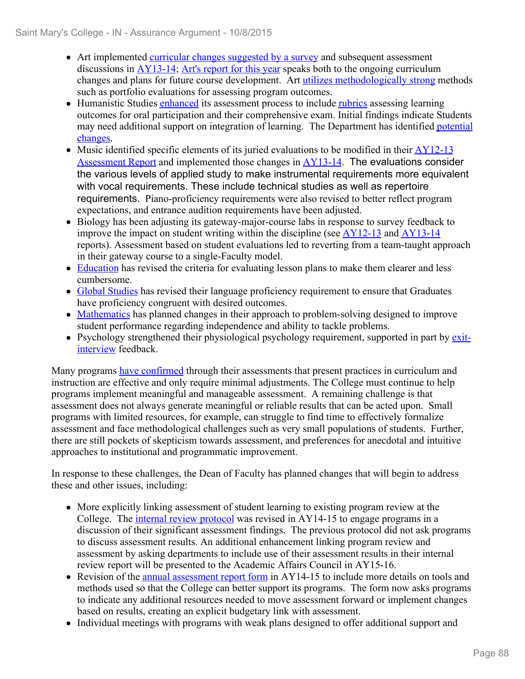- Art implemented curricular changes suggested by a survey and subsequent assessment discussions in  $AY13-14$ ; Art's report for this year speaks both to the ongoing curriculum changes and plans for future course development. Art utilizes methodologically strong methods such as portfolio evaluations for assessing program outcomes.
- Humanistic Studies enhanced its assessment process to include rubrics assessing learning outcomes for oral participation and their comprehensive exam. Initial findings indicate Students may need additional support on integration of learning. The Department has identified potential changes.
- Music identified specific elements of its juried evaluations to be modified in their  $\frac{AY12-13}{AY12-13}$ Assessment Report and implemented those changes in AY13-14. The evaluations consider the various levels of applied study to make instrumental requirements more equivalent with vocal requirements. These include technical studies as well as repertoire requirements. Piano-proficiency requirements were also revised to better reflect program expectations, and entrance audition requirements have been adjusted.
- Biology has been adjusting its gateway-major-course labs in response to survey feedback to improve the impact on student writing within the discipline (see AY12-13 and AY13-14 reports). Assessment based on student evaluations led to reverting from a team-taught approach in their gateway course to a single-Faculty model.
- Education has revised the criteria for evaluating lesson plans to make them clearer and less cumbersome.
- Global Studies has revised their language proficiency requirement to ensure that Graduates have proficiency congruent with desired outcomes.
- Mathematics has planned changes in their approach to problem-solving designed to improve student performance regarding independence and ability to tackle problems.
- Psychology strengthened their physiological psychology requirement, supported in part by  $\frac{exit}{}$ interview feedback.

Many programs have confirmed through their assessments that present practices in curriculum and instruction are effective and only require minimal adjustments. The College must continue to help programs implement meaningful and manageable assessment. A remaining challenge is that assessment does not always generate meaningful or reliable results that can be acted upon. Small programs with limited resources, for example, can struggle to find time to effectively formalize assessment and face methodological challenges such as very small populations of students. Further, there are still pockets of skepticism towards assessment, and preferences for anecdotal and intuitive approaches to institutional and programmatic improvement.

In response to these challenges, the Dean of Faculty has planned changes that will begin to address these and other issues, including:

- More explicitly linking assessment of student learning to existing program review at the College. The *internal review protocol* was revised in AY14-15 to engage programs in a discussion of their significant assessment findings. The previous protocol did not ask programs to discuss assessment results. An additional enhancement linking program review and assessment by asking departments to include use of their assessment results in their internal review report will be presented to the Academic Affairs Council in AY15-16.
- Revision of the annual assessment report form in AY14-15 to include more details on tools and methods used so that the College can better support its programs. The form now asks programs to indicate any additional resources needed to move assessment forward or implement changes based on results, creating an explicit budgetary link with assessment.
- Individual meetings with programs with weak plans designed to offer additional support and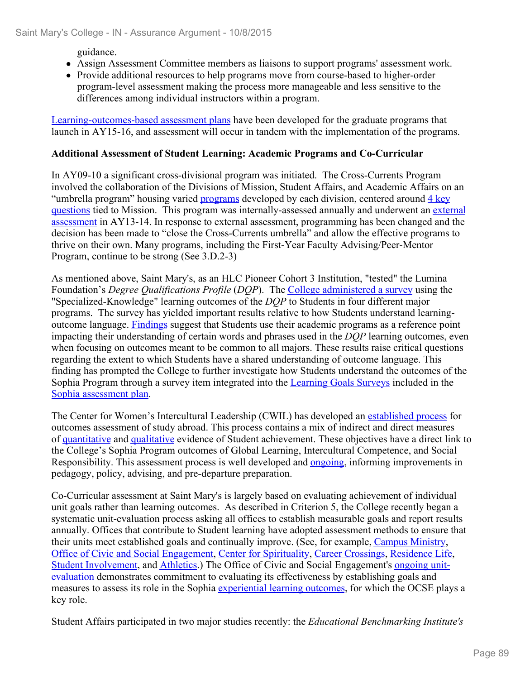guidance.

- Assign Assessment Committee members as liaisons to support programs' assessment work.
- Provide additional resources to help programs move from course-based to higher-order program-level assessment making the process more manageable and less sensitive to the differences among individual instructors within a program.

Learning-outcomes-based assessment plans have been developed for the graduate programs that launch in AY15-16, and assessment will occur in tandem with the implementation of the programs.

#### **Additional Assessment of Student Learning: Academic Programs and Co-Curricular**

In AY09-10 a significant cross-divisional program was initiated. The Cross-Currents Program involved the collaboration of the Divisions of Mission, Student Affairs, and Academic Affairs on an "umbrella program" housing varied programs developed by each division, centered around 4 key questions tied to Mission. This program was internally-assessed annually and underwent an external assessment in AY13-14. In response to external assessment, programming has been changed and the decision has been made to "close the Cross-Currents umbrella" and allow the effective programs to thrive on their own. Many programs, including the First-Year Faculty Advising/Peer-Mentor Program, continue to be strong (See 3.D.2-3)

As mentioned above, Saint Mary's, as an HLC Pioneer Cohort 3 Institution, "tested" the Lumina Foundation's *Degree Qualifications Profile* (*DQP*). The College administered a survey using the "Specialized-Knowledge" learning outcomes of the *DQP* to Students in four different major programs. The survey has yielded important results relative to how Students understand learningoutcome language. Findings suggest that Students use their academic programs as a reference point impacting their understanding of certain words and phrases used in the *DQP* learning outcomes, even when focusing on outcomes meant to be common to all majors. These results raise critical questions regarding the extent to which Students have a shared understanding of outcome language. This finding has prompted the College to further investigate how Students understand the outcomes of the Sophia Program through a survey item integrated into the Learning Goals Surveys included in the Sophia assessment plan.

The Center for Women's Intercultural Leadership (CWIL) has developed an established process for outcomes assessment of study abroad. This process contains a mix of indirect and direct measures of quantitative and qualitative evidence of Student achievement. These objectives have a direct link to the College's Sophia Program outcomes of Global Learning, Intercultural Competence, and Social Responsibility. This assessment process is well developed and **ongoing**, informing improvements in pedagogy, policy, advising, and pre-departure preparation.

Co-Curricular assessment at Saint Mary's is largely based on evaluating achievement of individual unit goals rather than learning outcomes. As described in Criterion 5, the College recently began a systematic unit-evaluation process asking all offices to establish measurable goals and report results annually. Offices that contribute to Student learning have adopted assessment methods to ensure that their units meet established goals and continually improve. (See, for example, Campus Ministry, Office of Civic and Social Engagement, Center for Spirituality, Career Crossings, Residence Life, Student Involvement, and Athletics.) The Office of Civic and Social Engagement's ongoing unitevaluation demonstrates commitment to evaluating its effectiveness by establishing goals and measures to assess its role in the Sophia experiential learning outcomes, for which the OCSE plays a key role.

Student Affairs participated in two major studies recently: the *Educational Benchmarking Institute's*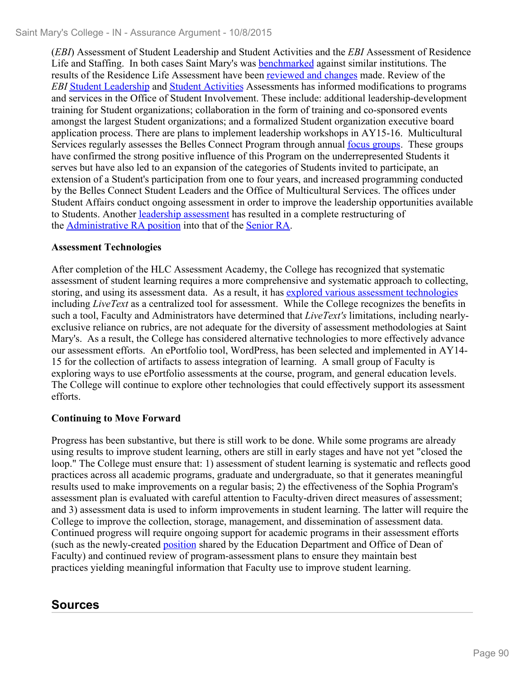(*EBI*) Assessment of Student Leadership and Student Activities and the *EBI* Assessment of Residence Life and Staffing. In both cases Saint Mary's was benchmarked against similar institutions. The results of the Residence Life Assessment have been reviewed and changes made. Review of the *EBI* Student Leadership and Student Activities Assessments has informed modifications to programs and services in the Office of Student Involvement. These include: additional leadership-development training for Student organizations; collaboration in the form of training and co-sponsored events amongst the largest Student organizations; and a formalized Student organization executive board application process. There are plans to implement leadership workshops in AY15-16. Multicultural Services regularly assesses the Belles Connect Program through annual focus groups. These groups have confirmed the strong positive influence of this Program on the underrepresented Students it serves but have also led to an expansion of the categories of Students invited to participate, an extension of a Student's participation from one to four years, and increased programming conducted by the Belles Connect Student Leaders and the Office of Multicultural Services. The offices under Student Affairs conduct ongoing assessment in order to improve the leadership opportunities available to Students. Another leadership assessment has resulted in a complete restructuring of the Administrative RA position into that of the Senior RA.

#### **Assessment Technologies**

After completion of the HLC Assessment Academy, the College has recognized that systematic assessment of student learning requires a more comprehensive and systematic approach to collecting, storing, and using its assessment data. As a result, it has explored various assessment technologies including *LiveText* as a centralized tool for assessment. While the College recognizes the benefits in such a tool, Faculty and Administrators have determined that *LiveText's* limitations, including nearlyexclusive reliance on rubrics, are not adequate for the diversity of assessment methodologies at Saint Mary's. As a result, the College has considered alternative technologies to more effectively advance our assessment efforts. An ePortfolio tool, WordPress, has been selected and implemented in AY14- 15 for the collection of artifacts to assess integration of learning. A small group of Faculty is exploring ways to use ePortfolio assessments at the course, program, and general education levels. The College will continue to explore other technologies that could effectively support its assessment efforts.

#### **Continuing to Move Forward**

Progress has been substantive, but there is still work to be done. While some programs are already using results to improve student learning, others are still in early stages and have not yet "closed the loop." The College must ensure that: 1) assessment of student learning is systematic and reflects good practices across all academic programs, graduate and undergraduate, so that it generates meaningful results used to make improvements on a regular basis; 2) the effectiveness of the Sophia Program's assessment plan is evaluated with careful attention to Faculty-driven direct measures of assessment; and 3) assessment data is used to inform improvements in student learning. The latter will require the College to improve the collection, storage, management, and dissemination of assessment data. Continued progress will require ongoing support for academic programs in their assessment efforts (such as the newly-created position shared by the Education Department and Office of Dean of Faculty) and continued review of program-assessment plans to ensure they maintain best practices yielding meaningful information that Faculty use to improve student learning.

## **Sources**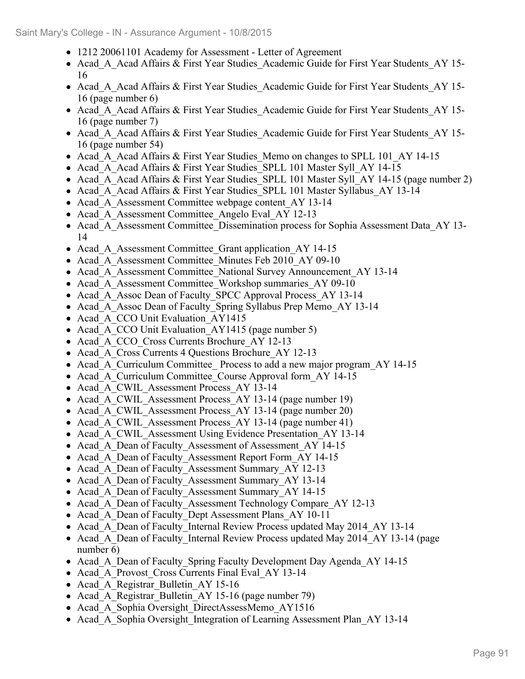- 1212 20061101 Academy for Assessment Letter of Agreement
- Acad A Acad Affairs & First Year Studies Academic Guide for First Year Students AY 15-16
- Acad A Acad Affairs & First Year Studies Academic Guide for First Year Students AY 15-16 (page number 6)
- Acad A Acad Affairs & First Year Studies Academic Guide for First Year Students AY 15-16 (page number 7)
- Acad A Acad Affairs & First Year Studies Academic Guide for First Year Students AY 15-16 (page number 54)
- Acad A Acad Affairs & First Year Studies Memo on changes to SPLL 101 AY 14-15
- Acad A Acad Affairs & First Year Studies SPLL 101 Master Syll AY 14-15
- Acad A Acad Affairs & First Year Studies SPLL 101 Master Syll AY 14-15 (page number 2)
- Acad A Acad Affairs & First Year Studies SPLL 101 Master Syllabus AY 13-14
- Acad A Assessment Committee webpage content AY 13-14
- Acad A Assessment Committee Angelo Eval AY 12-13
- Acad A Assessment Committee Dissemination process for Sophia Assessment Data AY 13-14
- Acad A Assessment Committee Grant application AY 14-15
- Acad A Assessment Committee Minutes Feb 2010 AY 09-10
- Acad A Assessment Committee National Survey Announcement AY 13-14
- Acad A Assessment Committee Workshop summaries AY 09-10
- Acad A Assoc Dean of Faculty SPCC Approval Process AY 13-14
- Acad A Assoc Dean of Faculty Spring Syllabus Prep Memo AY 13-14
- Acad A CCO Unit Evaluation AY1415
- Acad A CCO Unit Evaluation AY1415 (page number 5)
- Acad A CCO Cross Currents Brochure AY 12-13
- Acad A Cross Currents 4 Questions Brochure AY 12-13
- Acad A Curriculum Committee Process to add a new major program AY 14-15
- Acad A Curriculum Committee Course Approval form AY 14-15
- Acad A CWIL Assessment Process AY 13-14
- Acad\_A\_CWIL\_Assessment Process AY 13-14 (page number 19)
- Acad A CWIL Assessment Process AY 13-14 (page number 20)
- Acad A CWIL Assessment Process AY 13-14 (page number 41)
- Acad\_A\_CWIL\_Assessment Using Evidence Presentation\_AY 13-14
- Acad A Dean of Faculty Assessment of Assessment AY 14-15
- Acad A Dean of Faculty Assessment Report Form AY 14-15
- Acad A Dean of Faculty Assessment Summary AY 12-13
- Acad A Dean of Faculty Assessment Summary AY 13-14
- Acad A Dean of Faculty Assessment Summary AY 14-15
- Acad A Dean of Faculty Assessment Technology Compare AY 12-13
- Acad A Dean of Faculty Dept Assessment Plans AY 10-11
- Acad A Dean of Faculty Internal Review Process updated May 2014 AY 13-14
- Acad A Dean of Faculty Internal Review Process updated May 2014 AY 13-14 (page number 6)
- Acad A Dean of Faculty Spring Faculty Development Day Agenda AY 14-15
- Acad A Provost Cross Currents Final Eval AY 13-14
- Acad A Registrar Bulletin AY 15-16
- Acad A Registrar Bulletin AY 15-16 (page number 79)
- Acad A Sophia Oversight DirectAssessMemo AY1516
- Acad A Sophia Oversight Integration of Learning Assessment Plan AY 13-14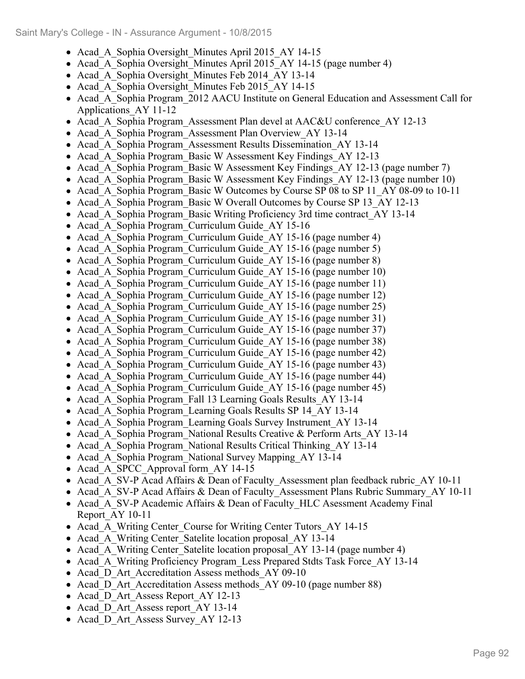- Acad A Sophia Oversight Minutes April 2015 AY 14-15
- Acad\_A\_Sophia Oversight\_Minutes April 2015 AY 14-15 (page number 4)
- Acad A Sophia Oversight Minutes Feb 2014 AY 13-14
- Acad A Sophia Oversight Minutes Feb 2015 AY 14-15
- Acad A Sophia Program 2012 AACU Institute on General Education and Assessment Call for Applications\_AY 11-12
- Acad A Sophia Program Assessment Plan devel at AAC&U conference AY 12-13
- Acad A Sophia Program Assessment Plan Overview AY 13-14
- Acad A Sophia Program Assessment Results Dissemination AY 13-14
- Acad A Sophia Program Basic W Assessment Key Findings AY 12-13
- Acad A Sophia Program Basic W Assessment Key Findings AY 12-13 (page number 7)
- Acad A Sophia Program Basic W Assessment Key Findings AY 12-13 (page number 10)
- Acad A Sophia Program Basic W Outcomes by Course SP 08 to SP 11 AY 08-09 to 10-11
- Acad A Sophia Program Basic W Overall Outcomes by Course SP 13 AY 12-13
- Acad A Sophia Program Basic Writing Proficiency 3rd time contract AY 13-14
- Acad A Sophia Program Curriculum Guide AY 15-16
- Acad A Sophia Program Curriculum Guide AY 15-16 (page number 4)
- Acad A Sophia Program Curriculum Guide AY 15-16 (page number 5)
- Acad A Sophia Program Curriculum Guide AY 15-16 (page number 8)
- Acad A Sophia Program Curriculum Guide AY 15-16 (page number 10)
- Acad A Sophia Program Curriculum Guide AY 15-16 (page number 11)
- Acad\_A\_Sophia Program\_Curriculum Guide\_AY 15-16 (page number 12)
- Acad A Sophia Program Curriculum Guide AY 15-16 (page number 25)
- Acad A Sophia Program Curriculum Guide AY 15-16 (page number 31)
- Acad A Sophia Program Curriculum Guide AY 15-16 (page number 37)
- Acad A Sophia Program Curriculum Guide AY 15-16 (page number 38)
- Acad A Sophia Program Curriculum Guide AY 15-16 (page number 42)
- Acad A Sophia Program Curriculum Guide AY 15-16 (page number 43)
- Acad A Sophia Program Curriculum Guide AY 15-16 (page number 44)
- Acad A Sophia Program Curriculum Guide AY 15-16 (page number 45)
- Acad A Sophia Program Fall 13 Learning Goals Results AY 13-14
- Acad A Sophia Program Learning Goals Results SP 14 AY 13-14
- Acad A Sophia Program Learning Goals Survey Instrument AY 13-14
- Acad A Sophia Program National Results Creative & Perform Arts AY 13-14
- Acad A Sophia Program National Results Critical Thinking AY 13-14
- Acad A Sophia Program National Survey Mapping AY 13-14
- Acad A SPCC Approval form AY 14-15
- Acad A SV-P Acad Affairs & Dean of Faculty Assessment plan feedback rubric AY 10-11
- Acad A SV-P Acad Affairs & Dean of Faculty Assessment Plans Rubric Summary AY 10-11
- Acad A SV-P Academic Affairs & Dean of Faculty HLC Asessment Academy Final Report\_AY 10-11
- Acad A Writing Center Course for Writing Center Tutors AY 14-15
- Acad A Writing Center Satelite location proposal AY 13-14
- Acad A Writing Center Satelite location proposal AY 13-14 (page number 4)
- Acad A Writing Proficiency Program Less Prepared Stdts Task Force AY 13-14
- Acad D Art Accreditation Assess methods AY 09-10
- Acad D Art Accreditation Assess methods AY 09-10 (page number 88)
- Acad D Art Assess Report AY 12-13
- Acad D Art Assess report AY 13-14
- Acad D Art Assess Survey AY 12-13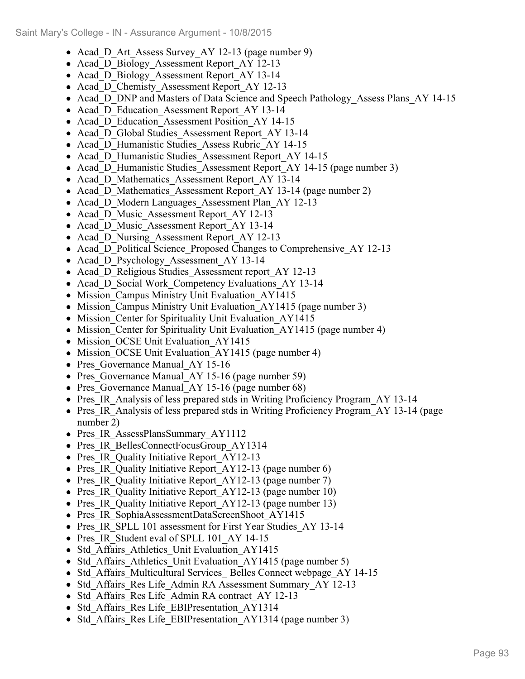- Acad D Art Assess Survey AY 12-13 (page number 9)
- Acad D Biology Assessment Report AY 12-13
- Acad D Biology Assessment Report AY 13-14
- Acad D Chemisty Assessment Report AY 12-13
- Acad D DNP and Masters of Data Science and Speech Pathology Assess Plans AY 14-15
- Acad D Education Asessment Report AY 13-14
- Acad D Education Assessment Position AY 14-15
- Acad D Global Studies Assessment Report AY 13-14
- Acad D Humanistic Studies Assess Rubric AY 14-15
- Acad D Humanistic Studies Assessment Report AY 14-15
- Acad D Humanistic Studies Assessment Report AY 14-15 (page number 3)
- Acad D Mathematics Assessment Report AY 13-14
- Acad\_D\_Mathematics\_Assessment Report\_AY 13-14 (page number 2)
- Acad D Modern Languages Assessment Plan AY 12-13
- Acad D Music Assessment Report AY 12-13
- Acad D Music Assessment Report AY 13-14
- Acad D Nursing Assessment Report AY 12-13
- Acad D Political Science Proposed Changes to Comprehensive AY 12-13
- Acad D Psychology Assessment AY 13-14
- Acad\_D\_Religious Studies Assessment report AY 12-13
- Acad D Social Work Competency Evaluations AY 13-14
- Mission Campus Ministry Unit Evaluation AY1415
- Mission Campus Ministry Unit Evaluation AY1415 (page number 3)
- Mission Center for Spirituality Unit Evaluation AY1415
- Mission Center for Spirituality Unit Evaluation\_AY1415 (page number 4)
- Mission OCSE Unit Evaluation AY1415
- Mission OCSE Unit Evaluation AY1415 (page number 4)
- Pres Governance Manual AY 15-16
- Pres Governance Manual AY 15-16 (page number 59)
- Pres Governance Manual AY 15-16 (page number 68)
- Pres IR Analysis of less prepared stds in Writing Proficiency Program AY 13-14
- Pres IR Analysis of less prepared stds in Writing Proficiency Program AY 13-14 (page number 2)
- Pres IR AssessPlansSummary AY1112
- Pres IR BellesConnectFocusGroup AY1314
- Pres IR Quality Initiative Report AY12-13
- Pres IR Quality Initiative Report AY12-13 (page number 6)
- Pres IR Quality Initiative Report AY12-13 (page number 7)
- Pres IR Quality Initiative Report AY12-13 (page number 10)
- Pres IR Quality Initiative Report AY12-13 (page number 13)
- Pres IR SophiaAssessmentDataScreenShoot AY1415
- Pres IR SPLL 101 assessment for First Year Studies AY 13-14
- Pres IR Student eval of SPLL 101 AY 14-15
- Std Affairs Athletics Unit Evaluation AY1415
- Std Affairs Athletics Unit Evaluation AY1415 (page number 5)
- Std Affairs Multicultural Services Belles Connect webpage AY 14-15
- Std Affairs Res Life Admin RA Assessment Summary AY 12-13
- Std Affairs Res Life Admin RA contract\_AY 12-13
- Std Affairs Res Life EBIPresentation AY1314
- Std Affairs Res Life EBIPresentation AY1314 (page number 3)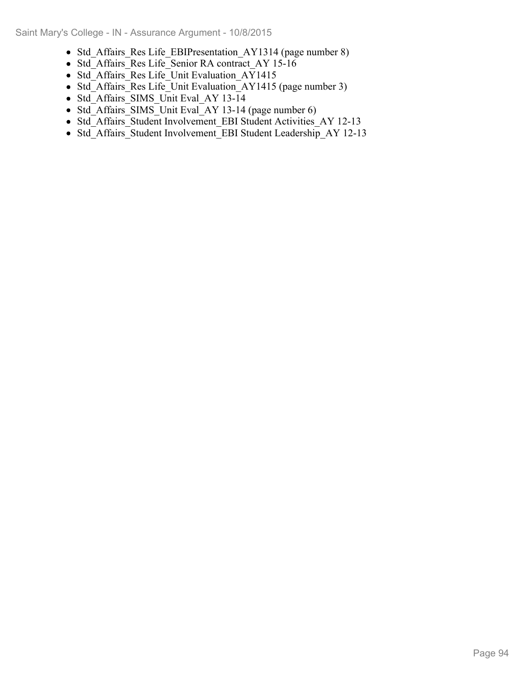- Std Affairs Res Life EBIPresentation AY1314 (page number 8)
- Std\_Affairs\_Res Life\_Senior RA contract\_AY 15-16
- Std Affairs Res Life Unit Evaluation AY1415
- Std<sup>-</sup>Affairs<sup>-</sup>Res Life<sup>-</sup>Unit Evaluation<sup>-</sup>AY1415 (page number 3)
- Std\_Affairs\_SIMS\_Unit Eval\_AY 13-14
- $\bullet$  Std<sup>-</sup>Affairs<sup>-</sup>SIMS<sup>-</sup>Unit Eval<sup>-</sup>AY 13-14 (page number 6)
- Std\_Affairs\_Student Involvement\_EBI Student Activities\_AY 12-13
- Std\_Affairs\_Student Involvement\_EBI Student Leadership\_AY 12-13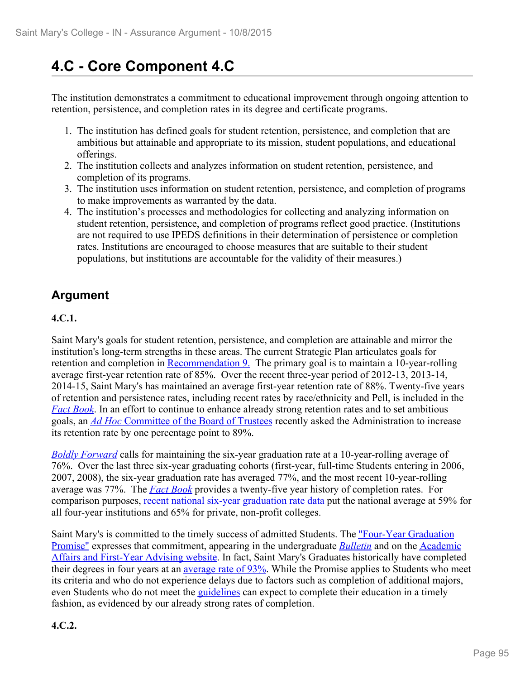# **4.C - Core Component 4.C**

The institution demonstrates a commitment to educational improvement through ongoing attention to retention, persistence, and completion rates in its degree and certificate programs.

- 1. The institution has defined goals for student retention, persistence, and completion that are ambitious but attainable and appropriate to its mission, student populations, and educational offerings.
- 2. The institution collects and analyzes information on student retention, persistence, and completion of its programs.
- 3. The institution uses information on student retention, persistence, and completion of programs to make improvements as warranted by the data.
- 4. The institution's processes and methodologies for collecting and analyzing information on student retention, persistence, and completion of programs reflect good practice. (Institutions are not required to use IPEDS definitions in their determination of persistence or completion rates. Institutions are encouraged to choose measures that are suitable to their student populations, but institutions are accountable for the validity of their measures.)

## **Argument**

#### **4.C.1.**

Saint Mary's goals for student retention, persistence, and completion are attainable and mirror the institution's long-term strengths in these areas. The current Strategic Plan articulates goals for retention and completion in Recommendation 9. The primary goal is to maintain a 10-year-rolling average first-year retention rate of 85%. Over the recent three-year period of 2012-13, 2013-14, 2014-15, Saint Mary's has maintained an average first-year retention rate of 88%. Twenty-five years of retention and persistence rates, including recent rates by race/ethnicity and Pell, is included in the *Fact Book*. In an effort to continue to enhance already strong retention rates and to set ambitious goals, an *Ad Hoc* Committee of the Board of Trustees recently asked the Administration to increase its retention rate by one percentage point to 89%.

*Boldly Forward* calls for maintaining the six-year graduation rate at a 10-year-rolling average of 76%. Over the last three six-year graduating cohorts (first-year, full-time Students entering in 2006, 2007, 2008), the six-year graduation rate has averaged 77%, and the most recent 10-year-rolling average was 77%. The *Fact Book* provides a twenty-five year history of completion rates. For comparison purposes, recent national six-year graduation rate data put the national average at 59% for all four-year institutions and 65% for private, non-profit colleges.

Saint Mary's is committed to the timely success of admitted Students. The "Four-Year Graduation Promise" expresses that commitment, appearing in the undergraduate *Bulletin* and on the Academic Affairs and First-Year Advising website. In fact, Saint Mary's Graduates historically have completed their degrees in four years at an <u>average rate of 93%</u>. While the Promise applies to Students who meet its criteria and who do not experience delays due to factors such as completion of additional majors, even Students who do not meet the guidelines can expect to complete their education in a timely fashion, as evidenced by our already strong rates of completion.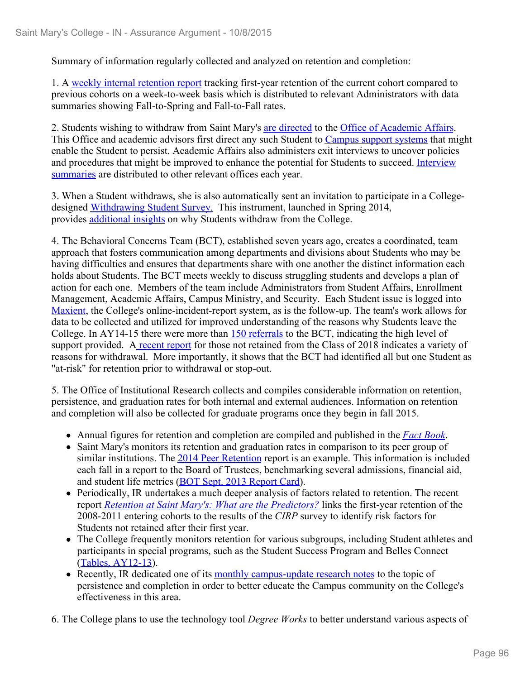Summary of information regularly collected and analyzed on retention and completion:

1. A weekly internal retention report tracking first-year retention of the current cohort compared to previous cohorts on a week-to-week basis which is distributed to relevant Administrators with data summaries showing Fall-to-Spring and Fall-to-Fall rates.

2. Students wishing to withdraw from Saint Mary's are directed to the Office of Academic Affairs. This Office and academic advisors first direct any such Student to Campus support systems that might enable the Student to persist. Academic Affairs also administers exit interviews to uncover policies and procedures that might be improved to enhance the potential for Students to succeed. Interview summaries are distributed to other relevant offices each year.

3. When a Student withdraws, she is also automatically sent an invitation to participate in a Collegedesigned Withdrawing Student Survey. This instrument, launched in Spring 2014, provides additional insights on why Students withdraw from the College.

4. The Behavioral Concerns Team (BCT), established seven years ago, creates a coordinated, team approach that fosters communication among departments and divisions about Students who may be having difficulties and ensures that departments share with one another the distinct information each holds about Students. The BCT meets weekly to discuss struggling students and develops a plan of action for each one. Members of the team include Administrators from Student Affairs, Enrollment Management, Academic Affairs, Campus Ministry, and Security. Each Student issue is logged into Maxient, the College's online-incident-report system, as is the follow-up. The team's work allows for data to be collected and utilized for improved understanding of the reasons why Students leave the College. In AY14-15 there were more than 150 referrals to the BCT, indicating the high level of support provided. A recent report for those not retained from the Class of 2018 indicates a variety of reasons for withdrawal. More importantly, it shows that the BCT had identified all but one Student as "at-risk" for retention prior to withdrawal or stop-out.

5. The Office of Institutional Research collects and compiles considerable information on retention, persistence, and graduation rates for both internal and external audiences. Information on retention and completion will also be collected for graduate programs once they begin in fall 2015.

- Annual figures for retention and completion are compiled and published in the *Fact Book*.
- Saint Mary's monitors its retention and graduation rates in comparison to its peer group of similar institutions. The 2014 Peer Retention report is an example. This information is included each fall in a report to the Board of Trustees, benchmarking several admissions, financial aid, and student life metrics (BOT Sept. 2013 Report Card).
- Periodically, IR undertakes a much deeper analysis of factors related to retention. The recent report *Retention at Saint Mary's: What are the Predictors?* links the first-year retention of the 2008-2011 entering cohorts to the results of the *CIRP* survey to identify risk factors for Students not retained after their first year.
- The College frequently monitors retention for various subgroups, including Student athletes and participants in special programs, such as the Student Success Program and Belles Connect (Tables, AY12-13).
- Recently, IR dedicated one of its monthly campus-update research notes to the topic of persistence and completion in order to better educate the Campus community on the College's effectiveness in this area.

6. The College plans to use the technology tool *Degree Works* to better understand various aspects of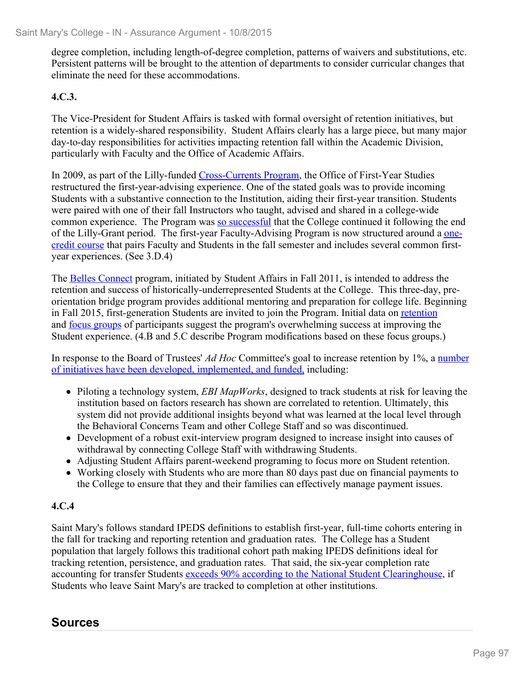degree completion, including length-of-degree completion, patterns of waivers and substitutions, etc. Persistent patterns will be brought to the attention of departments to consider curricular changes that eliminate the need for these accommodations.

#### **4.C.3.**

The Vice-President for Student Affairs is tasked with formal oversight of retention initiatives, but retention is a widely-shared responsibility. Student Affairs clearly has a large piece, but many major day-to-day responsibilities for activities impacting retention fall within the Academic Division, particularly with Faculty and the Office of Academic Affairs.

In 2009, as part of the Lilly-funded Cross-Currents Program, the Office of First-Year Studies restructured the first-year-advising experience. One of the stated goals was to provide incoming Students with a substantive connection to the Institution, aiding their first-year transition. Students were paired with one of their fall Instructors who taught, advised and shared in a college-wide common experience. The Program was so successful that the College continued it following the end of the Lilly-Grant period. The first-year Faculty-Advising Program is now structured around a onecredit course that pairs Faculty and Students in the fall semester and includes several common firstyear experiences. (See 3.D.4)

The Belles Connect program, initiated by Student Affairs in Fall 2011, is intended to address the retention and success of historically-underrepresented Students at the College. This three-day, preorientation bridge program provides additional mentoring and preparation for college life. Beginning in Fall 2015, first-generation Students are invited to join the Program. Initial data on retention and focus groups of participants suggest the program's overwhelming success at improving the Student experience. (4.B and 5.C describe Program modifications based on these focus groups.)

In response to the Board of Trustees' *Ad Hoc* Committee's goal to increase retention by 1%, a number of initiatives have been developed, implemented, and funded, including:

- Piloting a technology system, *EBI MapWorks*, designed to track students at risk for leaving the institution based on factors research has shown are correlated to retention. Ultimately, this system did not provide additional insights beyond what was learned at the local level through the Behavioral Concerns Team and other College Staff and so was discontinued.
- Development of a robust exit-interview program designed to increase insight into causes of withdrawal by connecting College Staff with withdrawing Students.
- Adjusting Student Affairs parent-weekend programing to focus more on Student retention.
- Working closely with Students who are more than 80 days past due on financial payments to the College to ensure that they and their families can effectively manage payment issues.

#### **4.C.4**

Saint Mary's follows standard IPEDS definitions to establish first-year, full-time cohorts entering in the fall for tracking and reporting retention and graduation rates. The College has a Student population that largely follows this traditional cohort path making IPEDS definitions ideal for tracking retention, persistence, and graduation rates. That said, the six-year completion rate accounting for transfer Students exceeds 90% according to the National Student Clearinghouse, if Students who leave Saint Mary's are tracked to completion at other institutions.

#### **Sources**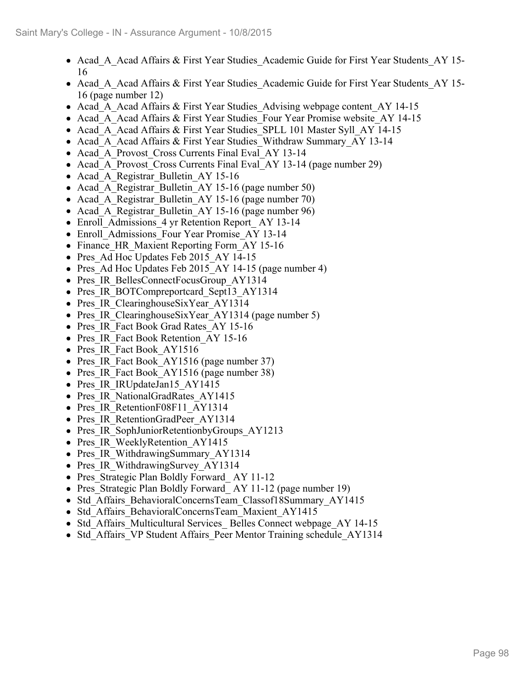- Acad A Acad Affairs & First Year Studies Academic Guide for First Year Students AY 15-16
- Acad A Acad Affairs & First Year Studies Academic Guide for First Year Students AY 15-16 (page number 12)
- Acad A Acad Affairs & First Year Studies Advising webpage content AY 14-15
- Acad A Acad Affairs & First Year Studies Four Year Promise website AY 14-15
- Acad A Acad Affairs & First Year Studies SPLL 101 Master Syll AY 14-15
- Acad A Acad Affairs & First Year Studies Withdraw Summary AY 13-14
- Acad A Provost Cross Currents Final Eval AY 13-14
- Acad A Provost Cross Currents Final Eval AY 13-14 (page number 29)
- Acad A Registrar Bulletin AY 15-16
- Acad A Registrar Bulletin AY 15-16 (page number 50)
- Acad A Registrar Bulletin AY 15-16 (page number 70)
- Acad A Registrar Bulletin AY 15-16 (page number 96)
- Enroll Admissions 4 yr Retention Report AY 13-14
- Enroll Admissions Four Year Promise AY 13-14
- Finance HR Maxient Reporting Form AY 15-16
- Pres Ad Hoc Updates Feb 2015 AY 14-15
- Pres Ad Hoc Updates Feb 2015 AY 14-15 (page number 4)
- Pres\_IR\_BellesConnectFocusGroup\_AY1314
- Pres IR BOTCompreportcard Sept13 AY1314
- Pres IR ClearinghouseSixYear AY1314
- Pres IR ClearinghouseSixYear AY1314 (page number 5)
- Pres IR Fact Book Grad Rates AY 15-16
- Pres IR Fact Book Retention AY 15-16
- Pres IR Fact Book AY1516
- Pres IR Fact Book AY1516 (page number 37)
- Pres IR Fact Book AY1516 (page number 38)
- Pres IR IRUpdateJan15 AY1415
- Pres IR NationalGradRates AY1415
- Pres IR RetentionF08F11 AY1314
- Pres IR RetentionGradPeer AY1314
- Pres IR SophJuniorRetentionbyGroups AY1213
- Pres IR WeeklyRetention AY1415
- Pres IR WithdrawingSummary AY1314
- Pres IR WithdrawingSurvey AY1314
- Pres Strategic Plan Boldly Forward AY 11-12
- Pres Strategic Plan Boldly Forward AY 11-12 (page number 19)
- Std Affairs BehavioralConcernsTeam Classof18Summary AY1415
- Std Affairs BehavioralConcernsTeam Maxient AY1415
- Std Affairs Multicultural Services Belles Connect webpage AY 14-15
- Std Affairs VP Student Affairs Peer Mentor Training schedule AY1314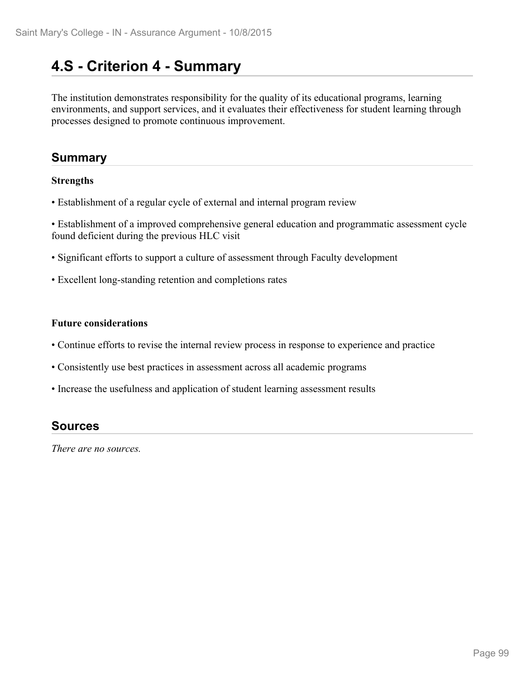## **4.S - Criterion 4 - Summary**

The institution demonstrates responsibility for the quality of its educational programs, learning environments, and support services, and it evaluates their effectiveness for student learning through processes designed to promote continuous improvement.

## **Summary**

#### **Strengths**

• Establishment of a regular cycle of external and internal program review

• Establishment of a improved comprehensive general education and programmatic assessment cycle found deficient during the previous HLC visit

- Significant efforts to support a culture of assessment through Faculty development
- Excellent long-standing retention and completions rates

#### **Future considerations**

- Continue efforts to revise the internal review process in response to experience and practice
- Consistently use best practices in assessment across all academic programs
- Increase the usefulness and application of student learning assessment results

#### **Sources**

*There are no sources.*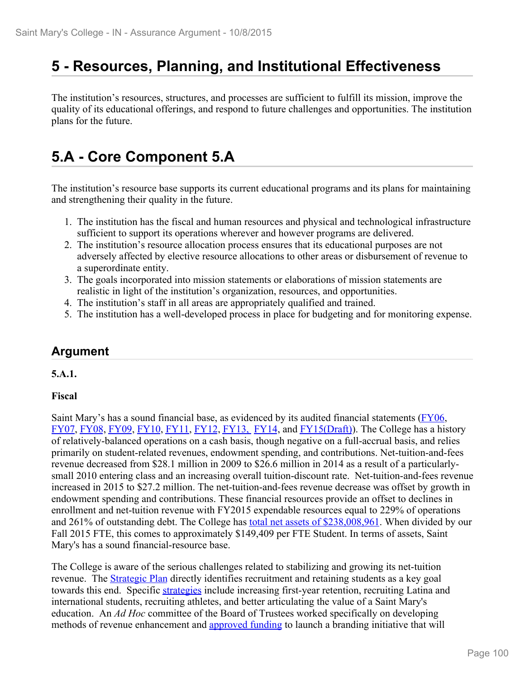## **5 - Resources, Planning, and Institutional Effectiveness**

The institution's resources, structures, and processes are sufficient to fulfill its mission, improve the quality of its educational offerings, and respond to future challenges and opportunities. The institution plans for the future.

# **5.A - Core Component 5.A**

The institution's resource base supports its current educational programs and its plans for maintaining and strengthening their quality in the future.

- 1. The institution has the fiscal and human resources and physical and technological infrastructure sufficient to support its operations wherever and however programs are delivered.
- 2. The institution's resource allocation process ensures that its educational purposes are not adversely affected by elective resource allocations to other areas or disbursement of revenue to a superordinate entity.
- 3. The goals incorporated into mission statements or elaborations of mission statements are realistic in light of the institution's organization, resources, and opportunities.
- 4. The institution's staff in all areas are appropriately qualified and trained.
- 5. The institution has a well-developed process in place for budgeting and for monitoring expense.

## **Argument**

#### **5.A.1.**

#### **Fiscal**

Saint Mary's has a sound financial base, as evidenced by its audited financial statements (FY06, FY07, FY08, FY09, FY10, FY11, FY12, FY13, FY14, and FY15(Draft)). The College has a history of relatively-balanced operations on a cash basis, though negative on a full-accrual basis, and relies primarily on student-related revenues, endowment spending, and contributions. Net-tuition-and-fees revenue decreased from \$28.1 million in 2009 to \$26.6 million in 2014 as a result of a particularlysmall 2010 entering class and an increasing overall tuition-discount rate. Net-tuition-and-fees revenue increased in 2015 to \$27.2 million. The net-tuition-and-fees revenue decrease was offset by growth in endowment spending and contributions. These financial resources provide an offset to declines in enrollment and net-tuition revenue with FY2015 expendable resources equal to 229% of operations and 261% of outstanding debt. The College has total net assets of \$238,008,961. When divided by our Fall 2015 FTE, this comes to approximately \$149,409 per FTE Student. In terms of assets, Saint Mary's has a sound financial-resource base.

The College is aware of the serious challenges related to stabilizing and growing its net-tuition revenue. The **Strategic Plan** directly identifies recruitment and retaining students as a key goal towards this end. Specific strategies include increasing first-year retention, recruiting Latina and international students, recruiting athletes, and better articulating the value of a Saint Mary's education. An *Ad Hoc* committee of the Board of Trustees worked specifically on developing methods of revenue enhancement and approved funding to launch a branding initiative that will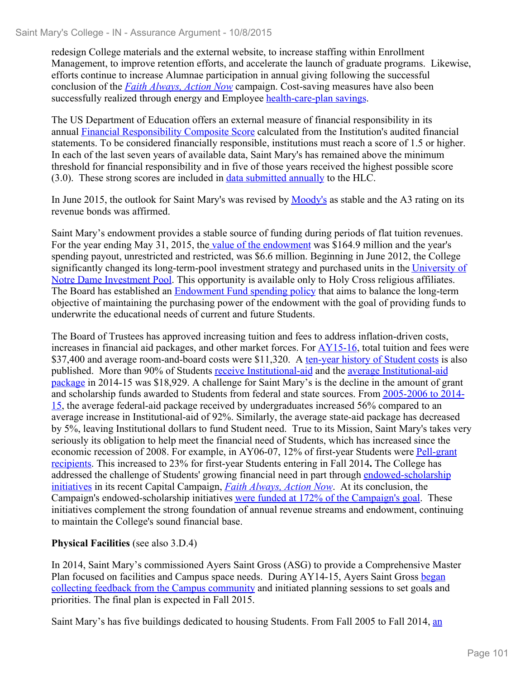redesign College materials and the external website, to increase staffing within Enrollment Management, to improve retention efforts, and accelerate the launch of graduate programs. Likewise, efforts continue to increase Alumnae participation in annual giving following the successful conclusion of the *Faith Always, Action Now* campaign. Cost-saving measures have also been successfully realized through energy and Employee health-care-plan savings.

The US Department of Education offers an external measure of financial responsibility in its annual Financial Responsibility Composite Score calculated from the Institution's audited financial statements. To be considered financially responsible, institutions must reach a score of 1.5 or higher. In each of the last seven years of available data, Saint Mary's has remained above the minimum threshold for financial responsibility and in five of those years received the highest possible score (3.0). These strong scores are included in data submitted annually to the HLC.

In June 2015, the outlook for Saint Mary's was revised by Moody's as stable and the A3 rating on its revenue bonds was affirmed.

Saint Mary's endowment provides a stable source of funding during periods of flat tuition revenues. For the year ending May 31, 2015, the value of the endowment was \$164.9 million and the year's spending payout, unrestricted and restricted, was \$6.6 million. Beginning in June 2012, the College significantly changed its long-term-pool investment strategy and purchased units in the University of Notre Dame Investment Pool. This opportunity is available only to Holy Cross religious affiliates. The Board has established an Endowment Fund spending policy that aims to balance the long-term objective of maintaining the purchasing power of the endowment with the goal of providing funds to underwrite the educational needs of current and future Students.

The Board of Trustees has approved increasing tuition and fees to address inflation-driven costs, increases in financial aid packages, and other market forces. For AY15-16, total tuition and fees were \$37,400 and average room-and-board costs were \$11,320. A ten-year history of Student costs is also published. More than 90% of Students receive Institutional-aid and the average Institutional-aid package in 2014-15 was \$18,929. A challenge for Saint Mary's is the decline in the amount of grant and scholarship funds awarded to Students from federal and state sources. From 2005-2006 to 2014- 15, the average federal-aid package received by undergraduates increased 56% compared to an average increase in Institutional-aid of 92%. Similarly, the average state-aid package has decreased by 5%, leaving Institutional dollars to fund Student need. True to its Mission, Saint Mary's takes very seriously its obligation to help meet the financial need of Students, which has increased since the economic recession of 2008. For example, in AY06-07, 12% of first-year Students were Pell-grant recipients. This increased to 23% for first-year Students entering in Fall 2014**.** The College has addressed the challenge of Students' growing financial need in part through endowed-scholarship initiatives in its recent Capital Campaign, *Faith Always, Action Now*. At its conclusion, the Campaign's endowed-scholarship initiatives were funded at 172% of the Campaign's goal. These initiatives complement the strong foundation of annual revenue streams and endowment, continuing to maintain the College's sound financial base.

#### **Physical Facilities** (see also 3.D.4)

In 2014, Saint Mary's commissioned Ayers Saint Gross (ASG) to provide a Comprehensive Master Plan focused on facilities and Campus space needs. During AY14-15, Ayers Saint Gross began collecting feedback from the Campus community and initiated planning sessions to set goals and priorities. The final plan is expected in Fall 2015.

Saint Mary's has five buildings dedicated to housing Students. From Fall 2005 to Fall 2014, an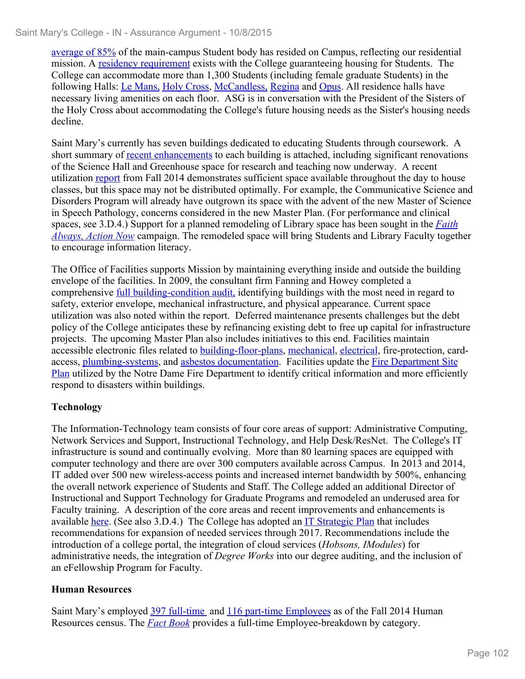average of 85% of the main-campus Student body has resided on Campus, reflecting our residential mission. A residency requirement exists with the College guaranteeing housing for Students. The College can accommodate more than 1,300 Students (including female graduate Students) in the following Halls: Le Mans, Holy Cross, McCandless, Regina and Opus. All residence halls have necessary living amenities on each floor. ASG is in conversation with the President of the Sisters of the Holy Cross about accommodating the College's future housing needs as the Sister's housing needs decline.

Saint Mary's currently has seven buildings dedicated to educating Students through coursework. A short summary of <u>recent enhancements</u> to each building is attached, including significant renovations of the Science Hall and Greenhouse space for research and teaching now underway. A recent utilization report from Fall 2014 demonstrates sufficient space available throughout the day to house classes, but this space may not be distributed optimally. For example, the Communicative Science and Disorders Program will already have outgrown its space with the advent of the new Master of Science in Speech Pathology, concerns considered in the new Master Plan. (For performance and clinical spaces, see 3.D.4.) Support for a planned remodeling of Library space has been sought in the *Faith Always, Action Now* campaign. The remodeled space will bring Students and Library Faculty together to encourage information literacy.

The Office of Facilities supports Mission by maintaining everything inside and outside the building envelope of the facilities. In 2009, the consultant firm Fanning and Howey completed a comprehensive <u>full building-condition audit</u>, identifying buildings with the most need in regard to safety, exterior envelope, mechanical infrastructure, and physical appearance. Current space utilization was also noted within the report. Deferred maintenance presents challenges but the debt policy of the College anticipates these by refinancing existing debt to free up capital for infrastructure projects. The upcoming Master Plan also includes initiatives to this end. Facilities maintain accessible electronic files related to building-floor-plans, mechanical, electrical, fire-protection, cardaccess, plumbing-systems, and asbestos documentation. Facilities update the Fire Department Site Plan utilized by the Notre Dame Fire Department to identify critical information and more efficiently respond to disasters within buildings.

#### **Technology**

The Information-Technology team consists of four core areas of support: Administrative Computing, Network Services and Support, Instructional Technology, and Help Desk/ResNet. The College's IT infrastructure is sound and continually evolving. More than 80 learning spaces are equipped with computer technology and there are over 300 computers available across Campus. In 2013 and 2014, IT added over 500 new wireless-access points and increased internet bandwidth by 500%, enhancing the overall network experience of Students and Staff. The College added an additional Director of Instructional and Support Technology for Graduate Programs and remodeled an underused area for Faculty training. A description of the core areas and recent improvements and enhancements is available here. (See also 3.D.4.) The College has adopted an IT Strategic Plan that includes recommendations for expansion of needed services through 2017. Recommendations include the introduction of a college portal, the integration of cloud services (*Hobsons, IModules*) for administrative needs, the integration of *Degree Works* into our degree auditing, and the inclusion of an eFellowship Program for Faculty.

#### **Human Resources**

Saint Mary's employed 397 full-time and 116 part-time Employees as of the Fall 2014 Human Resources census. The *Fact Book* provides a full-time Employee-breakdown by category.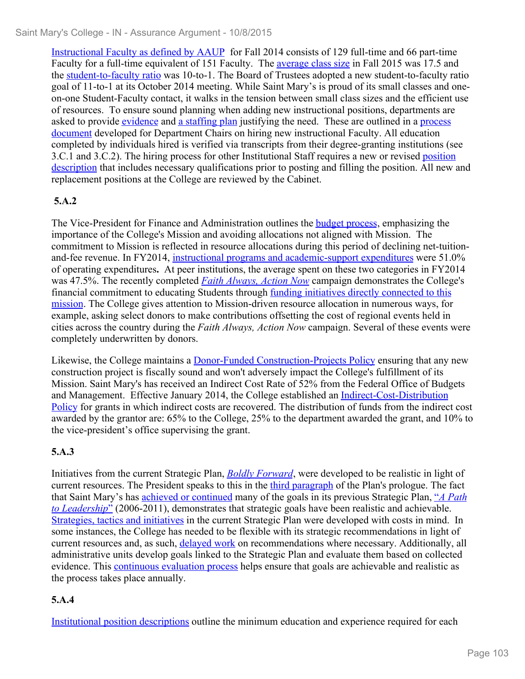Instructional Faculty as defined by AAUP for Fall 2014 consists of 129 full-time and 66 part-time Faculty for a full-time equivalent of 151 Faculty. The average class size in Fall 2015 was 17.5 and the student-to-faculty ratio was 10-to-1. The Board of Trustees adopted a new student-to-faculty ratio goal of 11-to-1 at its October 2014 meeting. While Saint Mary's is proud of its small classes and oneon-one Student-Faculty contact, it walks in the tension between small class sizes and the efficient use of resources. To ensure sound planning when adding new instructional positions, departments are asked to provide evidence and a staffing plan justifying the need. These are outlined in a process document developed for Department Chairs on hiring new instructional Faculty. All education completed by individuals hired is verified via transcripts from their degree-granting institutions (see 3.C.1 and 3.C.2). The hiring process for other Institutional Staff requires a new or revised position description that includes necessary qualifications prior to posting and filling the position. All new and replacement positions at the College are reviewed by the Cabinet.

## **5.A.2**

The Vice-President for Finance and Administration outlines the budget process, emphasizing the importance of the College's Mission and avoiding allocations not aligned with Mission. The commitment to Mission is reflected in resource allocations during this period of declining net-tuitionand-fee revenue. In FY2014, instructional programs and academic-support expenditures were 51.0% of operating expenditures**.** At peer institutions, the average spent on these two categories in FY2014 was 47.5%. The recently completed *Faith Always, Action Now* campaign demonstrates the College's financial commitment to educating Students through funding initiatives directly connected to this mission. The College gives attention to Mission-driven resource allocation in numerous ways, for example, asking select donors to make contributions offsetting the cost of regional events held in cities across the country during the *Faith Always, Action Now* campaign. Several of these events were completely underwritten by donors.

Likewise, the College maintains a Donor-Funded Construction-Projects Policy ensuring that any new construction project is fiscally sound and won't adversely impact the College's fulfillment of its Mission. Saint Mary's has received an Indirect Cost Rate of 52% from the Federal Office of Budgets and Management. Effective January 2014, the College established an Indirect-Cost-Distribution Policy for grants in which indirect costs are recovered. The distribution of funds from the indirect cost awarded by the grantor are: 65% to the College, 25% to the department awarded the grant, and 10% to the vice-president's office supervising the grant.

## **5.A.3**

Initiatives from the current Strategic Plan, *Boldly Forward*, were developed to be realistic in light of current resources. The President speaks to this in the third paragraph of the Plan's prologue. The fact that Saint Mary's has achieved or continued many of the goals in its previous Strategic Plan, "*A Path to Leadership*" (2006-2011), demonstrates that strategic goals have been realistic and achievable. Strategies, tactics and initiatives in the current Strategic Plan were developed with costs in mind. In some instances, the College has needed to be flexible with its strategic recommendations in light of current resources and, as such, delayed work on recommendations where necessary. Additionally, all administrative units develop goals linked to the Strategic Plan and evaluate them based on collected evidence. This continuous evaluation process helps ensure that goals are achievable and realistic as the process takes place annually.

## **5.A.4**

Institutional position descriptions outline the minimum education and experience required for each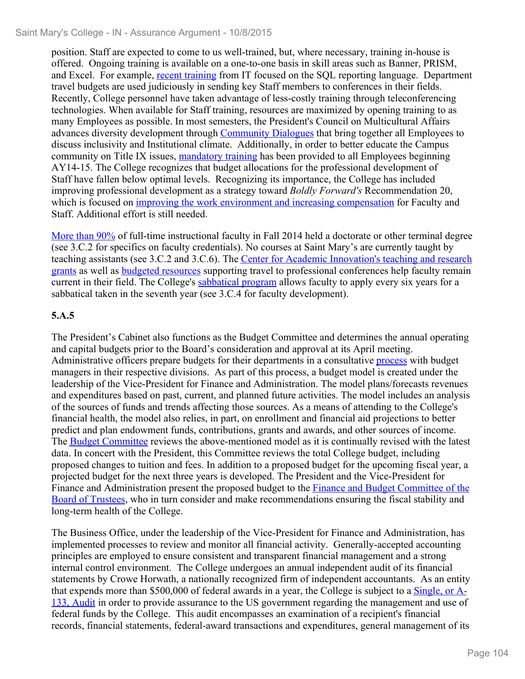position. Staff are expected to come to us well-trained, but, where necessary, training in-house is offered. Ongoing training is available on a one-to-one basis in skill areas such as Banner, PRISM, and Excel. For example, recent training from IT focused on the SQL reporting language. Department travel budgets are used judiciously in sending key Staff members to conferences in their fields. Recently, College personnel have taken advantage of less-costly training through teleconferencing technologies. When available for Staff training, resources are maximized by opening training to as many Employees as possible. In most semesters, the President's Council on Multicultural Affairs advances diversity development through Community Dialogues that bring together all Employees to discuss inclusivity and Institutional climate. Additionally, in order to better educate the Campus community on Title IX issues, mandatory training has been provided to all Employees beginning AY14-15. The College recognizes that budget allocations for the professional development of Staff have fallen below optimal levels. Recognizing its importance, the College has included improving professional development as a strategy toward *Boldly Forward's* Recommendation 20, which is focused on improving the work environment and increasing compensation for Faculty and Staff. Additional effort is still needed.

More than 90% of full-time instructional faculty in Fall 2014 held a doctorate or other terminal degree (see 3.C.2 for specifics on faculty credentials). No courses at Saint Mary's are currently taught by teaching assistants (see 3.C.2 and 3.C.6). The Center for Academic Innovation's teaching and research grants as well as budgeted resources supporting travel to professional conferences help faculty remain current in their field. The College's sabbatical program allows faculty to apply every six years for a sabbatical taken in the seventh year (see 3.C.4 for faculty development).

#### **5.A.5**

The President's Cabinet also functions as the Budget Committee and determines the annual operating and capital budgets prior to the Board's consideration and approval at its April meeting. Administrative officers prepare budgets for their departments in a consultative process with budget managers in their respective divisions. As part of this process, a budget model is created under the leadership of the Vice-President for Finance and Administration. The model plans/forecasts revenues and expenditures based on past, current, and planned future activities. The model includes an analysis of the sources of funds and trends affecting those sources. As a means of attending to the College's financial health, the model also relies, in part, on enrollment and financial aid projections to better predict and plan endowment funds, contributions, grants and awards, and other sources of income. The Budget Committee reviews the above-mentioned model as it is continually revised with the latest data. In concert with the President, this Committee reviews the total College budget, including proposed changes to tuition and fees. In addition to a proposed budget for the upcoming fiscal year, a projected budget for the next three years is developed. The President and the Vice-President for Finance and Administration present the proposed budget to the Finance and Budget Committee of the Board of Trustees, who in turn consider and make recommendations ensuring the fiscal stability and long-term health of the College.

The Business Office, under the leadership of the Vice-President for Finance and Administration, has implemented processes to review and monitor all financial activity. Generally-accepted accounting principles are employed to ensure consistent and transparent financial management and a strong internal control environment. The College undergoes an annual independent audit of its financial statements by Crowe Horwath, a nationally recognized firm of independent accountants. As an entity that expends more than \$500,000 of federal awards in a year, the College is subject to a Single, or A-133, Audit in order to provide assurance to the US government regarding the management and use of federal funds by the College. This audit encompasses an examination of a recipient's financial records, financial statements, federal-award transactions and expenditures, general management of its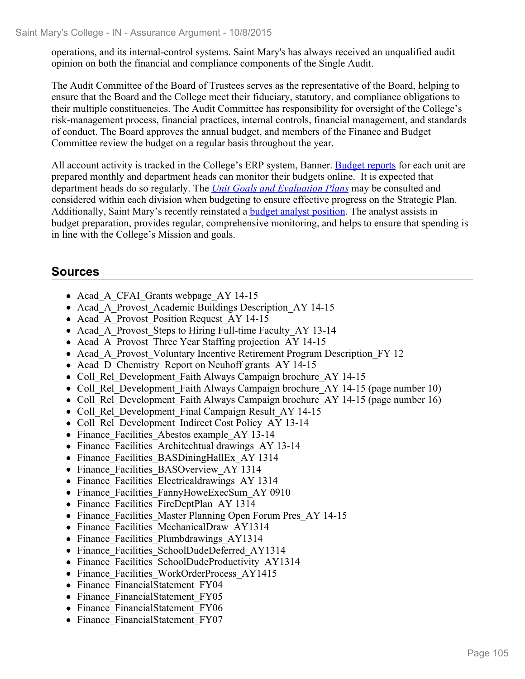operations, and its internal-control systems. Saint Mary's has always received an unqualified audit opinion on both the financial and compliance components of the Single Audit.

The Audit Committee of the Board of Trustees serves as the representative of the Board, helping to ensure that the Board and the College meet their fiduciary, statutory, and compliance obligations to their multiple constituencies. The Audit Committee has responsibility for oversight of the College's risk-management process, financial practices, internal controls, financial management, and standards of conduct. The Board approves the annual budget, and members of the Finance and Budget Committee review the budget on a regular basis throughout the year.

All account activity is tracked in the College's ERP system, Banner. Budget reports for each unit are prepared monthly and department heads can monitor their budgets online. It is expected that department heads do so regularly. The *Unit Goals and Evaluation Plans* may be consulted and considered within each division when budgeting to ensure effective progress on the Strategic Plan. Additionally, Saint Mary's recently reinstated a **budget analyst position**. The analyst assists in budget preparation, provides regular, comprehensive monitoring, and helps to ensure that spending is in line with the College's Mission and goals.

## **Sources**

- Acad A CFAI Grants webpage AY 14-15
- Acad A Provost Academic Buildings Description AY 14-15
- Acad A Provost Position Request AY 14-15
- Acad A Provost Steps to Hiring Full-time Faculty AY 13-14
- Acad A Provost Three Year Staffing projection AY 14-15
- Acad A Provost Voluntary Incentive Retirement Program Description FY 12
- Acad D Chemistry Report on Neuhoff grants AY 14-15
- Coll Rel Development Faith Always Campaign brochure AY 14-15
- Coll Rel Development Faith Always Campaign brochure AY 14-15 (page number 10)
- Coll Rel Development Faith Always Campaign brochure AY 14-15 (page number 16)
- Coll Rel Development Final Campaign Result AY 14-15
- Coll Rel Development Indirect Cost Policy AY 13-14
- Finance Facilities Abestos example AY 13-14
- Finance Facilities Architechtual drawings AY 13-14
- Finance Facilities BASDiningHallEx AY 1314
- Finance Facilities BASOverview AY 1314
- Finance Facilities Electricaldrawings AY 1314
- Finance Facilities FannyHoweExecSum AY 0910
- Finance Facilities FireDeptPlan AY 1314
- Finance Facilities Master Planning Open Forum Pres AY 14-15
- Finance Facilities MechanicalDraw AY1314
- Finance Facilities Plumbdrawings AY1314
- Finance Facilities SchoolDudeDeferred AY1314
- Finance Facilities SchoolDudeProductivity AY1314
- Finance Facilities WorkOrderProcess AY1415
- Finance FinancialStatement FY04
- Finance FinancialStatement FY05
- Finance FinancialStatement FY06
- Finance FinancialStatement FY07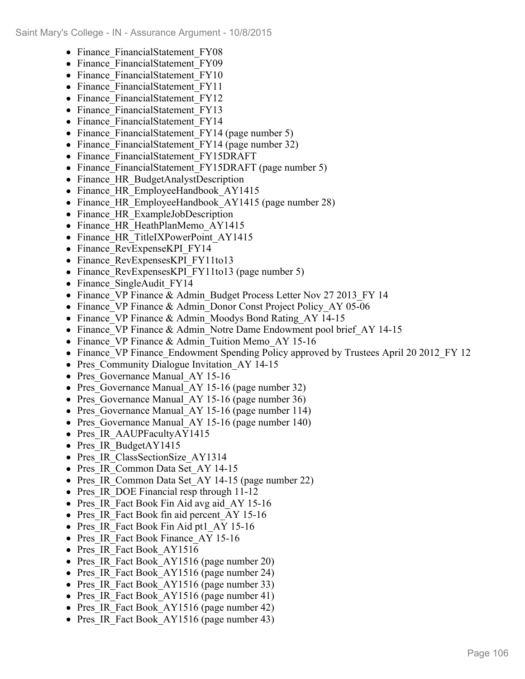- Finance FinancialStatement FY08
- Finance FinancialStatement FY09
- Finance FinancialStatement FY10
- Finance FinancialStatement FY11
- Finance FinancialStatement FY12
- Finance FinancialStatement FY13
- Finance FinancialStatement FY14
- Finance FinancialStatement FY14 (page number 5)
- Finance FinancialStatement FY14 (page number 32)
- Finance FinancialStatement FY15DRAFT
- Finance FinancialStatement FY15DRAFT (page number 5)
- Finance HR BudgetAnalystDescription
- Finance HR EmployeeHandbook AY1415
- Finance HR EmployeeHandbook AY1415 (page number 28)
- Finance HR ExampleJobDescription
- Finance HR HeathPlanMemo AY1415
- Finance HR TitleIXPowerPoint AY1415
- Finance RevExpenseKPI FY14
- Finance RevExpensesKPI FY11to13
- Finance RevExpensesKPI FY11to13 (page number 5)
- Finance SingleAudit FY14
- Finance VP Finance & Admin Budget Process Letter Nov 27 2013 FY 14
- Finance VP Finance & Admin Donor Const Project Policy AY 05-06
- Finance VP Finance & Admin Moodys Bond Rating AY 14-15
- Finance VP Finance & Admin Notre Dame Endowment pool brief AY 14-15
- Finance VP Finance & Admin Tuition Memo AY 15-16
- Finance VP Finance Endowment Spending Policy approved by Trustees April 20 2012 FY 12
- Pres Community Dialogue Invitation AY 14-15
- Pres Governance Manual AY 15-16
- Pres Governance Manual AY 15-16 (page number 32)
- Pres Governance Manual AY 15-16 (page number 36)
- Pres Governance Manual AY 15-16 (page number 114)
- Pres Governance Manual AY 15-16 (page number 140)
- Pres IR AAUPFacultyAY1415
- Pres IR BudgetAY1415
- Pres IR ClassSectionSize AY1314
- Pres IR Common Data Set AY 14-15
- Pres IR Common Data Set AY 14-15 (page number 22)
- Pres IR DOE Financial resp through 11-12
- Pres IR Fact Book Fin Aid avg aid AY 15-16
- Pres IR Fact Book fin aid percent AY 15-16
- Pres IR Fact Book Fin Aid pt1 AY 15-16
- Pres IR Fact Book Finance AY 15-16
- Pres IR Fact Book AY1516
- Pres IR Fact Book AY1516 (page number 20)
- Pres IR Fact Book AY1516 (page number 24)
- Pres IR Fact Book AY1516 (page number 33)
- Pres IR Fact Book AY1516 (page number 41)
- Pres IR Fact Book AY1516 (page number 42)
- Pres IR Fact Book AY1516 (page number 43)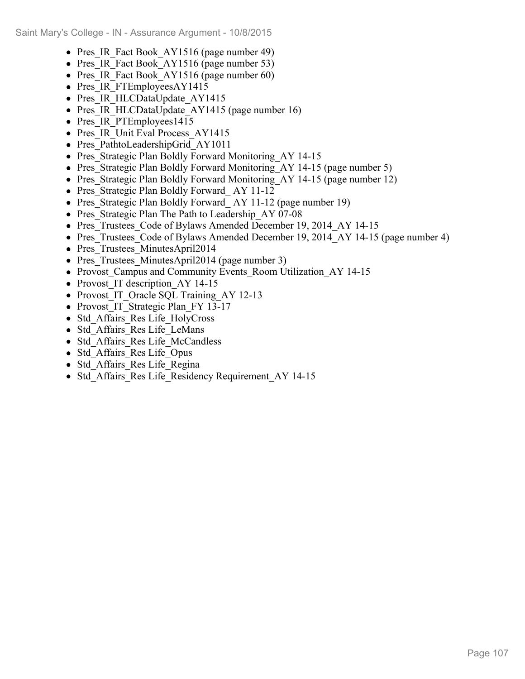- Pres IR Fact Book AY1516 (page number 49)
- Pres IR Fact Book AY1516 (page number 53)
- Pres IR Fact Book AY1516 (page number 60)
- Pres IR FTEmployeesAY1415
- Pres IR HLCDataUpdate AY1415
- Pres IR HLCDataUpdate AY1415 (page number 16)
- Pres IR PTEmployees1415
- Pres IR Unit Eval Process AY1415
- Pres PathtoLeadershipGrid AY1011
- Pres Strategic Plan Boldly Forward Monitoring AY 14-15
- Pres\_Strategic Plan Boldly Forward Monitoring\_AY 14-15 (page number 5)
- Pres Strategic Plan Boldly Forward Monitoring AY 14-15 (page number 12)
- Pres Strategic Plan Boldly Forward AY 11-12
- Pres Strategic Plan Boldly Forward AY 11-12 (page number 19)
- Pres Strategic Plan The Path to Leadership AY 07-08
- Pres Trustees Code of Bylaws Amended December 19, 2014 AY 14-15
- Pres Trustees Code of Bylaws Amended December 19, 2014 AY 14-15 (page number 4)
- Pres Trustees MinutesApril2014
- Pres Trustees MinutesApril2014 (page number 3)
- Provost\_Campus and Community Events Room Utilization AY 14-15
- Provost IT description AY 14-15
- Provost IT Oracle SQL Training AY 12-13
- Provost IT Strategic Plan FY 13-17
- Std Affairs Res Life HolyCross
- Std Affairs Res Life LeMans
- Std Affairs Res Life McCandless
- Std Affairs Res Life Opus
- Std Affairs Res Life Regina
- Std Affairs Res Life Residency Requirement AY 14-15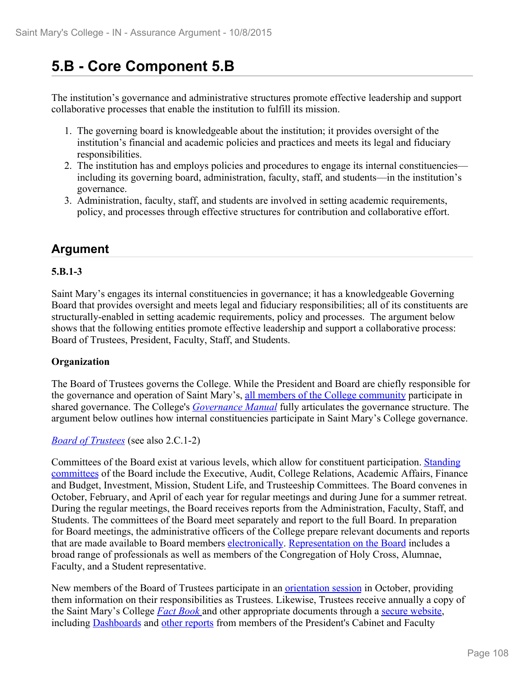# **5.B - Core Component 5.B**

The institution's governance and administrative structures promote effective leadership and support collaborative processes that enable the institution to fulfill its mission.

- 1. The governing board is knowledgeable about the institution; it provides oversight of the institution's financial and academic policies and practices and meets its legal and fiduciary responsibilities.
- 2. The institution has and employs policies and procedures to engage its internal constituencies including its governing board, administration, faculty, staff, and students—in the institution's governance.
- 3. Administration, faculty, staff, and students are involved in setting academic requirements, policy, and processes through effective structures for contribution and collaborative effort.

## **Argument**

#### **5.B.1-3**

Saint Mary's engages its internal constituencies in governance; it has a knowledgeable Governing Board that provides oversight and meets legal and fiduciary responsibilities; all of its constituents are structurally-enabled in setting academic requirements, policy and processes. The argument below shows that the following entities promote effective leadership and support a collaborative process: Board of Trustees, President, Faculty, Staff, and Students.

#### **Organization**

The Board of Trustees governs the College. While the President and Board are chiefly responsible for the governance and operation of Saint Mary's, all members of the College community participate in shared governance. The College's *Governance Manual* fully articulates the governance structure. The argument below outlines how internal constituencies participate in Saint Mary's College governance.

#### *Board of Trustees* (see also 2.C.1-2)

Committees of the Board exist at various levels, which allow for constituent participation. Standing committees of the Board include the Executive, Audit, College Relations, Academic Affairs, Finance and Budget, Investment, Mission, Student Life, and Trusteeship Committees. The Board convenes in October, February, and April of each year for regular meetings and during June for a summer retreat. During the regular meetings, the Board receives reports from the Administration, Faculty, Staff, and Students. The committees of the Board meet separately and report to the full Board. In preparation for Board meetings, the administrative officers of the College prepare relevant documents and reports that are made available to Board members electronically. Representation on the Board includes a broad range of professionals as well as members of the Congregation of Holy Cross, Alumnae, Faculty, and a Student representative.

New members of the Board of Trustees participate in an orientation session in October, providing them information on their responsibilities as Trustees. Likewise, Trustees receive annually a copy of the Saint Mary's College *Fact Book* and other appropriate documents through a secure website, including Dashboards and other reports from members of the President's Cabinet and Faculty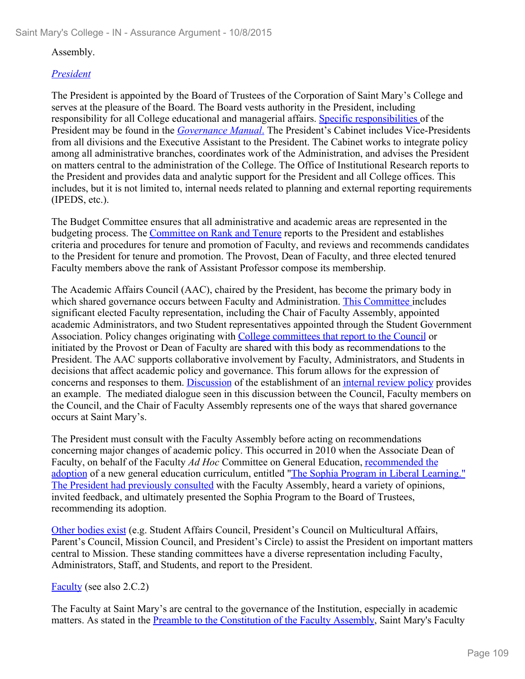## Assembly.

## *President*

The President is appointed by the Board of Trustees of the Corporation of Saint Mary's College and serves at the pleasure of the Board. The Board vests authority in the President, including responsibility for all College educational and managerial affairs. Specific responsibilities of the President may be found in the *Governance Manual*. The President's Cabinet includes Vice-Presidents from all divisions and the Executive Assistant to the President. The Cabinet works to integrate policy among all administrative branches, coordinates work of the Administration, and advises the President on matters central to the administration of the College. The Office of Institutional Research reports to the President and provides data and analytic support for the President and all College offices. This includes, but it is not limited to, internal needs related to planning and external reporting requirements (IPEDS, etc.).

The Budget Committee ensures that all administrative and academic areas are represented in the budgeting process. The Committee on Rank and Tenure reports to the President and establishes criteria and procedures for tenure and promotion of Faculty, and reviews and recommends candidates to the President for tenure and promotion. The Provost, Dean of Faculty, and three elected tenured Faculty members above the rank of Assistant Professor compose its membership.

The Academic Affairs Council (AAC), chaired by the President, has become the primary body in which shared governance occurs between Faculty and Administration. This Committee includes significant elected Faculty representation, including the Chair of Faculty Assembly, appointed academic Administrators, and two Student representatives appointed through the Student Government Association. Policy changes originating with College committees that report to the Council or initiated by the Provost or Dean of Faculty are shared with this body as recommendations to the President. The AAC supports collaborative involvement by Faculty, Administrators, and Students in decisions that affect academic policy and governance. This forum allows for the expression of concerns and responses to them. Discussion of the establishment of an internal review policy provides an example. The mediated dialogue seen in this discussion between the Council, Faculty members on the Council, and the Chair of Faculty Assembly represents one of the ways that shared governance occurs at Saint Mary's.

The President must consult with the Faculty Assembly before acting on recommendations concerning major changes of academic policy. This occurred in 2010 when the Associate Dean of Faculty, on behalf of the Faculty *Ad Hoc* Committee on General Education, recommended the adoption of a new general education curriculum, entitled "The Sophia Program in Liberal Learning." The President had previously consulted with the Faculty Assembly, heard a variety of opinions, invited feedback, and ultimately presented the Sophia Program to the Board of Trustees, recommending its adoption.

Other bodies exist (e.g. Student Affairs Council, President's Council on Multicultural Affairs, Parent's Council, Mission Council, and President's Circle) to assist the President on important matters central to Mission. These standing committees have a diverse representation including Faculty, Administrators, Staff, and Students, and report to the President.

## Faculty (see also 2.C.2)

The Faculty at Saint Mary's are central to the governance of the Institution, especially in academic matters. As stated in the Preamble to the Constitution of the Faculty Assembly, Saint Mary's Faculty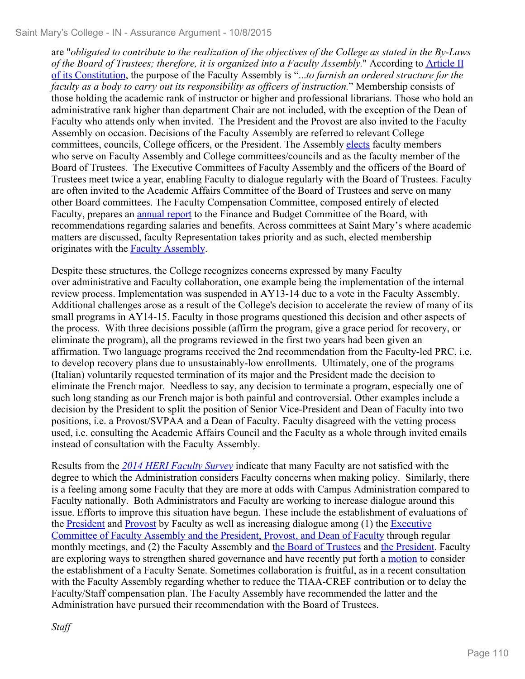are "*obligated to contribute to the realization of the objectives of the College as stated in the By-Laws of the Board of Trustees; therefore, it is organized into a Faculty Assembly.*" According to Article II of its Constitution, the purpose of the Faculty Assembly is "...*to furnish an ordered structure for the faculty as a body to carry out its responsibility as officers of instruction.*" Membership consists of those holding the academic rank of instructor or higher and professional librarians. Those who hold an administrative rank higher than department Chair are not included, with the exception of the Dean of Faculty who attends only when invited.The President and the Provost are also invited to the Faculty Assembly on occasion. Decisions of the Faculty Assembly are referred to relevant College committees, councils, College officers, or the President. The Assembly elects faculty members who serve on Faculty Assembly and College committees/councils and as the faculty member of the Board of Trustees. The Executive Committees of Faculty Assembly and the officers of the Board of Trustees meet twice a year, enabling Faculty to dialogue regularly with the Board of Trustees. Faculty are often invited to the Academic Affairs Committee of the Board of Trustees and serve on many other Board committees. The Faculty Compensation Committee, composed entirely of elected Faculty, prepares an annual report to the Finance and Budget Committee of the Board, with recommendations regarding salaries and benefits. Across committees at Saint Mary's where academic matters are discussed, faculty Representation takes priority and as such, elected membership originates with the Faculty Assembly.

Despite these structures, the College recognizes concerns expressed by many Faculty over administrative and Faculty collaboration, one example being the implementation of the internal review process. Implementation was suspended in AY13-14 due to a vote in the Faculty Assembly. Additional challenges arose as a result of the College's decision to accelerate the review of many of its small programs in AY14-15. Faculty in those programs questioned this decision and other aspects of the process.With three decisions possible (affirm the program, give a grace period for recovery, or eliminate the program), all the programs reviewed in the first two years had been given an affirmation. Two language programs received the 2nd recommendation from the Faculty-led PRC, i.e. to develop recovery plans due to unsustainably-low enrollments. Ultimately, one of the programs (Italian) voluntarily requested termination of its major and the President made the decision to eliminate the French major. Needless to say, any decision to terminate a program, especially one of such long standing as our French major is both painful and controversial. Other examples include a decision by the President to split the position of Senior Vice-President and Dean of Faculty into two positions, i.e. a Provost/SVPAA and a Dean of Faculty. Faculty disagreed with the vetting process used, i.e. consulting the Academic Affairs Council and the Faculty as a whole through invited emails instead of consultation with the Faculty Assembly.

Results from the *2014 HERI Faculty Survey* indicate that many Faculty are not satisfied with the degree to which the Administration considers Faculty concerns when making policy. Similarly, there is a feeling among some Faculty that they are more at odds with Campus Administration compared to Faculty nationally. Both Administrators and Faculty are working to increase dialogue around this issue. Efforts to improve this situation have begun. These include the establishment of evaluations of the President and Provost by Faculty as well as increasing dialogue among (1) the Executive Committee of Faculty Assembly and the President, Provost, and Dean of Faculty through regular monthly meetings, and (2) the Faculty Assembly and the Board of Trustees and the President. Faculty are exploring ways to strengthen shared governance and have recently put forth a motion to consider the establishment of a Faculty Senate. Sometimes collaboration is fruitful, as in a recent consultation with the Faculty Assembly regarding whether to reduce the TIAA-CREF contribution or to delay the Faculty/Staff compensation plan. The Faculty Assembly have recommended the latter and the Administration have pursued their recommendation with the Board of Trustees.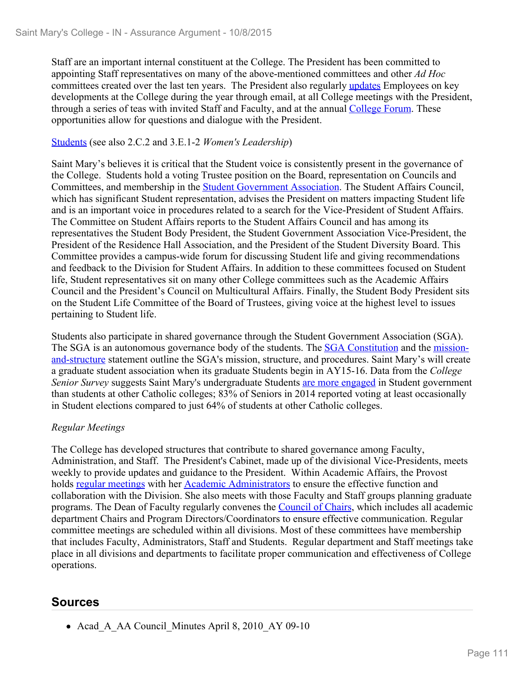Staff are an important internal constituent at the College. The President has been committed to appointing Staff representatives on many of the above-mentioned committees and other *Ad Hoc* committees created over the last ten years. The President also regularly updates Employees on key developments at the College during the year through email, at all College meetings with the President, through a series of teas with invited Staff and Faculty, and at the annual College Forum. These opportunities allow for questions and dialogue with the President.

## Students (see also 2.C.2 and 3.E.1-2 *Women's Leadership*)

Saint Mary's believes it is critical that the Student voice is consistently present in the governance of the College. Students hold a voting Trustee position on the Board, representation on Councils and Committees, and membership in the Student Government Association. The Student Affairs Council, which has significant Student representation, advises the President on matters impacting Student life and is an important voice in procedures related to a search for the Vice-President of Student Affairs. The Committee on Student Affairs reports to the Student Affairs Council and has among its representatives the Student Body President, the Student Government Association Vice-President, the President of the Residence Hall Association, and the President of the Student Diversity Board. This Committee provides a campus-wide forum for discussing Student life and giving recommendations and feedback to the Division for Student Affairs. In addition to these committees focused on Student life, Student representatives sit on many other College committees such as the Academic Affairs Council and the President's Council on Multicultural Affairs. Finally, the Student Body President sits on the Student Life Committee of the Board of Trustees, giving voice at the highest level to issues pertaining to Student life.

Students also participate in shared governance through the Student Government Association (SGA). The SGA is an autonomous governance body of the students. The SGA Constitution and the missionand-structure statement outline the SGA's mission, structure, and procedures. Saint Mary's will create a graduate student association when its graduate Students begin in AY15-16. Data from the *College Senior Survey* suggests Saint Mary's undergraduate Students are more engaged in Student government than students at other Catholic colleges; 83% of Seniors in 2014 reported voting at least occasionally in Student elections compared to just 64% of students at other Catholic colleges.

## *Regular Meetings*

The College has developed structures that contribute to shared governance among Faculty, Administration, and Staff. The President's Cabinet, made up of the divisional Vice-Presidents, meets weekly to provide updates and guidance to the President. Within Academic Affairs, the Provost holds regular meetings with her Academic Administrators to ensure the effective function and collaboration with the Division. She also meets with those Faculty and Staff groups planning graduate programs. The Dean of Faculty regularly convenes the Council of Chairs, which includes all academic department Chairs and Program Directors/Coordinators to ensure effective communication. Regular committee meetings are scheduled within all divisions. Most of these committees have membership that includes Faculty, Administrators, Staff and Students. Regular department and Staff meetings take place in all divisions and departments to facilitate proper communication and effectiveness of College operations.

# **Sources**

• Acad A AA Council Minutes April 8, 2010 AY 09-10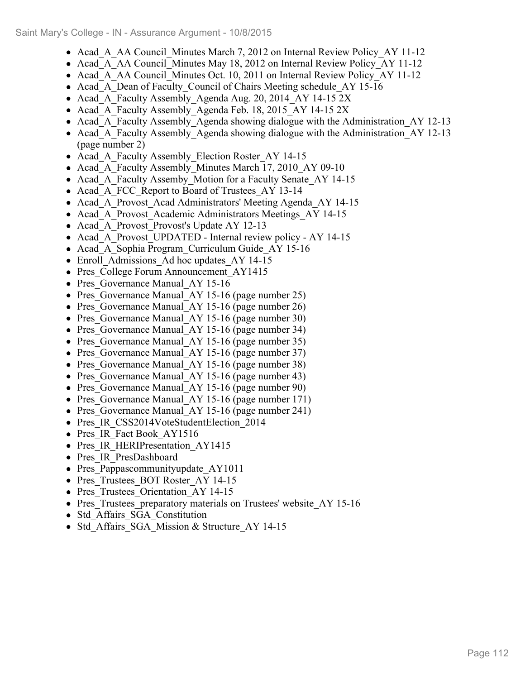- Acad A AA Council Minutes March 7, 2012 on Internal Review Policy AY 11-12
- Acad A AA Council Minutes May 18, 2012 on Internal Review Policy AY 11-12
- Acad A AA Council Minutes Oct. 10, 2011 on Internal Review Policy AY 11-12
- Acad A Dean of Faculty Council of Chairs Meeting schedule AY 15-16
- Acad A Faculty Assembly Agenda Aug. 20, 2014 AY 14-15 2X
- Acad A Faculty Assembly Agenda Feb. 18, 2015 AY 14-15 2X
- Acad A Faculty Assembly Agenda showing dialogue with the Administration AY 12-13
- Acad A Faculty Assembly Agenda showing dialogue with the Administration AY 12-13 (page number 2)
- Acad A Faculty Assembly Election Roster AY 14-15
- Acad A Faculty Assembly Minutes March 17, 2010 AY 09-10
- Acad A Faculty Assemby Motion for a Faculty Senate AY 14-15
- Acad A FCC Report to Board of Trustees AY 13-14
- Acad A Provost Acad Administrators' Meeting Agenda AY 14-15
- Acad A Provost Academic Administrators Meetings AY 14-15
- Acad A Provost Provost's Update AY 12-13
- Acad A Provost UPDATED Internal review policy AY 14-15
- Acad A Sophia Program Curriculum Guide AY 15-16
- Enroll Admissions Ad hoc updates AY 14-15
- Pres College Forum Announcement AY1415
- Pres Governance Manual AY 15-16
- Pres Governance Manual AY 15-16 (page number 25)
- Pres Governance Manual AY 15-16 (page number 26)
- Pres Governance Manual AY 15-16 (page number 30)
- Pres Governance Manual AY 15-16 (page number 34)
- Pres Governance Manual AY 15-16 (page number 35)
- Pres Governance Manual AY 15-16 (page number 37)
- Pres Governance Manual AY 15-16 (page number 38)
- Pres Governance Manual AY 15-16 (page number 43)
- Pres Governance Manual AY 15-16 (page number 90)
- Pres Governance Manual AY 15-16 (page number 171)
- Pres Governance Manual AY 15-16 (page number 241)
- Pres IR CSS2014VoteStudentElection 2014
- Pres IR Fact Book AY1516
- Pres IR HERIPresentation AY1415
- Pres IR PresDashboard
- Pres Pappascommunityupdate AY1011
- Pres Trustees BOT Roster AY 14-15
- Pres Trustees Orientation AY 14-15
- Pres Trustees preparatory materials on Trustees' website AY 15-16
- Std Affairs SGA Constitution
- Std Affairs SGA Mission & Structure AY 14-15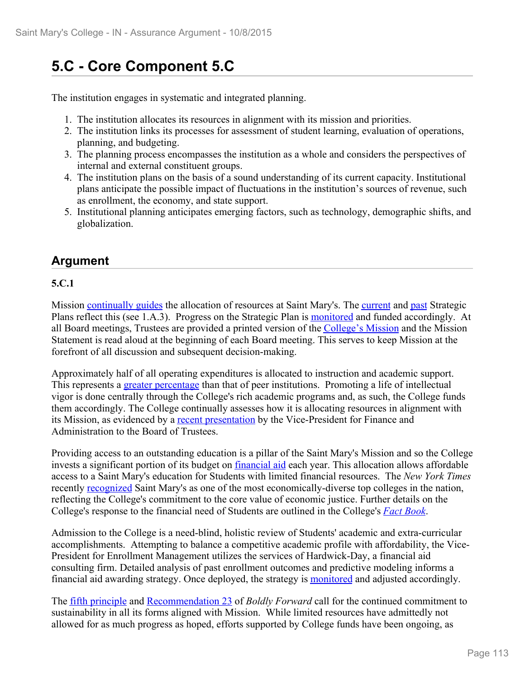# **5.C - Core Component 5.C**

The institution engages in systematic and integrated planning.

- 1. The institution allocates its resources in alignment with its mission and priorities.
- 2. The institution links its processes for assessment of student learning, evaluation of operations, planning, and budgeting.
- 3. The planning process encompasses the institution as a whole and considers the perspectives of internal and external constituent groups.
- 4. The institution plans on the basis of a sound understanding of its current capacity. Institutional plans anticipate the possible impact of fluctuations in the institution's sources of revenue, such as enrollment, the economy, and state support.
- 5. Institutional planning anticipates emerging factors, such as technology, demographic shifts, and globalization.

# **Argument**

# **5.C.1**

Mission continually guides the allocation of resources at Saint Mary's. The current and past Strategic Plans reflect this (see 1.A.3). Progress on the Strategic Plan is monitored and funded accordingly. At all Board meetings, Trustees are provided a printed version of the College's Mission and the Mission Statement is read aloud at the beginning of each Board meeting. This serves to keep Mission at the forefront of all discussion and subsequent decision-making.

Approximately half of all operating expenditures is allocated to instruction and academic support. This represents a greater percentage than that of peer institutions. Promoting a life of intellectual vigor is done centrally through the College's rich academic programs and, as such, the College funds them accordingly. The College continually assesses how it is allocating resources in alignment with its Mission, as evidenced by a recent presentation by the Vice-President for Finance and Administration to the Board of Trustees.

Providing access to an outstanding education is a pillar of the Saint Mary's Mission and so the College invests a significant portion of its budget on *financial aid* each year. This allocation allows affordable access to a Saint Mary's education for Students with limited financial resources.The *New York Times* recently recognized Saint Mary's as one of the most economically-diverse top colleges in the nation, reflecting the College's commitment to the core value of economic justice. Further details on the College's response to the financial need of Students are outlined in the College's *Fact Book*.

Admission to the College is a need-blind, holistic review of Students' academic and extra-curricular accomplishments. Attempting to balance a competitive academic profile with affordability, the Vice-President for Enrollment Management utilizes the services of Hardwick-Day, a financial aid consulting firm. Detailed analysis of past enrollment outcomes and predictive modeling informs a financial aid awarding strategy. Once deployed, the strategy is monitored and adjusted accordingly.

The fifth principle and Recommendation 23 of *Boldly Forward* call for the continued commitment to sustainability in all its forms aligned with Mission. While limited resources have admittedly not allowed for as much progress as hoped, efforts supported by College funds have been ongoing, as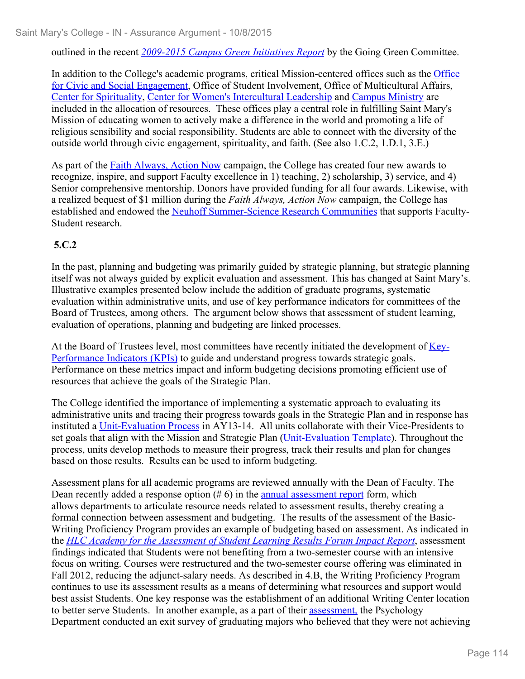outlined in the recent *2009-2015 Campus Green Initiatives Report* by the Going Green Committee.

In addition to the College's academic programs, critical Mission-centered offices such as the Office for Civic and Social Engagement, Office of Student Involvement, Office of Multicultural Affairs, Center for Spirituality, Center for Women's Intercultural Leadership and Campus Ministry are included in the allocation of resources. These offices play a central role in fulfilling Saint Mary's Mission of educating women to actively make a difference in the world and promoting a life of religious sensibility and social responsibility. Students are able to connect with the diversity of the outside world through civic engagement, spirituality, and faith. (See also 1.C.2, 1.D.1, 3.E.)

As part of the Faith Always, Action Now campaign, the College has created four new awards to recognize, inspire, and support Faculty excellence in 1) teaching, 2) scholarship, 3) service, and 4) Senior comprehensive mentorship. Donors have provided funding for all four awards. Likewise, with a realized bequest of \$1 million during the *Faith Always, Action Now* campaign, the College has established and endowed the Neuhoff Summer-Science Research Communities that supports Faculty-Student research.

## **5.C.2**

In the past, planning and budgeting was primarily guided by strategic planning, but strategic planning itself was not always guided by explicit evaluation and assessment. This has changed at Saint Mary's. Illustrative examples presented below include the addition of graduate programs, systematic evaluation within administrative units, and use of key performance indicators for committees of the Board of Trustees, among others. The argument below shows that assessment of student learning, evaluation of operations, planning and budgeting are linked processes.

At the Board of Trustees level, most committees have recently initiated the development of Key-Performance Indicators (KPIs) to guide and understand progress towards strategic goals. Performance on these metrics impact and inform budgeting decisions promoting efficient use of resources that achieve the goals of the Strategic Plan.

The College identified the importance of implementing a systematic approach to evaluating its administrative units and tracing their progress towards goals in the Strategic Plan and in response has instituted a Unit-Evaluation Process in AY13-14. All units collaborate with their Vice-Presidents to set goals that align with the Mission and Strategic Plan (Unit-Evaluation Template). Throughout the process, units develop methods to measure their progress, track their results and plan for changes based on those results. Results can be used to inform budgeting.

Assessment plans for all academic programs are reviewed annually with the Dean of Faculty. The Dean recently added a response option  $(\# 6)$  in the <u>annual assessment report</u> form, which allows departments to articulate resource needs related to assessment results, thereby creating a formal connection between assessment and budgeting. The results of the assessment of the Basic-Writing Proficiency Program provides an example of budgeting based on assessment. As indicated in the *HLC Academy for the Assessment of Student Learning Results Forum Impact Report*, assessment findings indicated that Students were not benefiting from a two-semester course with an intensive focus on writing. Courses were restructured and the two-semester course offering was eliminated in Fall 2012, reducing the adjunct-salary needs. As described in 4.B, the Writing Proficiency Program continues to use its assessment results as a means of determining what resources and support would best assist Students. One key response was the establishment of an additional Writing Center location to better serve Students. In another example, as a part of their assessment, the Psychology Department conducted an exit survey of graduating majors who believed that they were not achieving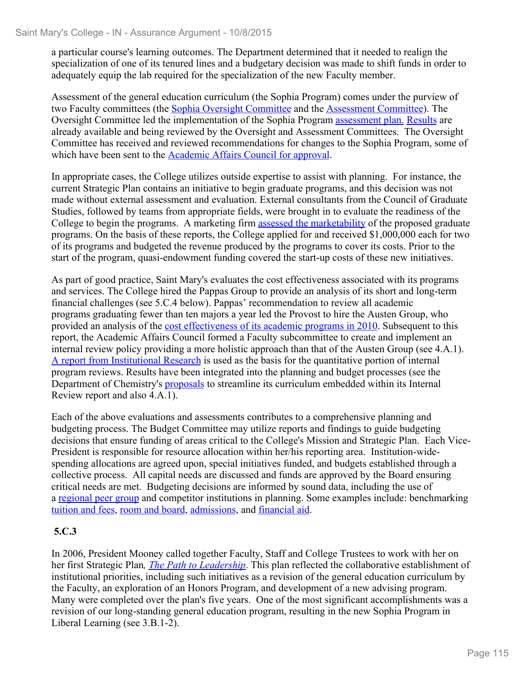a particular course's learning outcomes. The Department determined that it needed to realign the specialization of one of its tenured lines and a budgetary decision was made to shift funds in order to adequately equip the lab required for the specialization of the new Faculty member.

Assessment of the general education curriculum (the Sophia Program) comes under the purview of two Faculty committees (the Sophia Oversight Committee and the Assessment Committee). The Oversight Committee led the implementation of the Sophia Program assessment plan. Results are already available and being reviewed by the Oversight and Assessment Committees. The Oversight Committee has received and reviewed recommendations for changes to the Sophia Program, some of which have been sent to the **Academic Affairs Council for approval**.

In appropriate cases, the College utilizes outside expertise to assist with planning. For instance, the current Strategic Plan contains an initiative to begin graduate programs, and this decision was not made without external assessment and evaluation. External consultants from the Council of Graduate Studies, followed by teams from appropriate fields, were brought in to evaluate the readiness of the College to begin the programs. A marketing firm assessed the marketability of the proposed graduate programs. On the basis of these reports, the College applied for and received \$1,000,000 each for two of its programs and budgeted the revenue produced by the programs to cover its costs. Prior to the start of the program, quasi-endowment funding covered the start-up costs of these new initiatives.

As part of good practice, Saint Mary's evaluates the cost effectiveness associated with its programs and services. The College hired the Pappas Group to provide an analysis of its short and long-term financial challenges (see 5.C.4 below). Pappas' recommendation to review all academic programs graduating fewer than ten majors a year led the Provost to hire the Austen Group, who provided an analysis of the cost effectiveness of its academic programs in 2010. Subsequent to this report, the Academic Affairs Council formed a Faculty subcommittee to create and implement an internal review policy providing a more holistic approach than that of the Austen Group (see 4.A.1). A report from Institutional Research is used as the basis for the quantitative portion of internal program reviews. Results have been integrated into the planning and budget processes (see the Department of Chemistry's proposals to streamline its curriculum embedded within its Internal Review report and also 4.A.1).

Each of the above evaluations and assessments contributes to a comprehensive planning and budgeting process. The Budget Committee may utilize reports and findings to guide budgeting decisions that ensure funding of areas critical to the College's Mission and Strategic Plan. Each Vice-President is responsible for resource allocation within her/his reporting area. Institution-widespending allocations are agreed upon, special initiatives funded, and budgets established through a collective process. All capital needs are discussed and funds are approved by the Board ensuring critical needs are met. Budgeting decisions are informed by sound data, including the use of a regional peer group and competitor institutions in planning. Some examples include: benchmarking tuition and fees, room and board, admissions, and financial aid.

## **5.C.3**

In 2006, President Mooney called together Faculty, Staff and College Trustees to work with her on her first Strategic Plan*, The Path to Leadership*. This plan reflected the collaborative establishment of institutional priorities, including such initiatives as a revision of the general education curriculum by the Faculty, an exploration of an Honors Program, and development of a new advising program. Many were completed over the plan's five years. One of the most significant accomplishments was a revision of our long-standing general education program, resulting in the new Sophia Program in Liberal Learning (see 3.B.1-2).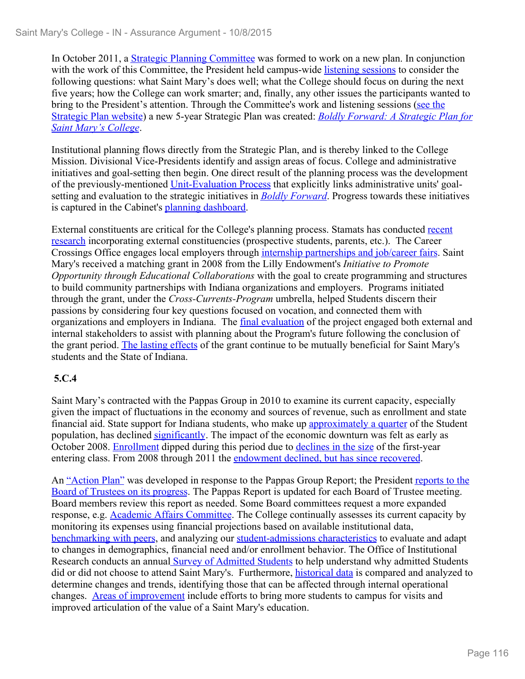In October 2011, a Strategic Planning Committee was formed to work on a new plan. In conjunction with the work of this Committee, the President held campus-wide listening sessions to consider the following questions: what Saint Mary's does well; what the College should focus on during the next five years; how the College can work smarter; and, finally, any other issues the participants wanted to bring to the President's attention. Through the Committee's work and listening sessions (see the Strategic Plan website) a new 5-year Strategic Plan was created: *Boldly Forward: A Strategic Plan for Saint Mary's College*.

Institutional planning flows directly from the Strategic Plan, and is thereby linked to the College Mission. Divisional Vice-Presidents identify and assign areas of focus. College and administrative initiatives and goal-setting then begin. One direct result of the planning process was the development of the previously-mentioned Unit-Evaluation Process that explicitly links administrative units' goalsetting and evaluation to the strategic initiatives in *Boldly Forward*. Progress towards these initiatives is captured in the Cabinet's planning dashboard.

External constituents are critical for the College's planning process. Stamats has conducted recent research incorporating external constituencies (prospective students, parents, etc.). The Career Crossings Office engages local employers through internship partnerships and job/career fairs. Saint Mary's received a matching grant in 2008 from the Lilly Endowment's *Initiative to Promote Opportunity through Educational Collaborations* with the goal to create programming and structures to build community partnerships with Indiana organizations and employers. Programs initiated through the grant, under the *Cross-Currents-Program* umbrella, helped Students discern their passions by considering four key questions focused on vocation, and connected them with organizations and employers in Indiana. The *final evaluation* of the project engaged both external and internal stakeholders to assist with planning about the Program's future following the conclusion of the grant period. The lasting effects of the grant continue to be mutually beneficial for Saint Mary's students and the State of Indiana.

## **5.C.4**

Saint Mary's contracted with the Pappas Group in 2010 to examine its current capacity, especially given the impact of fluctuations in the economy and sources of revenue, such as enrollment and state financial aid. State support for Indiana students, who make up **approximately** a quarter of the Student population, has declined significantly. The impact of the economic downturn was felt as early as October 2008. Enrollment dipped during this period due to declines in the size of the first-year entering class. From 2008 through 2011 the endowment declined, but has since recovered.

An "Action Plan" was developed in response to the Pappas Group Report; the President reports to the Board of Trustees on its progress. The Pappas Report is updated for each Board of Trustee meeting. Board members review this report as needed. Some Board committees request a more expanded response, e.g. Academic Affairs Committee. The College continually assesses its current capacity by monitoring its expenses using financial projections based on available institutional data, benchmarking with peers, and analyzing our student-admissions characteristics to evaluate and adapt to changes in demographics, financial need and/or enrollment behavior. The Office of Institutional Research conducts an annual **Survey of Admitted Students** to help understand why admitted Students did or did not choose to attend Saint Mary's. Furthermore, historical data is compared and analyzed to determine changes and trends, identifying those that can be affected through internal operational changes. Areas of improvement include efforts to bring more students to campus for visits and improved articulation of the value of a Saint Mary's education.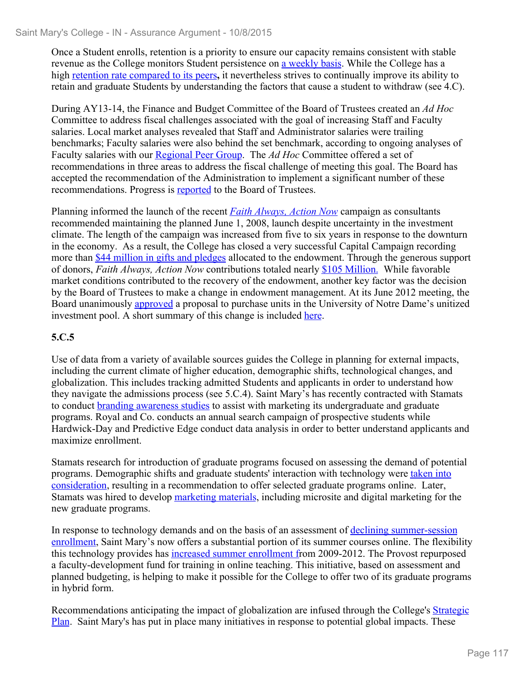Once a Student enrolls, retention is a priority to ensure our capacity remains consistent with stable revenue as the College monitors Student persistence on a weekly basis. While the College has a high retention rate compared to its peers**,** it nevertheless strives to continually improve its ability to retain and graduate Students by understanding the factors that cause a student to withdraw (see 4.C).

During AY13-14, the Finance and Budget Committee of the Board of Trustees created an *Ad Hoc* Committee to address fiscal challenges associated with the goal of increasing Staff and Faculty salaries. Local market analyses revealed that Staff and Administrator salaries were trailing benchmarks; Faculty salaries were also behind the set benchmark, according to ongoing analyses of Faculty salaries with our Regional Peer Group. The *Ad Hoc* Committee offered a set of recommendations in three areas to address the fiscal challenge of meeting this goal. The Board has accepted the recommendation of the Administration to implement a significant number of these recommendations. Progress is reported to the Board of Trustees.

Planning informed the launch of the recent *Faith Always, Action Now* campaign as consultants recommended maintaining the planned June 1, 2008, launch despite uncertainty in the investment climate. The length of the campaign was increased from five to six years in response to the downturn in the economy. As a result, the College has closed a very successful Capital Campaign recording more than \$44 million in gifts and pledges allocated to the endowment. Through the generous support of donors, *Faith Always, Action Now* contributions totaled nearly \$105 Million. While favorable market conditions contributed to the recovery of the endowment, another key factor was the decision by the Board of Trustees to make a change in endowment management. At its June 2012 meeting, the Board unanimously approved a proposal to purchase units in the University of Notre Dame's unitized investment pool. A short summary of this change is included here.

## **5.C.5**

Use of data from a variety of available sources guides the College in planning for external impacts, including the current climate of higher education, demographic shifts, technological changes, and globalization. This includes tracking admitted Students and applicants in order to understand how they navigate the admissions process (see 5.C.4). Saint Mary's has recently contracted with Stamats to conduct **branding awareness studies** to assist with marketing its undergraduate and graduate programs. Royal and Co. conducts an annual search campaign of prospective students while Hardwick-Day and Predictive Edge conduct data analysis in order to better understand applicants and maximize enrollment.

Stamats research for introduction of graduate programs focused on assessing the demand of potential programs. Demographic shifts and graduate students' interaction with technology were taken into consideration, resulting in a recommendation to offer selected graduate programs online. Later, Stamats was hired to develop marketing materials, including microsite and digital marketing for the new graduate programs.

In response to technology demands and on the basis of an assessment of declining summer-session enrollment, Saint Mary's now offers a substantial portion of its summer courses online. The flexibility this technology provides has increased summer enrollment from 2009-2012. The Provost repurposed a faculty-development fund for training in online teaching. This initiative, based on assessment and planned budgeting, is helping to make it possible for the College to offer two of its graduate programs in hybrid form.

Recommendations anticipating the impact of globalization are infused through the College's Strategic Plan. Saint Mary's has put in place many initiatives in response to potential global impacts. These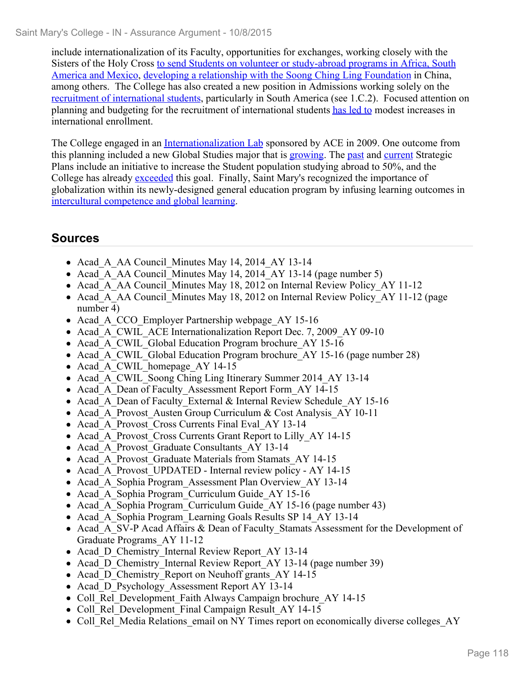include internationalization of its Faculty, opportunities for exchanges, working closely with the Sisters of the Holy Cross to send Students on volunteer or study-abroad programs in Africa, South America and Mexico, developing a relationship with the Soong Ching Ling Foundation in China, among others. The College has also created a new position in Admissions working solely on the recruitment of international students, particularly in South America (see 1.C.2). Focused attention on planning and budgeting for the recruitment of international students has led to modest increases in international enrollment.

The College engaged in an Internationalization Lab sponsored by ACE in 2009. One outcome from this planning included a new Global Studies major that is growing. The past and current Strategic Plans include an initiative to increase the Student population studying abroad to 50%, and the College has already exceeded this goal. Finally, Saint Mary's recognized the importance of globalization within its newly-designed general education program by infusing learning outcomes in intercultural competence and global learning.

# **Sources**

- Acad A AA Council Minutes May 14, 2014 AY 13-14
- Acad A AA Council Minutes May 14, 2014 AY 13-14 (page number 5)
- Acad A AA Council Minutes May 18, 2012 on Internal Review Policy AY 11-12
- Acad A AA Council Minutes May 18, 2012 on Internal Review Policy AY 11-12 (page number 4)
- Acad A CCO Employer Partnership webpage AY 15-16
- Acad A CWIL ACE Internationalization Report Dec. 7, 2009 AY 09-10
- Acad A CWIL Global Education Program brochure AY 15-16
- Acad A CWIL Global Education Program brochure AY 15-16 (page number 28)
- Acad\_A\_CWIL\_homepage\_AY 14-15
- Acad A CWIL Soong Ching Ling Itinerary Summer 2014 AY 13-14
- Acad A Dean of Faculty Assessment Report Form AY 14-15
- Acad A Dean of Faculty External & Internal Review Schedule AY 15-16
- Acad A Provost Austen Group Curriculum & Cost Analysis AY 10-11
- Acad A Provost Cross Currents Final Eval AY 13-14
- Acad A Provost Cross Currents Grant Report to Lilly AY 14-15
- Acad A Provost Graduate Consultants AY 13-14
- Acad A Provost Graduate Materials from Stamats AY 14-15
- Acad A Provost UPDATED Internal review policy AY 14-15
- Acad A Sophia Program Assessment Plan Overview AY 13-14
- Acad\_A\_Sophia Program\_Curriculum Guide\_AY 15-16
- Acad A Sophia Program Curriculum Guide AY 15-16 (page number 43)
- Acad A Sophia Program Learning Goals Results SP 14 AY 13-14
- Acad A SV-P Acad Affairs & Dean of Faculty Stamats Assessment for the Development of Graduate Programs\_AY 11-12
- Acad D Chemistry Internal Review Report AY 13-14
- Acad D Chemistry Internal Review Report AY 13-14 (page number 39)
- Acad D Chemistry Report on Neuhoff grants AY 14-15
- Acad D Psychology Assessment Report AY 13-14
- Coll Rel Development Faith Always Campaign brochure AY 14-15
- Coll Rel Development Final Campaign Result AY 14-15
- Coll Rel Media Relations email on NY Times report on economically diverse colleges AY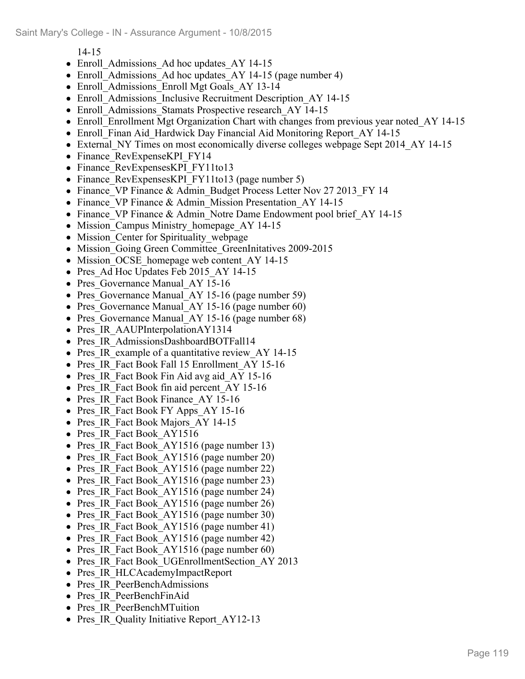14-15

- Enroll Admissions Ad hoc updates AY 14-15
- Enroll Admissions Ad hoc updates AY 14-15 (page number 4)
- Enroll Admissions Enroll Mgt Goals AY 13-14
- Enroll Admissions Inclusive Recruitment Description AY 14-15
- Enroll Admissions Stamats Prospective research AY 14-15
- Enroll–Enrollment Mgt Organization Chart with changes from previous year noted AY 14-15
- Enroll Finan Aid Hardwick Day Financial Aid Monitoring Report AY 14-15
- External NY Times on most economically diverse colleges webpage Sept 2014 AY 14-15
- Finance RevExpenseKPI FY14
- Finance RevExpensesKPI FY11to13
- Finance RevExpensesKPI FY11to13 (page number 5)
- Finance VP Finance & Admin Budget Process Letter Nov 27 2013 FY 14
- Finance VP Finance & Admin Mission Presentation AY 14-15
- Finance VP Finance & Admin Notre Dame Endowment pool brief AY 14-15
- Mission Campus Ministry homepage AY 14-15
- Mission Center for Spirituality webpage
- Mission Going Green Committee GreenInitatives 2009-2015
- Mission OCSE homepage web content AY 14-15
- Pres Ad Hoc Updates Feb 2015 AY 14-15
- Pres Governance Manual AY 15-16
- Pres Governance Manual AY 15-16 (page number 59)
- Pres Governance Manual AY 15-16 (page number 60)
- Pres Governance Manual AY 15-16 (page number 68)
- Pres IR AAUPInterpolationAY1314
- Pres IR AdmissionsDashboardBOTFall14
- Pres IR example of a quantitative review AY 14-15
- Pres IR Fact Book Fall 15 Enrollment AY 15-16
- Pres IR Fact Book Fin Aid avg aid AY 15-16
- Pres IR Fact Book fin aid percent AY 15-16
- Pres IR Fact Book Finance AY 15-16
- Pres IR Fact Book FY Apps AY 15-16
- Pres IR Fact Book Majors AY 14-15
- Pres IR Fact Book AY1516
- Pres IR Fact Book AY1516 (page number 13)
- Pres IR Fact Book AY1516 (page number 20)
- Pres IR Fact Book AY1516 (page number 22)
- Pres IR Fact Book AY1516 (page number 23)
- Pres IR Fact Book AY1516 (page number 24)
- Pres IR Fact Book AY1516 (page number 26)
- Pres IR Fact Book AY1516 (page number 30)
- Pres IR Fact Book AY1516 (page number 41)
- Pres IR Fact Book AY1516 (page number 42)
- Pres IR Fact Book AY1516 (page number 60)
- Pres IR Fact Book UGEnrollmentSection AY 2013
- Pres IR HLCAcademyImpactReport
- Pres IR PeerBenchAdmissions
- Pres IR PeerBenchFinAid
- Pres IR PeerBenchMTuition
- Pres IR Quality Initiative Report AY12-13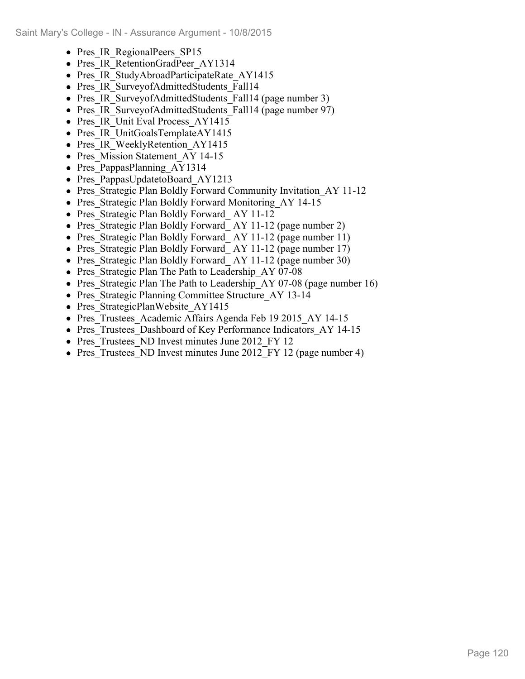- Pres IR RegionalPeers SP15
- Pres IR RetentionGradPeer AY1314
- Pres IR StudyAbroadParticipateRate AY1415
- Pres IR SurveyofAdmittedStudents Fall14
- Pres IR SurveyofAdmittedStudents Fall14 (page number 3)
- Pres IR SurveyofAdmittedStudents Fall14 (page number 97)
- Pres IR Unit Eval Process AY1415
- Pres IR UnitGoalsTemplateAY1415
- Pres IR WeeklyRetention AY1415
- Pres Mission Statement AY 14-15
- Pres PappasPlanning AY1314
- Pres PappasUpdatetoBoard AY1213
- Pres Strategic Plan Boldly Forward Community Invitation AY 11-12
- Pres Strategic Plan Boldly Forward Monitoring AY 14-15
- Pres Strategic Plan Boldly Forward AY 11-12
- Pres\_Strategic Plan Boldly Forward\_AY 11-12 (page number 2)
- Pres Strategic Plan Boldly Forward AY 11-12 (page number 11)
- Pres Strategic Plan Boldly Forward AY 11-12 (page number 17)
- Pres Strategic Plan Boldly Forward AY 11-12 (page number 30)
- Pres Strategic Plan The Path to Leadership AY 07-08
- Pres Strategic Plan The Path to Leadership AY 07-08 (page number 16)
- Pres Strategic Planning Committee Structure\_AY 13-14
- Pres StrategicPlanWebsite AY1415
- Pres Trustees Academic Affairs Agenda Feb 19 2015 AY 14-15
- Pres Trustees Dashboard of Key Performance Indicators AY 14-15
- Pres Trustees ND Invest minutes June 2012 FY 12
- Pres Trustees ND Invest minutes June 2012 FY 12 (page number 4)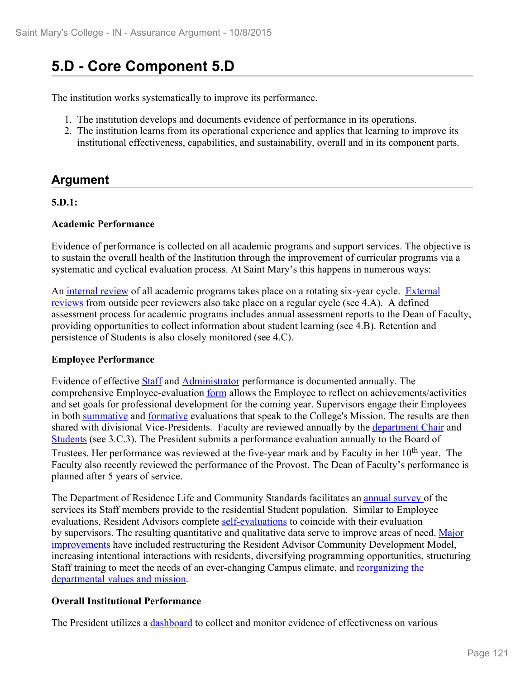# **5.D - Core Component 5.D**

The institution works systematically to improve its performance.

- 1. The institution develops and documents evidence of performance in its operations.
- 2. The institution learns from its operational experience and applies that learning to improve its institutional effectiveness, capabilities, and sustainability, overall and in its component parts.

# **Argument**

#### **5.D.1:**

#### **Academic Performance**

Evidence of performance is collected on all academic programs and support services. The objective is to sustain the overall health of the Institution through the improvement of curricular programs via a systematic and cyclical evaluation process. At Saint Mary's this happens in numerous ways:

An internal review of all academic programs takes place on a rotating six-year cycle. External reviews from outside peer reviewers also take place on a regular cycle (see 4.A). A defined assessment process for academic programs includes annual assessment reports to the Dean of Faculty, providing opportunities to collect information about student learning (see 4.B). Retention and persistence of Students is also closely monitored (see 4.C).

#### **Employee Performance**

Evidence of effective Staff and Administrator performance is documented annually. The comprehensive Employee-evaluation form allows the Employee to reflect on achievements/activities and set goals for professional development for the coming year. Supervisors engage their Employees in both summative and formative evaluations that speak to the College's Mission. The results are then shared with divisional Vice-Presidents. Faculty are reviewed annually by the department Chair and Students (see 3.C.3). The President submits a performance evaluation annually to the Board of Trustees. Her performance was reviewed at the five-year mark and by Faculty in her 10<sup>th</sup> year. The Faculty also recently reviewed the performance of the Provost. The Dean of Faculty's performance is planned after 5 years of service.

The Department of Residence Life and Community Standards facilitates an annual survey of the services its Staff members provide to the residential Student population. Similar to Employee evaluations, Resident Advisors complete self-evaluations to coincide with their evaluation by supervisors. The resulting quantitative and qualitative data serve to improve areas of need. Major improvements have included restructuring the Resident Advisor Community Development Model, increasing intentional interactions with residents, diversifying programming opportunities, structuring Staff training to meet the needs of an ever-changing Campus climate, and reorganizing the departmental values and mission.

#### **Overall Institutional Performance**

The President utilizes a dashboard to collect and monitor evidence of effectiveness on various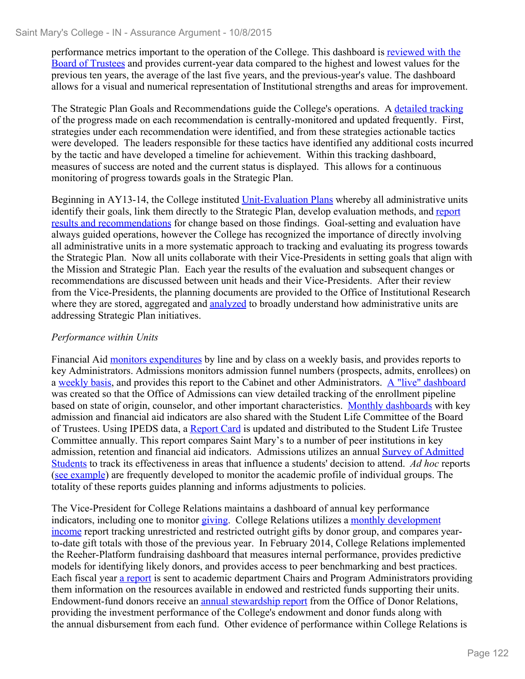performance metrics important to the operation of the College. This dashboard is reviewed with the Board of Trustees and provides current-year data compared to the highest and lowest values for the previous ten years, the average of the last five years, and the previous-year's value. The dashboard allows for a visual and numerical representation of Institutional strengths and areas for improvement.

The Strategic Plan Goals and Recommendations guide the College's operations. A detailed tracking of the progress made on each recommendation is centrally-monitored and updated frequently. First, strategies under each recommendation were identified, and from these strategies actionable tactics were developed. The leaders responsible for these tactics have identified any additional costs incurred by the tactic and have developed a timeline for achievement. Within this tracking dashboard, measures of success are noted and the current status is displayed. This allows for a continuous monitoring of progress towards goals in the Strategic Plan.

Beginning in AY13-14, the College instituted Unit-Evaluation Plans whereby all administrative units identify their goals, link them directly to the Strategic Plan, develop evaluation methods, and report results and recommendations for change based on those findings. Goal-setting and evaluation have always guided operations, however the College has recognized the importance of directly involving all administrative units in a more systematic approach to tracking and evaluating its progress towards the Strategic Plan. Now all units collaborate with their Vice-Presidents in setting goals that align with the Mission and Strategic Plan. Each year the results of the evaluation and subsequent changes or recommendations are discussed between unit heads and their Vice-Presidents. After their review from the Vice-Presidents, the planning documents are provided to the Office of Institutional Research where they are stored, aggregated and **analyzed** to broadly understand how administrative units are addressing Strategic Plan initiatives.

## *Performance within Units*

Financial Aid monitors expenditures by line and by class on a weekly basis, and provides reports to key Administrators. Admissions monitors admission funnel numbers (prospects, admits, enrollees) on a weekly basis, and provides this report to the Cabinet and other Administrators. A "live" dashboard was created so that the Office of Admissions can view detailed tracking of the enrollment pipeline based on state of origin, counselor, and other important characteristics. Monthly dashboards with key admission and financial aid indicators are also shared with the Student Life Committee of the Board of Trustees. Using IPEDS data, a Report Card is updated and distributed to the Student Life Trustee Committee annually. This report compares Saint Mary's to a number of peer institutions in key admission, retention and financial aid indicators. Admissions utilizes an annual Survey of Admitted Students to track its effectiveness in areas that influence a students' decision to attend. *Ad hoc* reports (see example) are frequently developed to monitor the academic profile of individual groups. The totality of these reports guides planning and informs adjustments to policies.

The Vice-President for College Relations maintains a dashboard of annual key performance indicators, including one to monitor giving. College Relations utilizes a monthly development income report tracking unrestricted and restricted outright gifts by donor group, and compares yearto-date gift totals with those of the previous year. In February 2014, College Relations implemented the Reeher-Platform fundraising dashboard that measures internal performance, provides predictive models for identifying likely donors, and provides access to peer benchmarking and best practices. Each fiscal year a report is sent to academic department Chairs and Program Administrators providing them information on the resources available in endowed and restricted funds supporting their units. Endowment-fund donors receive an annual stewardship report from the Office of Donor Relations, providing the investment performance of the College's endowment and donor funds along with the annual disbursement from each fund. Other evidence of performance within College Relations is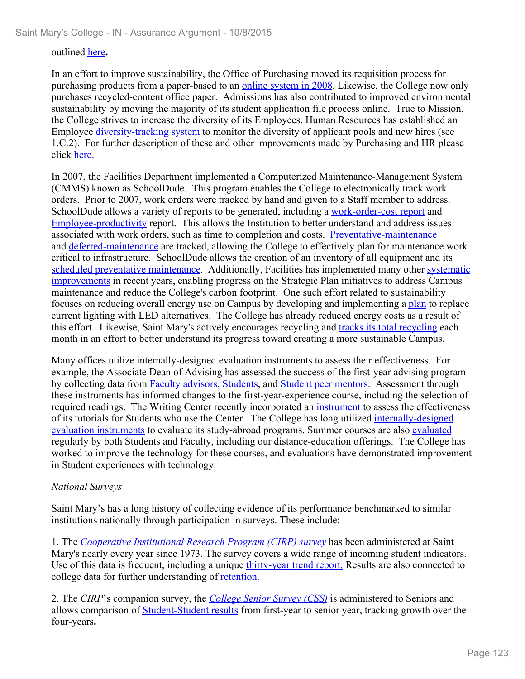#### outlined here**.**

In an effort to improve sustainability, the Office of Purchasing moved its requisition process for purchasing products from a paper-based to an online system in 2008. Likewise, the College now only purchases recycled-content office paper. Admissions has also contributed to improved environmental sustainability by moving the majority of its student application file process online. True to Mission, the College strives to increase the diversity of its Employees. Human Resources has established an Employee diversity-tracking system to monitor the diversity of applicant pools and new hires (see 1.C.2). For further description of these and other improvements made by Purchasing and HR please click here.

In 2007, the Facilities Department implemented a Computerized Maintenance-Management System (CMMS) known as SchoolDude. This program enables the College to electronically track work orders. Prior to 2007, work orders were tracked by hand and given to a Staff member to address. SchoolDude allows a variety of reports to be generated, including a work-order-cost report and Employee-productivity report. This allows the Institution to better understand and address issues associated with work orders, such as time to completion and costs. Preventative-maintenance and deferred-maintenance are tracked, allowing the College to effectively plan for maintenance work critical to infrastructure. SchoolDude allows the creation of an inventory of all equipment and its scheduled preventative maintenance. Additionally, Facilities has implemented many other systematic improvements in recent years, enabling progress on the Strategic Plan initiatives to address Campus maintenance and reduce the College's carbon footprint. One such effort related to sustainability focuses on reducing overall energy use on Campus by developing and implementing a plan to replace current lighting with LED alternatives. The College has already reduced energy costs as a result of this effort. Likewise, Saint Mary's actively encourages recycling and tracks its total recycling each month in an effort to better understand its progress toward creating a more sustainable Campus.

Many offices utilize internally-designed evaluation instruments to assess their effectiveness. For example, the Associate Dean of Advising has assessed the success of the first-year advising program by collecting data from Faculty advisors, Students, and Student peer mentors. Assessment through these instruments has informed changes to the first-year-experience course, including the selection of required readings. The Writing Center recently incorporated an instrument to assess the effectiveness of its tutorials for Students who use the Center. The College has long utilized internally-designed evaluation instruments to evaluate its study-abroad programs. Summer courses are also evaluated regularly by both Students and Faculty, including our distance-education offerings. The College has worked to improve the technology for these courses, and evaluations have demonstrated improvement in Student experiences with technology.

#### *National Surveys*

Saint Mary's has a long history of collecting evidence of its performance benchmarked to similar institutions nationally through participation in surveys. These include:

1. The *Cooperative Institutional Research Program (CIRP) survey* has been administered at Saint Mary's nearly every year since 1973. The survey covers a wide range of incoming student indicators. Use of this data is frequent, including a unique *thirty-year trend report*. Results are also connected to college data for further understanding of retention.

2. The *CIRP*'s companion survey, the *College Senior Survey (CSS)* is administered to Seniors and allows comparison of Student-Student results from first-year to senior year, tracking growth over the four-years**.**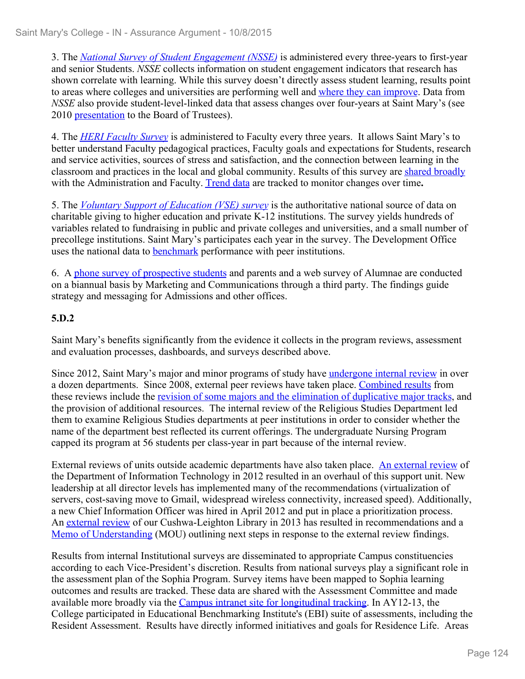3. The *National Survey of Student Engagement (NSSE)* is administered every three-years to first-year and senior Students. *NSSE* collects information on student engagement indicators that research has shown correlate with learning. While this survey doesn't directly assess student learning, results point to areas where colleges and universities are performing well and where they can improve. Data from *NSSE* also provide student-level-linked data that assess changes over four-years at Saint Mary's (see 2010 presentation to the Board of Trustees).

4. The *HERI Faculty Survey* is administered to Faculty every three years. It allows Saint Mary's to better understand Faculty pedagogical practices, Faculty goals and expectations for Students, research and service activities, sources of stress and satisfaction, and the connection between learning in the classroom and practices in the local and global community. Results of this survey are shared broadly with the Administration and Faculty. Trend data are tracked to monitor changes over time**.**

5. The *Voluntary Support of Education (VSE) survey* is the authoritative national source of data on charitable giving to higher education and private K-12 institutions. The survey yields hundreds of variables related to fundraising in public and private colleges and universities, and a small number of precollege institutions. Saint Mary's participates each year in the survey. The Development Office uses the national data to benchmark performance with peer institutions.

6. A phone survey of prospective students and parents and a web survey of Alumnae are conducted on a biannual basis by Marketing and Communications through a third party. The findings guide strategy and messaging for Admissions and other offices.

## **5.D.2**

Saint Mary's benefits significantly from the evidence it collects in the program reviews, assessment and evaluation processes, dashboards, and surveys described above.

Since 2012, Saint Mary's major and minor programs of study have undergone internal review in over a dozen departments. Since 2008, external peer reviews have taken place. Combined results from these reviews include the revision of some majors and the elimination of duplicative major tracks, and the provision of additional resources. The internal review of the Religious Studies Department led them to examine Religious Studies departments at peer institutions in order to consider whether the name of the department best reflected its current offerings. The undergraduate Nursing Program capped its program at 56 students per class-year in part because of the internal review.

External reviews of units outside academic departments have also taken place. An external review of the Department of Information Technology in 2012 resulted in an overhaul of this support unit. New leadership at all director levels has implemented many of the recommendations (virtualization of servers, cost-saving move to Gmail, widespread wireless connectivity, increased speed). Additionally, a new Chief Information Officer was hired in April 2012 and put in place a prioritization process. An external review of our Cushwa-Leighton Library in 2013 has resulted in recommendations and a Memo of Understanding (MOU) outlining next steps in response to the external review findings.

Results from internal Institutional surveys are disseminated to appropriate Campus constituencies according to each Vice-President's discretion. Results from national surveys play a significant role in the assessment plan of the Sophia Program. Survey items have been mapped to Sophia learning outcomes and results are tracked. These data are shared with the Assessment Committee and made available more broadly via the Campus intranet site for longitudinal tracking. In AY12-13, the College participated in Educational Benchmarking Institute's (EBI) suite of assessments, including the Resident Assessment. Results have directly informed initiatives and goals for Residence Life. Areas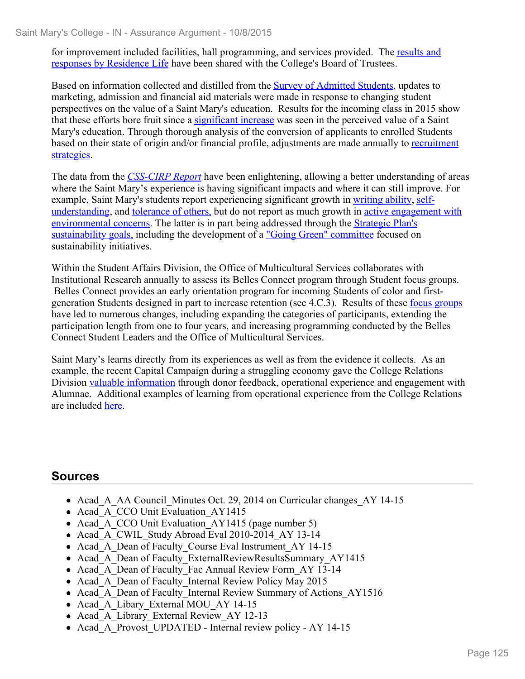for improvement included facilities, hall programming, and services provided. The results and responses by Residence Life have been shared with the College's Board of Trustees.

Based on information collected and distilled from the Survey of Admitted Students, updates to marketing, admission and financial aid materials were made in response to changing student perspectives on the value of a Saint Mary's education. Results for the incoming class in 2015 show that these efforts bore fruit since a significant increase was seen in the perceived value of a Saint Mary's education. Through thorough analysis of the conversion of applicants to enrolled Students based on their state of origin and/or financial profile, adjustments are made annually to recruitment strategies.

The data from the *CSS-CIRP Report* have been enlightening, allowing a better understanding of areas where the Saint Mary's experience is having significant impacts and where it can still improve. For example, Saint Mary's students report experiencing significant growth in writing ability, selfunderstanding, and tolerance of others, but do not report as much growth in active engagement with environmental concerns. The latter is in part being addressed through the Strategic Plan's sustainability goals, including the development of a "Going Green" committee focused on sustainability initiatives.

Within the Student Affairs Division, the Office of Multicultural Services collaborates with Institutional Research annually to assess its Belles Connect program through Student focus groups. Belles Connect provides an early orientation program for incoming Students of color and firstgeneration Students designed in part to increase retention (see 4.C.3). Results of these focus groups have led to numerous changes, including expanding the categories of participants, extending the participation length from one to four years, and increasing programming conducted by the Belles Connect Student Leaders and the Office of Multicultural Services.

Saint Mary's learns directly from its experiences as well as from the evidence it collects. As an example, the recent Capital Campaign during a struggling economy gave the College Relations Division valuable information through donor feedback, operational experience and engagement with Alumnae. Additional examples of learning from operational experience from the College Relations are included here.

# **Sources**

- Acad A AA Council Minutes Oct. 29, 2014 on Curricular changes AY 14-15
- Acad A CCO Unit Evaluation AY1415
- Acad A CCO Unit Evaluation AY1415 (page number 5)
- Acad A CWIL Study Abroad Eval 2010-2014 AY 13-14
- Acad A Dean of Faculty Course Eval Instrument AY 14-15
- Acad A Dean of Faculty ExternalReviewResultsSummary AY1415
- Acad A Dean of Faculty Fac Annual Review Form AY 13-14
- Acad A Dean of Faculty Internal Review Policy May 2015
- Acad A Dean of Faculty Internal Review Summary of Actions AY1516
- Acad A Libary External MOU AY 14-15
- Acad A Library External Review AY 12-13
- Acad A Provost UPDATED Internal review policy AY 14-15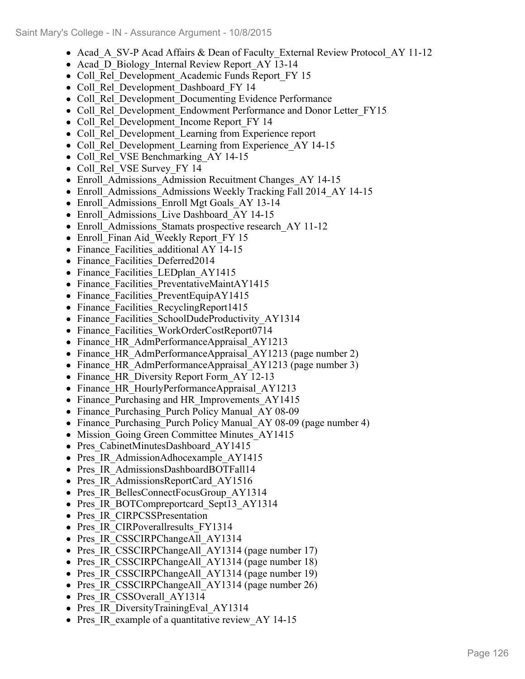- Acad A SV-P Acad Affairs & Dean of Faculty External Review Protocol AY 11-12
- Acad D Biology Internal Review Report AY 13-14
- Coll Rel Development Academic Funds Report FY 15
- Coll Rel Development Dashboard FY 14
- Coll Rel Development Documenting Evidence Performance
- Coll Rel Development Endowment Performance and Donor Letter FY15
- Coll Rel Development Income Report FY 14
- Coll Rel Development Learning from Experience report
- Coll Rel Development Learning from Experience AY 14-15
- Coll Rel VSE Benchmarking AY 14-15
- Coll Rel VSE Survey FY 14
- Enroll Admissions Admission Recuitment Changes AY 14-15
- Enroll Admissions Admissions Weekly Tracking Fall 2014 AY 14-15
- Enroll Admissions Enroll Mgt Goals AY 13-14
- Enroll Admissions Live Dashboard AY 14-15
- Enroll Admissions Stamats prospective research AY 11-12
- Enroll Finan Aid Weekly Report FY 15
- Finance Facilities additional AY 14-15
- Finance Facilities Deferred2014
- Finance Facilities LEDplan AY1415
- Finance Facilities PreventativeMaintAY1415
- Finance Facilities PreventEquipAY1415
- Finance Facilities RecyclingReport1415
- Finance Facilities SchoolDudeProductivity AY1314
- Finance Facilities WorkOrderCostReport0714
- Finance HR AdmPerformanceAppraisal AY1213
- Finance HR AdmPerformanceAppraisal AY1213 (page number 2)
- Finance HR AdmPerformanceAppraisal AY1213 (page number 3)
- Finance HR Diversity Report Form AY 12-13
- Finance HR HourlyPerformanceAppraisal AY1213
- Finance Purchasing and HR Improvements AY1415
- Finance Purchasing Purch Policy Manual AY 08-09
- Finance Purchasing Purch Policy Manual AY 08-09 (page number 4)
- Mission Going Green Committee Minutes AY1415
- Pres CabinetMinutesDashboard AY1415
- Pres IR AdmissionAdhocexample AY1415
- Pres IR AdmissionsDashboardBOTFall14
- Pres IR AdmissionsReportCard AY1516
- Pres IR BellesConnectFocusGroup AY1314
- Pres IR BOTCompreportcard Sept13 AY1314
- Pres IR CIRPCSSPresentation
- Pres IR CIRPoverallresults FY1314
- Pres IR CSSCIRPChangeAll AY1314
- Pres IR CSSCIRPChangeAll AY1314 (page number 17)
- Pres IR CSSCIRPChangeAll AY1314 (page number 18)
- Pres IR CSSCIRPChangeAll AY1314 (page number 19)
- Pres IR CSSCIRPChangeAll AY1314 (page number 26)
- Pres IR CSSOverall AY1314
- Pres IR DiversityTrainingEval AY1314
- Pres IR example of a quantitative review AY 14-15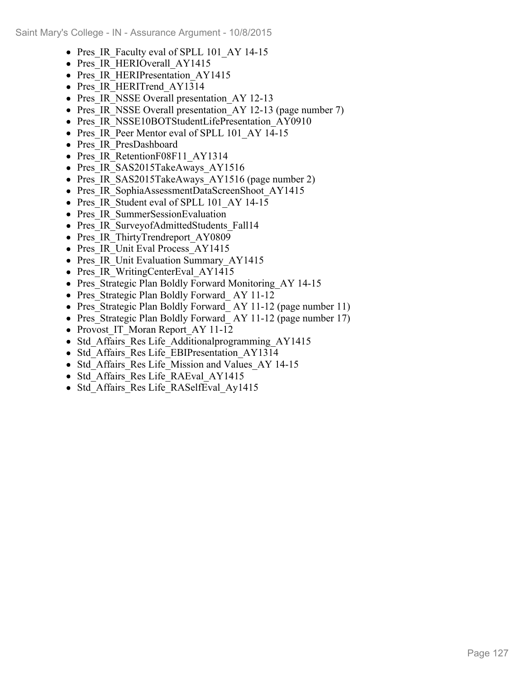- Pres IR Faculty eval of SPLL 101 AY 14-15
- Pres IR HERIOverall AY1415
- Pres IR HERIPresentation AY1415
- Pres IR HERITrend AY1314
- Pres IR NSSE Overall presentation AY 12-13
- Pres IR NSSE Overall presentation AY 12-13 (page number 7)
- Pres IR\_NSSE10BOTStudentLifePresentation\_AY0910
- Pres IR Peer Mentor eval of SPLL 101 AY 14-15
- Pres IR PresDashboard
- Pres IR RetentionF08F11 AY1314
- Pres IR SAS2015TakeAways AY1516
- Pres IR SAS2015TakeAways AY1516 (page number 2)
- Pres IR SophiaAssessmentDataScreenShoot AY1415
- Pres IR Student eval of SPLL 101 AY 14-15
- Pres IR SummerSessionEvaluation
- Pres IR SurveyofAdmittedStudents\_Fall14
- Pres IR ThirtyTrendreport AY0809
- Pres IR Unit Eval Process AY1415
- Pres IR Unit Evaluation Summary AY1415
- Pres IR WritingCenterEval AY1415
- Pres Strategic Plan Boldly Forward Monitoring AY 14-15
- Pres Strategic Plan Boldly Forward AY 11-12
- Pres Strategic Plan Boldly Forward AY 11-12 (page number 11)
- Pres Strategic Plan Boldly Forward AY 11-12 (page number 17)
- Provost IT Moran Report\_AY 11-12
- Std Affairs Res Life Additionalprogramming AY1415
- Std Affairs Res Life EBIPresentation AY1314
- Std Affairs Res Life Mission and Values AY 14-15
- Std Affairs Res Life RAEval AY1415
- Std Affairs Res Life RASelfEval Ay1415